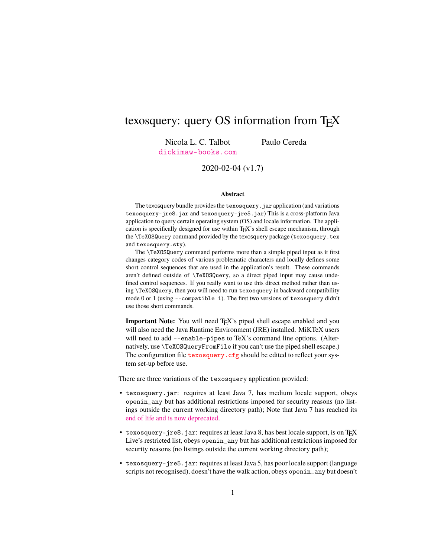## texosquery: query OS information from T<sub>EX</sub>

Nicola L. C. Talbot [dickimaw-books.com](http://www.dickimaw-books.com/) Paulo Cereda

2020-02-04 (v1.7)

#### **Abstract**

The texosquery bundle provides the texosquery. jar application (and variations texosquery-jre8.jar and texosquery-jre5.jar) This is a cross-platform Java application to query certain operating system (OS) and locale information. The application is specifically designed for use within TEX's shell escape mechanism, through the \TeXOSQuery command provided by the texosquery package (texosquery.tex and texosquery.sty).

The \TeXOSQuery command performs more than a simple piped input as it first changes category codes of various problematic characters and locally defines some short control sequences that are used in the application's result. These commands aren't defined outside of \TeXOSQuery, so a direct piped input may cause undefined control sequences. If you really want to use this direct method rather than using \TeXOSQuery, then you will need to run texosquery in backward compatibility mode 0 or 1 (using --compatible 1). The first two versions of texosquery didn't use those short commands.

**Important Note:** You will need T<sub>E</sub>X's piped shell escape enabled and you will also need the Java Runtime Environment (JRE) installed. MiKTeX users will need to add --enable-pipes to TeX's command line options. (Alternatively, use \TeXOSQueryFromFile if you can't use the piped shell escape.) The configuration file texosquery. cfg should be edited to reflect your system set-up before use.

There are three variations of the texosquery application provided:

- texosquery.jar: requires at least Java 7, has medium locale support, obeys openin\_any but has additional restrictions imposed for security reasons (no listings outside the current working directory path); Note that Java 7 has reached its [end of life and is now deprecated.](http://www.oracle.com/technetwork/java/eol-135779.html)
- texosquery-jre8.jar: requires at least Java 8, has best locale support, is on T<sub>E</sub>X Live's restricted list, obeys openin\_any but has additional restrictions imposed for security reasons (no listings outside the current working directory path);
- texosquery-jre5.jar: requires at least Java 5, has poor locale support (language scripts not recognised), doesn't have the walk action, obeys openin\_any but doesn't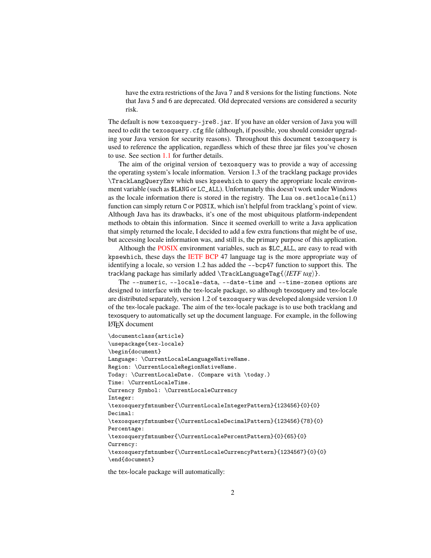have the extra restrictions of the Java 7 and 8 versions for the listing functions. Note that Java 5 and 6 are deprecated. Old deprecated versions are considered a security risk.

The default is now texosquery-jre8.jar. If you have an older version of Java you will need to edit the texosquery.cfg file (although, if possible, you should consider upgrading your Java version for security reasons). Throughout this document texosquery is used to reference the application, regardless which of these three jar files you've chosen to use. See section [1.1](#page-6-0) for further details.

The aim of the original version of texosquery was to provide a way of accessing the operating system's locale information. Version 1.3 of the tracklang package provides \TrackLangQueryEnv which uses kpsewhich to query the appropriate locale environment variable (such as \$LANG or LC\_ALL). Unfortunately this doesn't work under Windows as the locale information there is stored in the registry. The Lua os.setlocale(nil) function can simply return C or POSIX, which isn't helpful from tracklang's point of view. Although Java has its drawbacks, it's one of the most ubiquitous platform-independent methods to obtain this information. Since it seemed overkill to write a Java application that simply returned the locale, I decided to add a few extra functions that might be of use, but accessing locale information was, and still is, the primary purpose of this application.

Although the [POSIX](#page-112-0) environment variables, such as \$LC\_ALL, are easy to read with kpsewhich, these days the [IETF](#page-112-1) [BCP](#page-112-2) 47 language tag is the more appropriate way of identifying a locale, so version 1.2 has added the --bcp47 function to support this. The tracklang package has similarly added \TrackLanguageTag{*{IETF tag*}}.

The --numeric, --locale-data, --date-time and --time-zones options are designed to interface with the tex-locale package, so although texosquery and tex-locale are distributed separately, version 1.2 of texosquery was developed alongside version 1.0 of the tex-locale package. The aim of the tex-locale package is to use both tracklang and texosquery to automatically set up the document language. For example, in the following LATEX document

```
\documentclass{article}
\usepackage{tex-locale}
\begin{document}
Language: \CurrentLocaleLanguageNativeName.
Region: \CurrentLocaleRegionNativeName.
Today: \CurrentLocaleDate. (Compare with \today.)
Time: \CurrentLocaleTime.
Currency Symbol: \CurrentLocaleCurrency
Integer:
\texosqueryfmtnumber{\CurrentLocaleIntegerPattern}{123456}{0}{0}
Decimal:
\texosqueryfmtnumber{\CurrentLocaleDecimalPattern}{123456}{78}{0}
Percentage:
\texosqueryfmtnumber{\CurrentLocalePercentPattern}{0}{65}{0}
Currency:
\texosqueryfmtnumber{\CurrentLocaleCurrencyPattern}{1234567}{0}{0}
\end{document}
```
the tex-locale package will automatically: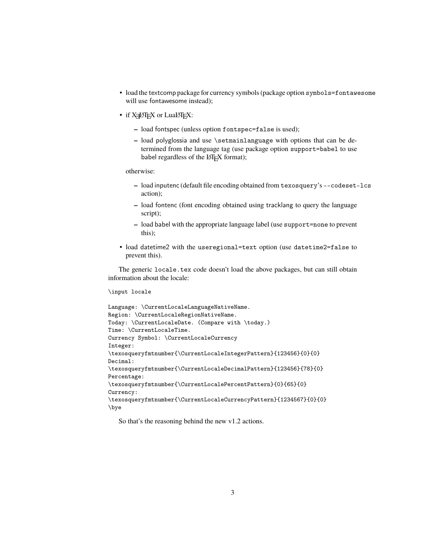- load the textcomp package for currency symbols (package option symbols=fontawesome will use fontawesome instead);
- if X<sub>I</sub>LAT<sub>E</sub>X or LuaLAT<sub>E</sub>X:
	- **–** load fontspec (unless option fontspec=false is used);
	- **–** load polyglossia and use \setmainlanguage with options that can be determined from the language tag (use package option support=babel to use babel regardless of the LATEX format);

otherwise:

- **–** load inputenc (default file encoding obtained from texosquery's --codeset-lcs action);
- **–** load fontenc (font encoding obtained using tracklang to query the language script);
- **–** load babel with the appropriate language label (use support=none to prevent this);
- load datetime2 with the useregional=text option (use datetime2=false to prevent this).

The generic locale.tex code doesn't load the above packages, but can still obtain information about the locale:

#### \input locale

```
Language: \CurrentLocaleLanguageNativeName.
Region: \CurrentLocaleRegionNativeName.
Today: \CurrentLocaleDate. (Compare with \today.)
Time: \CurrentLocaleTime.
Currency Symbol: \CurrentLocaleCurrency
Integer:
\texosqueryfmtnumber{\CurrentLocaleIntegerPattern}{123456}{0}{0}
Decimal:
\texosqueryfmtnumber{\CurrentLocaleDecimalPattern}{123456}{78}{0}
Percentage:
\texosqueryfmtnumber{\CurrentLocalePercentPattern}{0}{65}{0}
Currency:
\texosqueryfmtnumber{\CurrentLocaleCurrencyPattern}{1234567}{0}{0}
\bye
```
So that's the reasoning behind the new v1.2 actions.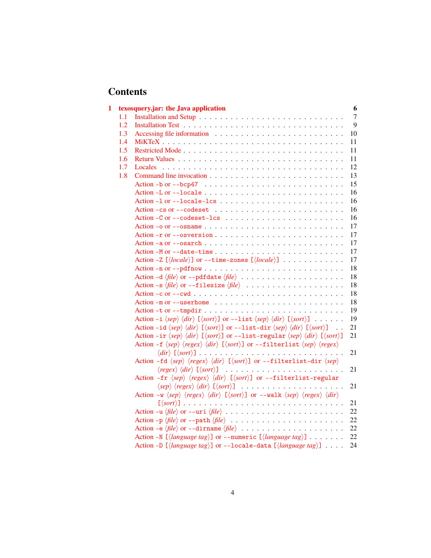# **Contents**

| $\mathbf{1}$ |     | texosquery.jar: the Java application                                                                                                                                                 | 6  |
|--------------|-----|--------------------------------------------------------------------------------------------------------------------------------------------------------------------------------------|----|
|              | 1.1 |                                                                                                                                                                                      | 7  |
|              | 1.2 |                                                                                                                                                                                      | 9  |
|              | 1.3 |                                                                                                                                                                                      | 10 |
|              | 1.4 |                                                                                                                                                                                      | 11 |
|              | 1.5 |                                                                                                                                                                                      | 11 |
|              | 1.6 |                                                                                                                                                                                      | 11 |
|              | 1.7 |                                                                                                                                                                                      | 12 |
|              | 1.8 |                                                                                                                                                                                      | 13 |
|              |     | Action -b or --bcp47 $\ldots \ldots \ldots \ldots \ldots \ldots \ldots \ldots \ldots$                                                                                                | 15 |
|              |     |                                                                                                                                                                                      | 16 |
|              |     |                                                                                                                                                                                      | 16 |
|              |     |                                                                                                                                                                                      | 16 |
|              |     |                                                                                                                                                                                      | 16 |
|              |     | Action -o or --osname $\ldots \ldots \ldots \ldots \ldots \ldots \ldots \ldots \ldots \ldots \ldots$                                                                                 | 17 |
|              |     |                                                                                                                                                                                      | 17 |
|              |     |                                                                                                                                                                                      | 17 |
|              |     |                                                                                                                                                                                      | 17 |
|              |     | Action -Z $[\langle locale \rangle]$ or --time-zones $[\langle locale \rangle]$                                                                                                      | 17 |
|              |     |                                                                                                                                                                                      | 18 |
|              |     | Action -d $\langle file \rangle$ or --pdfdate $\langle file \rangle$                                                                                                                 | 18 |
|              |     | Action -s $\langle file \rangle$ or --filesize $\langle file \rangle$                                                                                                                | 18 |
|              |     | Action - c or -- cwd $\ldots \ldots \ldots \ldots \ldots \ldots \ldots \ldots \ldots \ldots \ldots$                                                                                  | 18 |
|              |     |                                                                                                                                                                                      | 18 |
|              |     |                                                                                                                                                                                      | 19 |
|              |     | Action -i $\langle sep \rangle \langle dir \rangle$ [ $\langle sort \rangle$ ] or --list $\langle sep \rangle \langle dir \rangle$ [ $\langle sort \rangle$ ]                        | 19 |
|              |     | Action -id $\langle sep \rangle \langle dir \rangle$ [ $\langle sort \rangle$ ] or --list-dir $\langle sep \rangle \langle dir \rangle$ [ $\langle sort \rangle$ ]<br>$\sim$ $\sim$  | 21 |
|              |     | Action -ir $\langle sep \rangle \langle dir \rangle$ [ $\langle sort \rangle$ ] or --list-regular $\langle sep \rangle \langle dir \rangle$ [ $\langle sort \rangle$ ]               | 21 |
|              |     | Action -f $\langle sep \rangle$ $\langle regex \rangle$ $\langle dir \rangle$ [ $\langle sort \rangle$ ] or --filterlist $\langle sep \rangle$ $\langle regex \rangle$               |    |
|              |     |                                                                                                                                                                                      | 21 |
|              |     | Action -fd $\langle sep \rangle$ $\langle regex \rangle$ $\langle dir \rangle$ [ $\langle sort \rangle$ ] or --filterlist-dir $\langle sep \rangle$                                  |    |
|              |     |                                                                                                                                                                                      | 21 |
|              |     | Action -fr $\langle sep \rangle$ $\langle regex \rangle$ $\langle dir \rangle$ [ $\langle sort \rangle$ ] or --filterlist-regular                                                    |    |
|              |     | $\langle$ sep $\rangle$ $\langle$ regex $\rangle$ $\langle$ dir $\rangle$ [ $\langle$ sort $\rangle$ ]                                                                               | 21 |
|              |     | Action -w $\langle sep \rangle$ $\langle regex \rangle$ $\langle dir \rangle$ $[\langle sort \rangle]$ or --walk $\langle sep \rangle$ $\langle regex \rangle$ $\langle dir \rangle$ |    |
|              |     |                                                                                                                                                                                      | 21 |
|              |     |                                                                                                                                                                                      | 22 |
|              |     |                                                                                                                                                                                      | 22 |
|              |     | Action -e $\langle file \rangle$ or --dirname $\langle file \rangle$                                                                                                                 | 22 |
|              |     | Action -N $\left[\langle \text{language tag} \rangle \right]$ or --numeric $\left[\langle \text{language tag} \rangle \right]$                                                       | 22 |
|              |     | Action -D [ $\langle \text{language tag} \rangle$ ] or --locale-data [ $\langle \text{language tag} \rangle$ ]                                                                       | 24 |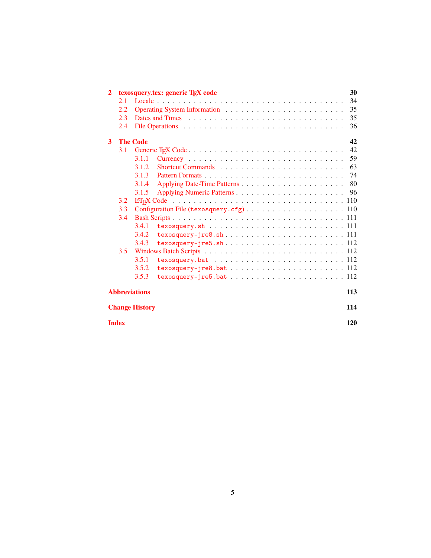| $\mathbf{2}$          |                       | 30<br>texosquery.tex: generic T <sub>F</sub> X code                                  |  |  |
|-----------------------|-----------------------|--------------------------------------------------------------------------------------|--|--|
|                       | 2.1                   | 34                                                                                   |  |  |
|                       | 2.2                   | 35                                                                                   |  |  |
|                       | 2.3                   | 35                                                                                   |  |  |
|                       | 2.4                   | 36                                                                                   |  |  |
| 3                     | <b>The Code</b><br>42 |                                                                                      |  |  |
|                       | 3.1                   | 42                                                                                   |  |  |
|                       |                       | 59<br>3.1.1                                                                          |  |  |
|                       |                       | 63<br>Shortcut Commands<br><br>3.1.2                                                 |  |  |
|                       |                       | 74<br>3.1.3                                                                          |  |  |
|                       |                       | 80<br>3.1.4                                                                          |  |  |
|                       |                       | 96<br>3.1.5                                                                          |  |  |
|                       | 3.2                   |                                                                                      |  |  |
|                       | 3.3                   |                                                                                      |  |  |
|                       | 3.4                   |                                                                                      |  |  |
|                       |                       | 3.4.1                                                                                |  |  |
|                       |                       | 3.4.2                                                                                |  |  |
|                       |                       | 3.4.3                                                                                |  |  |
|                       | 3.5                   |                                                                                      |  |  |
|                       |                       | 3.5.1<br>$texosquery.bat$ 112                                                        |  |  |
|                       |                       | 3.5.2<br>$texosquery-jre8.bat  \ldots  \ldots  \ldots  112$                          |  |  |
|                       |                       | 3.5.3<br>$texosquery-jre5.bat  \ldots \ldots \ldots \ldots \ldots \ldots \ldots 112$ |  |  |
| <b>Abbreviations</b>  |                       |                                                                                      |  |  |
| <b>Change History</b> |                       |                                                                                      |  |  |
|                       | <b>Index</b>          | 120                                                                                  |  |  |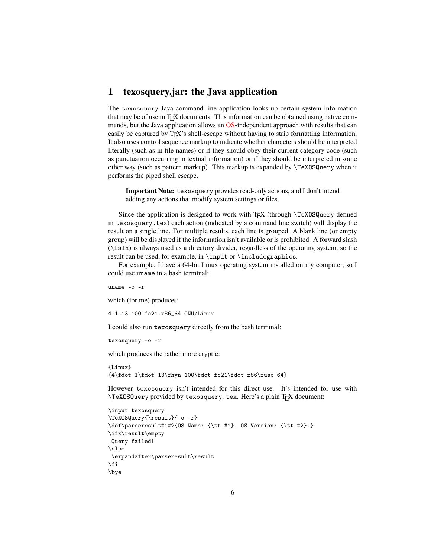## <span id="page-5-0"></span>**1 texosquery.jar: the Java application**

The texosquery Java command line application looks up certain system information that may be of use in T<sub>EX</sub> documents. This information can be obtained using native commands, but the Java application allows an [OS-](#page-112-4)independent approach with results that can easily be captured by T<sub>EX</sub>'s shell-escape without having to strip formatting information. It also uses control sequence markup to indicate whether characters should be interpreted literally (such as in file names) or if they should obey their current category code (such as punctuation occurring in textual information) or if they should be interpreted in some other way (such as pattern markup). This markup is expanded by \TeXOSQuery when it performs the piped shell escape.

**Important Note:** texosquery provides read-only actions, and I don't intend adding any actions that modify system settings or files.

Since the application is designed to work with T<sub>E</sub>X (through \TeXOSQuery defined in texosquery.tex) each action (indicated by a command line switch) will display the result on a single line. For multiple results, each line is grouped. A blank line (or empty group) will be displayed if the information isn't available or is prohibited. A forward slash (\fslh) is always used as a directory divider, regardless of the operating system, so the result can be used, for example, in \input or \includegraphics.

For example, I have a 64-bit Linux operating system installed on my computer, so I could use uname in a bash terminal:

uname -o -r

which (for me) produces:

4.1.13-100.fc21.x86\_64 GNU/Linux

I could also run texosquery directly from the bash terminal:

```
texosquery -o -r
```
which produces the rather more cryptic:

{Linux} {4\fdot 1\fdot 13\fhyn 100\fdot fc21\fdot x86\fusc 64}

However texosquery isn't intended for this direct use. It's intended for use with \TeXOSQuery provided by texosquery.tex. Here's a plain TEX document:

```
\input texosquery
\TeXOSQuery{\result}{-o -r}
\def\parseresult#1#2{OS Name: {\tt #1}. OS Version: {\tt #2}.}
\ifx\result\empty
Query failed!
\else
\expandafter\parseresult\result
\fi
\bye
```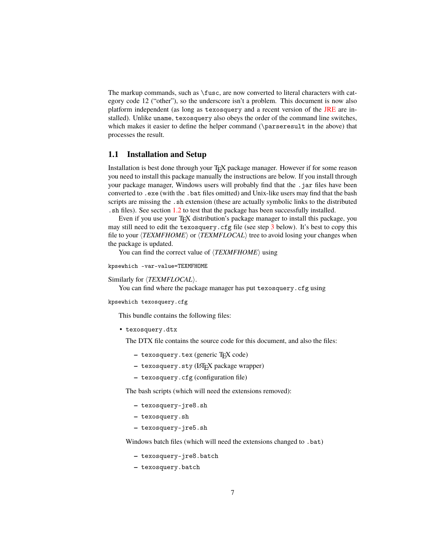The markup commands, such as \fusc, are now converted to literal characters with category code 12 ("other"), so the underscore isn't a problem. This document is now also platform independent (as long as texosquery and a recent version of the [JRE](#page-112-5) are installed). Unlike uname, texosquery also obeys the order of the command line switches, which makes it easier to define the helper command (\parseresult in the above) that processes the result.

## <span id="page-6-0"></span>**1.1 Installation and Setup**

Installation is best done through your TEX package manager. However if for some reason you need to install this package manually the instructions are below. If you install through your package manager, Windows users will probably find that the .jar files have been converted to .exe (with the .bat files omitted) and Unix-like users may find that the bash scripts are missing the . sh extension (these are actually symbolic links to the distributed .sh files). See section [1.2](#page-8-0) to test that the package has been successfully installed.

Even if you use your TEX distribution's package manager to install this package, you may still need to edit the texosquery.cfg file (see step [3](#page-7-0) below). It's best to copy this file to your  $\langle TEXMFHOME \rangle$  or  $\langle TEXMFLOCAL \rangle$  tree to avoid losing your changes when the package is updated.

You can find the correct value of  $\langle TEXMFHOME \rangle$  using

```
kpsewhich -var-value=TEXMFHOME
```
Similarly for  $\langle TEXMFLOCAL \rangle$ .

You can find where the package manager has put texosquery.cfg using

kpsewhich texosquery.cfg

This bundle contains the following files:

• texosquery.dtx

The DTX file contains the source code for this document, and also the files:

- **–** texosquery.tex (generic TEX code)
- **–** texosquery.sty (LATEX package wrapper)
- **–** texosquery.cfg (configuration file)

The bash scripts (which will need the extensions removed):

- **–** texosquery-jre8.sh
- **–** texosquery.sh
- **–** texosquery-jre5.sh

Windows batch files (which will need the extensions changed to .bat)

- **–** texosquery-jre8.batch
- **–** texosquery.batch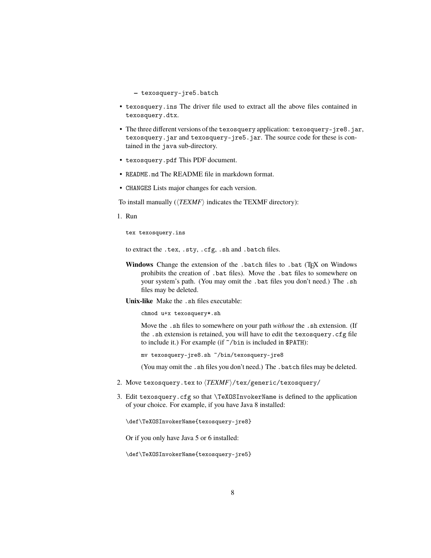**–** texosquery-jre5.batch

- texosquery.ins The driver file used to extract all the above files contained in texosquery.dtx.
- The three different versions of the texosquery application: texosquery-jre8.jar, texosquery.jar and texosquery-jre5.jar. The source code for these is contained in the java sub-directory.
- texosquery.pdf This PDF document.
- README.md The README file in markdown format.
- CHANGES Lists major changes for each version.

To install manually  $(\langle TEXMF \rangle)$  indicates the TEXMF directory):

1. Run

tex texosquery.ins

to extract the .tex, .sty, .cfg, .sh and .batch files.

Windows Change the extension of the .batch files to .bat (TEX on Windows prohibits the creation of .bat files). Move the .bat files to somewhere on your system's path. (You may omit the .bat files you don't need.) The .sh files may be deleted.

**Unix-like** Make the .sh files executable:

chmod u+x texosquery\*.sh

Move the .sh files to somewhere on your path *without* the .sh extension. (If the .sh extension is retained, you will have to edit the texosquery.cfg file to include it.) For example (if ~/bin is included in \$PATH):

mv texosquery-jre8.sh ~/bin/texosquery-jre8

(You may omit the .sh files you don't need.) The .batch files may be deleted.

- 2. Move texosquery.tex to  $\langle TEXMF\rangle$ /tex/generic/texosquery/
- <span id="page-7-0"></span>3. Edit texosquery.cfg so that \TeXOSInvokerName is defined to the application of your choice. For example, if you have Java 8 installed:

\def\TeXOSInvokerName{texosquery-jre8}

Or if you only have Java 5 or 6 installed:

\def\TeXOSInvokerName{texosquery-jre5}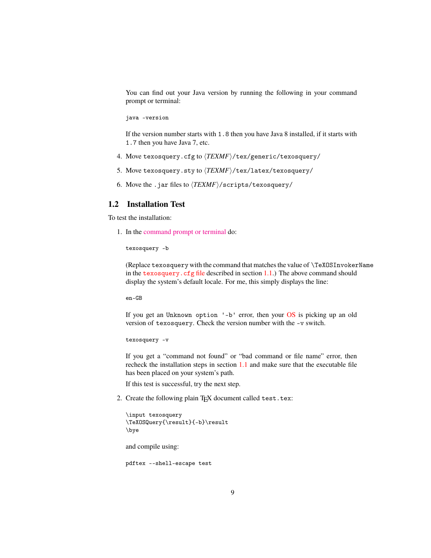You can find out your Java version by running the following in your command prompt or terminal:

java -version

If the version number starts with 1.8 then you have Java 8 installed, if it starts with 1.7 then you have Java 7, etc.

- 4. Move texosquery.cfg to  $\langle TEXMF\rangle$ /tex/generic/texosquery/
- 5. Move texosquery.sty to  $\langle TEXMF\rangle$ /tex/latex/texosquery/
- 6. Move the .jar files to  $\langle TEXMF \rangle$ /scripts/texosquery/

### <span id="page-8-0"></span>**1.2 Installation Test**

To test the installation:

1. In the [command prompt or terminal](http://www.dickimaw-books.com/latex/novices/html/terminal.html) do:

texosquery -b

(Replace texosquery with the command that matches the value of \TeXOSInvokerName in the  $textrm{texosquery}$ .  $\text{cfg file}$  described in section  $1.1$ .) The above command should display the system's default locale. For me, this simply displays the line:

en-GB

If you get an Unknown option '-b' error, then your [OS](#page-112-4) is picking up an old version of texosquery. Check the version number with the -v switch.

texosquery -v

If you get a "command not found" or "bad command or file name" error, then recheck the installation steps in section [1.1](#page-6-0) and make sure that the executable file has been placed on your system's path.

If this test is successful, try the next step.

2. Create the following plain T<sub>E</sub>X document called test.tex:

```
\input texosquery
\TeXOSQuery{\result}{-b}\result
\bye
```
and compile using:

pdftex --shell-escape test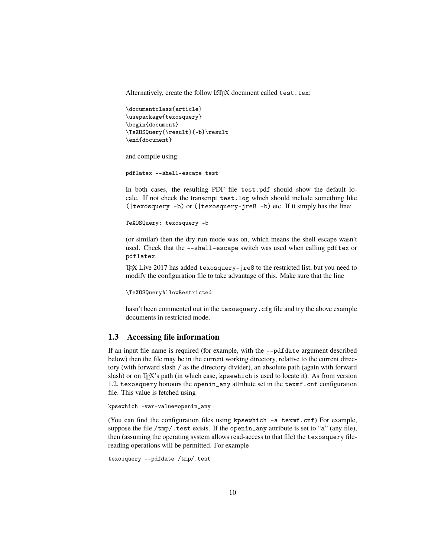Alternatively, create the follow LATEX document called test.tex:

```
\documentclass{article}
\usepackage{texosquery}
\begin{document}
\TeXOSQuery{\result}{-b}\result
\end{document}
```
and compile using:

pdflatex --shell-escape test

In both cases, the resulting PDF file test.pdf should show the default locale. If not check the transcript test.log which should include something like (|texosquery -b) or (|texosquery-jre8 -b) etc. If it simply has the line:

```
TeXOSQuery: texosquery -b
```
(or similar) then the dry run mode was on, which means the shell escape wasn't used. Check that the --shell-escape switch was used when calling pdftex or pdflatex.

TEX Live 2017 has added texosquery-jre8 to the restricted list, but you need to modify the configuration file to take advantage of this. Make sure that the line

```
\TeXOSQueryAllowRestricted
```
hasn't been commented out in the texosquery.cfg file and try the above example documents in restricted mode.

## <span id="page-9-0"></span>**1.3 Accessing file information**

If an input file name is required (for example, with the --pdfdate argument described below) then the file may be in the current working directory, relative to the current directory (with forward slash / as the directory divider), an absolute path (again with forward slash) or on TEX's path (in which case, kpsewhich is used to locate it). As from version 1.2, texosquery honours the openin\_any attribute set in the texmf.cnf configuration file. This value is fetched using

```
kpsewhich -var-value=openin_any
```
(You can find the configuration files using kpsewhich -a texmf.cnf) For example, suppose the file  $/\text{tmp}/$ .test exists. If the openin\_any attribute is set to "a" (any file), then (assuming the operating system allows read-access to that file) the texosquery filereading operations will be permitted. For example

```
texosquery --pdfdate /tmp/.test
```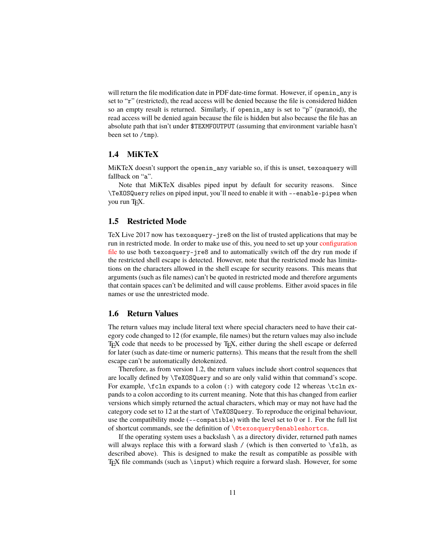will return the file modification date in PDF date-time format. However, if openin\_any is set to "r" (restricted), the read access will be denied because the file is considered hidden so an empty result is returned. Similarly, if openin\_any is set to "p" (paranoid), the read access will be denied again because the file is hidden but also because the file has an absolute path that isn't under \$TEXMFOUTPUT (assuming that environment variable hasn't been set to /tmp).

## <span id="page-10-0"></span>**1.4 MiKTeX**

MiKTeX doesn't support the openin\_any variable so, if this is unset, texosquery will fallback on "a".

Note that MiKTeX disables piped input by default for security reasons. Since \TeXOSQuery relies on piped input, you'll need to enable it with --enable-pipes when you run T<sub>F</sub>X.

### <span id="page-10-1"></span>**1.5 Restricted Mode**

TeX Live 2017 now has texosquery-jre8 on the list of trusted applications that may be run in restricted mode. In order to make use of this, you need to set up your [configuration](#page-7-0) [file](#page-7-0) to use both texosquery-jre8 and to automatically switch off the dry run mode if the restricted shell escape is detected. However, note that the restricted mode has limitations on the characters allowed in the shell escape for security reasons. This means that arguments (such as file names) can't be quoted in restricted mode and therefore arguments that contain spaces can't be delimited and will cause problems. Either avoid spaces in file names or use the unrestricted mode.

## <span id="page-10-2"></span>**1.6 Return Values**

The return values may include literal text where special characters need to have their category code changed to 12 (for example, file names) but the return values may also include TEX code that needs to be processed by TEX, either during the shell escape or deferred for later (such as date-time or numeric patterns). This means that the result from the shell escape can't be automatically detokenized.

Therefore, as from version 1.2, the return values include short control sequences that are locally defined by \TeXOSQuery and so are only valid within that command's scope. For example,  $\cdot$  cln expands to a colon  $\cdot$ ) with category code 12 whereas  $\cdot$  cln expands to a colon according to its current meaning. Note that this has changed from earlier versions which simply returned the actual characters, which may or may not have had the category code set to 12 at the start of \TeXOSQuery. To reproduce the original behaviour, use the compatibility mode (--compatible) with the level set to 0 or 1. For the full list of shortcut commands, see the definition of [\@texosquery@enableshortcs](#page-54-0).

If the operating system uses a backslash  $\setminus$  as a directory divider, returned path names will always replace this with a forward slash / (which is then converted to  $\f$ slh, as described above). This is designed to make the result as compatible as possible with T<sub>EX</sub> file commands (such as  $\infty$  ) which require a forward slash. However, for some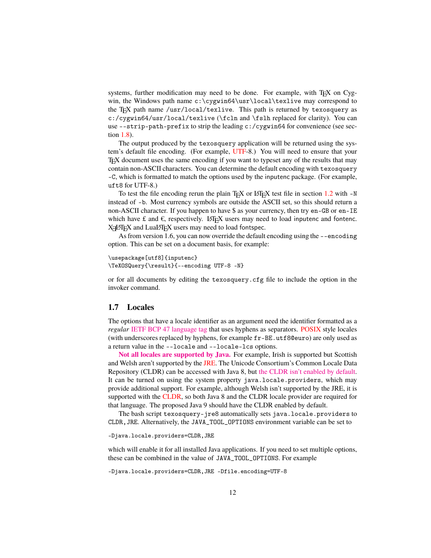systems, further modification may need to be done. For example, with T<sub>EX</sub> on Cygwin, the Windows path name c:\cygwin64\usr\local\texlive may correspond to the T<sub>EX</sub> path name /usr/local/texlive. This path is returned by texosquery as c:/cygwin64/usr/local/texlive (\fcln and \fslh replaced for clarity). You can use --strip-path-prefix to strip the leading c:/cygwin64 for convenience (see section [1.8\)](#page-12-0).

The output produced by the texosquery application will be returned using the system's default file encoding. (For example, [UTF-](#page-112-6)8.) You will need to ensure that your TEX document uses the same encoding if you want to typeset any of the results that may contain non-ASCII characters. You can determine the default encoding with texosquery -C, which is formatted to match the options used by the inputenc package. (For example, uft8 for UTF-8.)

To test the file encoding rerun the plain T<sub>EX</sub> or LAT<sub>EX</sub> test file in section  $1.2$  with  $-N$ instead of -b. Most currency symbols are outside the ASCII set, so this should return a non-ASCII character. If you happen to have \$ as your currency, then try en-GB or en-IE which have £ and  $\epsilon$ , respectively. LATEX users may need to load inputenc and fontenc. XAATEX and LuaIATEX users may need to load fontspec.

As from version 1.6, you can now override the default encoding using the --encoding option. This can be set on a document basis, for example:

```
\usepackage[utf8]{inputenc}
\TeXOSQuery{\result}{--encoding UTF-8 -N}
```
or for all documents by editing the texosquery.cfg file to include the option in the invoker command.

### <span id="page-11-0"></span>**1.7 Locales**

The options that have a locale identifier as an argument need the identifier formatted as a *regular* [IETF BCP 47 language tag](https://tools.ietf.org/html/bcp47) that uses hyphens as separators. [POSIX](#page-112-0) style locales (with underscores replaced by hyphens, for example fr-BE.utf8@euro) are only used as a return value in the --locale and --locale-lcs options.

**[Not all locales are supported by Java.](http://www.oracle.com/technetwork/java/javase/java8locales-2095355.html)** For example, Irish is supported but Scottish and Welsh aren't supported by the [JRE.](#page-112-5) The Unicode Consortium's Common Locale Data Repository (CLDR) can be accessed with Java 8, but [the CLDR isn't enabled by default.](http://openjdk.java.net/jeps/252) It can be turned on using the system property java.locale.providers, which may provide additional support. For example, although Welsh isn't supported by the JRE, it is supported with the [CLDR,](#page-112-7) so both Java 8 and the CLDR locale provider are required for that language. The proposed Java 9 should have the CLDR enabled by default.

The bash script texosquery-jre8 automatically sets java.locale.providers to CLDR,JRE. Alternatively, the JAVA\_TOOL\_OPTIONS environment variable can be set to

-Djava.locale.providers=CLDR,JRE

which will enable it for all installed Java applications. If you need to set multiple options, these can be combined in the value of JAVA\_TOOL\_OPTIONS. For example

-Djava.locale.providers=CLDR,JRE -Dfile.encoding=UTF-8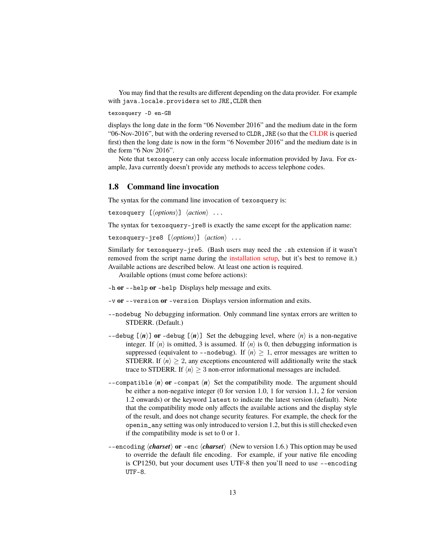You may find that the results are different depending on the data provider. For example with java.locale.providers set to JRE,CLDR then

```
texosquery -D en-GB
```
displays the long date in the form "06 November 2016" and the medium date in the form "06-Nov-2016", but with the ordering reversed to CLDR,JRE (so that the [CLDR](#page-112-7) is queried first) then the long date is now in the form "6 November 2016" and the medium date is in the form "6 Nov 2016".

Note that texosquery can only access locale information provided by Java. For example, Java currently doesn't provide any methods to access telephone codes.

## <span id="page-12-0"></span>**1.8 Command line invocation**

The syntax for the command line invocation of texosquery is:

```
texosquery [\langle options \rangle] \langle action \rangle ...
```
The syntax for texosquery-jre8 is exactly the same except for the application name:

```
texosquery-jre8 [\options\] \action\ ...
```
Similarly for texosquery-jre5. (Bash users may need the .sh extension if it wasn't removed from the script name during the [installation setup,](#page-6-0) but it's best to remove it.) Available actions are described below. At least one action is required.

Available options (must come before actions):

- -h **or** --help **or** -help Displays help message and exits.
- -v **or** --version **or** -version Displays version information and exits.
- --nodebug No debugging information. Only command line syntax errors are written to STDERR. (Default.)
- --debug  $\lceil \langle n \rangle \rceil$  or -debug  $\lceil \langle n \rangle \rceil$  Set the debugging level, where  $\langle n \rangle$  is a non-negative integer. If  $\langle n \rangle$  is omitted, 3 is assumed. If  $\langle n \rangle$  is 0, then debugging information is suppressed (equivalent to --nodebug). If  $\langle n \rangle \geq 1$ , error messages are written to STDERR. If  $\langle n \rangle \geq 2$ , any exceptions encountered will additionally write the stack trace to STDERR. If  $\langle n \rangle \geq 3$  non-error informational messages are included.
- $-$ -compatible  $\langle n \rangle$  or -compat  $\langle n \rangle$  Set the compatibility mode. The argument should be either a non-negative integer (0 for version 1.0, 1 for version 1.1, 2 for version 1.2 onwards) or the keyword latest to indicate the latest version (default). Note that the compatibility mode only affects the available actions and the display style of the result, and does not change security features. For example, the check for the openin\_any setting was only introduced to version 1.2, but this is still checked even if the compatibility mode is set to 0 or 1.
- --encoding *(charset)* or -enc *(charset)* (New to version 1.6.) This option may be used to override the default file encoding. For example, if your native file encoding is CP1250, but your document uses UTF-8 then you'll need to use --encoding UTF-8.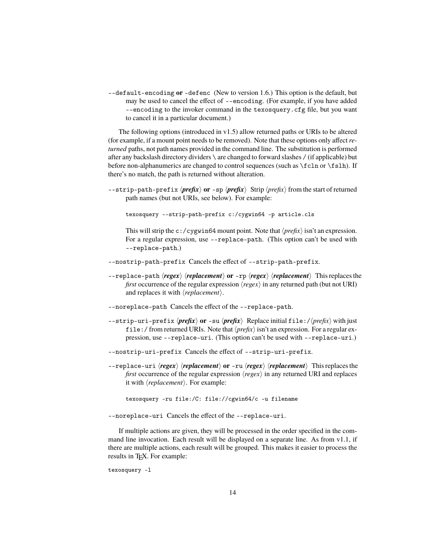--default-encoding **or** -defenc (New to version 1.6.) This option is the default, but may be used to cancel the effect of --encoding. (For example, if you have added --encoding to the invoker command in the texosquery.cfg file, but you want to cancel it in a particular document.)

The following options (introduced in v1.5) allow returned paths or URIs to be altered (for example, if a mount point needs to be removed). Note that these options only affect *returned* paths, not path names provided in the command line. The substitution is performed after any backslash directory dividers \ are changed to forward slashes / (if applicable) but before non-alphanumerics are changed to control sequences (such as \fcln or \fslh). If there's no match, the path is returned without alteration.

 $-\text{strip-path-prefix}$  *or* -sp  $\langle \text{prefix} \rangle$  Strip  $\langle \text{prefix} \rangle$  from the start of returned path names (but not URIs, see below). For example:

texosquery --strip-path-prefix c:/cygwin64 -p article.cls

This will strip the c:/cygwin64 mount point. Note that  $\langle prefix \rangle$  isn't an expression. For a regular expression, use --replace-path. (This option can't be used with --replace-path.)

- --nostrip-path-prefix Cancels the effect of --strip-path-prefix.
- $-\text{replace-path}\ \textit{(regex)}\ \textit{(replacement)}\ \textbf{or}\ -\text{rp}\ \textit{(regex)}\ \textit{(replacement)}\ \text{This replaces the}.$ *first* occurrence of the regular expression  $\langle regex \rangle$  in any returned path (but not URI) and replaces it with  $\langle replacement \rangle$ .
- --noreplace-path Cancels the effect of the --replace-path.
- $-\text{strip-uri-prefix}\langle \text{prefix} \rangle \text{ or } -\text{su}\langle \text{prefix} \rangle$  Replace initial file:// $\langle \text{prefix} \rangle$  with just file:/ from returned URIs. Note that  $\langle prefix \rangle$  isn't an expression. For a regular expression, use --replace-uri. (This option can't be used with --replace-uri.)
- --nostrip-uri-prefix Cancels the effect of --strip-uri-prefix.
- --replace-uri h*regex*i h*replacement*i **or** -ru h*regex*i h*replacement*i This replaces the *first* occurrence of the regular expression  $\langle regex \rangle$  in any returned URI and replaces it with  $\langle replacement \rangle$ . For example:

texosquery -ru file:/C: file://cgwin64/c -u filename

--noreplace-uri Cancels the effect of the --replace-uri.

If multiple actions are given, they will be processed in the order specified in the command line invocation. Each result will be displayed on a separate line. As from  $v1.1$ , if there are multiple actions, each result will be grouped. This makes it easier to process the results in T<sub>E</sub>X. For example:

texosquery -l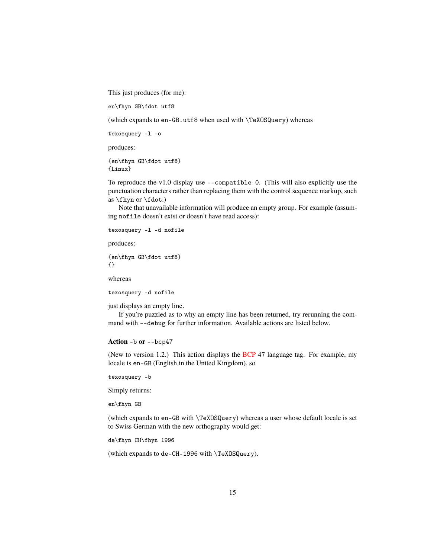This just produces (for me):

en\fhyn GB\fdot utf8

(which expands to en-GB.utf8 when used with \TeXOSQuery) whereas

texosquery -l -o

produces:

{en\fhyn GB\fdot utf8} {Linux}

To reproduce the v1.0 display use --compatible 0. (This will also explicitly use the punctuation characters rather than replacing them with the control sequence markup, such as \fhyn or \fdot.)

Note that unavailable information will produce an empty group. For example (assuming nofile doesn't exist or doesn't have read access):

texosquery -l -d nofile

produces:

{en\fhyn GB\fdot utf8} {}

whereas

texosquery -d nofile

just displays an empty line.

If you're puzzled as to why an empty line has been returned, try rerunning the command with --debug for further information. Available actions are listed below.

#### <span id="page-14-0"></span>**Action** -b **or** --bcp47

(New to version 1.2.) This action displays the [BCP](#page-112-2) 47 language tag. For example, my locale is en-GB (English in the United Kingdom), so

texosquery -b

Simply returns:

en\fhyn GB

(which expands to en-GB with \TeXOSQuery) whereas a user whose default locale is set to Swiss German with the new orthography would get:

de\fhyn CH\fhyn 1996

(which expands to de-CH-1996 with \TeXOSQuery).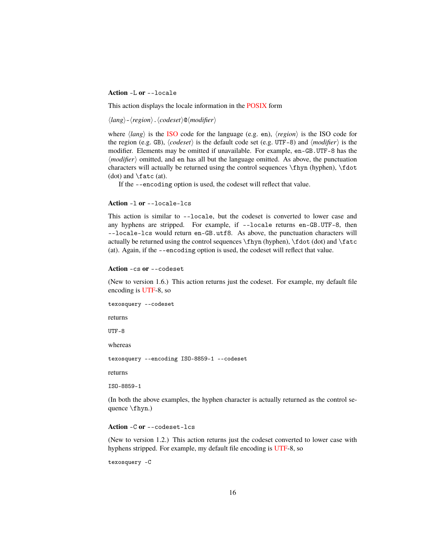#### <span id="page-15-0"></span>**Action** -L **or** --locale

This action displays the locale information in the [POSIX](#page-112-0) form

 $\langle lang \rangle$ - $\langle region \rangle$ .  $\langle codeset \rangle \mathcal{Q} \langle modifier \rangle$ 

where  $\langle lang \rangle$  is the [ISO](#page-112-8) code for the language (e.g. en),  $\langle region \rangle$  is the ISO code for the region (e.g. GB),  $\langle codeset \rangle$  is the default code set (e.g. UTF-8) and  $\langle modifier \rangle$  is the modifier. Elements may be omitted if unavailable. For example, en-GB.UTF-8 has the  $\langle$ *modifier* $\rangle$  omitted, and en has all but the language omitted. As above, the punctuation characters will actually be returned using the control sequences \fhyn (hyphen), \fdot (dot) and  $\frac{\text{at}}{\text{at}}$ .

If the --encoding option is used, the codeset will reflect that value.

#### <span id="page-15-1"></span>**Action** -l **or** --locale-lcs

This action is similar to --locale, but the codeset is converted to lower case and any hyphens are stripped. For example, if --locale returns en-GB.UTF-8, then --locale-lcs would return en-GB.utf8. As above, the punctuation characters will actually be returned using the control sequences  $\frac{\hbar y_0}{\hbar}$ ,  $\fdot (dot)$  and  $\frac{\fbar}{\hbar}$ (at). Again, if the --encoding option is used, the codeset will reflect that value.

#### <span id="page-15-2"></span>**Action** -cs **or** --codeset

(New to version 1.6.) This action returns just the codeset. For example, my default file encoding is [UTF-](#page-112-6)8, so

texosquery --codeset

returns

UTF-8

whereas

texosquery --encoding ISO-8859-1 --codeset

returns

ISO-8859-1

(In both the above examples, the hyphen character is actually returned as the control sequence \fhyn.)

#### <span id="page-15-3"></span>**Action** -C **or** --codeset-lcs

(New to version 1.2.) This action returns just the codeset converted to lower case with hyphens stripped. For example, my default file encoding is [UTF-](#page-112-6)8, so

texosquery -C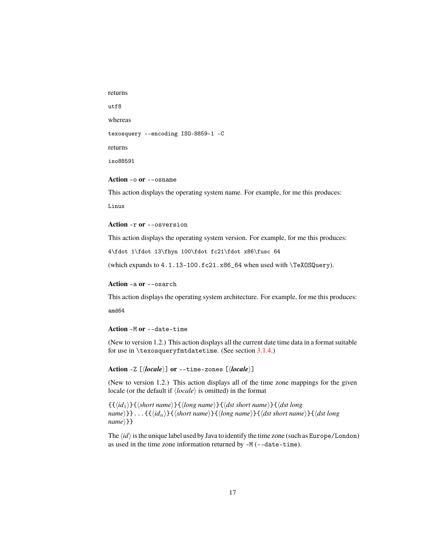returns

utf8

whereas

texosquery --encoding ISO-8859-1 -C

returns

iso88591

<span id="page-16-0"></span>**Action** -o **or** --osname

This action displays the operating system name. For example, for me this produces:

Linux

#### <span id="page-16-1"></span>**Action** -r **or** --osversion

This action displays the operating system version. For example, for me this produces:

4\fdot 1\fdot 13\fhyn 100\fdot fc21\fdot x86\fusc 64

(which expands to 4.1.13-100.fc21.x86\_64 when used with \TeXOSQuery).

<span id="page-16-2"></span>**Action** -a **or** --osarch

This action displays the operating system architecture. For example, for me this produces:

amd64

#### <span id="page-16-3"></span>**Action** -M **or** --date-time

(New to version 1.2.) This action displays all the current date time data in a format suitable for use in  $\text{superscript{mtdatetime.}$  (See section [3.1.4.](#page-79-0))

<span id="page-16-4"></span>Action -Z  $[\langle locale \rangle]$  or --time-zones  $[\langle locale \rangle]$ 

(New to version 1.2.) This action displays all of the time zone mappings for the given locale (or the default if  $\langle locale \rangle$  is omitted) in the format

 ${\{\langle id_1 \rangle\}}{\{\langle short\ name \rangle\}}{\{\langle long\ name \rangle\}}{\{\langle dst\ short\ name \rangle\}}{\{\langle dst\ long\$  $name{}$  : .  ${\f{d_n}}{\f{d_n}}{\f{short name}}{\f{d_n}}$   ${\f{hort name}}{\f{dst short name}}{\f{dst long}}$  $name$  } }

The  $\langle id \rangle$  is the unique label used by Java to identify the time zone (such as Europe/London) as used in the time zone information returned by -M (--date-time).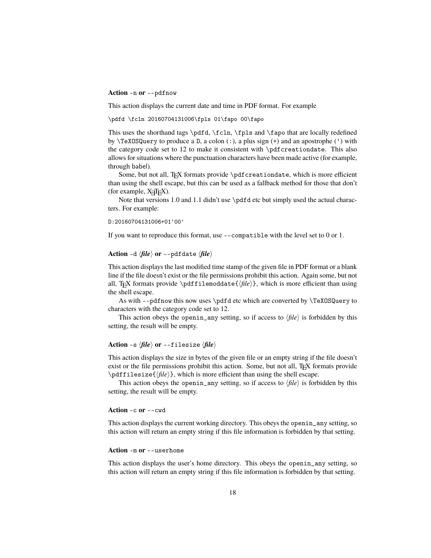#### <span id="page-17-0"></span>**Action** -n **or** --pdfnow

This action displays the current date and time in PDF format. For example

\pdfd \fcln 20160704131006\fpls 01\fapo 00\fapo

This uses the shorthand tags \pdfd, \fcln, \fpls and \fapo that are locally redefined by  $\text{TeXOSQuery}$  to produce a D, a colon (:), a plus sign (+) and an apostrophe (') with the category code set to 12 to make it consistent with \pdfcreationdate. This also allows for situations where the punctuation characters have been made active (for example, through babel).

Some, but not all, TEX formats provide \pdfcreationdate, which is more efficient than using the shell escape, but this can be used as a fallback method for those that don't  $(for example, X \exists T \exists X).$ 

Note that versions 1.0 and 1.1 didn't use \pdfd etc but simply used the actual characters. For example:

#### D:20160704131006+01'00'

If you want to reproduce this format, use --compatible with the level set to 0 or 1.

#### <span id="page-17-1"></span>Action  $-d \langle file \rangle$  or  $--pdfdate \langle file \rangle$

This action displays the last modified time stamp of the given file in PDF format or a blank line if the file doesn't exist or the file permissions prohibit this action. Again some, but not all, T<sub>EX</sub> formats provide \pdffilemoddate{ $\langle file \rangle$ }, which is more efficient than using the shell escape.

As with --pdfnow this now uses \pdfd etc which are converted by \TeXOSQuery to characters with the category code set to 12.

This action obeys the openin\_any setting, so if access to  $\langle file \rangle$  is forbidden by this setting, the result will be empty.

#### <span id="page-17-2"></span>Action -s  $\langle file \rangle$  or --filesize  $\langle file \rangle$

This action displays the size in bytes of the given file or an empty string if the file doesn't exist or the file permissions prohibit this action. Some, but not all, T<sub>EX</sub> formats provide  $\pdffilesize{\langle file \rangle}$ , which is more efficient than using the shell escape.

This action obeys the openin\_any setting, so if access to  $\langle file \rangle$  is forbidden by this setting, the result will be empty.

#### <span id="page-17-3"></span>**Action** -c **or** --cwd

This action displays the current working directory. This obeys the openin\_any setting, so this action will return an empty string if this file information is forbidden by that setting.

#### <span id="page-17-4"></span>**Action** -m **or** --userhome

This action displays the user's home directory. This obeys the openin\_any setting, so this action will return an empty string if this file information is forbidden by that setting.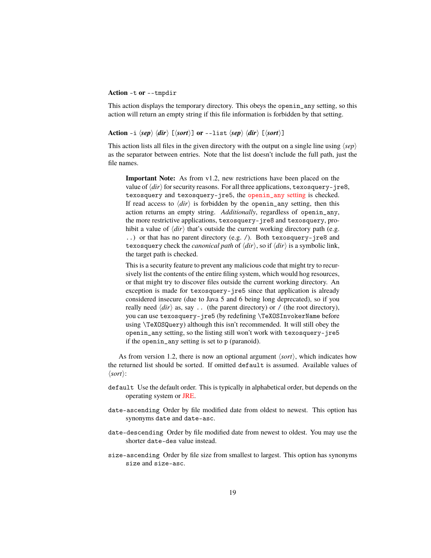#### <span id="page-18-0"></span>**Action** -t **or** --tmpdir

This action displays the temporary directory. This obeys the openin\_any setting, so this action will return an empty string if this file information is forbidden by that setting.

<span id="page-18-1"></span>Action -i  $\langle$ sep $\rangle$   $\langle$ *dir* $\rangle$  [ $\langle$ sort $\rangle$ ] **or** --list  $\langle$ sep $\rangle$   $\langle$ *dir* $\rangle$  [ $\langle$ sort $\rangle$ ]

This action lists all files in the given directory with the output on a single line using  $\langle$ sep $\rangle$ as the separator between entries. Note that the list doesn't include the full path, just the file names.

**Important Note:** As from v1.2, new restrictions have been placed on the value of  $\langle dir \rangle$  for security reasons. For all three applications, texosquery-jre8, texosquery and texosquery-jre5, the [openin\\_any](#page-9-0) setting is checked. If read access to  $\langle dir \rangle$  is forbidden by the openin\_any setting, then this action returns an empty string. *Additionally*, regardless of openin\_any, the more restrictive applications, texosquery-jre8 and texosquery, prohibit a value of  $\langle \text{dir} \rangle$  that's outside the current working directory path (e.g. ..) or that has no parent directory (e.g. /). Both texosquery-jre8 and texosquery check the *canonical path* of  $\langle \text{dir} \rangle$ , so if  $\langle \text{dir} \rangle$  is a symbolic link, the target path is checked.

This is a security feature to prevent any malicious code that might try to recursively list the contents of the entire filing system, which would hog resources, or that might try to discover files outside the current working directory. An exception is made for texosquery-jre5 since that application is already considered insecure (due to Java 5 and 6 being long deprecated), so if you really need  $\langle \text{dir} \rangle$  as, say .. (the parent directory) or / (the root directory), you can use texosquery-jre5 (by redefining \TeXOSInvokerName before using \TeXOSQuery) although this isn't recommended. It will still obey the openin\_any setting, so the listing still won't work with texosquery-jre5 if the openin\_any setting is set to p (paranoid).

As from version 1.2, there is now an optional argument  $\langle sort \rangle$ , which indicates how the returned list should be sorted. If omitted default is assumed. Available values of  $\langle sort \rangle$ :

- default Use the default order. This is typically in alphabetical order, but depends on the operating system or [JRE.](#page-112-5)
- date-ascending Order by file modified date from oldest to newest. This option has synonyms date and date-asc.
- date-descending Order by file modified date from newest to oldest. You may use the shorter date-des value instead.
- size-ascending Order by file size from smallest to largest. This option has synonyms size and size-asc.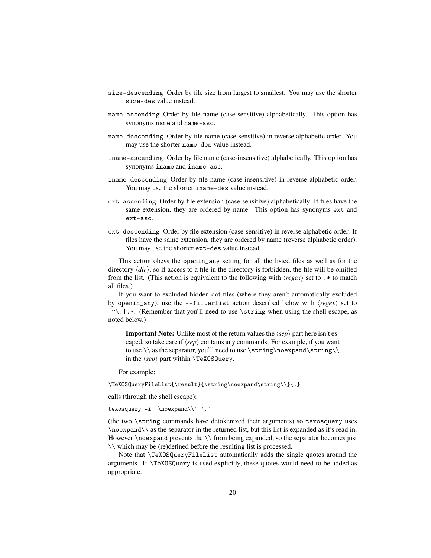- size-descending Order by file size from largest to smallest. You may use the shorter size-des value instead.
- name-ascending Order by file name (case-sensitive) alphabetically. This option has synonyms name and name-asc.
- name-descending Order by file name (case-sensitive) in reverse alphabetic order. You may use the shorter name-des value instead.
- iname-ascending Order by file name (case-insensitive) alphabetically. This option has synonyms iname and iname-asc.
- iname-descending Order by file name (case-insensitive) in reverse alphabetic order. You may use the shorter iname-des value instead.
- ext-ascending Order by file extension (case-sensitive) alphabetically. If files have the same extension, they are ordered by name. This option has synonyms ext and ext-asc.
- ext-descending Order by file extension (case-sensitive) in reverse alphabetic order. If files have the same extension, they are ordered by name (reverse alphabetic order). You may use the shorter ext-des value instead.

This action obeys the openin\_any setting for all the listed files as well as for the directory  $\langle dir \rangle$ , so if access to a file in the directory is forbidden, the file will be omitted from the list. (This action is equivalent to the following with  $\langle regex \rangle$  set to .\* to match all files.)

If you want to excluded hidden dot files (where they aren't automatically excluded by openin<sub>any</sub>), use the  $-\text{filterlist}$  action described below with  $\langle \text{regex} \rangle$  set to  $[\hat{\ }$ .].\*. (Remember that you'll need to use  $\hat{\ }$ string when using the shell escape, as noted below.)

**Important Note:** Unlike most of the return values the  $\langle$ sep $\rangle$  part here isn't escaped, so take care if  $\langle$ sep $\rangle$  contains any commands. For example, if you want to use  $\langle$  as the separator, you'll need to use  $\string\no$ in the  $\langle$ *sep* $\rangle$  part within **\TeXOSQuery.** 

For example:

\TeXOSQueryFileList{\result}{\string\noexpand\string\\}{.}

calls (through the shell escape):

texosquery -i '\noexpand\\' '.'

(the two \string commands have detokenized their arguments) so texosquery uses \noexpand\\ as the separator in the returned list, but this list is expanded as it's read in. However \noexpand prevents the \\ from being expanded, so the separator becomes just \\ which may be (re)defined before the resulting list is processed.

Note that \TeXOSQueryFileList automatically adds the single quotes around the arguments. If \TeXOSQuery is used explicitly, these quotes would need to be added as appropriate.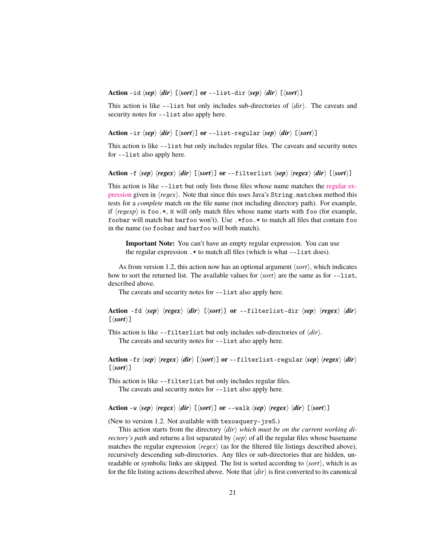<span id="page-20-0"></span>Action -id  $\langle$ *sep* $\rangle$   $\langle$ *dir* $\rangle$  [ $\langle$ *sort* $\rangle$ ] **or** --list-dir  $\langle$ *sep* $\rangle$   $\langle$ *dir* $\rangle$  [ $\langle$ *sort* $\rangle$ ]

This action is like  $-\text{list}$  but only includes sub-directories of  $\langle \text{dir} \rangle$ . The caveats and security notes for --list also apply here.

<span id="page-20-1"></span>Action -ir  $\langle$ sep $\rangle$   $\langle$ *dir* $\rangle$  [ $\langle$ sort $\rangle$ ] **or** --list-regular  $\langle$ sep $\rangle$   $\langle$ *dir* $\rangle$  [ $\langle$ sort $\rangle$ ]

This action is like --list but only includes regular files. The caveats and security notes for --list also apply here.

<span id="page-20-2"></span>Action -f  $\langle$ sep $\rangle$   $\langle$ regex $\rangle$   $\langle$ *dir* $\rangle$  [ $\langle$ sort $\rangle$ ] **or** --filterlist  $\langle$ sep $\rangle$   $\langle$ regex $\rangle$   $\langle$ *dir* $\rangle$  [ $\langle$ sort $\rangle$ ]

This action is like --list but only lists those files whose name matches the [regular ex](http://docs.oracle.com/javase/8/docs/api/java/util/regex/Pattern.html)[pression](http://docs.oracle.com/javase/8/docs/api/java/util/regex/Pattern.html) given in  $\langle regex \rangle$ . Note that since this uses Java's String.matches method this tests for a *complete* match on the file name (not including directory path). For example, if  $\langle \text{regexp} \rangle$  is foo.\*, it will only match files whose name starts with foo (for example, foobar will match but barfoo won't). Use .\*foo.\* to match all files that contain foo in the name (so foobar and barfoo will both match).

**Important Note:** You can't have an empty regular expression. You can use the regular expression .\* to match all files (which is what --list does).

As from version 1.2, this action now has an optional argument  $\langle sort \rangle$ , which indicates how to sort the returned list. The available values for  $\langle sort \rangle$  are the same as for --list, described above.

The caveats and security notes for --list also apply here.

<span id="page-20-3"></span>Action -fd  $\langle$ sep)  $\langle$ regex $\rangle$   $\langle$ dir $\rangle$  [ $\langle$ sort $\rangle$ ] **or** --filterlist-dir  $\langle$ sep $\rangle$   $\langle$ regex $\rangle$   $\langle$ dir $\rangle$  $\lceil\langle sort\rangle\rceil$ 

This action is like  $--filterlist$  but only includes sub-directories of  $\langle dir \rangle$ . The caveats and security notes for --list also apply here.

<span id="page-20-4"></span>Action -fr  $\langle$ sep $\rangle$   $\langle$ regex $\rangle$   $\langle$ dir $\rangle$  [ $\langle$ sort $\rangle$ ] or --filterlist-regular  $\langle$ sep $\rangle$   $\langle$ regex $\rangle$   $\langle$ dir $\rangle$  $[\langle sort \rangle]$ 

This action is like --filterlist but only includes regular files.

The caveats and security notes for --list also apply here.

<span id="page-20-5"></span>Action -w  $\langle$ sep**i**  $\langle$  (regex)  $\langle$  dir $\rangle$  [ $\langle$ sort)] **or** --walk  $\langle$ sep $\rangle$   $\langle$  regex $\rangle$   $\langle$  dir $\rangle$  [ $\langle$ sort $\rangle$ ]

(New to version 1.2. Not available with texosquery-jre5.)

This action starts from the directory  $\langle dir \rangle$  *which must be on the current working directory's path* and returns a list separated by  $\langle$ sep $\rangle$  of all the regular files whose basename matches the regular expression  $\langle regex \rangle$  (as for the filtered file listings described above), recursively descending sub-directories. Any files or sub-directories that are hidden, unreadable or symbolic links are skipped. The list is sorted according to  $\langle sort \rangle$ , which is as for the file listing actions described above. Note that  $\langle \text{dir} \rangle$  is first converted to its canonical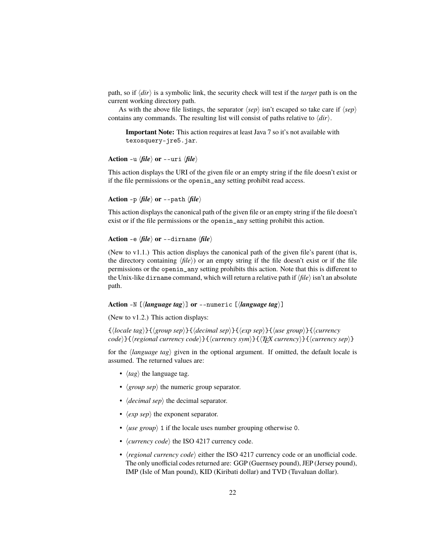path, so if  $\langle \text{dir} \rangle$  is a symbolic link, the security check will test if the *target* path is on the current working directory path.

As with the above file listings, the separator  $\langle$ sep<sub></sub> $\rangle$  isn't escaped so take care if  $\langle$ sep $\rangle$ contains any commands. The resulting list will consist of paths relative to  $\langle \text{dir} \rangle$ .

**Important Note:** This action requires at least Java 7 so it's not available with texosquery-jre5.jar.

<span id="page-21-0"></span>**Action** -u  $\langle file \rangle$  or --uri  $\langle file \rangle$ 

This action displays the URI of the given file or an empty string if the file doesn't exist or if the file permissions or the openin\_any setting prohibit read access.

<span id="page-21-1"></span>**Action** -p  $\langle file \rangle$  **or** --path  $\langle file \rangle$ 

This action displays the canonical path of the given file or an empty string if the file doesn't exist or if the file permissions or the openin\_any setting prohibit this action.

<span id="page-21-2"></span>**Action** -e  $\langle file \rangle$  or --dirname  $\langle file \rangle$ 

(New to  $v1.1$ .) This action displays the canonical path of the given file's parent (that is, the directory containing  $\langle file \rangle$ ) or an empty string if the file doesn't exist or if the file permissions or the openin\_any setting prohibits this action. Note that this is different to the Unix-like dirname command, which will return a relative path if  $\langle file \rangle$  isn't an absolute path.

<span id="page-21-3"></span>Action -N  $[\langle language tag \rangle]$  or --numeric  $[\langle language tag \rangle]$ 

(New to v1.2.) This action displays:

{h*locale tag*i}{h*group sep*i}{h*decimal sep*i}{h*exp sep*i}{h*use group*i}{h*currency code*i}{h*regional currency code*i}{h*currency sym*i}{h*TEX currency*i}{h*currency sep*i}

for the *(language tag)* given in the optional argument. If omitted, the default locale is assumed. The returned values are:

- $\langle tag \rangle$  the language tag.
- $\langle group \text{ }sep \rangle$  the numeric group separator.
- $\langle decimal \text{ } sep \rangle$  the decimal separator.
- $\langle exp\ sep \rangle$  the exponent separator.
- $\langle$ *use group* $\rangle$  1 if the locale uses number grouping otherwise 0.
- $\langle \textit{currency code} \rangle$  the ISO 4217 currency code.
- $\langle$ *regional currency code* $\rangle$  either the ISO 4217 currency code or an unofficial code. The only unofficial codes returned are: GGP (Guernsey pound), JEP (Jersey pound), IMP (Isle of Man pound), KID (Kiribati dollar) and TVD (Tuvaluan dollar).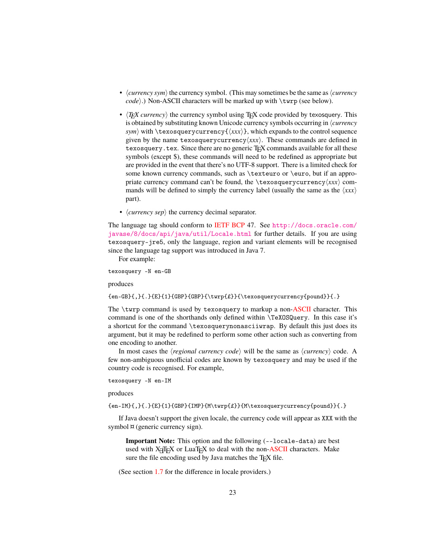- $\langle current \rangle$  or  $\langle current \rangle$  the currency symbol. (This may sometimes be the same as  $\langle current \rangle$ *code*).) Non-ASCII characters will be marked up with \twrp (see below).
- $\langle T_F X \text{ currency} \rangle$  the currency symbol using T<sub>EX</sub> code provided by texosquery. This is obtained by substituting known Unicode currency symbols occurring in *(currency*) *sym*) with  $\text{exosquery}(\text{xxx})$ , which expands to the control sequence given by the name texosquerycurrency $\langle xxx \rangle$ . These commands are defined in texosquery. tex. Since there are no generic T<sub>EX</sub> commands available for all these symbols (except \$), these commands will need to be redefined as appropriate but are provided in the event that there's no UTF-8 support. There is a limited check for some known currency commands, such as \texteuro or \euro, but if an appropriate currency command can't be found, the \texosquerycurrency $\langle xxx \rangle$  commands will be defined to simply the currency label (usually the same as the  $\langle xxx \rangle$ part).
- $\langle current \rangle$  *(currency sep*) the currency decimal separator.

The language tag should conform to [IETF](#page-112-1) [BCP](#page-112-2) 47. See [http://docs.oracle.com/](http://docs.oracle.com/javase/8/docs/api/java/util/Locale.html) [javase/8/docs/api/java/util/Locale.html](http://docs.oracle.com/javase/8/docs/api/java/util/Locale.html) for further details. If you are using texosquery-jre5, only the language, region and variant elements will be recognised since the language tag support was introduced in Java 7.

For example:

texosquery -N en-GB

produces

{en-GB}{,}{.}{E}{1}{GBP}{GBP}{\twrp{£}}{\texosquerycurrency{pound}}{.}

The \twrp command is used by texosquery to markup a non[-ASCII](#page-112-9) character. This command is one of the shorthands only defined within \TeXOSQuery. In this case it's a shortcut for the command \texosquerynonasciiwrap. By default this just does its argument, but it may be redefined to perform some other action such as converting from one encoding to another.

In most cases the  $\langle$ *regional currency code* $\rangle$  will be the same as  $\langle$ *currency* $\rangle$  code. A few non-ambiguous unofficial codes are known by texosquery and may be used if the country code is recognised. For example,

texosquery -N en-IM

produces

{en-IM}{,}{.}{E}{1}{GBP}{IMP}{M\twrp{£}}{M\texosquerycurrency{pound}}{.}

If Java doesn't support the given locale, the currency code will appear as XXX with the symbol  $\alpha$  (generic currency sign).

**Important Note:** This option and the following (--locale-data) are best used with X<sub>T</sub>T<sub>E</sub>X or LuaT<sub>E</sub>X to deal with the non[-ASCII](#page-112-9) characters. Make sure the file encoding used by Java matches the T<sub>E</sub>X file.

(See section [1.7](#page-11-0) for the difference in locale providers.)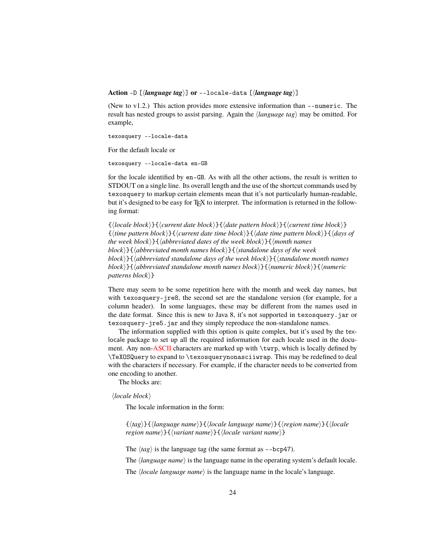<span id="page-23-0"></span>**Action** -D [*(language tag)*] **or** --locale-data [*(language tag)*]

(New to v1.2.) This action provides more extensive information than --numeric. The result has nested groups to assist parsing. Again the *language tag* may be omitted. For example,

texosquery --locale-data

For the default locale or

texosquery --locale-data en-GB

for the locale identified by en-GB. As with all the other actions, the result is written to STDOUT on a single line. Its overall length and the use of the shortcut commands used by texosquery to markup certain elements mean that it's not particularly human-readable, but it's designed to be easy for T<sub>F</sub>X to interpret. The information is returned in the following format:

 ${\langle}$ locale block $\rangle$ } ${\langle}$ current date block $\rangle$ } ${\langle}$ date pattern block $\rangle$ } ${\langle}$ current time block $\rangle$ } {h*time pattern block*i}{h*current date time block*i}{h*date time pattern block*i}{h*days of the week block* $\}$ { $\{abbreviated dates of the week block\}$ }{ $\{month names$ *block*)}{ $\langle$ *abbreviated month names block*)}{ $\langle$ *standalone days of the week block* $\}$ { $\{abb$ reviated standalone days of the week block $\}$ }{ $\{standalone month names$ *block* $\{ \langle \text{abbreviated standalone month names block} \rangle \}$ { $\langle \text{numeric block} \rangle$ }{ $\langle \text{numeric block} \rangle$ }} *patterns block* $\}$ 

There may seem to be some repetition here with the month and week day names, but with texosquery-jre8, the second set are the standalone version (for example, for a column header). In some languages, these may be different from the names used in the date format. Since this is new to Java 8, it's not supported in texosquery.jar or texosquery-jre5.jar and they simply reproduce the non-standalone names.

The information supplied with this option is quite complex, but it's used by the texlocale package to set up all the required information for each locale used in the docu-ment. Any non[-ASCII](#page-112-9) characters are marked up with \twrp, which is locally defined by \TeXOSQuery to expand to \texosquerynonasciiwrap. This may be redefined to deal with the characters if necessary. For example, if the character needs to be converted from one encoding to another.

The blocks are:

 $\langle locale \ block \rangle$ 

The locale information in the form:

{h*tag*i}{h*language name*i}{h*locale language name*i}{h*region name*i}{h*locale region name*}}{*\variant name*}}{*\locale variant name*}}

The  $\langle tag \rangle$  is the language tag (the same format as  $-$ bcp47).

The *language name*) is the language name in the operating system's default locale.

The *(locale language name)* is the language name in the locale's language.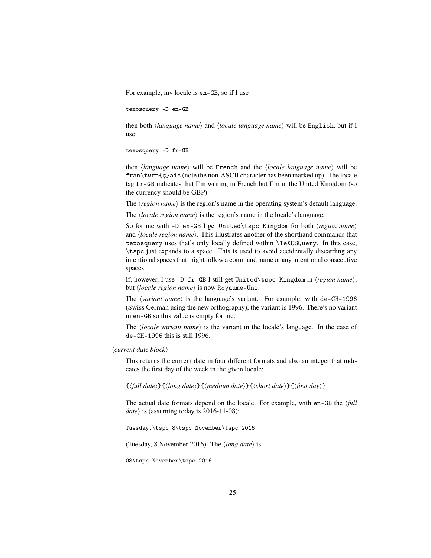For example, my locale is en-GB, so if I use

texosquery -D en-GB

then both *{language name}* and *{locale language name}* will be English, but if I use:

```
texosquery -D fr-GB
```
then *(language name)* will be French and the *(locale language name)* will be fran\twrp{ç}ais (note the non-ASCII character has been marked up). The locale tag fr-GB indicates that I'm writing in French but I'm in the United Kingdom (so the currency should be GBP).

The  $\langle region \, name \rangle$  is the region's name in the operating system's default language.

The *<i>locale region name*) is the region's name in the locale's language.

So for me with -D en-GB I get United\tspc Kingdom for both  $\langle region \ name \rangle$ and *(locale region name)*. This illustrates another of the shorthand commands that texosquery uses that's only locally defined within \TeXOSQuery. In this case, \tspc just expands to a space. This is used to avoid accidentally discarding any intentional spaces that might follow a command name or any intentional consecutive spaces.

If, however, I use -D fr-GB I still get United\tspc Kingdom in  $\langle region \ name \rangle$ , but *<i>locale region name* is now Royaume-Uni.

The *(variant name)* is the language's variant. For example, with de-CH-1996 (Swiss German using the new orthography), the variant is 1996. There's no variant in en-GB so this value is empty for me.

The  $\langle locale \space variant \space name \rangle$  is the variant in the locale's language. In the case of de-CH-1996 this is still 1996.

 $\langle current \ date \ block \rangle$ 

This returns the current date in four different formats and also an integer that indicates the first day of the week in the given locale:

 $\{\langle full \ date \rangle\} {\langle long \ date \rangle\} {\langle \ model \ and \ } {\langle \xi \rangle\} {\langle \phi \rangle\} {\langle \phi \rangle\}$ 

The actual date formats depend on the locale. For example, with en-GB the  $\frac{f}{full}$ *date*) is (assuming today is  $2016-11-08$ ):

Tuesday,\tspc 8\tspc November\tspc 2016

(Tuesday, 8 November 2016). The  $\langle long \text{ date} \rangle$  is

08\tspc November\tspc 2016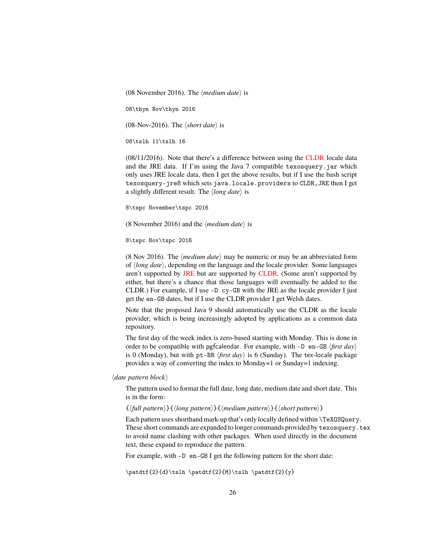(08 November 2016). The  $\langle medium \ date \rangle$  is

08\thyn Nov\thyn 2016

(08-Nov-2016). The  $\langle short \, date \rangle$  is

08\tslh 11\tslh 16

(08/11/2016). Note that there's a difference between using the [CLDR](#page-112-7) locale data and the JRE data. If I'm using the Java 7 compatible texosquery.jar which only uses JRE locale data, then I get the above results, but if I use the bash script texosquery-jre8 which sets java.locale.providers to CLDR,JRE then I get a slightly different result. The  $\langle long \, date \rangle$  is

8\tspc November\tspc 2016

(8 November 2016) and the  $\langle medium \ date \rangle$  is

8\tspc Nov\tspc 2016

(8 Nov 2016). The  $\langle medium \text{ date} \rangle$  may be numeric or may be an abbreviated form of h*long date*i, depending on the language and the locale provider. Some languages aren't supported by [JRE](#page-112-5) but are supported by [CLDR.](#page-112-7) (Some aren't supported by either, but there's a chance that those languages will eventually be added to the CLDR.) For example, if I use -D cy-GB with the JRE as the locale provider I just get the en-GB dates, but if I use the CLDR provider I get Welsh dates.

Note that the proposed Java 9 should automatically use the CLDR as the locale provider, which is being increasingly adopted by applications as a common data repository.

The first day of the week index is zero-based starting with Monday. This is done in order to be compatible with pgfcalendar. For example, with -D en-GB  $\langle$ first day $\rangle$ is 0 (Monday), but with pt-BR  $\langle first \, day \rangle$  is 6 (Sunday). The tex-locale package provides a way of converting the index to Monday=1 or Sunday=1 indexing.

 $\langle$ *date pattern block* $\rangle$ 

The pattern used to format the full date, long date, medium date and short date. This is in the form:

 $\{\langle full\ pattern \rangle\}\{\langle long\ pattern \rangle\}\{\langle medium\ pattern \rangle\}\{\langle short\ pattern \rangle\}$ 

Each pattern uses shorthand mark-up that's only locally defined within \TeXOSQuery. These short commands are expanded to longer commands provided by texosquery.tex to avoid name clashing with other packages. When used directly in the document text, these expand to reproduce the pattern.

For example, with -D en-GB I get the following pattern for the short date:

\patdtf{2}{d}\tslh \patdtf{2}{M}\tslh \patdtf{2}{y}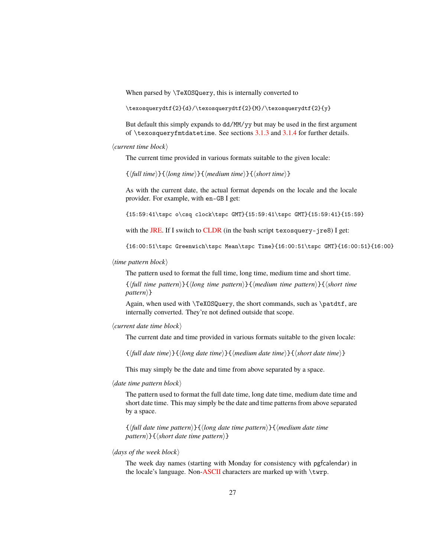When parsed by \TeXOSQuery, this is internally converted to

\texosquerydtf{2}{d}/\texosquerydtf{2}{M}/\texosquerydtf{2}{y}

But default this simply expands to dd/MM/yy but may be used in the first argument of \texosqueryfmtdatetime. See sections [3.1.3](#page-73-0) and [3.1.4](#page-79-0) for further details.

#### $\langle current time block \rangle$

The current time provided in various formats suitable to the given locale:

 $\{\langle full\ time\rangle\}\{\langle long\ time\rangle\}\{\langle medium\ time\rangle\}\{\langle short\ time\rangle\}$ 

As with the current date, the actual format depends on the locale and the locale provider. For example, with en-GB I get:

{15:59:41\tspc o\csq clock\tspc GMT}{15:59:41\tspc GMT}{15:59:41}{15:59}

with the [JRE.](#page-112-5) If I switch to [CLDR](#page-112-7) (in the bash script texosquery-jre8) I get:

{16:00:51\tspc Greenwich\tspc Mean\tspc Time}{16:00:51\tspc GMT}{16:00:51}{16:00}

#### $\langle$ *time pattern block* $\rangle$

The pattern used to format the full time, long time, medium time and short time.

{h*full time pattern*i}{h*long time pattern*i}{h*medium time pattern*i}{h*short time pattern* $\rangle$ }

Again, when used with \TeXOSQuery, the short commands, such as \patdtf, are internally converted. They're not defined outside that scope.

#### $\langle current \ date \ time \ block \rangle$

The current date and time provided in various formats suitable to the given locale:

 $\{\langle full\ date\ time\rangle\}\{\langle long\ date\ time\rangle\}\{\langle medium\ date\ time\rangle\}\{\langle short\ date\ time\rangle\}$ 

This may simply be the date and time from above separated by a space.

#### $\langle$ *date time pattern block* $\rangle$

The pattern used to format the full date time, long date time, medium date time and short date time. This may simply be the date and time patterns from above separated by a space.

{h*full date time pattern*i}{h*long date time pattern*i}{h*medium date time*  $path{\scriptstyle\{ \}}$ { $\langle short\ date\ time\ pattern{\scriptstyle\}$ }

#### $\langle$  days of the week block $\rangle$

The week day names (starting with Monday for consistency with pgfcalendar) in the locale's language. Non[-ASCII](#page-112-9) characters are marked up with \twrp.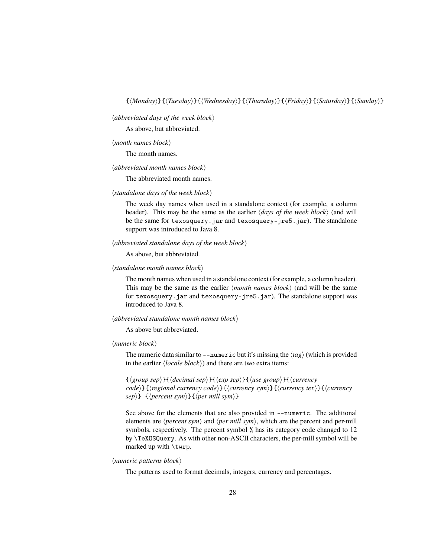$\langle abbreviated \; days \; of \; the \; week \; block \rangle$ 

As above, but abbreviated.

#### $\langle$ *month names block* $\rangle$

The month names.

#### $\langle$ *abbreviated month names block* $\rangle$

The abbreviated month names.

#### $\langle$ *standalone days of the week block* $\rangle$

The week day names when used in a standalone context (for example, a column header). This may be the same as the earlier  $\langle days\ of\ the\ week\ block\rangle$  (and will be the same for texosquery.jar and texosquery-jre5.jar). The standalone support was introduced to Java 8.

#### $\langle abbreviated\ standard$  standalone days of the week block $\rangle$

As above, but abbreviated.

#### $\langle$ *standalone month names block* $\rangle$

The month names when used in a standalone context (for example, a column header). This may be the same as the earlier  $\langle$ *month names block* $\rangle$  (and will be the same for texosquery.jar and texosquery-jre5.jar). The standalone support was introduced to Java 8.

## $\langle abbreviated\ standard$  standalone month names block $\rangle$

As above but abbreviated.

#### $\langle$ *numeric block* $\rangle$

The numeric data similar to  $-$ -numeric but it's missing the  $\langle tag \rangle$  (which is provided in the earlier  $\langle locale \, block \rangle$  and there are two extra items:

{h*group sep*i}{h*decimal sep*i}{h*exp sep*i}{h*use group*i}{h*currency code*i}{h*regional currency code*i}{h*currency sym*i}{h*currency tex*i}{h*currency*  $\$  { $\langle percent \, sym \rangle$ } { $\langle per \, mill \, sym \rangle$ }

See above for the elements that are also provided in --numeric. The additional elements are  $\langle percent\ symbol\$  and  $\langle per\ mill\ symbol\$ , which are the percent and per-mill symbols, respectively. The percent symbol % has its category code changed to 12 by \TeXOSQuery. As with other non-ASCII characters, the per-mill symbol will be marked up with \twrp.

#### $\langle$ *numeric patterns block* $\rangle$

The patterns used to format decimals, integers, currency and percentages.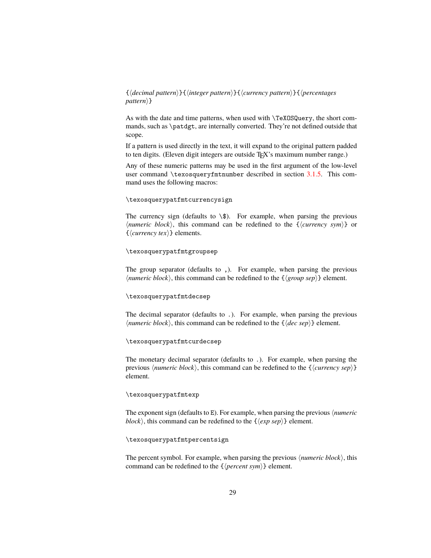## {h*decimal pattern*i}{h*integer pattern*i}{h*currency pattern*i}{h*percentages pattern*) }

As with the date and time patterns, when used with \TeXOSQuery, the short commands, such as \patdgt, are internally converted. They're not defined outside that scope.

If a pattern is used directly in the text, it will expand to the original pattern padded to ten digits. (Eleven digit integers are outside TEX's maximum number range.)

Any of these numeric patterns may be used in the first argument of the low-level user command \texosqueryfmtnumber described in section [3.1.5.](#page-95-0) This command uses the following macros:

#### \texosquerypatfmtcurrencysign

The currency sign (defaults to  $\setminus$ \$). For example, when parsing the previous  $\langle$ *numeric block* $\rangle$ , this command can be redefined to the  $\{\langle$ *currency sym* $\rangle\}$  or  $\{\langle \textit{currency} \textit{tex} \rangle\}$  elements.

#### \texosquerypatfmtgroupsep

The group separator (defaults to ,). For example, when parsing the previous  $\langle$ *numeric block* $\rangle$ , this command can be redefined to the  $\{\langle\text{group sep}\rangle\}$  element.

#### \texosquerypatfmtdecsep

The decimal separator (defaults to .). For example, when parsing the previous  $\langle$ *numeric block* $\rangle$ , this command can be redefined to the  $\{\langle dec\ sep\rangle\}$  element.

#### \texosquerypatfmtcurdecsep

The monetary decimal separator (defaults to .). For example, when parsing the previous  $\langle numeric \ block \rangle$ , this command can be redefined to the  $\{\langle currency \ sep \rangle\}$ element.

#### \texosquerypatfmtexp

The exponent sign (defaults to E). For example, when parsing the previous *<i>humeric block*), this command can be redefined to the  $\{\langle exp\ sep \rangle\}$  element.

#### \texosquerypatfmtpercentsign

The percent symbol. For example, when parsing the previous  $\langle numeric \ block \rangle$ , this command can be redefined to the  $\{\langle percent\; sym \rangle\}$  element.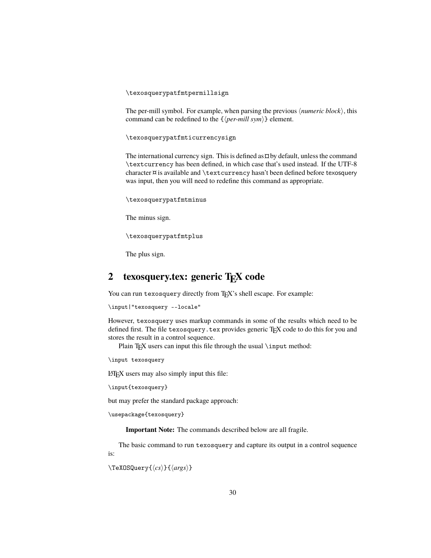\texosquerypatfmtpermillsign

The per-mill symbol. For example, when parsing the previous  $\langle numeric \ block \rangle$ , this command can be redefined to the  $\{\langle per\text{-}mill sym\rangle\}$  element.

\texosquerypatfmticurrencysign

The international currency sign. This is defined as  $\alpha$  by default, unless the command \textcurrency has been defined, in which case that's used instead. If the UTF-8 character  $\alpha$  is available and \textcurrency hasn't been defined before texosquery was input, then you will need to redefine this command as appropriate.

\texosquerypatfmtminus

The minus sign.

\texosquerypatfmtplus

The plus sign.

## <span id="page-29-0"></span>**2** texosquery.tex: generic T<sub>E</sub>X code

You can run texosquery directly from TEX's shell escape. For example:

```
\input|"texosquery --locale"
```
However, texosquery uses markup commands in some of the results which need to be defined first. The file texosquery.tex provides generic TEX code to do this for you and stores the result in a control sequence.

Plain T<sub>E</sub>X users can input this file through the usual  $\infty$ :

\input texosquery

 $LATEX$  users may also simply input this file:

```
\input{texosquery}
```
but may prefer the standard package approach:

```
\usepackage{texosquery}
```
**Important Note:** The commands described below are all fragile.

The basic command to run texosquery and capture its output in a control sequence is:

\TeXOSQuery{ $\langle cs \rangle$ }{ $\langle args \rangle$ }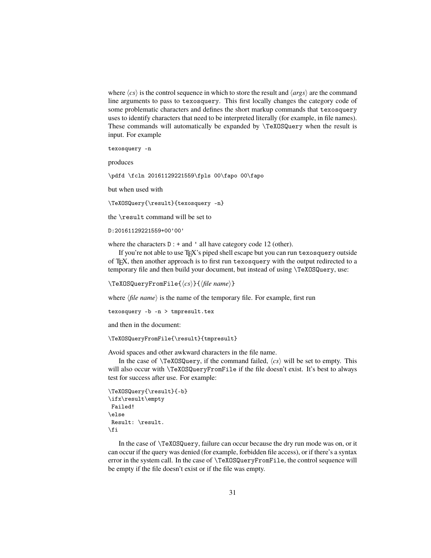where  $\langle cs \rangle$  is the control sequence in which to store the result and  $\langle args \rangle$  are the command line arguments to pass to texosquery. This first locally changes the category code of some problematic characters and defines the short markup commands that texosquery uses to identify characters that need to be interpreted literally (for example, in file names). These commands will automatically be expanded by \TeXOSQuery when the result is input. For example

texosquery -n

produces

\pdfd \fcln 20161129221559\fpls 00\fapo 00\fapo

but when used with

\TeXOSQuery{\result}{texosquery -n}

the \result command will be set to

```
D:20161129221559+00'00'
```
where the characters  $D : +$  and  $\prime$  all have category code 12 (other).

If you're not able to use TEX's piped shell escape but you can run texosquery outside of TEX, then another approach is to first run texosquery with the output redirected to a temporary file and then build your document, but instead of using \TeXOSQuery, use:

\TeXOSQueryFromFile{ $\langle cs \rangle$ }{ $\langle file name \rangle$ }

where  $\langle$ *file name* $\rangle$  is the name of the temporary file. For example, first run

texosquery -b -n > tmpresult.tex

and then in the document:

\TeXOSQueryFromFile{\result}{tmpresult}

Avoid spaces and other awkward characters in the file name.

In the case of  $\TeXOSQuery$ , if the command failed,  $\langle cs \rangle$  will be set to empty. This will also occur with \TeXOSQueryFromFile if the file doesn't exist. It's best to always test for success after use. For example:

```
\TeXOSQuery{\result}{-b}
\ifx\result\empty
 Failed!
\else
 Result: \result.
\left\{ \frac{f}{f} \right\}
```
In the case of \TeXOSQuery, failure can occur because the dry run mode was on, or it can occur if the query was denied (for example, forbidden file access), or if there's a syntax error in the system call. In the case of \TeXOSQueryFromFile, the control sequence will be empty if the file doesn't exist or if the file was empty.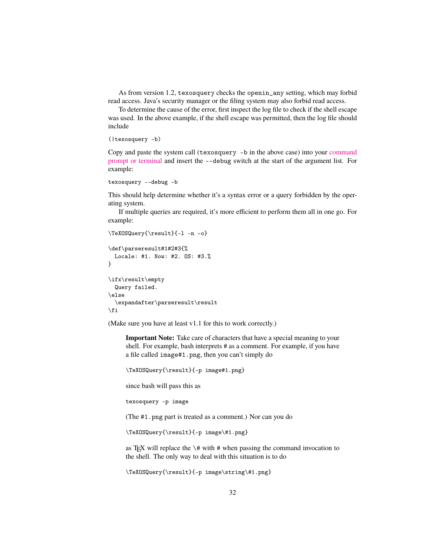As from version 1.2, texosquery checks the openin\_any setting, which may forbid read access. Java's security manager or the filing system may also forbid read access.

To determine the cause of the error, first inspect the log file to check if the shell escape was used. In the above example, if the shell escape was permitted, then the log file should include

```
(|texosquery -b)
```
Copy and paste the system call (texosquery -b in the above case) into your [command](http://www.dickimaw-books.com/latex/novices/html/terminal.html) [prompt or terminal](http://www.dickimaw-books.com/latex/novices/html/terminal.html) and insert the --debug switch at the start of the argument list. For example:

```
texosquery --debug -b
```
This should help determine whether it's a syntax error or a query forbidden by the operating system.

If multiple queries are required, it's more efficient to perform them all in one go. For example:

```
\TeXOSQuery{\result}{-l -n -o}
\def\parseresult#1#2#3{%
 Locale: #1. Now: #2. OS: #3.%
}
\ifx\result\empty
 Query failed.
\else
  \expandafter\parseresult\result
\fi
```
(Make sure you have at least v1.1 for this to work correctly.)

**Important Note:** Take care of characters that have a special meaning to your shell. For example, bash interprets # as a comment. For example, if you have a file called image#1.png, then you can't simply do

```
\TeXOSQuery{\result}{-p image#1.png}
```
since bash will pass this as

texosquery -p image

(The #1.png part is treated as a comment.) Nor can you do

\TeXOSQuery{\result}{-p image\#1.png}

as T<sub>E</sub>X will replace the  $\#$  with  $#$  when passing the command invocation to the shell. The only way to deal with this situation is to do

\TeXOSQuery{\result}{-p image\string\#1.png}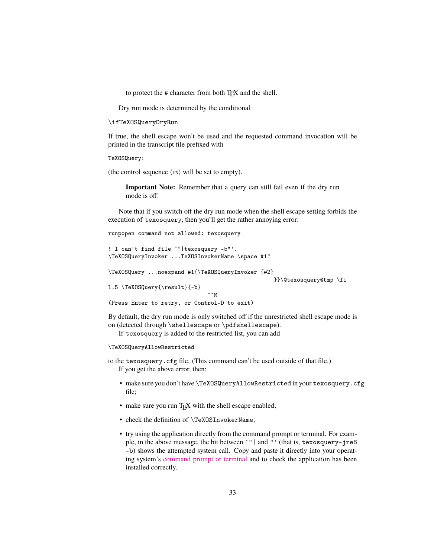to protect the # character from both T<sub>E</sub>X and the shell.

Dry run mode is determined by the conditional

```
\ifTeXOSQueryDryRun
```
If true, the shell escape won't be used and the requested command invocation will be printed in the transcript file prefixed with

TeXOSQuery:

(the control sequence  $\langle cs \rangle$  will be set to empty).

**Important Note:** Remember that a query can still fail even if the dry run mode is off.

Note that if you switch off the dry run mode when the shell escape setting forbids the execution of texosquery, then you'll get the rather annoying error:

runpopen command not allowed: texosquery

```
! I can't find file `"|texosquery -b"'.
\TeXOSQueryInvoker ...TeXOSInvokerName \space #1"
```
\TeXOSQuery ...noexpand #1{\TeXOSQueryInvoker {#2}

}}\@texosquery@tmp \fi

```
l.5 \TeXOSQuery{\result}{-b}
                                 \simM
```

```
(Press Enter to retry, or Control-D to exit)
```
By default, the dry run mode is only switched off if the unrestricted shell escape mode is on (detected through \shellescape or \pdfshellescape).

If texosquery is added to the restricted list, you can add

```
\TeXOSQueryAllowRestricted
```
to the texosquery.cfg file. (This command can't be used outside of that file.) If you get the above error, then:

- make sure you don't have \TeXOSQueryAllowRestricted in your texosquery.cfg file;
- make sure you run T<sub>E</sub>X with the shell escape enabled;
- check the definition of \TeXOSInvokerName;
- try using the application directly from the command prompt or terminal. For example, in the above message, the bit between `"| and "' (that is, texosquery-jre8 -b) shows the attempted system call. Copy and paste it directly into your operating system's [command prompt or terminal](http://www.dickimaw-books.com/latex/novices/html/terminal.html) and to check the application has been installed correctly.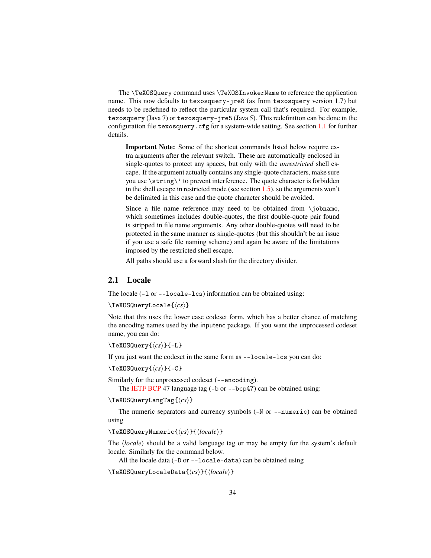The \TeXOSQuery command uses \TeXOSInvokerName to reference the application name. This now defaults to texosquery-jre8 (as from texosquery version 1.7) but needs to be redefined to reflect the particular system call that's required. For example, texosquery (Java 7) or texosquery-jre5 (Java 5). This redefinition can be done in the configuration file texosquery.cfg for a system-wide setting. See section [1.1](#page-6-0) for further details.

**Important Note:** Some of the shortcut commands listed below require extra arguments after the relevant switch. These are automatically enclosed in single-quotes to protect any spaces, but only with the *unrestricted* shell escape. If the argument actually contains any single-quote characters, make sure you use \string\' to prevent interference. The quote character is forbidden in the shell escape in restricted mode (see section [1.5\)](#page-10-1), so the arguments won't be delimited in this case and the quote character should be avoided.

Since a file name reference may need to be obtained from \jobname, which sometimes includes double-quotes, the first double-quote pair found is stripped in file name arguments. Any other double-quotes will need to be protected in the same manner as single-quotes (but this shouldn't be an issue if you use a safe file naming scheme) and again be aware of the limitations imposed by the restricted shell escape.

All paths should use a forward slash for the directory divider.

#### <span id="page-33-0"></span>**2.1 Locale**

The locale (-l or --locale-lcs) information can be obtained using:

```
\TeXOSQueryLocale{\langle cs \rangle}
```
Note that this uses the lower case codeset form, which has a better chance of matching the encoding names used by the inputenc package. If you want the unprocessed codeset name, you can do:

```
\text{TeXOSQuery}\{\langle cs \rangle\}-L\}
```
If you just want the codeset in the same form as --locale-lcs you can do:

\TeXOSQuery{ $\langle cs \rangle$ **}**{-C**}** 

Similarly for the unprocessed codeset (--encoding).

The [IETF](#page-112-1) [BCP](#page-112-2) 47 language tag (-b or --bcp47) can be obtained using:

```
\TeXOSQueryLangTag{hcsi}
```
The numeric separators and currency symbols (-N or --numeric) can be obtained using

\TeXOSQueryNumeric{ $\langle cs \rangle$ }{ $\langle locale \rangle$ }

The  $\langle locale\rangle$  should be a valid language tag or may be empty for the system's default locale. Similarly for the command below.

All the locale data (-D or --locale-data) can be obtained using

\TeXOSQueryLocaleData{\/cs\mathbcs\infinity}}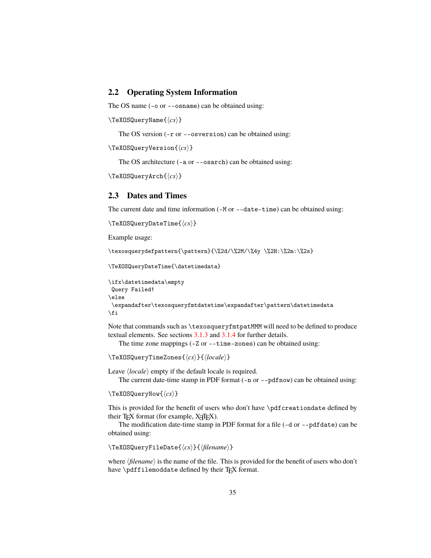## <span id="page-34-0"></span>**2.2 Operating System Information**

The OS name (-o or --osname) can be obtained using:

\TeXOSQueryName{ $\langle cs \rangle$ }

The OS version (-r or --osversion) can be obtained using:

```
\TeXOSQueryVersion{\langle cs \rangle}
```
The OS architecture (-a or --osarch) can be obtained using:

```
\TeXOSQueryArch{hcsi}
```
## <span id="page-34-1"></span>**2.3 Dates and Times**

The current date and time information (-M or --date-time) can be obtained using:

```
\TeXOSQueryDateTime{\langle cs \rangle}
```
Example usage:

\texosquerydefpattern{\pattern}{\%2d/\%2M/\%4y \%2H:\%2m:\%2s}

```
\TeXOSQueryDateTime{\datetimedata}
```

```
\ifx\datetimedata\empty
Query Failed!
\else
\expandafter\texosqueryfmtdatetime\expandafter\pattern\datetimedata
\fi
```
Note that commands such as \texosqueryfmtpatMMM will need to be defined to produce textual elements. See sections [3.1.3](#page-73-0) and [3.1.4](#page-79-0) for further details.

The time zone mappings (-Z or --time-zones) can be obtained using:

```
\TeXOSQueryTimeZones{\langle cs \rangle}{\langle locale \rangle}
```
Leave  $\langle locale \rangle$  empty if the default locale is required.

The current date-time stamp in PDF format (-n or --pdfnow) can be obtained using:

```
\TeXOSQueryNow{\langle cs \rangle}
```
This is provided for the benefit of users who don't have \pdfcreationdate defined by their T<sub>E</sub>X format (for example,  $X \neq TEX$ ).

The modification date-time stamp in PDF format for a file (-d or --pdfdate) can be obtained using:

```
\TeXOSQueryFileDate{\langle cs \rangle}{\langle filename \rangle}
```
where *(filename)* is the name of the file. This is provided for the benefit of users who don't have \pdffilemoddate defined by their T<sub>F</sub>X format.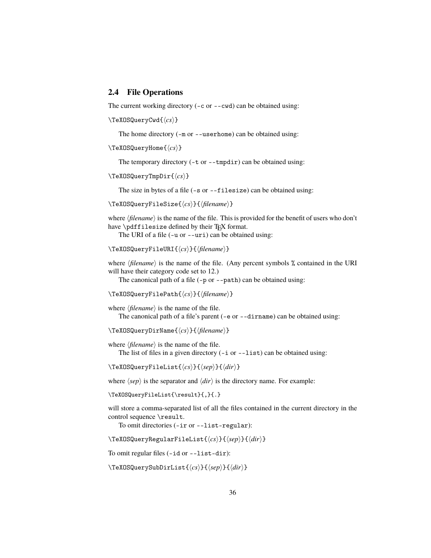## <span id="page-35-0"></span>**2.4 File Operations**

The current working directory (-c or --cwd) can be obtained using:

```
\TeXOSQueryCwd{\langle cs \rangle}
```
The home directory (-m or --userhome) can be obtained using:

```
\TeXOSQueryHome{\langle cs \rangle}
```
The temporary directory (-t or --tmpdir) can be obtained using:

\TeXOSQueryTmpDir{h*cs*i}

The size in bytes of a file (-s or --filesize) can be obtained using:

\TeXOSQueryFileSize{ $\langle cs \rangle$ }{ $\langle filename \rangle$ }

where  $\langle$ *filename* $\rangle$  is the name of the file. This is provided for the benefit of users who don't have \pdffilesize defined by their T<sub>E</sub>X format.

The URI of a file (-u or --uri) can be obtained using:

```
\TeXOSQueryFileURI{\langle cs \rangle}{\langle filename \rangle}
```
where  $\langle$ filename $\rangle$  is the name of the file. (Any percent symbols % contained in the URI will have their category code set to 12.)

The canonical path of a file (-p or --path) can be obtained using:

\TeXOSQueryFilePath{ $\langle cs \rangle$ }{ $\langle filename \rangle$ }

where  $\langle$ *filename* $\rangle$  is the name of the file.

The canonical path of a file's parent (-e or --dirname) can be obtained using:

\TeXOSQueryDirName{ $\langle cs \rangle$ }{ $\langle filename \rangle$ }

where  $\langle$ *filename* $\rangle$  is the name of the file.

The list of files in a given directory  $(-i \text{ or } -1 \text{ ist})$  can be obtained using:

\TeXOSQueryFileList{\*cs*\}{\sep\}{\dir\}

where  $\langle$ *sep* $\rangle$  is the separator and  $\langle$ *dir* $\rangle$  is the directory name. For example:

\TeXOSQueryFileList{\result}{,}{.}

will store a comma-separated list of all the files contained in the current directory in the control sequence \result.

To omit directories (-ir or --list-regular):

\TeXOSQueryRegularFileList{h*cs*i}{h*sep*i}{h*dir*i}

To omit regular files (-id or --list-dir):

\TeXOSQuerySubDirList{h*cs*i}{h*sep*i}{h*dir*i}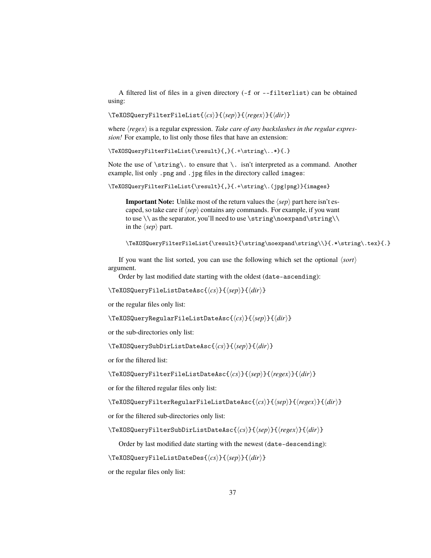A filtered list of files in a given directory (-f or --filterlist) can be obtained using:

\TeXOSQueryFilterFileList{h*cs*i}{h*sep*i}{h*regex*i}{h*dir*i}

where  $\langle \text{regex} \rangle$  is a regular expression. *Take care of any backslashes in the regular expression!* For example, to list only those files that have an extension:

\TeXOSQueryFilterFileList{\result}{,}{.+\string\..\*}{.}

Note the use of \string\. to ensure that \. isn't interpreted as a command. Another example, list only .png and .jpg files in the directory called images:

\TeXOSQueryFilterFileList{\result}{,}{.+\string\.(jpg|png)}{images}

**Important Note:** Unlike most of the return values the  $\langle$ sep $\rangle$  part here isn't escaped, so take care if  $\langle$ sep $\rangle$  contains any commands. For example, if you want to use  $\iota$  as the separator, you'll need to use  $\strut \frac{\nota}{\sigma}\i$ in the  $\langle$ *sep* $\rangle$  part.

```
\TeXOSQueryFilterFileList{\result}{\string\noexpand\string\\}{.*\string\.tex}{.}
```
If you want the list sorted, you can use the following which set the optional  $\langle sort \rangle$ argument.

Order by last modified date starting with the oldest (date-ascending):

\TeXOSQueryFileListDateAsc{h*cs*i}{h*sep*i}{h*dir*i}

or the regular files only list:

\TeXOSQueryRegularFileListDateAsc{h*cs*i}{h*sep*i}{h*dir*i}

or the sub-directories only list:

\TeXOSQuerySubDirListDateAsc{h*cs*i}{h*sep*i}{h*dir*i}

or for the filtered list:

\TeXOSQueryFilterFileListDateAsc{h*cs*i}{h*sep*i}{h*regex*i}{h*dir*i}

or for the filtered regular files only list:

\TeXOSQueryFilterRegularFileListDateAsc{h*cs*i}{h*sep*i}{h*regex*i}{h*dir*i}

or for the filtered sub-directories only list:

\TeXOSQueryFilterSubDirListDateAsc{ $\langle cs \rangle$ }{ $\langle sep \rangle$ }{ $\langle regex \rangle$ }{ $\langle dir \rangle$ }

Order by last modified date starting with the newest (date-descending):

\TeXOSQueryFileListDateDes{h*cs*i}{h*sep*i}{h*dir*i}

or the regular files only list: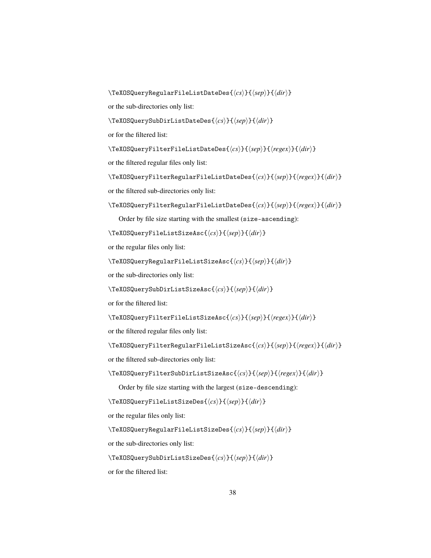```
\TeXOSQueryRegularFileListDateDes{hcsi}{hsepi}{hdiri}
or the sub-directories only list:
\TeXOSQuerySubDirListDateDes{\langle cs \rangle}{\langle sep \rangle}{\langle dir \rangle}
or for the filtered list:
\TeXOSQueryFilterFileListDateDes{\langle cs \rangle}{\langle sep \rangle}{\langle regex \rangle}{\langle dir \rangle}
or the filtered regular files only list:
\TeXOSQueryFilterRegularFileListDateDes{\langle cs \rangle}{\langle sep \rangle}{\langle regex \rangle}{\langle dir \rangle}
or the filtered sub-directories only list:
\TeXOSQueryFilterRegularFileListDateDes{\langle cs \rangle}{\langle xep \rangle}{\langle reger \rangle}{\langle dir \rangle}
    Order by file size starting with the smallest (size-ascending):
\TeXOSQueryFileListSizeAsc{hcsi}{hsepi}{hdiri}
or the regular files only list:
\TeXOSQueryRegularFileListSizeAsc{hcsi}{hsepi}{hdiri}
or the sub-directories only list:
\TeXOSQuerySubDirListSizeAsc{hcsi}{hsepi}{hdiri}
or for the filtered list:
\TeXOSQueryFilterFileListSizeAsc{hcsi}{hsepi}{hregexi}{hdiri}
or the filtered regular files only list:
\TeXOSQueryFilterRegularFileListSizeAsc{\langle cs \rangle}{\langle sep \rangle}{\langle regex \rangle}{\langle dir \rangle}
or the filtered sub-directories only list:
\TeXOSQueryFilterSubDirListSizeAsc{\langle cs \rangle}{\langle xep \rangle}{\langle rgex \rangle}{\langle dir \rangle}
    Order by file size starting with the largest (size-descending):
\TeXOSQueryFileListSizeDes{hcsi}{hsepi}{hdiri}
or the regular files only list:
\TeXOSQueryRegularFileListSizeDes{hcsi}{hsepi}{hdiri}
or the sub-directories only list:
```

```
\TeXOSQuerySubDirListSizeDes{hcsi}{hsepi}{hdiri}
```
or for the filtered list: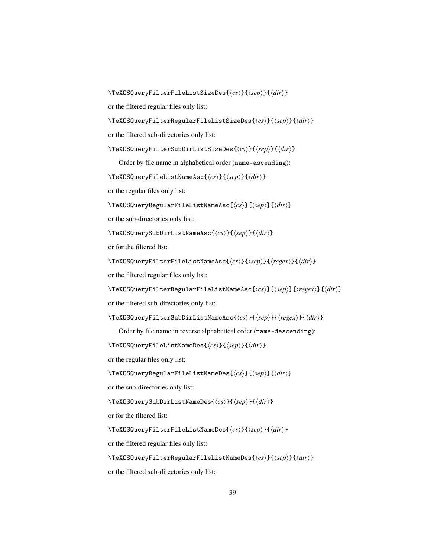\TeXOSQueryFilterFileListSizeDes{h*cs*i}{h*sep*i}{h*dir*i}

or the filtered regular files only list:

\TeXOSQueryFilterRegularFileListSizeDes{h*cs*i}{h*sep*i}{h*dir*i}

or the filtered sub-directories only list:

\TeXOSQueryFilterSubDirListSizeDes{h*cs*i}{h*sep*i}{h*dir*i}

Order by file name in alphabetical order (name-ascending):

\TeXOSQueryFileListNameAsc{h*cs*i}{h*sep*i}{h*dir*i}

or the regular files only list:

\TeXOSQueryRegularFileListNameAsc{h*cs*i}{h*sep*i}{h*dir*i}

or the sub-directories only list:

\TeXOSQuerySubDirListNameAsc{h*cs*i}{h*sep*i}{h*dir*i}

or for the filtered list:

\TeXOSQueryFilterFileListNameAsc{h*cs*i}{h*sep*i}{h*regex*i}{h*dir*i}

or the filtered regular files only list:

\TeXOSQueryFilterRegularFileListNameAsc{ $\langle cs \rangle$ }{ $\langle xep \rangle$ }{ $\langle rgex \rangle$ }{ $\langle dir \rangle$ }

or the filtered sub-directories only list:

```
\TeXOSQueryFilterSubDirListNameAsc{\langle cs \rangle}{\langle sep \rangle}{\langle regex \rangle}{\langle dir \rangle}
```
Order by file name in reverse alphabetical order (name-descending):

```
\TeXOSQueryFileListNameDes{hcsi}{hsepi}{hdiri}
```
or the regular files only list:

\TeXOSQueryRegularFileListNameDes{h*cs*i}{h*sep*i}{h*dir*i}

or the sub-directories only list:

\TeXOSQuerySubDirListNameDes{ $\langle cs \rangle$ }{ $\langle sep \rangle$ }{ $\langle dir \rangle$ }

or for the filtered list:

\TeXOSQueryFilterFileListNameDes{h*cs*i}{h*sep*i}{h*dir*i}

or the filtered regular files only list:

\TeXOSQueryFilterRegularFileListNameDes{h*cs*i}{h*sep*i}{h*dir*i}

or the filtered sub-directories only list: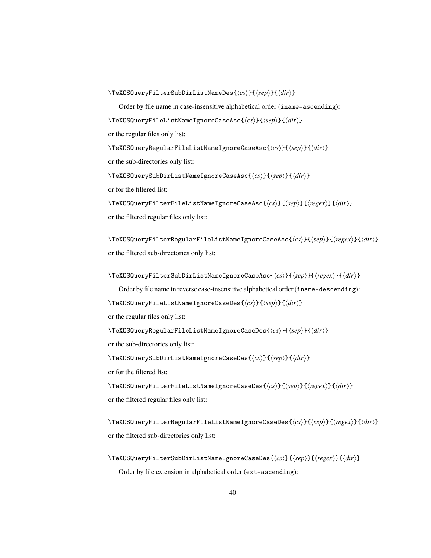\TeXOSQueryFilterSubDirListNameDes{h*cs*i}{h*sep*i}{h*dir*i}

Order by file name in case-insensitive alphabetical order (iname-ascending): \TeXOSQueryFileListNameIgnoreCaseAsc{h*cs*i}{h*sep*i}{h*dir*i} or the regular files only list:

\TeXOSQueryRegularFileListNameIgnoreCaseAsc{h*cs*i}{h*sep*i}{h*dir*i} or the sub-directories only list:

\TeXOSQuerySubDirListNameIgnoreCaseAsc{h*cs*i}{h*sep*i}{h*dir*i}

or for the filtered list:

\TeXOSQueryFilterFileListNameIgnoreCaseAsc{h*cs*i}{h*sep*i}{h*regex*i}{h*dir*i} or the filtered regular files only list:

\TeXOSQueryFilterRegularFileListNameIgnoreCaseAsc{h*cs*i}{h*sep*i}{h*regex*i}{h*dir*i} or the filtered sub-directories only list:

\TeXOSQueryFilterSubDirListNameIgnoreCaseAsc{h*cs*i}{h*sep*i}{h*regex*i}{h*dir*i}

Order by file name in reverse case-insensitive alphabetical order (iname-descending):

\TeXOSQueryFileListNameIgnoreCaseDes{h*cs*i}{h*sep*i}{h*dir*i}

or the regular files only list:

\TeXOSQueryRegularFileListNameIgnoreCaseDes{h*cs*i}{h*sep*i}{h*dir*i}

or the sub-directories only list:

\TeXOSQuerySubDirListNameIgnoreCaseDes{ $\langle cs \rangle$ }{ $\langle sep \rangle$ }{ $\langle dir \rangle$ }

or for the filtered list:

\TeXOSQueryFilterFileListNameIgnoreCaseDes{ $\langle cs \rangle$ }{ $\langle xep \rangle$ }{ $\langle rgex \rangle$ }{ $\langle dir \rangle$ } or the filtered regular files only list:

\TeXOSQueryFilterRegularFileListNameIgnoreCaseDes{h*cs*i}{h*sep*i}{h*regex*i}{h*dir*i} or the filtered sub-directories only list:

\TeXOSQueryFilterSubDirListNameIgnoreCaseDes{ $\langle cs \rangle$ }{ $\langle xep \rangle$ }{ $\langle regex \rangle$ }{ $\langle dir \rangle$ } Order by file extension in alphabetical order (ext-ascending):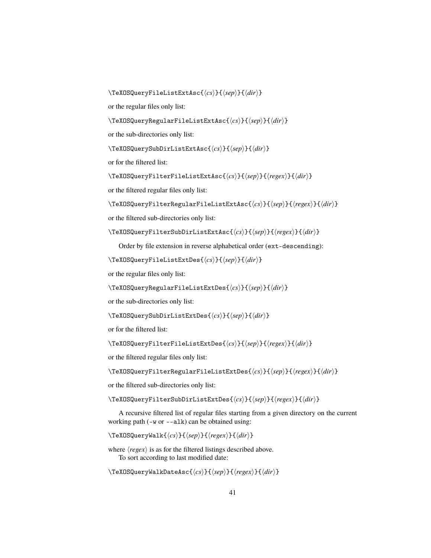\TeXOSQueryFileListExtAsc{ $\langle cs \rangle$ }{ $\langle sep \rangle$ }{ $\langle dir \rangle$ }

or the regular files only list:

\TeXOSQueryRegularFileListExtAsc{h*cs*i}{h*sep*i}{h*dir*i}

or the sub-directories only list:

\TeXOSQuerySubDirListExtAsc{h*cs*i}{h*sep*i}{h*dir*i}

or for the filtered list:

\TeXOSQueryFilterFileListExtAsc{h*cs*i}{h*sep*i}{h*regex*i}{h*dir*i}

or the filtered regular files only list:

\TeXOSQueryFilterRegularFileListExtAsc{ $\langle cs \rangle$ }{ $\langle sep \rangle$ }{ $\langle regex \rangle$ }{ $\langle dir \rangle$ }

or the filtered sub-directories only list:

\TeXOSQueryFilterSubDirListExtAsc{h*cs*i}{h*sep*i}{h*regex*i}{h*dir*i}

Order by file extension in reverse alphabetical order (ext-descending):

\TeXOSQueryFileListExtDes{ $\langle cs \rangle$ }{ $\langle sep \rangle$ }{ $\langle dir \rangle$ }

```
or the regular files only list:
```
\TeXOSQueryRegularFileListExtDes{h*cs*i}{h*sep*i}{h*dir*i}

or the sub-directories only list:

```
\TeXOSQuerySubDirListExtDes{hcsi}{hsepi}{hdiri}
```
or for the filtered list:

\TeXOSQueryFilterFileListExtDes{h*cs*i}{h*sep*i}{h*regex*i}{h*dir*i}

or the filtered regular files only list:

\TeXOSQueryFilterRegularFileListExtDes{\/cs}}{\|\|\texpain \text{\mathbf{\in f}}}\$\text{\mathbf{\in f}}}\$\sep}\sqr \text{\mathbf{\in f}}\$\sep}\sqr \text{\mathbf{\in f}}\$\sep}\sqr \text{\mathbf{\in f}}\$\sep}\sqr \text{\math

or the filtered sub-directories only list:

\TeXOSQueryFilterSubDirListExtDes{h*cs*i}{h*sep*i}{h*regex*i}{h*dir*i}

A recursive filtered list of regular files starting from a given directory on the current working path (-w or --alk) can be obtained using:

 $\Tek{OSQueryWalk({\neg\} {\langle \text{sep}\rangle}{\langle \text{regex}\rangle}{\langle \text{dir}\rangle}$ 

where  $\langle regex \rangle$  is as for the filtered listings described above. To sort according to last modified date:

\TeXOSQueryWalkDateAsc{ $\langle cs \rangle$ }{ $\langle xep \rangle$ }{ $\langle rgex \rangle$ }{ $\langle dir \rangle$ }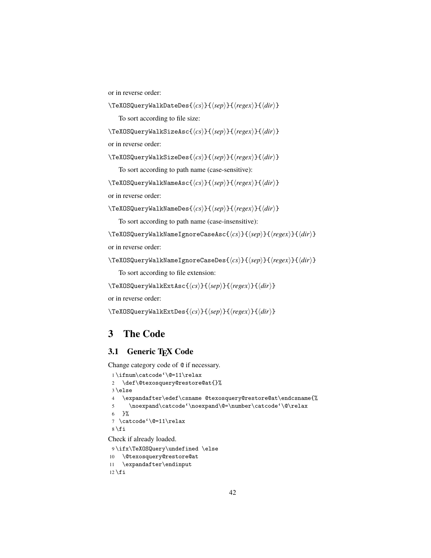or in reverse order:

\TeXOSQueryWalkDateDes{h*cs*i}{h*sep*i}{h*regex*i}{h*dir*i}

To sort according to file size:

\TeXOSQueryWalkSizeAsc{h*cs*i}{h*sep*i}{h*regex*i}{h*dir*i}

or in reverse order:

\TeXOSQueryWalkSizeDes{h*cs*i}{h*sep*i}{h*regex*i}{h*dir*i}

To sort according to path name (case-sensitive):

\TeXOSQueryWalkNameAsc{h*cs*i}{h*sep*i}{h*regex*i}{h*dir*i}

or in reverse order:

```
\TeXOSQueryWalkNameDes{hcsi}{hsepi}{hregexi}{hdiri}
```
To sort according to path name (case-insensitive):

\TeXOSQueryWalkNameIgnoreCaseAsc{h*cs*i}{h*sep*i}{h*regex*i}{h*dir*i}

or in reverse order:

```
\TeXOSQueryWalkNameIgnoreCaseDes{hcsi}{hsepi}{hregexi}{hdiri}
```
To sort according to file extension:

\TeXOSQueryWalkExtAsc{h*cs*i}{h*sep*i}{h*regex*i}{h*dir*i}

or in reverse order:

```
\TeXOSQueryWalkExtDes{\langle cs \rangle}{\langle sep \rangle}{\langle regex \rangle}{\langle dir \rangle}
```
## **3 The Code**

## **3.1 Generic TEX Code**

Change category code of @ if necessary.

```
1 \ifnum\catcode'\@=11\relax
 2 \def\@texosquery@restore@at{}%
3 \else
 4 \expandafter\edef\csname @texosquery@restore@at\endcsname{%
 5 \noexpand\catcode'\noexpand\@=\number\catcode'\@\relax
6 }%
 7 \catcode'\@=11\relax
8 \setminus fiCheck if already loaded.
9 \ifx\TeXOSQuery\undefined \else
10 \@texosquery@restore@at
```

```
11 \expandafter\endinput
12 \setminus fi
```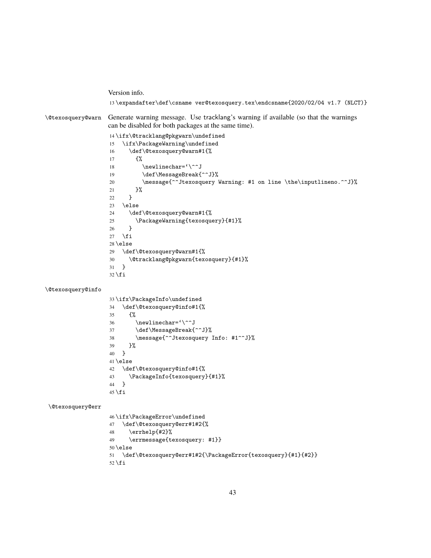Version info. \expandafter\def\csname ver@texosquery.tex\endcsname{2020/02/04 v1.7 (NLCT)} \@texosquery@warn Generate warning message. Use tracklang's warning if available (so that the warnings can be disabled for both packages at the same time). \ifx\@tracklang@pkgwarn\undefined \ifx\PackageWarning\undefined \def\@texosquery@warn#1{% {% 18 \newlinechar='\^^J 19 \def\MessageBreak{^^J}% 20 \message{^^Jtexosquery Warning: #1 on line \the\inputlineno.^^J}% }% } \else \def\@texosquery@warn#1{% \PackageWarning{texosquery}{#1}% } 27  $\ifmmode \big\vert$  \fi \else \def\@texosquery@warn#1{% \@tracklang@pkgwarn{texosquery}{#1}% } 32  $\fi$ fi \@texosquery@info \ifx\PackageInfo\undefined \def\@texosquery@info#1{% {% 36  $\neq$ lnewlinechar=' $\^2$ J 37 \def\MessageBreak{^^J}% \message{^^Jtexosquery Info: #1^^J}% }% } \else \def\@texosquery@info#1{% \PackageInfo{texosquery}{#1}% } 45 \fi \@texosquery@err \ifx\PackageError\undefined \def\@texosquery@err#1#2{% \errhelp{#2}% \errmessage{texosquery: #1}} \else \def\@texosquery@err#1#2{\PackageError{texosquery}{#1}{#2}} 52  $\fi$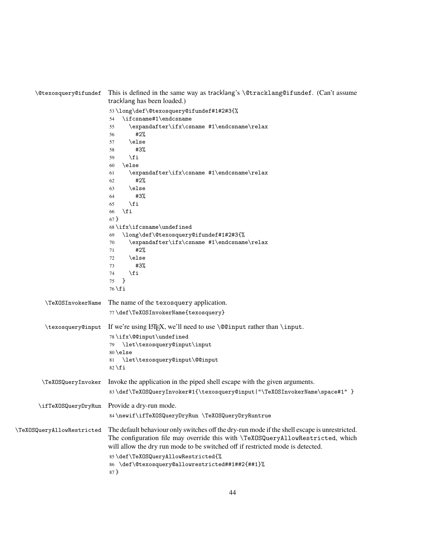| <i><b>\@texosquery@ifundef</b></i> | This is defined in the same way as tracklang's \@tracklang@ifundef. (Can't assume<br>tracklang has been loaded.)                                                                                                                                                                                                                                                                                                                                                                                                                    |
|------------------------------------|-------------------------------------------------------------------------------------------------------------------------------------------------------------------------------------------------------------------------------------------------------------------------------------------------------------------------------------------------------------------------------------------------------------------------------------------------------------------------------------------------------------------------------------|
|                                    | 53\long\def\@texosquery@ifundef#1#2#3{%<br>\ifcsname#1\endcsname<br>54<br>$\verb \expandafter\ifx\csname #1\endcsname\relax$<br>55<br>#2%<br>56<br>\else<br>57<br>#3%<br>58<br>\fi<br>59<br>\else<br>60<br>\expandafter\ifx\csname #1\endcsname\relax<br>61<br>#2%<br>62<br>\else<br>63<br>#3%<br>64<br>\fi<br>65<br>\fi<br>66<br>$67 \}$<br>$68 \ifx\ifc\tname\undefined$<br>\long\def\@texosquery@ifundef#1#2#3{%<br>69<br>\expandafter\ifx\csname #1\endcsname\relax<br>70<br>#2%<br>71<br>\else<br>72<br>#3%<br>73<br>\fi<br>74 |
|                                    | $\mathbf{r}$<br>75<br>$76 \setminus fi$                                                                                                                                                                                                                                                                                                                                                                                                                                                                                             |
| \TeXOSInvokerName                  | The name of the texosquery application.<br>77\def\TeXOSInvokerName{texosquery}                                                                                                                                                                                                                                                                                                                                                                                                                                                      |
| \texosquery@input                  | If we're using $\langle M_F X, we' \rangle$ need to use $\langle Q \rangle$ need to the rather than $\langle M_F \rangle$ .<br>78\ifx\@@input\undefined<br>\let\texosquery@input\input<br>79<br>80 \else<br>\let\texosquery@input\@@input<br>81<br>$82 \ f$ i                                                                                                                                                                                                                                                                       |
| \TeXOSQueryInvoker                 | Invoke the application in the piped shell escape with the given arguments.<br>83\def\TeXOSQueryInvoker#1{\texosquery@input "\TeXOSInvokerName\space#1" }                                                                                                                                                                                                                                                                                                                                                                            |
|                                    | \ifTeXOSQueryDryRun Provide a dry-run mode.<br>84\newif\ifTeXOSQueryDryRun \TeXOSQueryDryRuntrue                                                                                                                                                                                                                                                                                                                                                                                                                                    |
| \TeXOSQueryAllowRestricted         | The default behaviour only switches off the dry-run mode if the shell escape is unrestricted.<br>The configuration file may override this with \TeXOSQueryAllowRestricted, which<br>will allow the dry run mode to be switched off if restricted mode is detected.<br>85\def\TeXOSQueryAllowRestricted{%<br>86 \def\@texosquery@allowrestricted##1##2{##1}%<br>87 }                                                                                                                                                                 |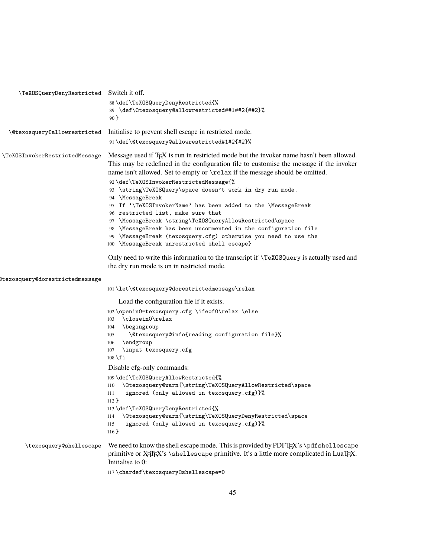| \TeXOSQueryDenyRestricted Switch it off. |                                                                                                                                                                                                                                                                                 |
|------------------------------------------|---------------------------------------------------------------------------------------------------------------------------------------------------------------------------------------------------------------------------------------------------------------------------------|
|                                          | 88\def\TeXOSQueryDenyRestricted{%<br>89 \def\@texosquery@allowrestricted##1##2{##2}%<br>90 <sup>3</sup>                                                                                                                                                                         |
| \@texosquery@allowrestricted             | Initialise to prevent shell escape in restricted mode.                                                                                                                                                                                                                          |
|                                          | 91\def\@texosquery@allowrestricted#1#2{#2}%                                                                                                                                                                                                                                     |
| \TeXOSInvokerRestrictedMessage           | Message used if T <sub>F</sub> X is run in restricted mode but the invoker name hasn't been allowed.<br>This may be redefined in the configuration file to customise the message if the invoker<br>name isn't allowed. Set to empty or \relax if the message should be omitted. |
|                                          | 92\def\TeXOSInvokerRestrictedMessage{%<br>93 \string\TeXOSQuery\space doesn't work in dry run mode.<br>94 \MessageBreak                                                                                                                                                         |
|                                          | 95 If '\TeXOSInvokerName' has been added to the \MessageBreak<br>96 restricted list, make sure that                                                                                                                                                                             |
|                                          | 97 \MessageBreak \string\TeXOSQueryAllowRestricted\space                                                                                                                                                                                                                        |
|                                          | 98 \MessageBreak has been uncommented in the configuration file                                                                                                                                                                                                                 |
|                                          | 99 \MessageBreak (texosquery.cfg) otherwise you need to use the<br>100 \MessageBreak unrestricted shell escape}                                                                                                                                                                 |
|                                          | Only need to write this information to the transcript if \TeX0SQuery is actually used and<br>the dry run mode is on in restricted mode.                                                                                                                                         |
| dtexosquery@dorestrictedmessage          |                                                                                                                                                                                                                                                                                 |
|                                          | 101\let\@texosquery@dorestrictedmessage\relax                                                                                                                                                                                                                                   |
|                                          | Load the configuration file if it exists.                                                                                                                                                                                                                                       |
|                                          | 102\openin0=texosquery.cfg \ifeof0\relax \else                                                                                                                                                                                                                                  |
|                                          | 103 \closein0\relax                                                                                                                                                                                                                                                             |
|                                          | <i>\begingroup</i><br>104<br>\@texosquery@info{reading configuration file}%<br>105                                                                                                                                                                                              |
|                                          | \endgroup<br>106                                                                                                                                                                                                                                                                |
|                                          | \input texosquery.cfg<br>107                                                                                                                                                                                                                                                    |
|                                          | $108 \ f1$                                                                                                                                                                                                                                                                      |
|                                          | Disable cfg-only commands:                                                                                                                                                                                                                                                      |
|                                          | 109\def\TeXOSQueryAllowRestricted{%<br>\@texosquery@warn{\string\TeXOSQueryAllowRestricted\space<br>110                                                                                                                                                                         |
|                                          | ignored (only allowed in texosquery.cfg)}%<br>111<br>$112$ }                                                                                                                                                                                                                    |
|                                          | 113\def\TeXOSQueryDenyRestricted{%                                                                                                                                                                                                                                              |
|                                          | \@texosquery@warn{\string\TeXOSQueryDenyRestricted\space<br>114<br>ignored (only allowed in texosquery.cfg)}%<br>115<br>$116$ }                                                                                                                                                 |
| \texosquery@shellescape                  | We need to know the shell escape mode. This is provided by $\text{PDF}\$ rk's \pdf shellescape<br>primitive or X <sub>T</sub> IFX's \shellescape primitive. It's a little more complicated in LuaTFX.<br>Initialise to 0:                                                       |
|                                          | 117\chardef\texosquery@shellescape=0                                                                                                                                                                                                                                            |
|                                          |                                                                                                                                                                                                                                                                                 |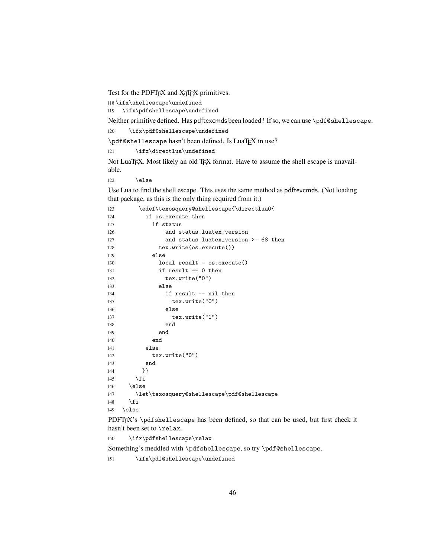Test for the PDFT<sub>E</sub>X and X<sub>HTE</sub>X primitives.

\ifx\shellescape\undefined

\ifx\pdfshellescape\undefined

Neither primitive defined. Has pdftexcmds been loaded? If so, we can use \pdf@shellescape.

\ifx\pdf@shellescape\undefined

\pdf@shellescape hasn't been defined. Is LuaTEX in use?

121 \ifx\directlua\undefined

Not LuaTEX. Most likely an old TEX format. Have to assume the shell escape is unavailable.

 $\text{le}$ 

Use Lua to find the shell escape. This uses the same method as pdftexcmds. (Not loading that package, as this is the only thing required from it.)

```
123 \edef\texosquery@shellescape{\directlua0{
124 if os.execute then
125 if status
126 and status.luatex_version
127 and status.luatex_version >= 68 then
128 tex.write(os.execute())
129 else
130 local result = os.execute()
131 if result == 0 then
132 tex.write("0")
133 else
134 if result == nil then
135 tex.write("0")
136 else
137 tex.write("1")
138 end
139 end
140 end
141 else
142 tex.write("0")
143 end
144 }}
145 \fi
146 \else
147 \let\texosquery@shellescape\pdf@shellescape
148 \fi
149 \else
```
PDFTEX's \pdfshellescape has been defined, so that can be used, but first check it hasn't been set to \relax.

```
150 \ifx\pdfshellescape\relax
```
Something's meddled with \pdfshellescape, so try \pdf@shellescape.

\ifx\pdf@shellescape\undefined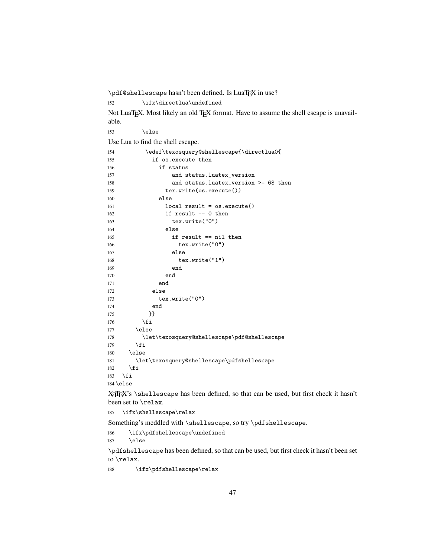\pdf@shellescape hasn't been defined. Is LuaTEX in use?

152 \ifx\directlua\undefined

Not LuaTEX. Most likely an old TEX format. Have to assume the shell escape is unavailable.

153 \else

Use Lua to find the shell escape.

| 154 | \edef\texosquery@shellescape{\directlua0{   |
|-----|---------------------------------------------|
| 155 | if os.execute then                          |
| 156 | if status                                   |
| 157 | and status.luatex_version                   |
| 158 | and status. luatex_version $>= 68$ then     |
| 159 | $text{.write}(os.execute())$                |
| 160 | else                                        |
| 161 | $local result = os.execute()$               |
| 162 | if result $== 0$ then                       |
| 163 | $textrm{.write}('0")$                       |
| 164 | else                                        |
| 165 | if result $==$ nil then                     |
| 166 | tex.write("0")                              |
| 167 | else                                        |
| 168 | $textrm{.write}('1")$                       |
| 169 | end                                         |
| 170 | end                                         |
| 171 | end                                         |
| 172 | else                                        |
| 173 | $textrm{.write}('0")$                       |
| 174 | end                                         |
| 175 | }}                                          |
| 176 | \fi                                         |
| 177 | \else                                       |
| 178 | \let\texosquery@shellescape\pdf@shellescape |
| 179 | \fi                                         |
| 180 | \else                                       |
| 181 | \let\texosquery@shellescape\pdfshellescape  |
| 182 | \fi                                         |
| 183 | \fi                                         |
|     | $184 \text{else}$                           |

X<sub>T</sub>IEX's \shellescape has been defined, so that can be used, but first check it hasn't been set to \relax.

\ifx\shellescape\relax

Something's meddled with \shellescape, so try \pdfshellescape.

 \ifx\pdfshellescape\undefined 187 \else

\pdfshellescape has been defined, so that can be used, but first check it hasn't been set to \relax.

\ifx\pdfshellescape\relax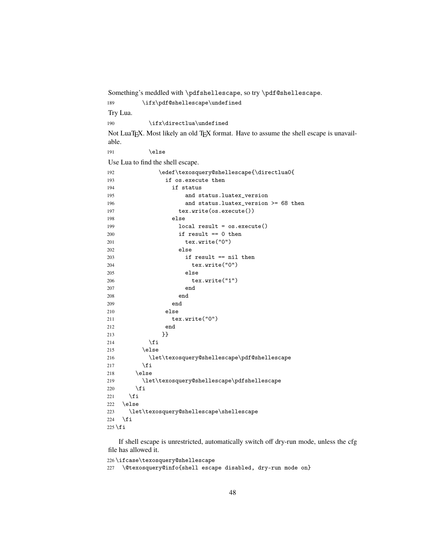Something's meddled with \pdfshellescape, so try \pdf@shellescape. 189 \ifx\pdf@shellescape\undefined Try Lua. 190 \ifx\directlua\undefined Not LuaTEX. Most likely an old TEX format. Have to assume the shell escape is unavailable. 191 \else Use Lua to find the shell escape. \edef\texosquery@shellescape{\directlua0{

|           | loaor (concedaor) ecucrice cabo ( larrecerado ( |
|-----------|-------------------------------------------------|
| 193       | if os.execute then                              |
| 194       | if status                                       |
| 195       | and status.luatex_version                       |
| 196       | and status. luatex_version $>= 68$ then         |
| 197       | text.write(os.execute())                        |
| 198       | else                                            |
| 199       | $local result = os.execute()$                   |
| 200       | if result $== 0$ then                           |
| 201       | $textrm{.write}('0")$                           |
| 202       | else                                            |
| 203       | if result == nil then                           |
| 204       | tex.write("0")                                  |
| 205       | else                                            |
| 206       | text.write("1")                                 |
| 207       | end                                             |
| 208       | end                                             |
| 209       | end                                             |
| 210       | else                                            |
| 211       | $textrm{.write}('0")$                           |
| 212       | end                                             |
| 213       | }}                                              |
| 214       | \fi                                             |
| 215       | \else                                           |
| 216       | \let\texosquery@shellescape\pdf@shellescape     |
| 217       | \fi                                             |
| 218       | \else                                           |
| 219       | \let\texosquery@shellescape\pdfshellescape      |
| 220       | \fi                                             |
| 221       | $\xi$                                           |
| 222       | \else                                           |
| 223       | \let\texosquery@shellescape\shellescape         |
| 224       | \fi                                             |
| $225$ \fi |                                                 |

If shell escape is unrestricted, automatically switch off dry-run mode, unless the cfg file has allowed it.

```
226 \ifcase\texosquery@shellescape
```
\@texosquery@info{shell escape disabled, dry-run mode on}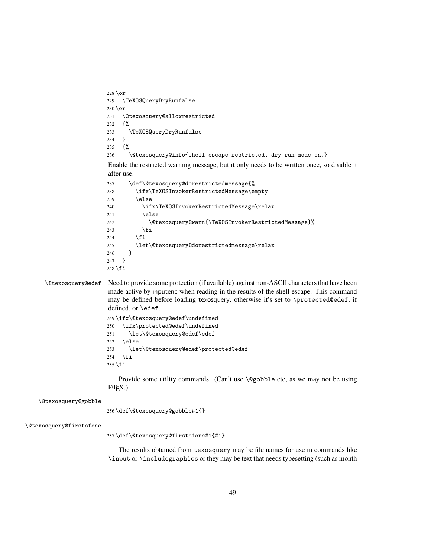```
228 \or
                          229 \TeXOSQueryDryRunfalse
                          230 \text{ or}231 \@texosquery@allowrestricted
                          232 {%
                          233 \TeXOSQueryDryRunfalse
                          234 }
                          235 {%
                          236 \@texosquery@info{shell escape restricted, dry-run mode on.}
                          Enable the restricted warning message, but it only needs to be written once, so disable it
                          after use.
                          237 \def\@texosquery@dorestrictedmessage{%
                          238 \ifx\TeXOSInvokerRestrictedMessage\empty
                          239 \else
                          240 \ifx\TeXOSInvokerRestrictedMessage\relax
                          241 \else
                          242 \@texosquery@warn{\TeXOSInvokerRestrictedMessage}%
                          243 \qquad \qquad \int fi
                          244 \fi
                          245 \let\@texosquery@dorestrictedmessage\relax
                          246 }
                          247 }
                          248 \fi
      \@texosquery@edef Need to provide some protection (if available) against non-ASCII characters that have been
                          made active by inputenc when reading in the results of the shell escape. This command
                          may be defined before loading texosquery, otherwise it's set to \protected@edef, if
                          defined, or \edef.
                          249 \ifx\@texosquery@edef\undefined
                          250 \ifx\protected@edef\undefined
                          251 \let\@texosquery@edef\edef
                          252 \else
                          253 \let\@texosquery@edef\protected@edef
                          254 \ifmmode \overline{254}\else 254 \fi
                          255 \setminus fiProvide some utility commands. (Can't use \@gobble etc, as we may not be using
                          LATEX.)
    \@texosquery@gobble
                          256 \def\@texosquery@gobble#1{}
\@texosquery@firstofone
                          257 \def\@texosquery@firstofone#1{#1}
```
The results obtained from texosquery may be file names for use in commands like \input or \includegraphics or they may be text that needs typesetting (such as month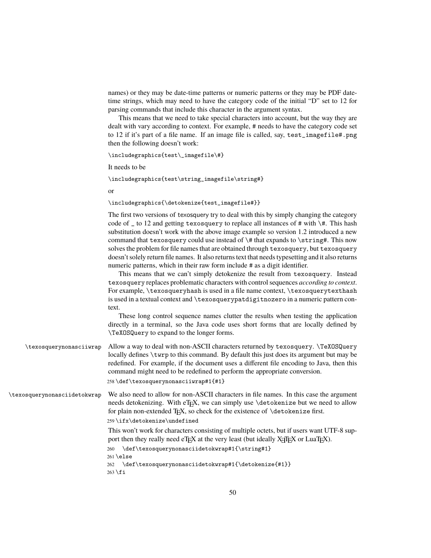names) or they may be date-time patterns or numeric patterns or they may be PDF datetime strings, which may need to have the category code of the initial "D" set to 12 for parsing commands that include this character in the argument syntax.

This means that we need to take special characters into account, but the way they are dealt with vary according to context. For example, # needs to have the category code set to 12 if it's part of a file name. If an image file is called, say, test\_imagefile#.png then the following doesn't work:

```
\includegraphics{test\_imagefile\#}
```
It needs to be

\includegraphics{test\string\_imagefile\string#}

or

\includegraphics{\detokenize{test\_imagefile#}}

The first two versions of texosquery try to deal with this by simply changing the category code of  $\angle$  to 12 and getting texosquery to replace all instances of # with \#. This hash substitution doesn't work with the above image example so version 1.2 introduced a new command that texosquery could use instead of  $\#$  that expands to  $\string\#$ . This now solves the problem for file names that are obtained through texosquery, but texosquery doesn't solely return file names. It also returns text that needs typesetting and it also returns numeric patterns, which in their raw form include # as a digit identifier.

This means that we can't simply detokenize the result from texosquery. Instead texosquery replaces problematic characters with control sequences *according to context*. For example, \texosqueryhash is used in a file name context, \texosquerytexthash is used in a textual context and \texosquerypatdigitnozero in a numeric pattern context.

These long control sequence names clutter the results when testing the application directly in a terminal, so the Java code uses short forms that are locally defined by \TeXOSQuery to expand to the longer forms.

\texosquerynonasciiwrap Allow a way to deal with non-ASCII characters returned by texosquery. \TeXOSQuery locally defines \twrp to this command. By default this just does its argument but may be redefined. For example, if the document uses a different file encoding to Java, then this command might need to be redefined to perform the appropriate conversion. 258 \def\texosquerynonasciiwrap#1{#1}

\texosquerynonasciidetokwrap We also need to allow for non-ASCII characters in file names. In this case the argument needs detokenizing. With eT<sub>E</sub>X, we can simply use \detokenize but we need to allow for plain non-extended T<sub>E</sub>X, so check for the existence of  $\det$  betokenize first.

259 \ifx\detokenize\undefined

This won't work for characters consisting of multiple octets, but if users want UTF-8 support then they really need eT $\overline{F}X$  at the very least (but ideally  $X\overline{A}T\overline{F}X$  or LuaT $\overline{F}X$ ).

```
260 \def\texosquerynonasciidetokwrap#1{\string#1}
261 \else
```

```
262 \def\texosquerynonasciidetokwrap#1{\detokenize{#1}}
263 \fi
```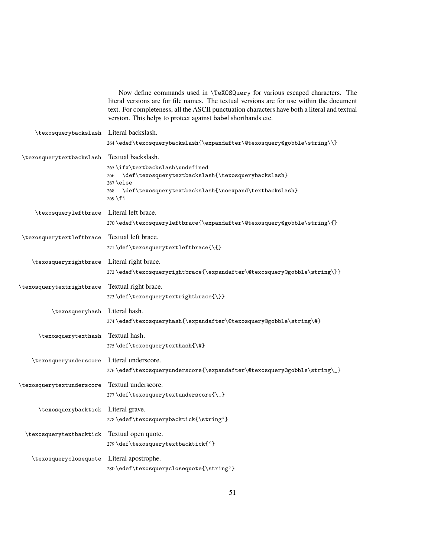|                                    | Now define commands used in \TeX0SQuery for various escaped characters. The<br>literal versions are for file names. The textual versions are for use within the document<br>text. For completeness, all the ASCII punctuation characters have both a literal and textual<br>version. This helps to protect against babel shorthands etc. |
|------------------------------------|------------------------------------------------------------------------------------------------------------------------------------------------------------------------------------------------------------------------------------------------------------------------------------------------------------------------------------------|
| \texosquerybackslash               | Literal backslash.                                                                                                                                                                                                                                                                                                                       |
|                                    | 264\edef\texosquerybackslash{\expandafter\@texosquery@gobble\string\\}                                                                                                                                                                                                                                                                   |
| \texosquerytextbackslash           | Textual backslash.                                                                                                                                                                                                                                                                                                                       |
|                                    | 265\ifx\textbackslash\undefined<br>\def\texosquerytextbackslash{\texosquerybackslash}<br>266                                                                                                                                                                                                                                             |
|                                    | $267$ \else<br>\def\texosquerytextbackslash{\noexpand\textbackslash}<br>268<br>$269 \text{ t}$                                                                                                                                                                                                                                           |
| \texosqueryleftbrace               | Literal left brace.                                                                                                                                                                                                                                                                                                                      |
|                                    | 270\edef\texosqueryleftbrace{\expandafter\@texosquery@gobble\string\{}                                                                                                                                                                                                                                                                   |
| \texosquerytextleftbrace           | Textual left brace.                                                                                                                                                                                                                                                                                                                      |
|                                    | 271\def\texosquerytextleftbrace{\{}                                                                                                                                                                                                                                                                                                      |
| \texosqueryrightbrace              | Literal right brace.                                                                                                                                                                                                                                                                                                                     |
|                                    | 272\edef\texosqueryrightbrace{\expandafter\@texosquery@gobble\string\}}                                                                                                                                                                                                                                                                  |
| \texosquerytextrightbrace          | Textual right brace.                                                                                                                                                                                                                                                                                                                     |
|                                    | 273\def\texosquerytextrightbrace{\}}                                                                                                                                                                                                                                                                                                     |
| \texosqueryhash Literal hash.      |                                                                                                                                                                                                                                                                                                                                          |
|                                    | 274\edef\texosqueryhash{\expandafter\@texosquery@gobble\string\#}                                                                                                                                                                                                                                                                        |
| \texosquerytexthash                | Textual hash.<br>275\def\texosquerytexthash{\#}                                                                                                                                                                                                                                                                                          |
|                                    |                                                                                                                                                                                                                                                                                                                                          |
| \texosqueryunderscore              | Literal underscore.<br>276\edef\texosqueryunderscore{\expandafter\@texosquery@gobble\string\_}                                                                                                                                                                                                                                           |
|                                    | Textual underscore.                                                                                                                                                                                                                                                                                                                      |
| \texosquerytextunderscore          | 277\def\texosquerytextunderscore{\_}                                                                                                                                                                                                                                                                                                     |
| \texosquerybacktick Literal grave. |                                                                                                                                                                                                                                                                                                                                          |
|                                    | 278\edef\texosquerybacktick{\string'}                                                                                                                                                                                                                                                                                                    |
| \texosquerytextbacktick            | Textual open quote.                                                                                                                                                                                                                                                                                                                      |
|                                    | 279\def\texosquerytextbacktick{'}                                                                                                                                                                                                                                                                                                        |
| \texosqueryclosequote              | Literal apostrophe.                                                                                                                                                                                                                                                                                                                      |
|                                    | 280\edef\texosqueryclosequote{\string'}                                                                                                                                                                                                                                                                                                  |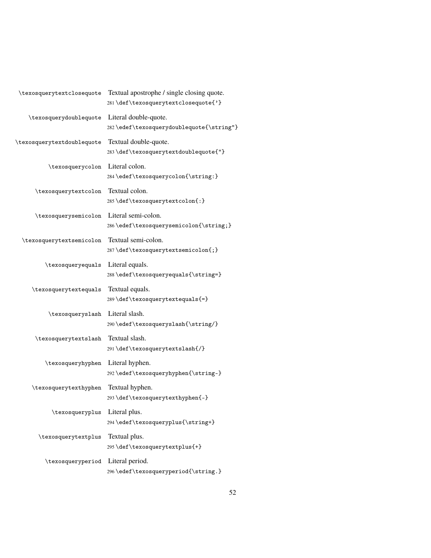| \texosquerytextclosequote  | Textual apostrophe / single closing quote.<br>281\def\texosquerytextclosequote{'} |
|----------------------------|-----------------------------------------------------------------------------------|
| \texosquerydoublequote     | Literal double-quote.<br>282\edef\texosquerydoublequote{\string"}                 |
| \texosquerytextdoublequote | Textual double-quote.<br>283\def\texosquerytextdoublequote{"}                     |
| \texosquerycolon           | Literal colon.<br>284\edef\texosquerycolon{\string:}                              |
| \texosquerytextcolon       | Textual colon.<br>285\def\texosquerytextcolon{:}                                  |
| \texosquerysemicolon       | Literal semi-colon.<br>286\edef\texosquerysemicolon{\string;}                     |
| \texosquerytextsemicolon   | Textual semi-colon.<br>287\def\texosquerytextsemicolon{;}                         |
| \texosqueryequals          | Literal equals.<br>288\edef\texosqueryequals{\string=}                            |
| \texosquerytextequals      | Textual equals.<br>289\def\texosquerytextequals{=}                                |
| \texosqueryslash           | Literal slash.<br>290\edef\texosqueryslash{\string/}                              |
| \texosquerytextslash       | Textual slash.<br>291\def\texosquerytextslash{/}                                  |
| \texosqueryhyphen          | Literal hyphen.<br>292\edef\texosqueryhyphen{\string-}                            |
| \texosquerytexthyphen      | Textual hyphen.<br>293\def\texosquerytexthyphen{-}                                |
| \texosqueryplus            | Literal plus.<br>294\edef\texosqueryplus{\string+}                                |
| \texosquerytextplus        | Textual plus.<br>295\def\texosquerytextplus{+}                                    |
| \texosqueryperiod          | Literal period.<br>296\edef\texosqueryperiod{\string.}                            |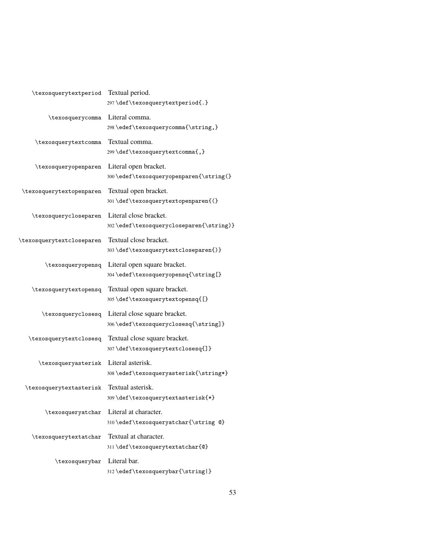| \texosquerytextperiod     | Textual period.<br>297\def\texosquerytextperiod{.}                    |
|---------------------------|-----------------------------------------------------------------------|
| \texosquerycomma          | Literal comma.<br>298\edef\texosquerycomma{\string,}                  |
| \texosquerytextcomma      | Textual comma.<br>299 \def \texosquerytextcomma{,}                    |
| \texosqueryopenparen      | Literal open bracket.<br>300\edef\texosqueryopenparen{\string(}       |
| \texosquerytextopenparen  | Textual open bracket.<br>301\def\texosquerytextopenparen{(}           |
| \texosquerycloseparen     | Literal close bracket.<br>302\edef\texosquerycloseparen{\string)}     |
| \texosquerytextcloseparen | Textual close bracket.<br>303\def\texosquerytextcloseparen{)}         |
| \texosqueryopensq         | Literal open square bracket.<br>304\edef\texosqueryopensq{\string[}   |
| \texosquerytextopensq     | Textual open square bracket.<br>305\def\texosquerytextopensq{[}       |
| \texosqueryclosesq        | Literal close square bracket.<br>306\edef\texosqueryclosesq{\string]} |
| \texosquerytextclosesq    | Textual close square bracket.<br>307\def\texosquerytextclosesq{]}     |
| \texosqueryasterisk       | Literal asterisk.<br>308\edef\texosqueryasterisk{\string*}            |
| \texosquerytextasterisk   | Textual asterisk.<br>309\def\texosquerytextasterisk{*}                |
| \texosqueryatchar         | Literal at character.<br>310\edef\texosqueryatchar{\string @}         |
| \texosquerytextatchar     | Textual at character.<br>311\def\texosquerytextatchar{@}              |
| \texosquerybar            | Literal bar.<br>312\edef\texosquerybar{\string }                      |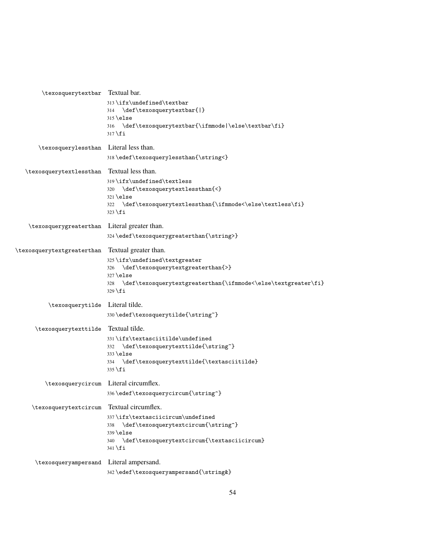| \texosquerytextbar Textual bar.           |                                                                      |
|-------------------------------------------|----------------------------------------------------------------------|
|                                           | 313\ifx\undefined\textbar                                            |
|                                           | 314 \def\texosquerytextbar{ }                                        |
|                                           | $315$ \else                                                          |
|                                           | 316 \def\texosquerytextbar{\ifmmode \else\textbar\fi}                |
|                                           | $317$ $\overline{1}$                                                 |
| \texosquerylessthan                       | Literal less than.                                                   |
|                                           | 318\edef\texosquerylessthan{\string<}                                |
| \texosquerytextlessthan                   | Textual less than.                                                   |
|                                           | 319\ifx\undefined\textless                                           |
|                                           | 320 \def\texosquerytextlessthan{<}                                   |
|                                           | $321$ \else                                                          |
|                                           | 322 \def\texosquerytextlessthan{\ifmmode<\else\textless\fi}          |
|                                           | $323$ \fi                                                            |
| \texosquerygreaterthan                    | Literal greater than.                                                |
|                                           | 324\edef\texosquerygreaterthan{\string>}                             |
| \texosquerytextgreaterthan                | Textual greater than.                                                |
|                                           | 325\ifx\undefined\textgreater                                        |
|                                           | 326 \def\texosquerytextgreaterthan{>}                                |
|                                           | $327$ \else                                                          |
|                                           | \def\texosquerytextgreaterthan{\ifmmode<\else\textgreater\fi}<br>328 |
|                                           | 329 \fi                                                              |
| \texosquerytilde                          | Literal tilde.                                                       |
|                                           | 330\edef\texosquerytilde{\string~}                                   |
| \texosquerytexttilde                      | Textual tilde.                                                       |
|                                           | 331\ifx\textasciitilde\undefined                                     |
|                                           | 332 \def\texosquerytexttilde{\string~}                               |
|                                           | $333$ \else                                                          |
|                                           | 334 \def\texosquerytexttilde{\textasciitilde}<br>$335$ \fi           |
|                                           |                                                                      |
| \texosquerycircum                         | Literal circumflex.                                                  |
|                                           | 336\edef\texosquerycircum{\string^}                                  |
| \texosquerytextcircum Textual circumflex. |                                                                      |
|                                           | 337\ifx\textasciicircum\undefined                                    |
|                                           | \def\texosquerytextcircum{\string^}<br>338                           |
|                                           | $339$ \else                                                          |
|                                           | 340 \def\texosquerytextcircum{\textasciicircum}<br>341 \fi           |
|                                           |                                                                      |
| \texosqueryampersand Literal ampersand.   |                                                                      |
|                                           | 342\edef\texosqueryampersand{\string&}                               |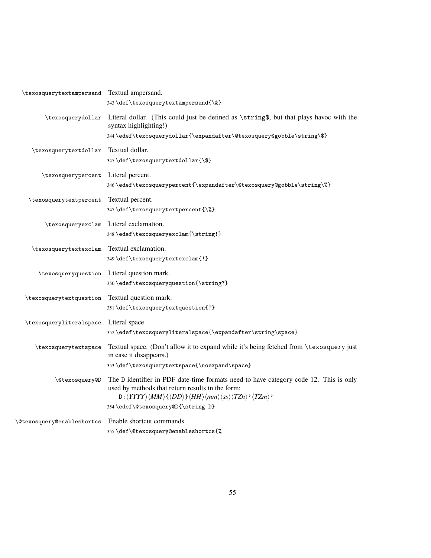| \texosquerytextampersand Textual ampersand. |                                                                                                                                                                      |
|---------------------------------------------|----------------------------------------------------------------------------------------------------------------------------------------------------------------------|
|                                             | 343\def\texosquerytextampersand{\&}                                                                                                                                  |
| \texosquerydollar                           | Literal dollar. (This could just be defined as \string\$, but that plays havoc with the                                                                              |
|                                             | syntax highlighting!)<br>344\edef\texosquerydollar{\expandafter\@texosquery@gobble\string\\$}                                                                        |
|                                             |                                                                                                                                                                      |
| \texosquerytextdollar                       | Textual dollar.<br>345\def\texosquerytextdollar{\\$}                                                                                                                 |
|                                             |                                                                                                                                                                      |
| \texosquerypercent                          | Literal percent.<br>346\edef\texosquerypercent{\expandafter\@texosquery@gobble\string\%}                                                                             |
|                                             |                                                                                                                                                                      |
| \texosquerytextpercent                      | Textual percent.<br>347\def\texosquerytextpercent{\%}                                                                                                                |
|                                             |                                                                                                                                                                      |
|                                             | \texosqueryexclam Literal exclamation.<br>348\edef\texosqueryexclam{\string!}                                                                                        |
|                                             |                                                                                                                                                                      |
| \texosquerytextexclam                       | Textual exclamation.<br>349\def\texosquerytextexclam{!}                                                                                                              |
|                                             |                                                                                                                                                                      |
|                                             | \texosqueryquestion Literal question mark.                                                                                                                           |
|                                             | $350 \cdot \texttt{\text{question{}\strut}}$                                                                                                                         |
| \texosquerytextquestion                     | Textual question mark.                                                                                                                                               |
|                                             | 351\def\texosquerytextquestion{?}                                                                                                                                    |
| \texosqueryliteralspace                     | Literal space.                                                                                                                                                       |
|                                             | 352\edef\texosqueryliteralspace{\expandafter\string\space}                                                                                                           |
| \texosquerytextspace                        | Textual space. (Don't allow it to expand while it's being fetched from \texosquery just<br>in case it disappears.)                                                   |
|                                             | 353\def\texosquerytextspace{\noexpand\space}                                                                                                                         |
| \@texosquery@D                              | The D identifier in PDF date-time formats need to have category code 12. This is only                                                                                |
|                                             | used by methods that return results in the form:                                                                                                                     |
|                                             | $D:\langle YYYY\rangle\langle MM\rangle\{\langle DD\rangle\}\langle HH\rangle\langle mm\rangle\langle ss\rangle\langle TZh\rangle\right.^{\prime}\langle TZm\rangle$ |
|                                             | 354\edef\@texosquery@D{\string D}                                                                                                                                    |
| \@texosquery@enableshortcs                  | Enable shortcut commands.                                                                                                                                            |
|                                             | 355\def\@texosquery@enableshortcs{%                                                                                                                                  |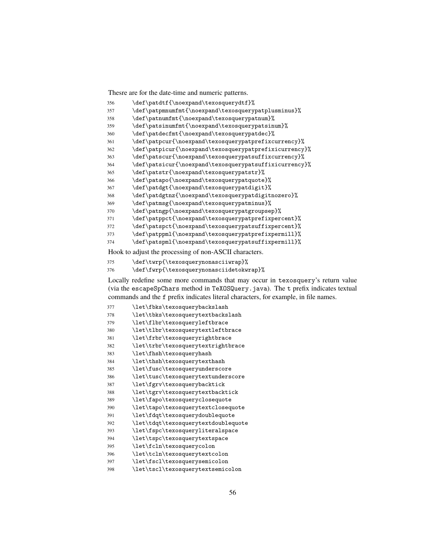Thesre are for the date-time and numeric patterns.

| 356 | \def\patdtf{\noexpand\texosquerydtf}%                  |
|-----|--------------------------------------------------------|
| 357 | \def\patpmnumfmt{\noexpand\texosquerypatplusminus}%    |
| 358 | \def\patnumfmt{\noexpand\texosquerypatnum}%            |
| 359 | \def\patsinumfmt{\noexpand\texosquerypatsinum}%        |
| 360 | \def\patdecfmt{\noexpand\texosquerypatdec}%            |
| 361 | \def\patpcur{\noexpand\texosquerypatprefixcurrency}%   |
| 362 | \def\patpicur{\noexpand\texosquerypatprefixicurrency}% |
| 363 | \def\patscur{\noexpand\texosquerypatsuffixcurrency}%   |
| 364 | \def\patsicur{\noexpand\texosquerypatsuffixicurrency}% |
| 365 | \def\patstr{\noexpand\texosquerypatstr}%               |
| 366 | \def\patapo{\noexpand\texosquerypatquote}%             |
| 367 | \def\patdgt{\noexpand\texosquerypatdigit}%             |
| 368 | \def\patdgtnz{\noexpand\texosquerypatdigitnozero}%     |
| 369 | \def\patmsg{\noexpand\texosquerypatminus}%             |
| 370 | \def\patngp{\noexpand\texosquerypatgroupsep}%          |
| 371 | \def\patppct{\noexpand\texosquerypatprefixpercent}%    |
| 372 | \def\patspct{\noexpand\texosquerypatsuffixpercent}%    |
| 373 | \def\patppml{\noexpand\texosquerypatprefixpermill}%    |
| 374 | \def\patspml{\noexpand\texosquerypatsuffixpermill}%    |
|     |                                                        |

Hook to adjust the processing of non-ASCII characters.

```
375 \def\twrp{\texosquerynonasciiwrap}%
```
\def\fwrp{\texosquerynonasciidetokwrap}%

Locally redefine some more commands that may occur in texosquery's return value (via the escapeSpChars method in TeXOSQuery.java). The t prefix indicates textual commands and the f prefix indicates literal characters, for example, in file names.

| 377 | \let\fbks\texosquerybackslash       |
|-----|-------------------------------------|
| 378 | \let\tbks\texosquerytextbackslash   |
| 379 | \let\flbr\texosqueryleftbrace       |
| 380 | \let\tlbr\texosquerytextleftbrace   |
| 381 | \let\frbr\texosqueryrightbrace      |
| 382 | \let\trbr\texosquerytextrightbrace  |
| 383 | \let\fhsh\texosqueryhash            |
| 384 | \let\thsh\texosquerytexthash        |
| 385 | \let\fusc\texosqueryunderscore      |
| 386 | \let\tusc\texosquerytextunderscore  |
| 387 | \let\fgrv\texosquerybacktick        |
| 388 | \let\tgrv\texosquerytextbacktick    |
| 389 | \let\fapo\texosqueryclosequote      |
| 390 | \let\tapo\texosquerytextclosequote  |
| 391 | \let\fdqt\texosquerydoublequote     |
| 392 | \let\tdqt\texosquerytextdoublequote |
| 393 | \let\fspc\texosqueryliteralspace    |
| 394 | \let\tspc\texosquerytextspace       |
| 395 | \let\fcln\texosquerycolon           |
| 396 | \let\tcln\texosquerytextcolon       |
| 397 | \let\fscl\texosquerysemicolon       |
| 398 | \let\tscl\texosquerytextsemicolon   |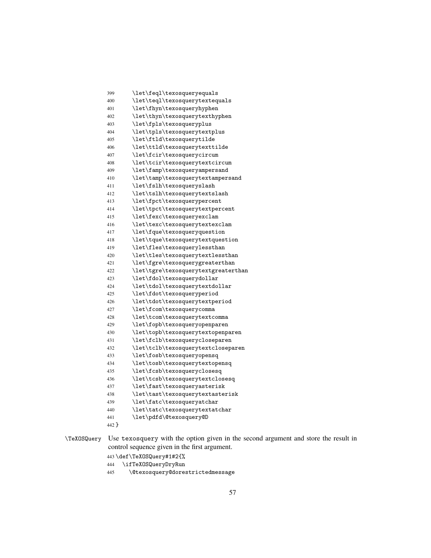```
399 \let\feql\texosqueryequals
400 \let\teql\texosquerytextequals
401 \let\fhyn\texosqueryhyphen
402 \let\thyn\texosquerytexthyphen
403 \let\fpls\texosqueryplus
404 \let\tpls\texosquerytextplus
405 \let\ftld\texosquerytilde
406 \let\ttld\texosquerytexttilde
407 \let\fcir\texosquerycircum
408 \let\tcir\texosquerytextcircum
409 \let\famp\texosqueryampersand
410 \let\tamp\texosquerytextampersand
411 \let\fslh\texosqueryslash
412 \let\tslh\texosquerytextslash
413 \let\fpct\texosquerypercent
414 \let\tpct\texosquerytextpercent
415 \let\fexc\texosqueryexclam
416 \let\texc\texosquerytextexclam
417 \let\fque\texosqueryquestion
418 \let\tque\texosquerytextquestion
419 \let\fles\texosquerylessthan
420 \let\tles\texosquerytextlessthan
421 \let\fgre\texosquerygreaterthan
422 \let\tgre\texosquerytextgreaterthan
423 \let\fdol\texosquerydollar
424 \let\tdol\texosquerytextdollar
425 \let\fdot\texosqueryperiod
426 \let\tdot\texosquerytextperiod
427 \let\fcom\texosquerycomma
428 \let\tcom\texosquerytextcomma
429 \let\fopb\texosqueryopenparen
430 \let\topb\texosquerytextopenparen
431 \let\fclb\texosquerycloseparen
432 \let\tclb\texosquerytextcloseparen
433 \let\fosb\texosqueryopensq
434 \let\tosb\texosquerytextopensq
435 \let\fcsb\texosqueryclosesq
436 \let\tcsb\texosquerytextclosesq
437 \let\fast\texosqueryasterisk
438 \let\tast\texosquerytextasterisk
439 \let\fatc\texosqueryatchar
440 \let\tatc\texosquerytextatchar
441 \let\pdfd\@texosquery@D
442 }
```
\TeXOSQuery Use texosquery with the option given in the second argument and store the result in control sequence given in the first argument.

```
443 \def\TeXOSQuery#1#2{%
```

```
444 \ifTeXOSQueryDryRun
```
\@texosquery@dorestrictedmessage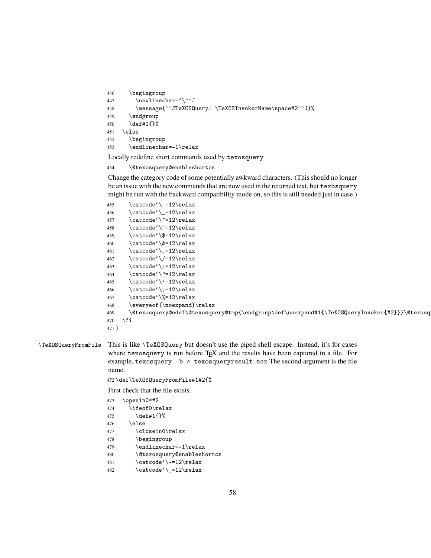```
446 \begingroup
447 \newlinechar='\^^J
448 \message{^^JTeXOSQuery: \TeXOSInvokerName\space#2^^J}%
449 \endgroup
450 \def#1{}%
451 \else
452 \begingroup
453 \endlinechar=-1\relax
```
Locally redefine short commands used by texosquery

```
454 \@texosquery@enableshortcs
```
Change the category code of some potentially awkward characters. (This should no longer be an issue with the new commands that are now used in the returned text, but texosquery might be run with the backward compatibility mode on, so this is still needed just in case.)

```
455 \cdot \cdot \cdot (-12\relax)456 \catcode' \_=12\relax457 \catcode' \^=12\relax458 \catcode'\"=12\relax
459 \catcode'\$=12\relax
460 \catcode'\&=12\relax
461 \catcode'\.=12\relax
462 \catcode' \/=12\relax463 \catcode'\:=12\relax
464 \catcode'\"=12\relax
465 \catcode'\'=12\relax
466 \catcode':=12\relax467 \catcode'\%=12\relax
468 \everyeof{\noexpand}\relax
469 \@texosquery@edef\@texosquery@tmp{\endgroup\def\noexpand#1{\TeXOSQueryInvoker{#2}}}\@texosquery@tmp
470 \ifmmode \big\vert \else 470 \fi
471 }
```

```
\TeXOSQueryFromFile This is like \TeXOSQuery but doesn't use the piped shell escape. Instead, it's for cases
                       where texosquery is run before T_{F}X and the results have been captured in a file. For
                       example, texosquery -b > texosqueryresult.tex The second argument is the file
                       name.
```
472 \def\TeXOSQueryFromFile#1#2{%

First check that the file exists.

| 473 | \openin0=#2                                     |
|-----|-------------------------------------------------|
| 474 | \ifeof0\relax                                   |
| 475 | $\def#1{\}$                                     |
| 476 | \else                                           |
| 477 | \closein0\relax                                 |
| 478 | \begingroup                                     |
| 479 | \endlinechar=-1\relax                           |
| 480 | <i><u><b>Netexosquery@enableshortcs</b></u></i> |
| 481 | \catcode'\-=12\relax                            |
| 482 | \catcode'\_=12\relax                            |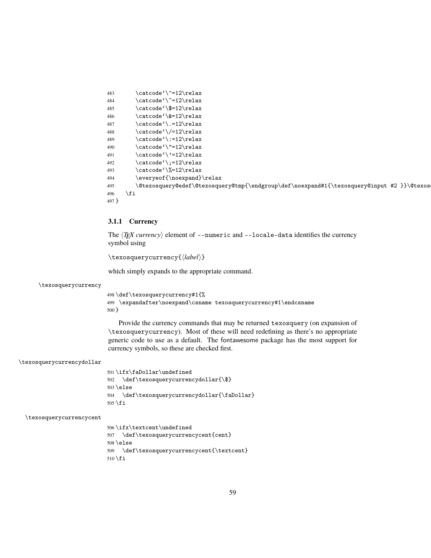```
483 \catcode'\^=12\relax
484 \catcode' =12\relax485 \catcode'\$=12\relax
486 \catcode'\&=12\relax
487 \catcode' \.-12\relax488 \catcode'\/=12\relax
489 \catcode'\:=12\relax
490 \catcode'\"=12\relax
491 \catcode''=12\relax
492 \catcode':=12\relax493 \catcode'\%=12\relax
494 \everyeof{\noexpand}\relax
495 \@texosquery@edef\@texosquery@tmp{\endgroup\def\noexpand#1{\texosquery@input #2 }}\@texosquery@tmp
496 \forallfi
497 }
```
## **3.1.1 Currency**

The  $\langle T$ *FEX currency*) element of --numeric and --locale-data identifies the currency symbol using

\texosquerycurrency{\*label*}}

which simply expands to the appropriate command.

\texosquerycurrency

```
498 \def\texosquerycurrency#1{%
499 \expandafter\noexpand\csname texosquerycurrency#1\endcsname
500 }
```
Provide the currency commands that may be returned texosquery (on expansion of \texosquerycurrency). Most of these will need redefining as there's no appropriate generic code to use as a default. The fontawesome package has the most support for currency symbols, so these are checked first.

```
\texosquerycurrencydollar
```
501 \ifx\faDollar\undefined 502 \def\texosquerycurrencydollar{\\$} 503 \else 504 \def\texosquerycurrencydollar{\faDollar} 505 \fi

```
\texosquerycurrencycent
```
506 \ifx\textcent\undefined 507 \def\texosquerycurrencycent{cent} 508 \else 509 \def\texosquerycurrencycent{\textcent} 510 \fi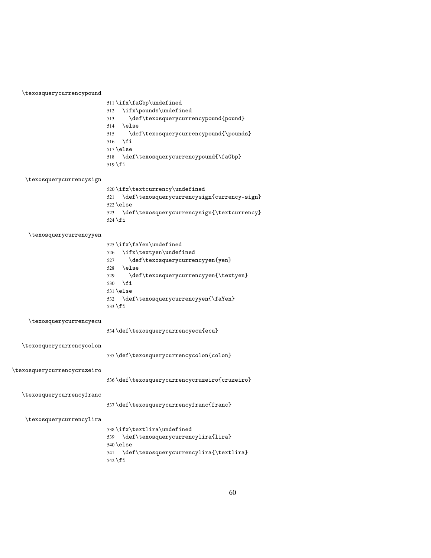|                             | \def\texosquerycurrencypound{pound}<br>513        |
|-----------------------------|---------------------------------------------------|
|                             | 514<br>\else                                      |
|                             | \def\texosquerycurrencypound{\pounds}<br>515      |
|                             | 516<br>\fi                                        |
|                             | $517$ \else                                       |
|                             | \def\texosquerycurrencypound{\faGbp}<br>518       |
|                             | $519 \text{ t}$                                   |
|                             |                                                   |
| \texosquerycurrencysign     |                                                   |
|                             | 520\ifx\textcurrency\undefined                    |
|                             | \def\texosquerycurrencysign{currency-sign}<br>521 |
|                             | $522$ \else                                       |
|                             | \def\texosquerycurrencysign{\textcurrency}<br>523 |
|                             | $524 \text{ t}$                                   |
|                             |                                                   |
| \texosquerycurrencyyen      |                                                   |
|                             | $525 \ifx\faYen\undefined$                        |
|                             | \ifx\textyen\undefined<br>526                     |
|                             | \def\texosquerycurrencyyen{yen}<br>527            |
|                             | \else<br>528                                      |
|                             | \def\texosquerycurrencyyen{\textyen}<br>529       |
|                             | \fi<br>530                                        |
|                             | $531$ \else                                       |
|                             | \def\texosquerycurrencyyen{\faYen}<br>532         |
|                             | 533 \fi                                           |
|                             |                                                   |
| \texosquerycurrencyecu      |                                                   |
|                             | 534 \def \texosquerycurrencyecu{ecu}              |
|                             |                                                   |
| \texosquerycurrencycolon    |                                                   |
|                             | 535 \def \texosquerycurrencycolon{colon}          |
|                             |                                                   |
| \texosquerycurrencycruzeiro |                                                   |
|                             |                                                   |
|                             | 536\def\texosquerycurrencycruzeiro{cruzeiro}      |
| \texosquerycurrencyfranc    |                                                   |
|                             |                                                   |
|                             | 537\def\texosquerycurrencyfranc{franc}            |
|                             |                                                   |
| \texosquerycurrencylira     |                                                   |
|                             | 538\ifx\textlira\undefined                        |
|                             | \def\texosquerycurrencylira{lira}<br>539          |
|                             | $540$ \else                                       |
|                             | \def\texosquerycurrencylira{\textlira}<br>541     |
|                             | 542 \fi                                           |

 $511 \ifx\facBbp\undefined$ \ifx\pounds\undefined

\texosquerycurrencypound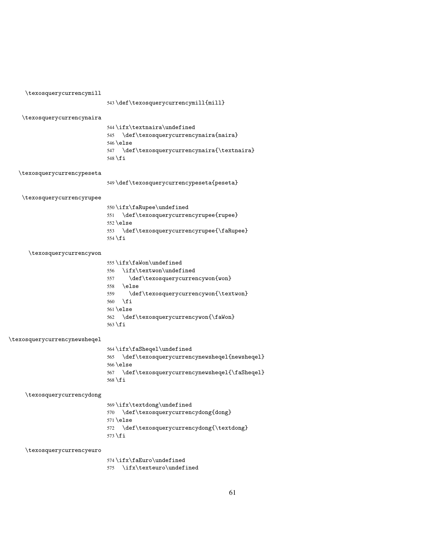|                              | 543\def\texosquerycurrencymill{mill}                                                       |
|------------------------------|--------------------------------------------------------------------------------------------|
| \texosquerycurrencynaira     |                                                                                            |
|                              | $544$ \ifx\textnaira\undefined<br>\def\texosquerycurrencynaira{naira}<br>545<br>$546$ else |
|                              | \def\texosquerycurrencynaira{\textnaira}<br>547<br>548 \fi                                 |
| \texosquerycurrencypeseta    |                                                                                            |
|                              | 549\def\texosquerycurrencypeseta{peseta}                                                   |
| \texosquerycurrencyrupee     |                                                                                            |
|                              | 550\ifx\faRupee\undefined                                                                  |
|                              | \def\texosquerycurrencyrupee{rupee}<br>551<br>$552$ \else                                  |
|                              | \def\texosquerycurrencyrupee{\faRupee}<br>553                                              |
|                              | 554 \fi                                                                                    |
| \texosquerycurrencywon       |                                                                                            |
|                              | $555 \ifx \fawon\undefined$                                                                |
|                              | \ifx\textwon\undefined<br>556                                                              |
|                              | \def\texosquerycurrencywon{won}<br>557                                                     |
|                              | $\text{else}$<br>558                                                                       |
|                              | \def\texosquerycurrencywon{\textwon}<br>559                                                |
|                              | \fi<br>560                                                                                 |
|                              | $561$ \else                                                                                |
|                              | \def\texosquerycurrencywon{\faWon}<br>562                                                  |
|                              | $563 \text{ t}$                                                                            |
| \texosquerycurrencynewsheqel |                                                                                            |
|                              | 564\ifx\faSheqel\undefined                                                                 |
|                              | \def\texosquerycurrencynewsheqel{newsheqel}<br>565                                         |
|                              | $566$ \else                                                                                |
|                              | \def\texosquerycurrencynewsheqel{\faSheqel}<br>567                                         |
|                              | $568$ \fi                                                                                  |
| \texosquerycurrencydong      |                                                                                            |
|                              | 569\ifx\textdong\undefined                                                                 |
|                              | \def\texosquerycurrencydong{dong}<br>570                                                   |
|                              | $571$ \else                                                                                |
|                              | \def\texosquerycurrencydong{\textdong}<br>572<br>573 \fi                                   |
| \texosquerycurrencyeuro      |                                                                                            |
|                              | 574\ifx\faEuro\undefined                                                                   |

\texosquerycurrencymill

\ifx\texteuro\undefined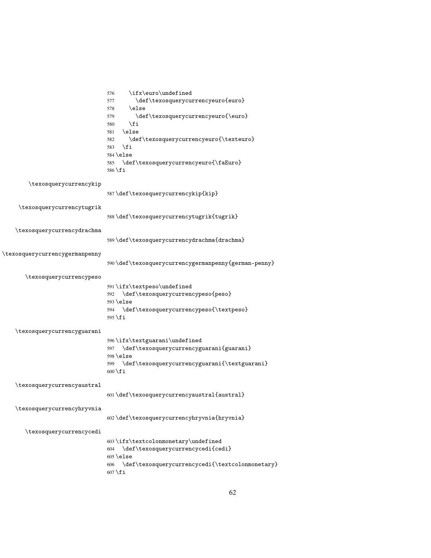|                                | \ifx\euro\undefined<br>576<br>\def\texosquerycurrencyeuro{euro}<br>577<br>\else<br>578<br>\def\texosquerycurrencyeuro{\euro}<br>579<br>\fi<br>580<br>\else<br>581<br>\def\texosquerycurrencyeuro{\texteuro}<br>582<br>\fi<br>583<br>$584 \text{else}$<br>\def\texosquerycurrencyeuro{\faEuro}<br>585<br>586 \fi |
|--------------------------------|-----------------------------------------------------------------------------------------------------------------------------------------------------------------------------------------------------------------------------------------------------------------------------------------------------------------|
| \texosquerycurrencykip         | 587\def\texosquerycurrencykip{kip}                                                                                                                                                                                                                                                                              |
| \texosquerycurrencytugrik      | 588\def\texosquerycurrencytugrik{tugrik}                                                                                                                                                                                                                                                                        |
| \texosquerycurrencydrachma     | $589 \def \text{tsosquery} current erg drachma \frac{drachma}{$                                                                                                                                                                                                                                                 |
| \texosquerycurrencygermanpenny | 590\def\texosquerycurrencygermanpenny{german-penny}                                                                                                                                                                                                                                                             |
| \texosquerycurrencypeso        | 591\ifx\textpeso\undefined<br>592 \def\texosquerycurrencypeso{peso}<br>$593$ \else<br>594 \def\texosquerycurrencypeso{\textpeso}<br>595 \fi                                                                                                                                                                     |
| \texosquerycurrencyguarani     | 596\ifx\textguarani\undefined<br>\def\texosquerycurrencyguarani{guarani}<br>597<br>$598$ \else<br>599 \def\texosquerycurrencyguarani{\textguarani}<br>$600 \setminus fi$                                                                                                                                        |
| \texosquerycurrencyaustral     | 601\def\texosquerycurrencyaustral{austral}                                                                                                                                                                                                                                                                      |
| \texosquerycurrencyhryvnia     | 602 \def \texosquerycurrencyhryvnia{hryvnia}                                                                                                                                                                                                                                                                    |
| \texosquerycurrencycedi        | 603\ifx\textcolonmonetary\undefined<br>\def\texosquerycurrencycedi{cedi}<br>604<br>$605$ \else<br>\def\texosquerycurrencycedi{\textcolonmonetary}<br>606<br>$607$ \fi                                                                                                                                           |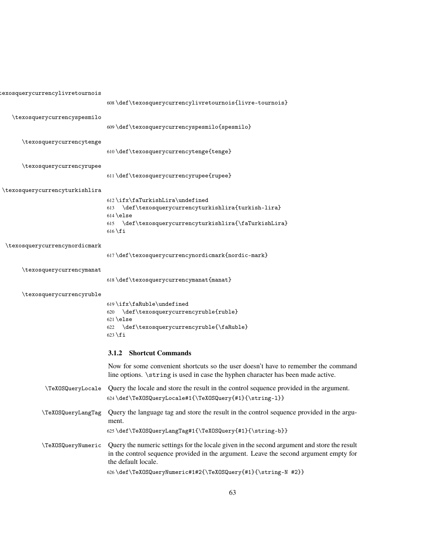|                                | 608\def\texosquerycurrencylivretournois{livre-tournois}                                                                                                                                                     |
|--------------------------------|-------------------------------------------------------------------------------------------------------------------------------------------------------------------------------------------------------------|
| \texosquerycurrencyspesmilo    |                                                                                                                                                                                                             |
|                                | 609\def\texosquerycurrencyspesmilo{spesmilo}                                                                                                                                                                |
| \texosquerycurrencytenge       |                                                                                                                                                                                                             |
|                                | 610\def\texosquerycurrencytenge{tenge}                                                                                                                                                                      |
| \texosquerycurrencyrupee       |                                                                                                                                                                                                             |
|                                | 611\def\texosquerycurrencyrupee{rupee}                                                                                                                                                                      |
| \texosquerycurrencyturkishlira |                                                                                                                                                                                                             |
|                                | 612\ifx\faTurkishLira\undefined<br>\def\texosquerycurrencyturkishlira{turkish-lira}<br>613                                                                                                                  |
|                                | $614$ \else                                                                                                                                                                                                 |
|                                | 615 \def\texosquerycurrencyturkishlira{\faTurkishLira}<br>$616$ \fi                                                                                                                                         |
|                                |                                                                                                                                                                                                             |
| \texosquerycurrencynordicmark  | 617\def\texosquerycurrencynordicmark{nordic-mark}                                                                                                                                                           |
|                                |                                                                                                                                                                                                             |
| \texosquerycurrencymanat       | 618 \def \texosquerycurrencymanat{manat}                                                                                                                                                                    |
| \texosquerycurrencyruble       |                                                                                                                                                                                                             |
|                                | 619\ifx\faRuble\undefined                                                                                                                                                                                   |
|                                | \def\texosquerycurrencyruble{ruble}<br>620                                                                                                                                                                  |
|                                | $621$ else<br>\def\texosquerycurrencyruble{\faRuble}<br>622                                                                                                                                                 |
|                                | $623$ \fi                                                                                                                                                                                                   |
|                                | 3.1.2 Shortcut Commands                                                                                                                                                                                     |
|                                | Now for some convenient shortcuts so the user doesn't have to remember the command<br>line options. \string is used in case the hyphen character has been made active.                                      |
| \TeXOSQueryLocale              | Query the locale and store the result in the control sequence provided in the argument.                                                                                                                     |
|                                | 624\def\TeXOSQueryLocale#1{\TeXOSQuery{#1}{\string-1}}                                                                                                                                                      |
|                                | \TeX0SQueryLangTag Query the language tag and store the result in the control sequence provided in the argu-<br>ment.                                                                                       |
|                                | 625\def\TeXOSQueryLangTag#1{\TeXOSQuery{#1}{\string-b}}                                                                                                                                                     |
| \TeXOSQueryNumeric             | Query the numeric settings for the locale given in the second argument and store the result<br>in the control sequence provided in the argument. Leave the second argument empty for<br>the default locale. |
|                                | 626\def\TeXOSQueryNumeric#1#2{\TeXOSQuery{#1}{\string-N #2}}                                                                                                                                                |

 $\tt isxosquerycurrencylivretournois$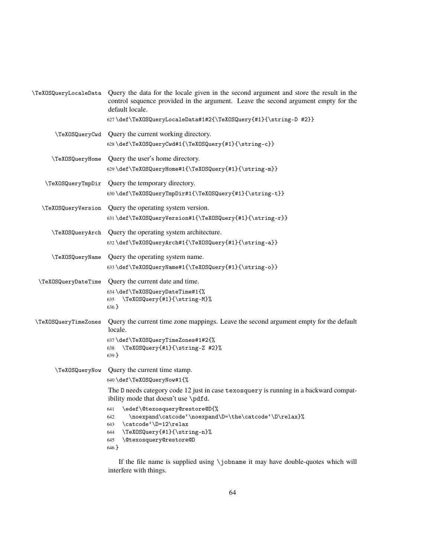|                      | TeXOSQueryLocaleData Query the data for the locale given in the second argument and store the result in the<br>control sequence provided in the argument. Leave the second argument empty for the<br>default locale.                                                                                                                                                                                                                                                                                                                                                                                     |  |
|----------------------|----------------------------------------------------------------------------------------------------------------------------------------------------------------------------------------------------------------------------------------------------------------------------------------------------------------------------------------------------------------------------------------------------------------------------------------------------------------------------------------------------------------------------------------------------------------------------------------------------------|--|
|                      | 627\def\TeXOSQueryLocaleData#1#2{\TeXOSQuery{#1}{\string-D #2}}                                                                                                                                                                                                                                                                                                                                                                                                                                                                                                                                          |  |
|                      | TexosQueryCwd Query the current working directory.<br>628\def\TeXOSQueryCwd#1{\TeXOSQuery{#1}{\string-c}}                                                                                                                                                                                                                                                                                                                                                                                                                                                                                                |  |
| \TeXOSQueryHome      | Query the user's home directory.<br>629\def\TeXOSQueryHome#1{\TeXOSQuery{#1}{\string-m}}                                                                                                                                                                                                                                                                                                                                                                                                                                                                                                                 |  |
| \TeXOSQueryTmpDir    | Query the temporary directory.<br>630\def\TeXOSQueryTmpDir#1{\TeXOSQuery{#1}{\string-t}}                                                                                                                                                                                                                                                                                                                                                                                                                                                                                                                 |  |
| \TeXOSQueryVersion   | Query the operating system version.<br>631\def\TeXOSQueryVersion#1{\TeXOSQuery{#1}{\string-r}}                                                                                                                                                                                                                                                                                                                                                                                                                                                                                                           |  |
| \TeXOSQueryArch      | Query the operating system architecture.<br>$% \begin{array}{c} \begin{array}{c} \begin{array}{c} \begin{array}{c} \begin{array}{c} \end{array}\\ \end{array} \end{array} \end{array} \end{array} \end{array} \begin{array}{c} \begin{array}{c} \begin{array}{c} \begin{array}{c} \end{array}\\ \end{array} \end{array} \end{array} \end{array} \begin{array}{c} \begin{array}{c} \begin{array}{c} \begin{array}{c} \end{array}\\ \end{array} \end{array} \end{array} \end{array} \begin{array}{c} \begin{array}{c} \begin{array}{c} \end{array}\\ \end{array} \end{array} \end{array} \begin{array}{c}$ |  |
| \TeXOSQueryName      | Query the operating system name.<br>633\def\TeXOSQueryName#1{\TeXOSQuery{#1}{\string-o}}                                                                                                                                                                                                                                                                                                                                                                                                                                                                                                                 |  |
| \TeXOSQueryDateTime  | Query the current date and time.<br>634\def\TeXOSQueryDateTime#1{%<br>\TeXOSQuery{#1}{\string-M}%<br>635<br>$636$ }                                                                                                                                                                                                                                                                                                                                                                                                                                                                                      |  |
| \TeXOSQueryTimeZones | Query the current time zone mappings. Leave the second argument empty for the default<br>locale.<br>637\def\TeXOSQueryTimeZones#1#2{%<br>\TeXOSQuery{#1}{\string-Z #2}%<br>638<br>639 }                                                                                                                                                                                                                                                                                                                                                                                                                  |  |
| \TeXOSQueryNow       | Query the current time stamp.<br>640\def\TeXOSQueryNow#1{%<br>The D needs category code 12 just in case texosquery is running in a backward compat-<br>ibility mode that doesn't use \pdfd.<br>\edef\@texosquery@restore@D{%<br>641<br>\noexpand\catcode'\noexpand\D=\the\catcode'\D\relax}%<br>642<br>\catcode'\D=12\relax<br>643<br>\TeXOSQuery{#1}{\string-n}%<br>644<br>\@texosquery@restore@D<br>645<br>$646$ }                                                                                                                                                                                     |  |

If the file name is supplied using \jobname it may have double-quotes which will interfere with things.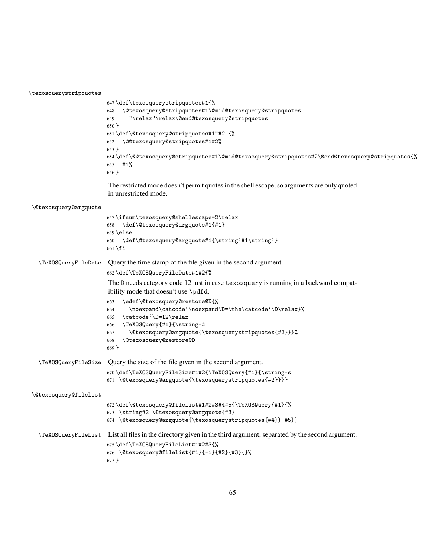\texosquerystripquotes

```
647 \def\texosquerystripquotes#1{%
648 \@texosquery@stripquotes#1\@mid@texosquery@stripquotes
649 "\relax"\relax\@end@texosquery@stripquotes
650 }
651 \def\@texosquery@stripquotes#1"#2"{%
652 \@@texosquery@stripquotes#1#2%
653 }
654 \def\@@texosquery@stripquotes#1\@mid@texosquery@stripquotes#2\@end@texosquery@stripquotes{%
655 #1%
656 }
```
The restricted mode doesn't permit quotes in the shell escape, so arguments are only quoted in unrestricted mode.

| <i><b>\@texosquery@argquote</b></i> |                                                                                                                                                                                                                                                                                   |
|-------------------------------------|-----------------------------------------------------------------------------------------------------------------------------------------------------------------------------------------------------------------------------------------------------------------------------------|
|                                     | 657\ifnum\texosquery@shellescape=2\relax<br>\def\@texosquery@argquote#1{#1}<br>658<br>$659$ \else<br>660 \def\@texosquery@argquote#1{\string'#1\string'}<br>$661 \mid$ fi                                                                                                         |
| \TeXOSQueryFileDate                 | Query the time stamp of the file given in the second argument.                                                                                                                                                                                                                    |
|                                     | 662\def\TeXOSQueryFileDate#1#2{%                                                                                                                                                                                                                                                  |
|                                     | The D needs category code 12 just in case texosquery is running in a backward compat-<br>ibility mode that doesn't use \pdfd.                                                                                                                                                     |
|                                     | \edef\@texosquery@restore@D{%<br>663<br>\noexpand\catcode'\noexpand\D=\the\catcode'\D\relax}%<br>664<br>\catcode'\D=12\relax<br>665<br>\TeXOSQuery{#1}{\string-d<br>666<br>\@texosquery@argquote{\texosquerystripquotes{#2}}}%<br>667<br>\@texosquery@restore@D<br>668<br>$669$ } |
| \TeXOSQueryFileSize                 | Query the size of the file given in the second argument.                                                                                                                                                                                                                          |
|                                     | 670\def\TeXOSQueryFileSize#1#2{\TeXOSQuery{#1}{\string-s<br>671 \@texosquery@argquote{\texosquerystripquotes{#2}}}}                                                                                                                                                               |
| \@texosquery@filelist               |                                                                                                                                                                                                                                                                                   |
|                                     | 672\def\@texosquery@filelist#1#2#3#4#5{\TeXOSQuery{#1}{%<br>673 \string#2 \@texosquery@argquote{#3}<br>674 \@texosquery@argquote{\texosquerystripquotes{#4}} #5}}                                                                                                                 |
|                                     | \TeX0SQueryFileList List all files in the directory given in the third argument, separated by the second argument.<br>675\def\TeXOSQueryFileList#1#2#3{%<br>676 \@texosquery@filelist{#1}{-i}{#2}{#3}{}%<br>$677$ }                                                               |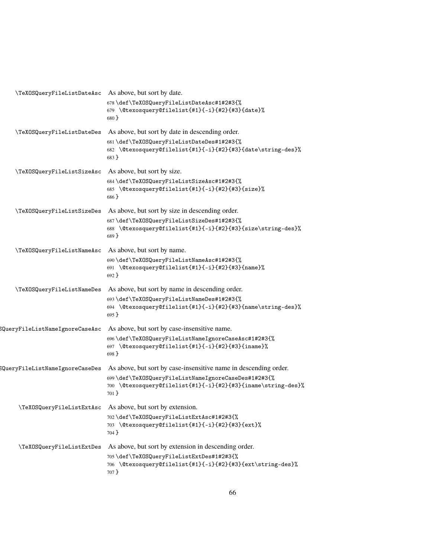| \TeXOSQueryFileListDateAsc      | As above, but sort by date.                                                                                                  |
|---------------------------------|------------------------------------------------------------------------------------------------------------------------------|
|                                 | 678\def\TeXOSQueryFileListDateAsc#1#2#3{%<br>679 \@texosquery@filelist{#1}{-i}{#2}{#3}{date}%<br>680 }                       |
| \TeXOSQueryFileListDateDes      | As above, but sort by date in descending order.                                                                              |
|                                 | 681\def\TeXOSQueryFileListDateDes#1#2#3{%<br>682 \@texosquery@filelist{#1}{-i}{#2}{#3}{date\string-des}%<br>683 }            |
| \TeXOSQueryFileListSizeAsc      | As above, but sort by size.                                                                                                  |
|                                 | 684\def\TeXOSQueryFileListSizeAsc#1#2#3{%<br>685 \@texosquery@filelist{#1}{-i}{#2}{#3}{size}%<br>686 }                       |
| \TeXOSQueryFileListSizeDes      | As above, but sort by size in descending order.                                                                              |
|                                 | 687\def\TeXOSQueryFileListSizeDes#1#2#3{%<br>688 \@texosquery@filelist{#1}{-i}{#2}{#3}{size\string-des}%<br>689 }            |
| \TeXOSQueryFileListNameAsc      | As above, but sort by name.                                                                                                  |
|                                 | 690\def\TeXOSQueryFileListNameAsc#1#2#3{%<br>691 \@texosquery@filelist{#1}{-i}{#2}{#3}{name}%<br>692 }                       |
| \TeXOSQueryFileListNameDes      | As above, but sort by name in descending order.                                                                              |
|                                 | 693\def\TeXOSQueryFileListNameDes#1#2#3{%<br>694 \@texosquery@filelist{#1}{-i}{#2}{#3}{name\string-des}%<br>$695$ }          |
| SQueryFileListNameIgnoreCaseAsc | As above, but sort by case-insensitive name.                                                                                 |
|                                 | 696\def\TeXOSQueryFileListNameIgnoreCaseAsc#1#2#3{%<br>697 \@texosquery@filelist{#1}{-i}{#2}{#3}{iname}%<br>$698$ }          |
| SQueryFileListNameIgnoreCaseDes | As above, but sort by case-insensitive name in descending order.                                                             |
|                                 | 699\def\TeXOSQueryFileListNameIgnoreCaseDes#1#2#3{%<br>700 \@texosquery@filelist{#1}{-i}{#2}{#3}{iname\string-des}%<br>701 } |
| \TeXOSQueryFileListExtAsc       | As above, but sort by extension.                                                                                             |
|                                 | 702 \def\TeXOSQueryFileListExtAsc#1#2#3{%<br>703 \@texosquery@filelist{#1}{-i}{#2}{#3}{ext}%<br>704 }                        |
| \TeXOSQueryFileListExtDes       | As above, but sort by extension in descending order.                                                                         |
|                                 | 705 \def \TeXOSQueryFileListExtDes#1#2#3{%<br>706 \@texosquery@filelist{#1}{-i}{#2}{#3}{ext\string-des}%<br>707 }            |
|                                 |                                                                                                                              |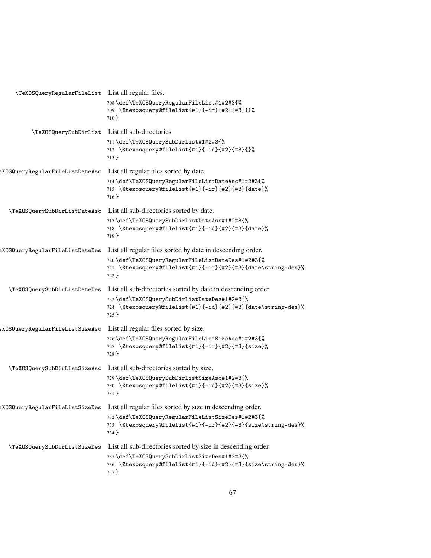| \TeXOSQueryRegularFileList      | List all regular files.                                                                                                   |
|---------------------------------|---------------------------------------------------------------------------------------------------------------------------|
|                                 | 708\def\TeXOSQueryRegularFileList#1#2#3{%<br>709 \@texosquery@filelist{#1}{-ir}{#2}{#3}{}%<br>$710$ }                     |
| \TeXOSQuerySubDirList           | List all sub-directories.                                                                                                 |
|                                 | 711 \def\TeXOSQuerySubDirList#1#2#3{%<br>712 \@texosquery@filelist{#1}{-id}{#2}{#3}{}%<br>$713$ }                         |
| eXOSQueryRegularFileListDateAsc | List all regular files sorted by date.                                                                                    |
|                                 | 714\def\TeXOSQueryRegularFileListDateAsc#1#2#3{%<br>715 \@texosquery@filelist{#1}{-ir}{#2}{#3}{date}%<br>716 }            |
| \TeXOSQuerySubDirListDateAsc    | List all sub-directories sorted by date.                                                                                  |
|                                 | 717\def\TeXOSQuerySubDirListDateAsc#1#2#3{%<br>718 \@texosquery@filelist{#1}{-id}{#2}{#3}{date}%<br>719 }                 |
| eXOSQueryRegularFileListDateDes | List all regular files sorted by date in descending order.                                                                |
|                                 | 720\def\TeXOSQueryRegularFileListDateDes#1#2#3{%<br>721 \@texosquery@filelist{#1}{-ir}{#2}{#3}{date\string-des}%<br>722 } |
| \TeXOSQuerySubDirListDateDes    | List all sub-directories sorted by date in descending order.                                                              |
|                                 | 723\def\TeXOSQuerySubDirListDateDes#1#2#3{%<br>724 \@texosquery@filelist{#1}{-id}{#2}{#3}{date\string-des}%<br>725 }      |
| :XOSQueryRegularFileListSizeAsc | List all regular files sorted by size.                                                                                    |
|                                 | 726\def\TeXOSQueryRegularFileListSizeAsc#1#2#3{%<br>727 \@texosquery@filelist{#1}{-ir}{#2}{#3}{size}%<br>$728$ }          |
| \TeXOSQuerySubDirListSizeAsc    | List all sub-directories sorted by size.                                                                                  |
|                                 | 729\def\TeXOSQuerySubDirListSizeAsc#1#2#3{%<br>730 \@texosquery@filelist{#1}{-id}{#2}{#3}{size}%<br>731 }                 |
| eXOSQueryRegularFileListSizeDes | List all regular files sorted by size in descending order.                                                                |
|                                 | 732\def\TeXOSQueryRegularFileListSizeDes#1#2#3{%<br>733 \@texosquery@filelist{#1}{-ir}{#2}{#3}{size\string-des}%<br>734 } |
| \TeXOSQuerySubDirListSizeDes    | List all sub-directories sorted by size in descending order.                                                              |
|                                 | 735\def\TeXOSQuerySubDirListSizeDes#1#2#3{%<br>736 \@texosquery@filelist{#1}{-id}{#2}{#3}{size\string-des}%<br>737 }      |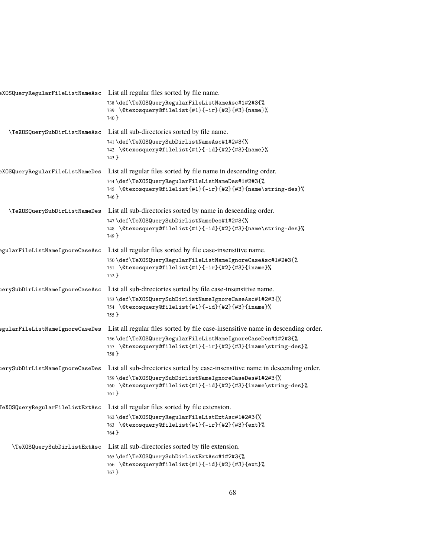|                                 | eXOSQueryRegularFileListNameAsc List all regular files sorted by file name.                                                          |
|---------------------------------|--------------------------------------------------------------------------------------------------------------------------------------|
|                                 | 738\def\TeXOSQueryRegularFileListNameAsc#1#2#3{%<br>739 \@texosquery@filelist{#1}{-ir}{#2}{#3}{name}%<br>740 }                       |
| \TeXOSQuerySubDirListNameAsc    | List all sub-directories sorted by file name.                                                                                        |
|                                 | 741\def\TeXOSQuerySubDirListNameAsc#1#2#3{%<br>742 \@texosquery@filelist{#1}{-id}{#2}{#3}{name}%<br>743 }                            |
| eXOSQueryRegularFileListNameDes | List all regular files sorted by file name in descending order.                                                                      |
|                                 | 744\def\TeXOSQueryRegularFileListNameDes#1#2#3{%<br>745 \@texosquery@filelist{#1}{-ir}{#2}{#3}{name\string-des}%<br>746 }            |
| \TeXOSQuerySubDirListNameDes    | List all sub-directories sorted by name in descending order.                                                                         |
|                                 | 747\def\TeXOSQuerySubDirListNameDes#1#2#3{%<br>748 \@texosquery@filelist{#1}{-id}{#2}{#3}{name\string-des}%<br>749 }                 |
| egularFileListNameIgnoreCaseAsc | List all regular files sorted by file case-insensitive name.                                                                         |
|                                 | 750\def\TeXOSQueryRegularFileListNameIgnoreCaseAsc#1#2#3{%<br>751 \@texosquery@filelist{#1}{-ir}{#2}{#3}{iname}%<br>752 }            |
| uerySubDirListNameIgnoreCaseAsc | List all sub-directories sorted by file case-insensitive name.                                                                       |
|                                 | 753\def\TeXOSQuerySubDirListNameIgnoreCaseAsc#1#2#3{%<br>754 \@texosquery@filelist{#1}{-id}{#2}{#3}{iname}%<br>755 }                 |
| egularFileListNameIgnoreCaseDes | List all regular files sorted by file case-insensitive name in descending order.                                                     |
|                                 | 756\def\TeXOSQueryRegularFileListNameIgnoreCaseDes#1#2#3{%<br>757 \@texosquery@filelist{#1}{-ir}{#2}{#3}{iname\string-des}%<br>758 } |
| ierySubDirListNameIgnoreCaseDes | List all sub-directories sorted by case-insensitive name in descending order.                                                        |
|                                 | 759\def\TeXOSQuerySubDirListNameIgnoreCaseDes#1#2#3{%<br>760 \@texosquery@filelist{#1}{-id}{#2}{#3}{iname\string-des}%<br>761 }      |
| 'eXOSQueryRegularFileListExtAsc | List all regular files sorted by file extension.                                                                                     |
|                                 | 762\def\TeXOSQueryRegularFileListExtAsc#1#2#3{%<br>763 \@texosquery@filelist{#1}{-ir}{#2}{#3}{ext}%<br>764 }                         |
| \TeXOSQuerySubDirListExtAsc     | List all sub-directories sorted by file extension.                                                                                   |
|                                 | 765\def\TeXOSQuerySubDirListExtAsc#1#2#3{%<br>766 \@texosquery@filelist{#1}{-id}{#2}{#3}{ext}%<br>767 }                              |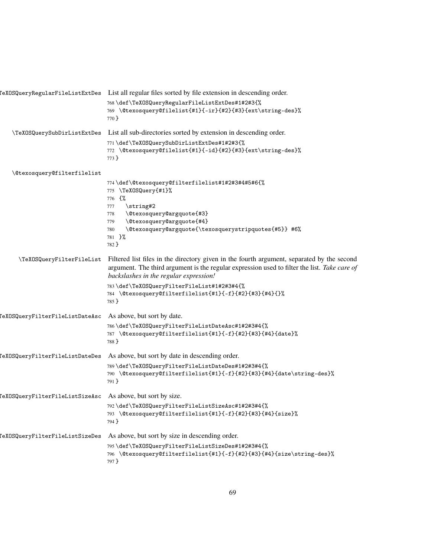|                                                             | TeXOSQueryRegularFileListExtDes List all regular files sorted by file extension in descending order.                                                                                                                                                                                                                                                  |
|-------------------------------------------------------------|-------------------------------------------------------------------------------------------------------------------------------------------------------------------------------------------------------------------------------------------------------------------------------------------------------------------------------------------------------|
|                                                             | 768\def\TeXOSQueryRegularFileListExtDes#1#2#3{%<br>769 \@texosquery@filelist{#1}{-ir}{#2}{#3}{ext\string-des}%<br>770 }                                                                                                                                                                                                                               |
| \TeXOSQuerySubDirListExtDes                                 | List all sub-directories sorted by extension in descending order.                                                                                                                                                                                                                                                                                     |
|                                                             | 771 \def\TeXOSQuerySubDirListExtDes#1#2#3{%<br>772 \@texosquery@filelist{#1}{-id}{#2}{#3}{ext\string-des}%<br>$773$ }                                                                                                                                                                                                                                 |
| \@texosquery@filterfilelist                                 |                                                                                                                                                                                                                                                                                                                                                       |
|                                                             | 774\def\@texosquery@filterfilelist#1#2#3#4#5#6{%<br>775 \TeXOSQuery{#1}%<br>776 {%<br>\string#2<br>777<br>\@texosquery@argquote{#3}<br>778<br>\@texosquery@argquote{#4}<br>779<br>\@texosquery@argquote{\texosquerystripquotes{#5}} #6%<br>780<br>781 }%<br>782 }                                                                                     |
| \TeXOSQueryFilterFileList                                   | Filtered list files in the directory given in the fourth argument, separated by the second<br>argument. The third argument is the regular expression used to filter the list. Take care of<br>backslashes in the regular expression!<br>783\def\TeXOSQueryFilterFileList#1#2#3#4{%<br>784 \@texosquery@filterfilelist{#1}{-f}{#2}{#3}{#4}{}%<br>785 } |
| [eXOSQueryFilterFileListDateAsc                             | As above, but sort by date.                                                                                                                                                                                                                                                                                                                           |
|                                                             | 786\def\TeXOSQueryFilterFileListDateAsc#1#2#3#4{%<br>787 \@texosquery@filterfilelist{#1}{-f}{#2}{#3}{#4}{date}%<br>788 }                                                                                                                                                                                                                              |
| <b>TeXOSQueryFilterFileListDateDes</b>                      | As above, but sort by date in descending order.                                                                                                                                                                                                                                                                                                       |
|                                                             | 789\def\TeXOSQueryFilterFileListDateDes#1#2#3#4{%<br>790 \@texosquery@filterfilelist{#1}{-f}{#2}{#3}{#4}{date\string-des}%<br>791 }                                                                                                                                                                                                                   |
| TeXOSQueryFilterFileListSizeAsc As above, but sort by size. |                                                                                                                                                                                                                                                                                                                                                       |
|                                                             | 792 \def\TeXOSQueryFilterFileListSizeAsc#1#2#3#4{%<br>793 \@texosquery@filterfilelist{#1}{-f}{#2}{#3}{#4}{size}%<br>794 }                                                                                                                                                                                                                             |
| TeXOSQueryFilterFileListSizeDes                             | As above, but sort by size in descending order.                                                                                                                                                                                                                                                                                                       |
|                                                             | 795\def\TeXOSQueryFilterFileListSizeDes#1#2#3#4{%<br>796 \@texosquery@filterfilelist{#1}{-f}{#2}{#3}{#4}{size\string-des}%<br>797 }                                                                                                                                                                                                                   |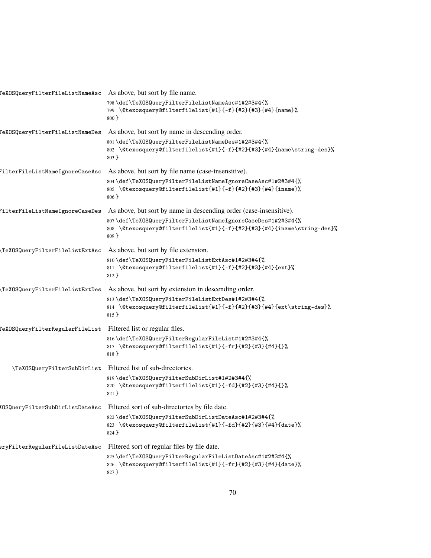| eXOSQueryFilterFileListNameAsc As above, but sort by file name. |                                                                                                                                                  |
|-----------------------------------------------------------------|--------------------------------------------------------------------------------------------------------------------------------------------------|
|                                                                 | 798\def\TeXOSQueryFilterFileListNameAsc#1#2#3#4{%<br>799 \@texosquery@filterfilelist{#1}{-f}{#2}{#3}{#4}{name}%<br>$800$ }                       |
| TeXOSQueryFilterFileListNameDes                                 | As above, but sort by name in descending order.                                                                                                  |
|                                                                 | 801\def\TeXOSQueryFilterFileListNameDes#1#2#3#4{%<br>802 \@texosquery@filterfilelist{#1}{-f}{#2}{#3}{#4}{name\string-des}%<br>$803 \}$           |
| FilterFileListNameIgnoreCaseAsc                                 | As above, but sort by file name (case-insensitive).                                                                                              |
|                                                                 | 804\def\TeXOSQueryFilterFileListNameIgnoreCaseAsc#1#2#3#4{%<br>805 \@texosquery@filterfilelist{#1}{-f}{#2}{#3}{#4}{iname}%<br>$806$ }            |
| FilterFileListNameIgnoreCaseDes                                 | As above, but sort by name in descending order (case-insensitive).                                                                               |
|                                                                 | 807\def\TeXOSQueryFilterFileListNameIgnoreCaseDes#1#2#3#4{%<br>808 \@texosquery@filterfilelist{#1}{-f}{#2}{#3}{#4}{iname\string-des}%<br>$809$ } |
| TeXOSQueryFilterFileListExtAsc                                  | As above, but sort by file extension.                                                                                                            |
|                                                                 | 810\def\TeXOSQueryFilterFileListExtAsc#1#2#3#4{%<br>811 \@texosquery@filterfilelist{#1}{-f}{#2}{#3}{#4}{ext}%<br>812 }                           |
| TeXOSQueryFilterFileListExtDes                                  | As above, but sort by extension in descending order.                                                                                             |
|                                                                 | 813\def\TeXOSQueryFilterFileListExtDes#1#2#3#4{%<br>814 \@texosquery@filterfilelist{#1}{-f}{#2}{#3}{#4}{ext\string-des}%<br>815 }                |
| [eXOSQueryFilterRegularFileList                                 | Filtered list or regular files.                                                                                                                  |
|                                                                 | 816\def\TeXOSQueryFilterRegularFileList#1#2#3#4{%<br>817 \@texosquery@filterfilelist{#1}{-fr}{#2}{#3}{#4}{}%<br>818 }                            |
| \TeXOSQueryFilterSubDirList                                     | Filtered list of sub-directories.                                                                                                                |
|                                                                 | 819 \def \TeXOSQueryFilterSubDirList#1#2#3#4{%<br>820 \@texosquery@filterfilelist{#1}{-fd}{#2}{#3}{#4}{}%<br>821 }                               |
| KOSQueryFilterSubDirListDateAsc                                 | Filtered sort of sub-directories by file date.                                                                                                   |
|                                                                 | 822\def\TeXOSQueryFilterSubDirListDateAsc#1#2#3#4{%<br>823 \@texosquery@filterfilelist{#1}{-fd}{#2}{#3}{#4}{date}%<br>824 }                      |
| eryFilterRegularFileListDateAsc                                 | Filtered sort of regular files by file date.                                                                                                     |
|                                                                 | 825\def\TeXOSQueryFilterRegularFileListDateAsc#1#2#3#4{%<br>826 \@texosquery@filterfilelist{#1}{-fr}{#2}{#3}{#4}{date}%<br>827 }                 |
|                                                                 |                                                                                                                                                  |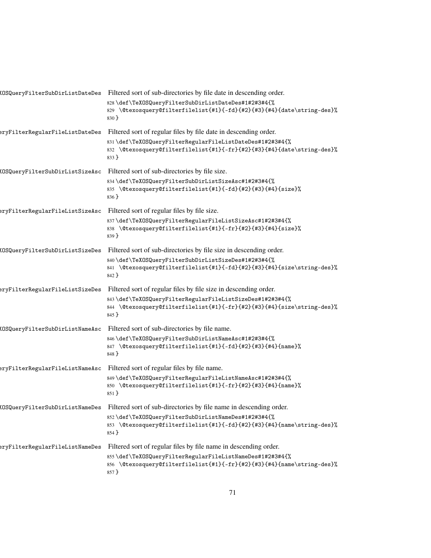|                                        | KOSQueryFilterSubDirListDateDes Filtered sort of sub-directories by file date in descending order.                                            |
|----------------------------------------|-----------------------------------------------------------------------------------------------------------------------------------------------|
|                                        | 828\def\TeXOSQueryFilterSubDirListDateDes#1#2#3#4{%<br>829 \@texosquery@filterfilelist{#1}{-fd}{#2}{#3}{#4}{date\string-des}%<br>830 }        |
| eryFilterRegularFileListDateDes        | Filtered sort of regular files by file date in descending order.                                                                              |
|                                        | 831\def\TeXOSQueryFilterRegularFileListDateDes#1#2#3#4{%<br>832 \@texosquery@filterfilelist{#1}{-fr}{#2}{#3}{#4}{date\string-des}%<br>833 }   |
| KOSQueryFilterSubDirListSizeAsc        | Filtered sort of sub-directories by file size.                                                                                                |
|                                        | 834\def\TeXOSQueryFilterSubDirListSizeAsc#1#2#3#4{%<br>835 \@texosquery@filterfilelist{#1}{-fd}{#2}{#3}{#4}{size}%<br>836 }                   |
| eryFilterRegularFileListSizeAsc        | Filtered sort of regular files by file size.                                                                                                  |
|                                        | 837\def\TeXOSQueryFilterRegularFileListSizeAsc#1#2#3#4{%<br>838 \@texosquery@filterfilelist{#1}{-fr}{#2}{#3}{#4}{size}%<br>839 }              |
| KOSQueryFilterSubDirListSizeDes        | Filtered sort of sub-directories by file size in descending order.                                                                            |
|                                        | 840\def\TeXOSQueryFilterSubDirListSizeDes#1#2#3#4{%<br>841 \@texosquery@filterfilelist{#1}{-fd}{#2}{#3}{#4}{size\string-des}%<br>842 }        |
| eryFilterRegularFileListSizeDes        | Filtered sort of regular files by file size in descending order.                                                                              |
|                                        | 843\def\TeXOSQueryFilterRegularFileListSizeDes#1#2#3#4{%<br>844 \@texosquery@filterfilelist{#1}{-fr}{#2}{#3}{#4}{size\string-des}%<br>845 }   |
| KOSQueryFilterSubDirListNameAsc        | Filtered sort of sub-directories by file name.                                                                                                |
|                                        | 846\def\TeXOSQueryFilterSubDirListNameAsc#1#2#3#4{%<br>847 \@texosquery@filterfilelist{#1}{-fd}{#2}{#3}{#4}{name}%<br>848 }                   |
| eryFilterRegularFileListNameAsc        | Filtered sort of regular files by file name.                                                                                                  |
|                                        | 849\def\TeXOSQueryFilterRegularFileListNameAsc#1#2#3#4{%<br>850 \@texosquery@filterfilelist{#1}{-fr}{#2}{#3}{#4}{name}%<br>$851$ }            |
| <b>IOSQueryFilterSubDirListNameDes</b> | Filtered sort of sub-directories by file name in descending order.                                                                            |
|                                        | 852\def\TeXOSQueryFilterSubDirListNameDes#1#2#3#4{%<br>853 \@texosquery@filterfilelist{#1}{-fd}{#2}{#3}{#4}{name\string-des}%<br>$854$ }      |
| eryFilterRegularFileListNameDes        | Filtered sort of regular files by file name in descending order.                                                                              |
|                                        | 855\def\TeXOSQueryFilterRegularFileListNameDes#1#2#3#4{%<br>856 \@texosquery@filterfilelist{#1}{-fr}{#2}{#3}{#4}{name\string-des}%<br>$857$ } |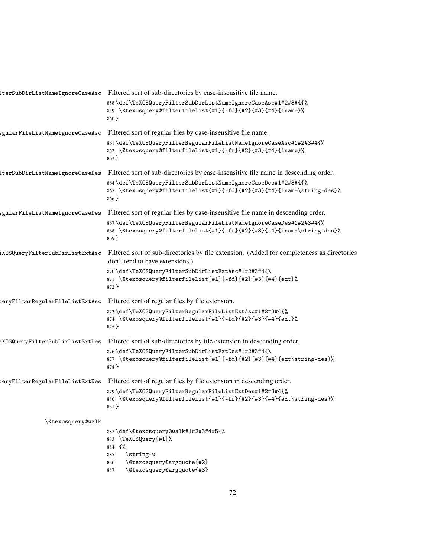| lterSubDirListNameIgnoreCaseAsc Filtered sort of sub-directories by case-insensitive file name.                                                                    |
|--------------------------------------------------------------------------------------------------------------------------------------------------------------------|
| 858\def\TeXOSQueryFilterSubDirListNameIgnoreCaseAsc#1#2#3#4{%<br>859 \@texosquery@filterfilelist{#1}{-fd}{#2}{#3}{#4}{iname}%<br>$860$ }                           |
| Filtered sort of regular files by case-insensitive file name.                                                                                                      |
| 861\def\TeXOSQueryFilterRegularFileListNameIgnoreCaseAsc#1#2#3#4{%<br>862 \@texosquery@filterfilelist{#1}{-fr}{#2}{#3}{#4}{iname}%<br>863 }                        |
| Filtered sort of sub-directories by case-insensitive file name in descending order.                                                                                |
| 864\def\TeXOSQueryFilterSubDirListNameIgnoreCaseDes#1#2#3#4{%<br>865 \@texosquery@filterfilelist{#1}{-fd}{#2}{#3}{#4}{iname\string-des}%<br>$866$ }                |
| Filtered sort of regular files by case-insensitive file name in descending order.                                                                                  |
| 867\def\TeXOSQueryFilterRegularFileListNameIgnoreCaseDes#1#2#3#4{%<br>868 \@texosquery@filterfilelist{#1}{-fr}{#2}{#3}{#4}{iname\string-des}%<br>$869$ }           |
| Filtered sort of sub-directories by file extension. (Added for completeness as directories<br>don't tend to have extensions.)                                      |
| 870\def\TeXOSQueryFilterSubDirListExtAsc#1#2#3#4{%<br>871 \@texosquery@filterfilelist{#1}{-fd}{#2}{#3}{#4}{ext}%<br>872 }                                          |
| Filtered sort of regular files by file extension.                                                                                                                  |
| 873\def\TeXOSQueryFilterRegularFileListExtAsc#1#2#3#4{%<br>874 \@texosquery@filterfilelist{#1}{-fd}{#2}{#3}{#4}{ext}%<br>875 }                                     |
| Filtered sort of sub-directories by file extension in descending order.                                                                                            |
| 876\def\TeXOSQueryFilterSubDirListExtDes#1#2#3#4{%<br>877 \@texosquery@filterfilelist{#1}{-fd}{#2}{#3}{#4}{ext\string-des}%<br>878 }                               |
| Filtered sort of regular files by file extension in descending order.                                                                                              |
| 879\def\TeXOSQueryFilterRegularFileListExtDes#1#2#3#4{%<br>880 \@texosquery@filterfilelist{#1}{-fr}{#2}{#3}{#4}{ext\string-des}%<br>881 }                          |
|                                                                                                                                                                    |
| 882\def\@texosquery@walk#1#2#3#4#5{%<br>883 \TeXOSQuery{#1}%<br>884 {%<br>\string-w<br>885<br>\@texosquery@argquote{#2}<br>886<br>\@texosquery@argquote{#3}<br>887 |
|                                                                                                                                                                    |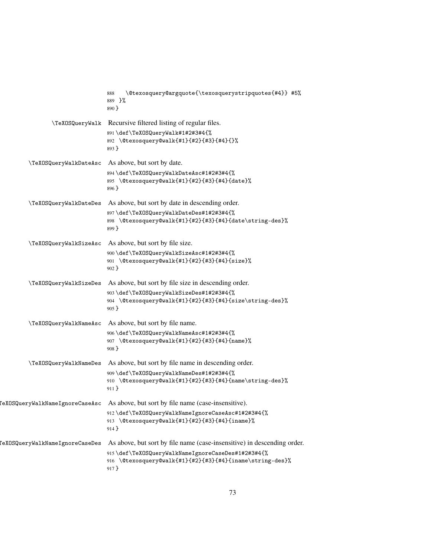|                                        | \@texosquery@argquote{\texosquerystripquotes{#4}} #5%<br>888<br>889 }%<br>$890$ }                                      |
|----------------------------------------|------------------------------------------------------------------------------------------------------------------------|
|                                        | \TeXOSQueryWalk Recursive filtered listing of regular files.                                                           |
|                                        | 891\def\TeXOSQueryWalk#1#2#3#4{%<br>892 \@texosquery@walk{#1}{#2}{#3}{#4}{}%<br>$893$ }                                |
| \TeXOSQueryWalkDateAsc                 | As above, but sort by date.                                                                                            |
|                                        | 894\def\TeXOSQueryWalkDateAsc#1#2#3#4{%<br>895 \@texosquery@walk{#1}{#2}{#3}{#4}{date}%<br>896 }                       |
| \TeXOSQueryWalkDateDes                 | As above, but sort by date in descending order.                                                                        |
|                                        | 897\def\TeXOSQueryWalkDateDes#1#2#3#4{%<br>898 \@texosquery@walk{#1}{#2}{#3}{#4}{date\string-des}%<br>899 }            |
| \TeXOSQueryWalkSizeAsc                 | As above, but sort by file size.                                                                                       |
|                                        | 900\def\TeXOSQueryWalkSizeAsc#1#2#3#4{%<br>901 \@texosquery@walk{#1}{#2}{#3}{#4}{size}%<br>$902$ }                     |
| \TeXOSQueryWalkSizeDes                 | As above, but sort by file size in descending order.                                                                   |
|                                        | 903\def\TeXOSQueryWalkSizeDes#1#2#3#4{%<br>904 \@texosquery@walk{#1}{#2}{#3}{#4}{size\string-des}%<br>$905 \}$         |
| \TeXOSQueryWalkNameAsc                 | As above, but sort by file name.                                                                                       |
|                                        | 906\def\TeXOSQueryWalkNameAsc#1#2#3#4{%<br>907 \@texosquery@walk{#1}{#2}{#3}{#4}{name}%<br>$908$ }                     |
| \TeXOSQueryWalkNameDes                 | As above, but sort by file name in descending order.                                                                   |
|                                        | 909\def\TeXOSQueryWalkNameDes#1#2#3#4{%<br>910 \@texosquery@walk{#1}{#2}{#3}{#4}{name\string-des}%<br>$911$ }          |
| <b>TeXOSQueryWalkNameIgnoreCaseAsc</b> | As above, but sort by file name (case-insensitive).                                                                    |
|                                        | 912 \def\TeXOSQueryWalkNameIgnoreCaseAsc#1#2#3#4{%<br>913 \@texosquery@walk{#1}{#2}{#3}{#4}{iname}%<br>914 }           |
| TeXOSQueryWalkNameIgnoreCaseDes        | As above, but sort by file name (case-insensitive) in descending order.                                                |
|                                        | 915\def\TeXOSQueryWalkNameIgnoreCaseDes#1#2#3#4{%<br>916 \@texosquery@walk{#1}{#2}{#3}{#4}{iname\string-des}%<br>917 } |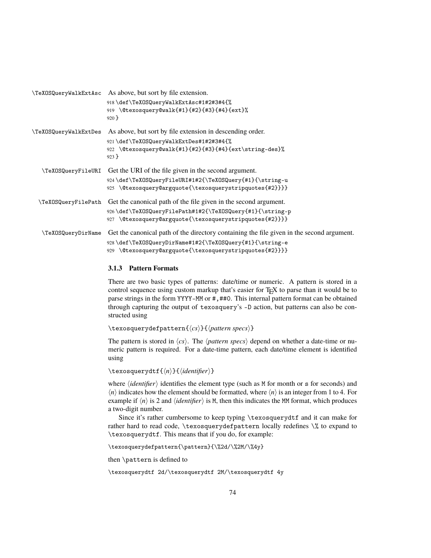| TeXOSQueryWalkExtAsc As above, but sort by file extension.                                |
|-------------------------------------------------------------------------------------------|
| 918\def\TeXOSQueryWalkExtAsc#1#2#3#4{%                                                    |
| 919 \@texosquery@walk{#1}{#2}{#3}{#4}{ext}%                                               |
| $920$ }                                                                                   |
| As above, but sort by file extension in descending order.                                 |
| 921 \def\TeXOSQueryWalkExtDes#1#2#3#4{%                                                   |
| 922 \@texosquery@walk{#1}{#2}{#3}{#4}{ext\string-des}%                                    |
| $923$ }                                                                                   |
| Get the URI of the file given in the second argument.                                     |
| 924\def\TeXOSQueryFileURI#1#2{\TeXOSQuery{#1}{\string-u                                   |
| \@texosquery@argquote{\texosquerystripquotes{#2}}}}<br>925                                |
| Get the canonical path of the file given in the second argument.                          |
| 926\def\TeXOSQueryFilePath#1#2{\TeXOSQuery{#1}{\string-p                                  |
| 927 \@texosquery@argquote{\texosquerystripquotes{#2}}}}                                   |
| Get the canonical path of the directory containing the file given in the second argument. |
| 928\def\TeXOSQueryDirName#1#2{\TeXOSQuery{#1}{\string-e                                   |
| 929 \@texosquery@argquote{\texosquerystripquotes{#2}}}}                                   |
|                                                                                           |

# **3.1.3 Pattern Formats**

There are two basic types of patterns: date/time or numeric. A pattern is stored in a control sequence using custom markup that's easier for T<sub>E</sub>X to parse than it would be to parse strings in the form YYYY-MM or #,##0. This internal pattern format can be obtained through capturing the output of texosquery's -D action, but patterns can also be constructed using

\texosquerydefpattern{ $\langle cs \rangle$ }{ $\langle pattern\,$  specs}}

The pattern is stored in  $\langle cs \rangle$ . The  $\langle pattern \, specs \rangle$  depend on whether a date-time or numeric pattern is required. For a date-time pattern, each date/time element is identified using

```
\texosquerydtf{\langle n \rangle}{\langleidentifier}}
```
where  $\langle identifier \rangle$  identifies the element type (such as M for month or s for seconds) and  $\langle n \rangle$  indicates how the element should be formatted, where  $\langle n \rangle$  is an integer from 1 to 4. For example if  $\langle n \rangle$  is 2 and  $\langle identifier \rangle$  is M, then this indicates the MM format, which produces a two-digit number.

Since it's rather cumbersome to keep typing \texosquerydtf and it can make for rather hard to read code, \texosquerydefpattern locally redefines \% to expand to \texosquerydtf. This means that if you do, for example:

```
\texosquerydefpattern{\pattern}{\%2d/\%2M/\%4y}
```
then \pattern is defined to

```
\texosquerydtf 2d/\texosquerydtf 2M/\texosquerydtf 4y
```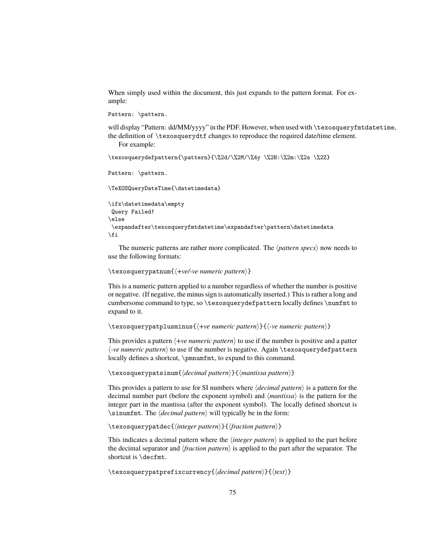When simply used within the document, this just expands to the pattern format. For example:

```
Pattern: \pattern.
```
will display "Pattern: dd/MM/yyyy" in the PDF. However, when used with \texosqueryfmtdatetime, the definition of \texosquerydtf changes to reproduce the required date/time element. For example:

```
\texosquerydefpattern{\pattern}{\%2d/\%2M/\%4y \%2H:\%2m:\%2s \%2Z}
```
Pattern: \pattern.

```
\TeXOSQueryDateTime{\datetimedata}
```

```
\ifx\datetimedata\empty
Query Failed!
\else
\expandafter\texosqueryfmtdatetime\expandafter\pattern\datetimedata
\fi
```
The numeric patterns are rather more complicated. The  $\langle pattern\, species \rangle$  now needs to use the following formats:

```
\texosquerypatnum{\+ve/-ve numeric pattern\}
```
This is a numeric pattern applied to a number regardless of whether the number is positive or negative. (If negative, the minus sign is automatically inserted.) This is rather a long and cumbersome command to type, so \texosquerydefpattern locally defines \numfmt to expand to it.

```
\texosquerypatplusminus{h+ve numeric patterni}{h-ve numeric patterni}
```
This provides a pattern  $\langle +ve \space numeric \space pattern \rangle$  to use if the number is positive and a patter  $\langle$ -ve numeric pattern $\rangle$  to use if the number is negative. Again  $\text{texer}$  rexosquerydefpattern locally defines a shortcut, \pmnumfmt, to expand to this command.

\texosquerypatsinum{\*decimal pattern*}}{\*mantissa pattern*}}

This provides a pattern to use for SI numbers where  $\langle decimal\ pattern \rangle$  is a pattern for the decimal number part (before the exponent symbol) and  $\langle$ *mantissa* $\rangle$  is the pattern for the integer part in the mantissa (after the exponent symbol). The locally defined shortcut is  $\sin \theta$ . The *decimal pattern*) will typically be in the form:

\texosquerypatdec{\integer pattern\}{\fraction pattern\}

This indicates a decimal pattern where the  $\langle$ *integer pattern* $\rangle$  is applied to the part before the decimal separator and *{fraction pattern}* is applied to the part after the separator. The shortcut is \decfmt.

\texosquerypatprefixcurrency{\*decimal pattern*}}{\/text}}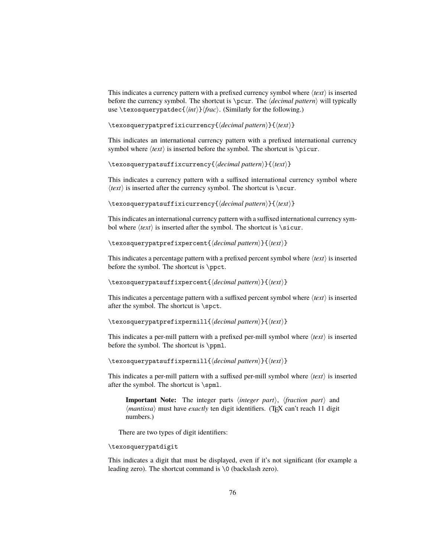This indicates a currency pattern with a prefixed currency symbol where  $\langle text \rangle$  is inserted before the currency symbol. The shortcut is \pcur. The  $\langle decimal\>pattern$  will typically use \texosquerypatdec{ $\langle int \rangle$ } $\langle frac \rangle$ . (Similarly for the following.)

\texosquerypatprefixicurrency{\*decimal pattern*}}{\*text*}}

This indicates an international currency pattern with a prefixed international currency symbol where  $\langle text \rangle$  is inserted before the symbol. The shortcut is \picur.

\texosquerypatsuffixcurrency{\*decimal pattern*}}{\/text}}

This indicates a currency pattern with a suffixed international currency symbol where  $\langle text \rangle$  is inserted after the currency symbol. The shortcut is  $\succeq$ .

\texosquerypatsuffixicurrency{\*decimal pattern*}}{\*text*}}

This indicates an international currency pattern with a suffixed international currency symbol where  $\langle text \rangle$  is inserted after the symbol. The shortcut is  $\succeq$  sicur.

\texosquerypatprefixpercent{\*decimal pattern*}}{\/text}}

This indicates a percentage pattern with a prefixed percent symbol where  $\langle text \rangle$  is inserted before the symbol. The shortcut is \ppct.

\texosquerypatsuffixpercent{\*decimal pattern*}}{\*text*}}

This indicates a percentage pattern with a suffixed percent symbol where  $\langle text \rangle$  is inserted after the symbol. The shortcut is \spct.

\texosquerypatprefixpermill{\*decimal pattern*}}{\/text}}

This indicates a per-mill pattern with a prefixed per-mill symbol where  $\langle text \rangle$  is inserted before the symbol. The shortcut is \ppml.

\texosquerypatsuffixpermill{\*decimal pattern*}}{\/text}}

This indicates a per-mill pattern with a suffixed per-mill symbol where  $\langle text \rangle$  is inserted after the symbol. The shortcut is \spml.

**Important Note:** The integer parts *(integer part)*, *(fraction part)* and  $\langle$ *mantissa*) must have *exactly* ten digit identifiers. (T<sub>E</sub>X can't reach 11 digit numbers.)

There are two types of digit identifiers:

\texosquerypatdigit

This indicates a digit that must be displayed, even if it's not significant (for example a leading zero). The shortcut command is \0 (backslash zero).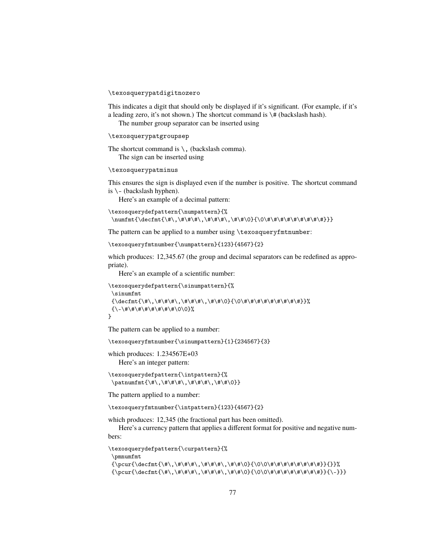### \texosquerypatdigitnozero

This indicates a digit that should only be displayed if it's significant. (For example, if it's a leading zero, it's not shown.) The shortcut command is  $\forall$  (backslash hash).

The number group separator can be inserted using

```
\texosquerypatgroupsep
```
The shortcut command is  $\setminus$ , (backslash comma). The sign can be inserted using

# \texosquerypatminus

This ensures the sign is displayed even if the number is positive. The shortcut command is  $\setminus$  – (backslash hyphen).

Here's an example of a decimal pattern:

```
\texosquerydefpattern{\numpattern}{%
\numfmt{\decfmt{\#\,\#\#\#\,\#\#\#\,\#\#\0}{\0\#\#\#\#\#\#\#\#\#\#}}}
```
The pattern can be applied to a number using \texosqueryfmtnumber:

```
\texosqueryfmtnumber{\numpattern}{123}{4567}{2}
```
which produces: 12,345.67 (the group and decimal separators can be redefined as appropriate).

Here's an example of a scientific number:

```
\texosquerydefpattern{\sinumpattern}{%
  \sinumfmt
  {\decfmt{\#\,\#\#\#\,\#\#\#\,\#\#\0}{\0\#\#\#\#\#\#\#\#\#}}%
 {\scriptstyle\{ \setminus - \backslash \# \setminus \# \setminus \# \setminus \# \setminus \# \setminus \# \setminus \emptyset \setminus 0 \}}}
```
The pattern can be applied to a number:

\texosqueryfmtnumber{\sinumpattern}{1}{234567}{3}

which produces: 1.234567E+03 Here's an integer pattern:

\texosquerydefpattern{\intpattern}{% \patnumfmt{\#\,\#\#\#\,\#\#\#\,\#\#\0}}

The pattern applied to a number:

\texosqueryfmtnumber{\intpattern}{123}{4567}{2}

which produces: 12,345 (the fractional part has been omitted).

Here's a currency pattern that applies a different format for positive and negative numbers:

\texosquerydefpattern{\curpattern}{%

\pmnumfmt

```
{\pcur{\decfmt{\#\,\#\#\#\,\#\#\#\,\#\#\0}{\0\0\#\#\#\#\#\#\#\#}}{}}%
{\pcur{\decfmt{\#\,\#\#\#\,\#\#\#\,\#\#\0}{\0\0\#\#\#\#\#\#\#\#}}{\-}}}
```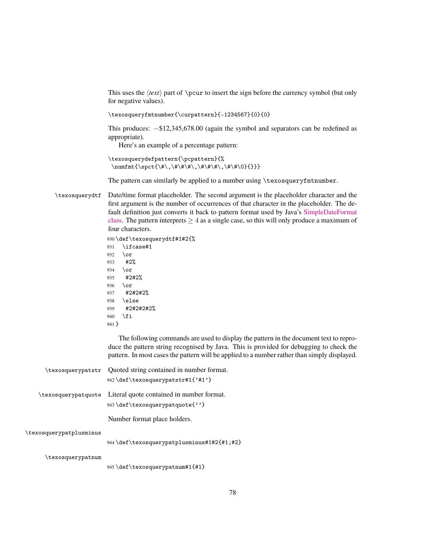This uses the  $\text{text}$  part of  $\text{year}$  to insert the sign before the currency symbol (but only for negative values).

\texosqueryfmtnumber{\curpattern}{-1234567}{0}{0}

This produces: −\$12,345,678.00 (again the symbol and separators can be redefined as appropriate).

Here's an example of a percentage pattern:

```
\texosquerydefpattern{\pcpattern}{%
\numfmt{\spct{\#\,\#\#\#\,\#\#\#\,\#\#\0}{}}}
```
The pattern can similarly be applied to a number using \texosqueryfmtnumber.

\texosquerydtf Date/time format placeholder. The second argument is the placeholder character and the first argument is the number of occurrences of that character in the placeholder. The default definition just converts it back to pattern format used by Java's [SimpleDateFormat](http://docs.oracle.com/javase/8/docs/api/java/text/SimpleDateFormat.html) [class.](http://docs.oracle.com/javase/8/docs/api/java/text/SimpleDateFormat.html) The pattern interprets  $\geq 4$  as a single case, so this will only produce a maximum of four characters.

> 930 \def\texosquerydtf#1#2{% 931 \ifcase#1 932 \or 933 #2% 934 \or 935 #2#2% 936 \or

```
937 #2#2#2%
938 \else
939 #2#2#2#2%
940 \fi
```
941 }

The following commands are used to display the pattern in the document text to reproduce the pattern string recognised by Java. This is provided for debugging to check the pattern. In most cases the pattern will be applied to a number rather than simply displayed.

|                         | \texosquerypatstr Quoted string contained in number format.<br>942 \def \texosquerypatstr#1{'#1'} |
|-------------------------|---------------------------------------------------------------------------------------------------|
| \texosquerypatquote     | Literal quote contained in number format.<br>943 \def \texosquerypatquote{''}                     |
|                         | Number format place holders.                                                                      |
| \texosquerypatplusminus | 944 \def \texosquerypatplusminus#1#2{#1;#2}                                                       |
| \texosquerypatnum       |                                                                                                   |

945 \def\texosquerypatnum#1{#1}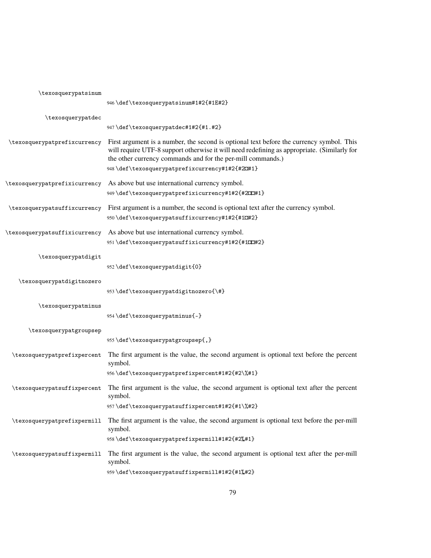| \texosquerypatsinum           |                                                                                                                                                                                                                                                                                                          |
|-------------------------------|----------------------------------------------------------------------------------------------------------------------------------------------------------------------------------------------------------------------------------------------------------------------------------------------------------|
|                               | 946\def\texosquerypatsinum#1#2{#1E#2}                                                                                                                                                                                                                                                                    |
| \texosquerypatdec             |                                                                                                                                                                                                                                                                                                          |
|                               | 947\def\texosquerypatdec#1#2{#1.#2}                                                                                                                                                                                                                                                                      |
| \texosquerypatprefixcurrency  | First argument is a number, the second is optional text before the currency symbol. This<br>will require UTF-8 support otherwise it will need redefining as appropriate. (Similarly for<br>the other currency commands and for the per-mill commands.)<br>948\def\texosquerypatprefixcurrency#1#2{#2O#1} |
| \texosquerypatprefixicurrency | As above but use international currency symbol.                                                                                                                                                                                                                                                          |
|                               | 949\def\texosquerypatprefixicurrency#1#2{#200#1}                                                                                                                                                                                                                                                         |
| \texosquerypatsuffixcurrency  | First argument is a number, the second is optional text after the currency symbol.                                                                                                                                                                                                                       |
|                               | 950\def\texosquerypatsuffixcurrency#1#2{#1C#2}                                                                                                                                                                                                                                                           |
| \texosquerypatsuffixicurrency | As above but use international currency symbol.                                                                                                                                                                                                                                                          |
|                               | 951\def\texosquerypatsuffixicurrency#1#2{#100#2}                                                                                                                                                                                                                                                         |
| \texosquerypatdigit           |                                                                                                                                                                                                                                                                                                          |
|                               | 952\def\texosquerypatdigit{0}                                                                                                                                                                                                                                                                            |
| \texosquerypatdigitnozero     |                                                                                                                                                                                                                                                                                                          |
|                               | 953\def\texosquerypatdigitnozero{\#}                                                                                                                                                                                                                                                                     |
| \texosquerypatminus           |                                                                                                                                                                                                                                                                                                          |
|                               | 954\def\texosquerypatminus{-}                                                                                                                                                                                                                                                                            |
| \texosquerypatgroupsep        |                                                                                                                                                                                                                                                                                                          |
|                               | 955\def\texosquerypatgroupsep{,}                                                                                                                                                                                                                                                                         |
| \texosquerypatprefixpercent   | The first argument is the value, the second argument is optional text before the percent<br>symbol.                                                                                                                                                                                                      |
|                               | 956\def\texosquerypatprefixpercent#1#2{#2\%#1}                                                                                                                                                                                                                                                           |
| \texosquerypatsuffixpercent   | The first argument is the value, the second argument is optional text after the percent<br>symbol.                                                                                                                                                                                                       |
|                               | 957\def\texosquerypatsuffixpercent#1#2{#1\%#2}                                                                                                                                                                                                                                                           |
| \texosquerypatprefixpermill   | The first argument is the value, the second argument is optional text before the per-mill<br>symbol.                                                                                                                                                                                                     |
|                               | 958\def\texosquerypatprefixpermill#1#2{#2}#1}                                                                                                                                                                                                                                                            |
| \texosquerypatsuffixpermill   | The first argument is the value, the second argument is optional text after the per-mill<br>symbol.                                                                                                                                                                                                      |
|                               | 959\def\texosquerypatsuffixpermill#1#2{#1%#2}                                                                                                                                                                                                                                                            |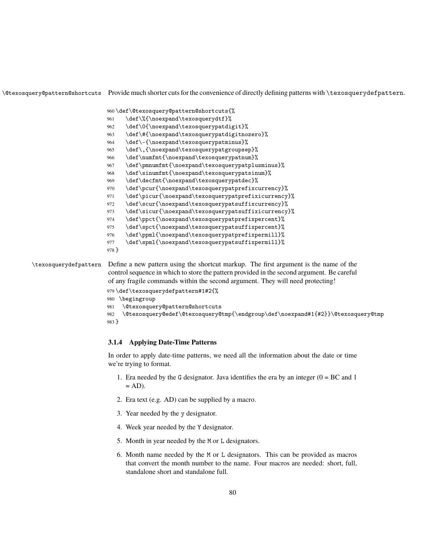\@texosquery@pattern@shortcuts Provide much shorter cuts for the convenience of directly defining patterns with \texosquerydefpattern.

```
960 \def\@texosquery@pattern@shortcuts{%
                      961 \def\%{\noexpand\texosquerydtf}%
                      962 \def\0{\noexpand\texosquerypatdigit}%
                      963 \def\#{\noexpand\texosquerypatdigitnozero}%
                      964 \def\-{\noexpand\texosquerypatminus}%
                      965 \def\,{\noexpand\texosquerypatgroupsep}%
                      966 \def\numfmt{\noexpand\texosquerypatnum}%
                      967 \def\pmnumfmt{\noexpand\texosquerypatplusminus}%
                      968 \def\sinumfmt{\noexpand\texosquerypatsinum}%
                      969 \def\decfmt{\noexpand\texosquerypatdec}%
                      970 \def\pcur{\noexpand\texosquerypatprefixcurrency}%
                      971 \def\picur{\noexpand\texosquerypatprefixicurrency}%
                      972 \def\scur{\noexpand\texosquerypatsuffixcurrency}%
                      973 \def\sicur{\noexpand\texosquerypatsuffixicurrency}%
                      974 \def\ppct{\noexpand\texosquerypatprefixpercent}%
                      975 \def\spct{\noexpand\texosquerypatsuffixpercent}%
                      976 \def\ppml{\noexpand\texosquerypatprefixpermill}%
                      977 \def\spml{\noexpand\texosquerypatsuffixpermill}%
                      978 }
\texosquerydefpattern Define a new pattern using the shortcut markup. The first argument is the name of the
```
control sequence in which to store the pattern provided in the second argument. Be careful of any fragile commands within the second argument. They will need protecting!

```
979 \def\texosquerydefpattern#1#2{%
980 \begingroup
981 \@texosquery@pattern@shortcuts
982 \@texosquery@edef\@texosquery@tmp{\endgroup\def\noexpand#1{#2}}\@texosquery@tmp
983 }
```
# **3.1.4 Applying Date-Time Patterns**

In order to apply date-time patterns, we need all the information about the date or time we're trying to format.

- 1. Era needed by the G designator. Java identifies the era by an integer  $(0 = BC \text{ and } 1)$  $= AD$ ).
- 2. Era text (e.g. AD) can be supplied by a macro.
- 3. Year needed by the y designator.
- 4. Week year needed by the Y designator.
- 5. Month in year needed by the M or L designators.
- 6. Month name needed by the M or L designators. This can be provided as macros that convert the month number to the name. Four macros are needed: short, full, standalone short and standalone full.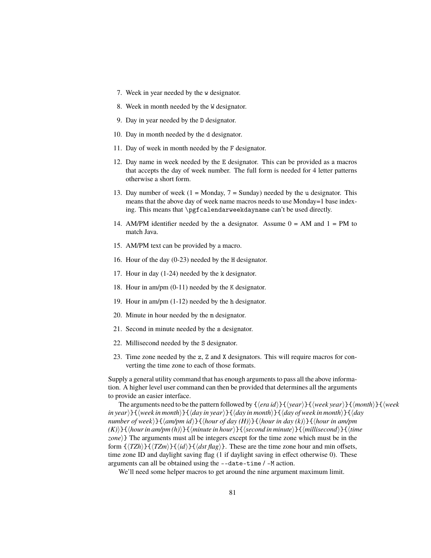- 7. Week in year needed by the w designator.
- 8. Week in month needed by the W designator.
- 9. Day in year needed by the D designator.
- 10. Day in month needed by the d designator.
- 11. Day of week in month needed by the F designator.
- 12. Day name in week needed by the E designator. This can be provided as a macros that accepts the day of week number. The full form is needed for 4 letter patterns otherwise a short form.
- 13. Day number of week  $(1 = \text{Monday}, 7 = \text{Sunday})$  needed by the u designator. This means that the above day of week name macros needs to use Monday=1 base indexing. This means that \pgfcalendarweekdayname can't be used directly.
- 14. AM/PM identifier needed by the a designator. Assume  $0 = AM$  and  $1 = PM$  to match Java.
- 15. AM/PM text can be provided by a macro.
- 16. Hour of the day (0-23) needed by the H designator.
- 17. Hour in day (1-24) needed by the k designator.
- 18. Hour in am/pm (0-11) needed by the K designator.
- 19. Hour in am/pm (1-12) needed by the h designator.
- 20. Minute in hour needed by the m designator.
- 21. Second in minute needed by the s designator.
- 22. Millisecond needed by the S designator.
- 23. Time zone needed by the z, Z and X designators. This will require macros for converting the time zone to each of those formats.

Supply a general utility command that has enough arguments to pass all the above information. A higher level user command can then be provided that determines all the arguments to provide an easier interface.

The arguments need to be the pattern followed by  $\{\langle era \, id \rangle\}\{\langle year \rangle\}\{\langle week \, year \rangle\}\{\langle month \rangle\}\{\langle week$ *in year*i}{h*week in month*i}{h*day in year*i}{h*day in month*i}{h*day of week in month*i}{h*day number of week*}}{ $\{am/pm id\}$ }{ $\{hour of day(H)\}$ }{ $\{hour in day (k)\}$ }{ $\{hour in am/pm$  $(K)$ } $\{\langle hour\ in\ am/pm(h)\rangle\}\{\langle minute\ in\ hour\rangle\}\{\langle second\ in\ minute\rangle\}\{\langle millisecond\rangle\}\{\langle time\}\$ zone)} The arguments must all be integers except for the time zone which must be in the form  $\{\langle TZh \rangle\}$  $\{\langle TZm \rangle\}$  $\{\langle dd \rangle\}$  $\{\langle dsf \text{ flag} \rangle\}$ . These are the time zone hour and min offsets, time zone ID and daylight saving flag (1 if daylight saving in effect otherwise 0). These arguments can all be obtained using the --date-time / -M action.

We'll need some helper macros to get around the nine argument maximum limit.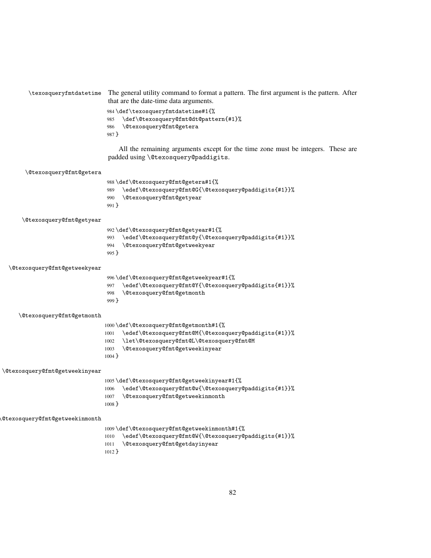| \texosqueryfmtdatetime                | The general utility command to format a pattern. The first argument is the pattern. After<br>that are the date-time data arguments. |
|---------------------------------------|-------------------------------------------------------------------------------------------------------------------------------------|
|                                       | 984\def\texosqueryfmtdatetime#1{%                                                                                                   |
|                                       | \def\@texosquery@fmt@dt@pattern{#1}%<br>985                                                                                         |
|                                       | <i><b>\@texosquery@fmt@getera</b></i><br>986                                                                                        |
|                                       | 987 }                                                                                                                               |
|                                       | All the remaining arguments except for the time zone must be integers. These are                                                    |
|                                       | padded using \@texosquery@paddigits.                                                                                                |
| <i><b>\@texosquery@fmt@getera</b></i> |                                                                                                                                     |
|                                       | 988\def\@texosquery@fmt@getera#1{%                                                                                                  |
|                                       | \edef\@texosquery@fmt@G{\@texosquery@paddigits{#1}}%<br>989                                                                         |
|                                       | \@texosquery@fmt@getyear<br>990                                                                                                     |
|                                       | 991 }                                                                                                                               |
| \@texosquery@fmt@getyear              |                                                                                                                                     |
|                                       | 992\def\@texosquery@fmt@getyear#1{%                                                                                                 |
|                                       | \edef\@texosquery@fmt@y{\@texosquery@paddigits{#1}}%<br>993                                                                         |
|                                       | \@texosquery@fmt@getweekyear<br>994                                                                                                 |
|                                       | 995 }                                                                                                                               |
| \@texosquery@fmt@getweekyear          |                                                                                                                                     |
|                                       | 996\def\@texosquery@fmt@getweekyear#1{%                                                                                             |
|                                       | \edef\@texosquery@fmt@Y{\@texosquery@paddigits{#1}}%<br>997                                                                         |
|                                       | \@texosquery@fmt@getmonth<br>998                                                                                                    |
|                                       | $999$ }                                                                                                                             |
| \@texosquery@fmt@getmonth             |                                                                                                                                     |
|                                       | 1000 \def \@texosquery@fmt@getmonth#1{%                                                                                             |
|                                       | \edef\@texosquery@fmt@M{\@texosquery@paddigits{#1}}%<br>1001                                                                        |
|                                       | \let\@texosquery@fmt@L\@texosquery@fmt@M<br>1002                                                                                    |
|                                       | \@texosquery@fmt@getweekinyear<br>1003                                                                                              |
|                                       | $1004$ }                                                                                                                            |
| \@texosquery@fmt@getweekinyear        |                                                                                                                                     |
|                                       | 1005\def\@texosquery@fmt@getweekinyear#1{%                                                                                          |
|                                       | \edef\@texosquery@fmt@w{\@texosquery@paddigits{#1}}%<br>1006                                                                        |
|                                       | \@texosquery@fmt@getweekinmonth<br>1007<br>$1008 \}$                                                                                |
| <b>@texosquery@fmt@getweekinmonth</b> |                                                                                                                                     |
|                                       | 1009\def\@texosquery@fmt@getweekinmonth#1{%                                                                                         |
|                                       | \edef\@texosquery@fmt@W{\@texosquery@paddigits{#1}}%<br>1010                                                                        |
|                                       | \@texosquery@fmt@getdayinyear<br>1011                                                                                               |

}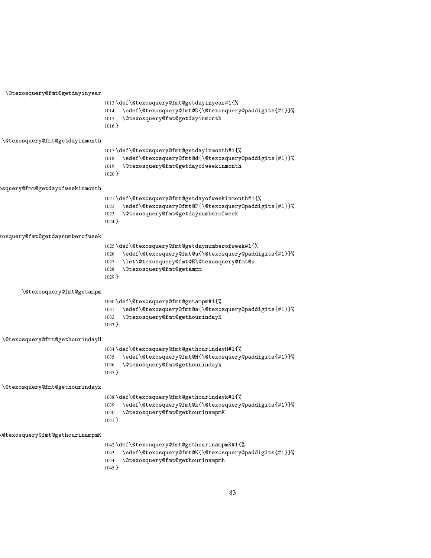| \@texosquery@fmt@getdayinyear           |                                                                                                                                                                                                                   |
|-----------------------------------------|-------------------------------------------------------------------------------------------------------------------------------------------------------------------------------------------------------------------|
|                                         | 1013\def\@texosquery@fmt@getdayinyear#1{%<br>\edef\@texosquery@fmt@D{\@texosquery@paddigits{#1}}%<br>1014<br>\@texosquery@fmt@getdayinmonth<br>1015<br>$1016$ }                                                   |
| \@texosquery@fmt@getdayinmonth          |                                                                                                                                                                                                                   |
|                                         | 1017\def\@texosquery@fmt@getdayinmonth#1{%<br>\edef\@texosquery@fmt@d{\@texosquery@paddigits{#1}}%<br>1018<br>\@texosquery@fmt@getdayofweekinmonth<br>1019<br>$1020$ }                                            |
| bsquery@fmt@getdayofweekinmonth         |                                                                                                                                                                                                                   |
|                                         | 1021\def\@texosquery@fmt@getdayofweekinmonth#1{%<br>\edef\@texosquery@fmt@F{\@texosquery@paddigits{#1}}%<br>1022<br>\@texosquery@fmt@getdaynumberofweek<br>1023<br>$1024$ }                                       |
| kosquery@fmt@getdaynumberofweek         |                                                                                                                                                                                                                   |
|                                         | 1025\def\@texosquery@fmt@getdaynumberofweek#1{%<br>\edef\@texosquery@fmt@u{\@texosquery@paddigits{#1}}%<br>1026<br>\let\@texosquery@fmt@E\@texosquery@fmt@u<br>1027<br>\@texosquery@fmt@getampm<br>1028<br>1029 } |
| \@texosquery@fmt@getampm                |                                                                                                                                                                                                                   |
|                                         | 1030\def\@texosquery@fmt@getampm#1{%<br>\edef\@texosquery@fmt@a{\@texosquery@paddigits{#1}}%<br>1031<br>\@texosquery@fmt@gethourindayH<br>1032<br>$1033$ }                                                        |
| \@texosquery@fmt@gethourindayH          |                                                                                                                                                                                                                   |
|                                         | 1034\def\@texosquery@fmt@gethourindayH#1{%<br>\edef\@texosquery@fmt@H{\@texosquery@paddigits{#1}}%<br>1035<br>\@texosquery@fmt@gethourindayk<br>1036<br>$1037$ }                                                  |
| \@texosquery@fmt@gethourindayk          |                                                                                                                                                                                                                   |
|                                         | 1038\def\@texosquery@fmt@gethourindayk#1{%<br>1039 \edef\@texosquery@fmt@k{\@texosquery@paddigits{#1}}%<br>\@texosquery@fmt@gethourinampmK<br>1040<br>$1041$ }                                                    |
| $\verb @texosquery@fmt@gethourinampmK $ |                                                                                                                                                                                                                   |
|                                         | 1042\def\@texosquery@fmt@gethourinampmK#1{%<br>\edef\@texosquery@fmt@K{\@texosquery@paddigits{#1}}%<br>1043<br>\@texosquery@fmt@gethourinampmh<br>1044<br>$1045$ }                                                |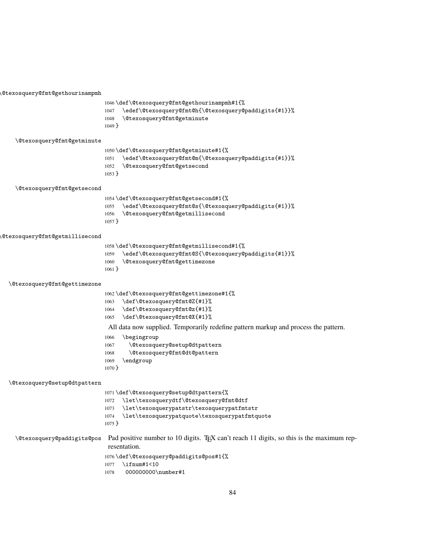\@texosquery@fmt@gethourinampmh \def\@texosquery@fmt@gethourinampmh#1{% \edef\@texosquery@fmt@h{\@texosquery@paddigits{#1}}% \@texosquery@fmt@getminute } \@texosquery@fmt@getminute \def\@texosquery@fmt@getminute#1{% \edef\@texosquery@fmt@m{\@texosquery@paddigits{#1}}% \@texosquery@fmt@getsecond } \@texosquery@fmt@getsecond \def\@texosquery@fmt@getsecond#1{% \edef\@texosquery@fmt@s{\@texosquery@paddigits{#1}}% \@texosquery@fmt@getmillisecond } \@texosquery@fmt@getmillisecond \def\@texosquery@fmt@getmillisecond#1{% \edef\@texosquery@fmt@S{\@texosquery@paddigits{#1}}% \@texosquery@fmt@gettimezone } \@texosquery@fmt@gettimezone \def\@texosquery@fmt@gettimezone#1{% \def\@texosquery@fmt@Z{#1}% \def\@texosquery@fmt@z{#1}% \def\@texosquery@fmt@X{#1}% All data now supplied. Temporarily redefine pattern markup and process the pattern. \begingroup \@texosquery@setup@dtpattern \@texosquery@fmt@dt@pattern \endgroup } \@texosquery@setup@dtpattern \def\@texosquery@setup@dtpattern{% \let\texosquerydtf\@texosquery@fmt@dtf \let\texosquerypatstr\texosquerypatfmtstr \let\texosquerypatquote\texosquerypatfmtquote } \@texosquery@paddigits@pos Pad positive number to 10 digits. TEX can't reach 11 digits, so this is the maximum representation. \def\@texosquery@paddigits@pos#1{% \ifnum#1<10 000000000\number#1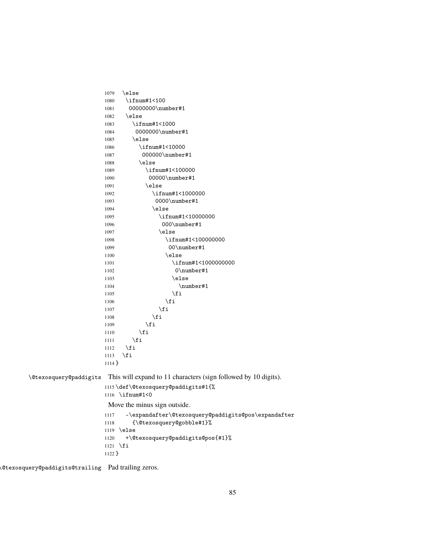1079 \else 1080 \ifnum#1<100 1081 00000000\number#1 1082 \else 1083 \ifnum#1<1000 1084 0000000\number#1 1085 \else 1086 \ifnum#1<10000 1087 000000\number#1 1088 \else 1089 \ifnum#1<100000 1090 00000\number#1 1091 \else 1092 \ifnum#1<1000000 1093 0000\number#1 1094 \else 1095 \ifnum#1<10000000 1096 000\number#1 1097 \else 1098 \ifnum#1<1000000000 1099 00\number#1 1100 \else 1101 \ifnum#1<1000000000 1102 0\number#1 1103 \else 1104 \number#1  $1105$  \fi  $1106 \quad \text{if}$  $1107$  \fi  $1108$  \fi 1109  $\qquad \qquad \int f$ i 1110  $\qquad \qquad \int f$ i  $1111$  \fi 1112  $\ifmmode \text{1112}\else$  1112  $\ifmmode \text{1112}\else$  1112  $\fi$  $1113$  \fi 1114 } \@texosquery@paddigits This will expand to 11 characters (sign followed by 10 digits). 1115 \def\@texosquery@paddigits#1{% 1116 \ifnum#1<0 Move the minus sign outside. 1117 -\expandafter\@texosquery@paddigits@pos\expandafter 1118 {\@texosquery@gobble#1}% 1119 \else 1120 +\@texosquery@paddigits@pos{#1}% 1121 \fi 1122 }

\@texosquery@paddigits@trailing Pad trailing zeros.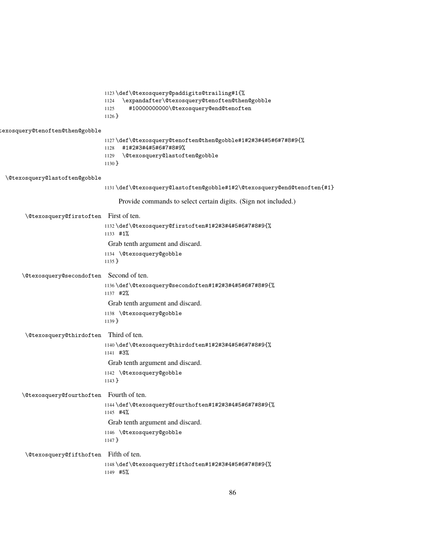|                                         | ll23\def\@texosquery@paddigits@trailing#1{%<br>\expandafter\@texosquery@tenoften@then@gobble<br>1124<br>#10000000000\@texosquery@end@tenoften<br>1125<br>$1126$ } |
|-----------------------------------------|-------------------------------------------------------------------------------------------------------------------------------------------------------------------|
| cexosquery@tenoften@then@gobble         | ll27\def\@texosquery@tenoften@then@gobble#1#2#3#4#5#6#7#8#9{%<br>#1#2#3#4#5#6#7#8#9%<br>1128<br>\@texosquery@lastoften@gobble<br>1129<br>$1130$ }                 |
| \@texosquery@lastoften@gobble           |                                                                                                                                                                   |
|                                         | ll3l \def\@texosquery@lastoften@gobble#1#2\@texosquery@end@tenoften{#1}                                                                                           |
|                                         | Provide commands to select certain digits. (Sign not included.)                                                                                                   |
| \@texosquery@firstoften First of ten.   | ll32\def\@texosquery@firstoften#1#2#3#4#5#6#7#8#9{%<br>$1133$ #1%                                                                                                 |
|                                         | Grab tenth argument and discard.<br>1134 \@texosquery@gobble<br>$1135$ }                                                                                          |
| \@texosquery@secondoften Second of ten. | ll36\def\@texosquery@secondoften#1#2#3#4#5#6#7#8#9{%<br>1137 #2%                                                                                                  |
|                                         | Grab tenth argument and discard.<br>1138 \@texosquery@gobble<br>$1139$ }                                                                                          |
| \@texosquery@thirdoften Third of ten.   | ll40\def\@texosquery@thirdoften#1#2#3#4#5#6#7#8#9{%<br>1141 #3%                                                                                                   |
|                                         | Grab tenth argument and discard.<br>1142 \@texosquery@gobble<br>$1143$ }                                                                                          |
| \@texosquery@fourthoften Fourth of ten. |                                                                                                                                                                   |
|                                         | ll44\def\@texosquery@fourthoften#1#2#3#4#5#6#7#8#9{%<br>1145 #4%                                                                                                  |
|                                         | Grab tenth argument and discard.<br>1146 \@texosquery@gobble                                                                                                      |
|                                         | 1147 }                                                                                                                                                            |
| \@texosquery@fifthoften Fifth of ten.   |                                                                                                                                                                   |
|                                         | ll48\def\@texosquery@fifthoften#1#2#3#4#5#6#7#8#9{%<br>1149 #5%                                                                                                   |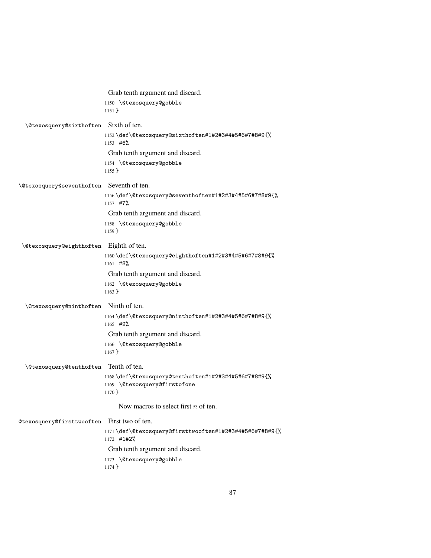|                                       | Grab tenth argument and discard.                                                                |
|---------------------------------------|-------------------------------------------------------------------------------------------------|
|                                       | 1150 \@texosquery@gobble<br>$1151$ }                                                            |
| \@texosquery@sixthoften               | Sixth of ten.                                                                                   |
|                                       | ll52\def\@texosquery@sixthoften#1#2#3#4#5#6#7#8#9{%<br>1153 #6%                                 |
|                                       | Grab tenth argument and discard.                                                                |
|                                       | 1154 \@texosquery@gobble<br>$1155$ }                                                            |
| <b>\@texosquery@seventhoften</b>      | Seventh of ten.                                                                                 |
|                                       | ll56\def\@texosquery@seventhoften#1#2#3#4#5#6#7#8#9{%<br>1157 #7%                               |
|                                       | Grab tenth argument and discard.                                                                |
|                                       | 1158 \@texosquery@gobble<br>$1159$ }                                                            |
| \@texosquery@eighthoften              | Eighth of ten.                                                                                  |
|                                       | ll60\def\@texosquery@eighthoften#1#2#3#4#5#6#7#8#9{%<br>1161 #8%                                |
|                                       | Grab tenth argument and discard.                                                                |
|                                       | 1162 \@texosquery@gobble<br>$1163$ }                                                            |
| <b>\@texosquery@ninthoften</b>        | Ninth of ten.                                                                                   |
|                                       | ll64\def\@texosquery@ninthoften#1#2#3#4#5#6#7#8#9{%<br>1165 #9%                                 |
|                                       | Grab tenth argument and discard.                                                                |
|                                       | 1166 \@texosquery@gobble<br>$1167$ }                                                            |
| <i><b>\@texosquery@tenthoften</b></i> | Tenth of ten.                                                                                   |
|                                       | ll68\def\@texosquery@tenthoften#1#2#3#4#5#6#7#8#9{%<br>1169 \@texosquery@firstofone<br>$1170$ } |
|                                       | Now macros to select first $n$ of ten.                                                          |
| @texosquery@firsttwooften             | First two of ten.                                                                               |
|                                       | 1171\def\@texosquery@firsttwooften#1#2#3#4#5#6#7#8#9{%<br>1172 #1#2%                            |
|                                       | Grab tenth argument and discard.                                                                |
|                                       | 1173 \@texosquery@gobble<br>1174 }                                                              |
|                                       |                                                                                                 |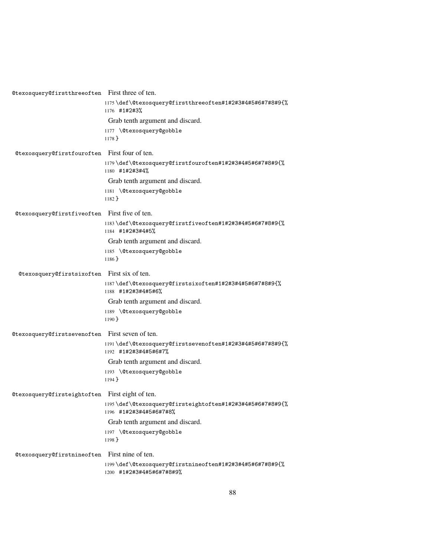| @texosquery@firstthreeoften First three of ten. |                                                                                     |
|-------------------------------------------------|-------------------------------------------------------------------------------------|
|                                                 | 1175\def\@texosquery@firstthreeoften#1#2#3#4#5#6#7#8#9{%<br>1176 #1#2#3%            |
|                                                 | Grab tenth argument and discard.                                                    |
|                                                 | 1177 \@texosquery@gobble                                                            |
|                                                 | $1178$ }                                                                            |
| @texosquery@firstfouroften First four of ten.   |                                                                                     |
|                                                 | ll79\def\@texosquery@firstfouroften#1#2#3#4#5#6#7#8#9{%<br>1180 #1#2#3#4%           |
|                                                 | Grab tenth argument and discard.                                                    |
|                                                 | 1181 \@texosquery@gobble<br>$1182$ }                                                |
| @texosquery@firstfiveoften First five of ten.   |                                                                                     |
|                                                 | 1183\def\@texosquery@firstfiveoften#1#2#3#4#5#6#7#8#9{%<br>1184 #1#2#3#4#5%         |
|                                                 | Grab tenth argument and discard.                                                    |
|                                                 | 1185 \@texosquery@gobble<br>$1186$ }                                                |
| @texosquery@firstsixoften                       | First six of ten.                                                                   |
|                                                 | ll87\def\@texosquery@firstsixoften#1#2#3#4#5#6#7#8#9{%<br>1188 #1#2#3#4#5#6%        |
|                                                 | Grab tenth argument and discard.                                                    |
|                                                 | 1189 \@texosquery@gobble<br>$1190$ }                                                |
| @texosquery@firstsevenoften First seven of ten. |                                                                                     |
|                                                 | ll91\def\@texosquery@firstsevenoften#1#2#3#4#5#6#7#8#9{%<br>1192 #1#2#3#4#5#6#7%    |
|                                                 | Grab tenth argument and discard.                                                    |
|                                                 | 1193 \@texosquery@gobble<br>$1194$ }                                                |
| @texosquery@firsteightoften Firsteight of ten.  |                                                                                     |
|                                                 | ll95\def\@texosquery@firsteightoften#1#2#3#4#5#6#7#8#9{%<br>1196 #1#2#3#4#5#6#7#8%  |
|                                                 | Grab tenth argument and discard.                                                    |
|                                                 | 1197 \@texosquery@gobble<br>$1198$ }                                                |
| @texosquery@firstnineoften                      | First nine of ten.                                                                  |
|                                                 | ll99\def\@texosquery@firstnineoften#1#2#3#4#5#6#7#8#9{%<br>1200 #1#2#3#4#5#6#7#8#9% |
|                                                 |                                                                                     |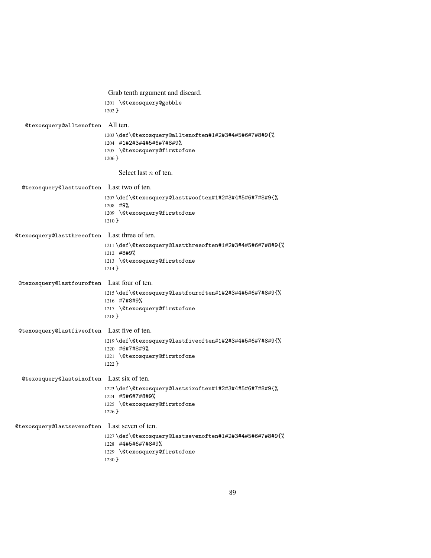|                                               | Grab tenth argument and discard.                                                                                             |
|-----------------------------------------------|------------------------------------------------------------------------------------------------------------------------------|
|                                               | 1201 \@texosquery@gobble<br>$1202$ }                                                                                         |
| @texosquery@alltenoften                       | All ten.                                                                                                                     |
|                                               | 1203\def\@texosquery@alltenoften#1#2#3#4#5#6#7#8#9{%<br>1204 #1#2#3#4#5#6#7#8#9%<br>1205 \@texosquery@firstofone<br>$1206$ } |
|                                               | Select last $n$ of ten.                                                                                                      |
| @texosquery@lasttwooften Last two of ten.     |                                                                                                                              |
|                                               | 1207\def\@texosquery@lasttwooften#1#2#3#4#5#6#7#8#9{%<br>1208 #9%                                                            |
|                                               | 1209 \@texosquery@firstofone<br>$1210$ }                                                                                     |
| @texosquery@lastthreeoften Last three of ten. |                                                                                                                              |
|                                               | l211\def\@texosquery@lastthreeoften#1#2#3#4#5#6#7#8#9{%<br>1212 #8#9%<br>1213 \@texosquery@firstofone<br>$1214$ }            |
| @texosquery@lastfouroften Last four of ten.   |                                                                                                                              |
|                                               | l215\def\@texosquery@lastfouroften#1#2#3#4#5#6#7#8#9{%<br>1216 #7#8#9%<br>1217 \@texosquery@firstofone<br>$1218$ }           |
| @texosquery@lastfiveoften                     | Last five of ten.                                                                                                            |
|                                               | l219\def\@texosquery@lastfiveoften#1#2#3#4#5#6#7#8#9{%<br>1220 #6#7#8#9%<br>1221 \@texosquery@firstofone<br>$1222$ }         |
| @texosquery@lastsixoften Last six of ten.     |                                                                                                                              |
|                                               | l223\def\@texosquery@lastsixoften#1#2#3#4#5#6#7#8#9{%<br>1224 #5#6#7#8#9%<br>1225 \@texosquery@firstofone<br>$1226$ }        |
| @texosquery@lastsevenoften                    | Last seven of ten.                                                                                                           |
|                                               | 1227\def\@texosquery@lastsevenoften#1#2#3#4#5#6#7#8#9{%<br>1228 #4#5#6#7#8#9%<br>1229 \@texosquery@firstofone<br>$1230$ }    |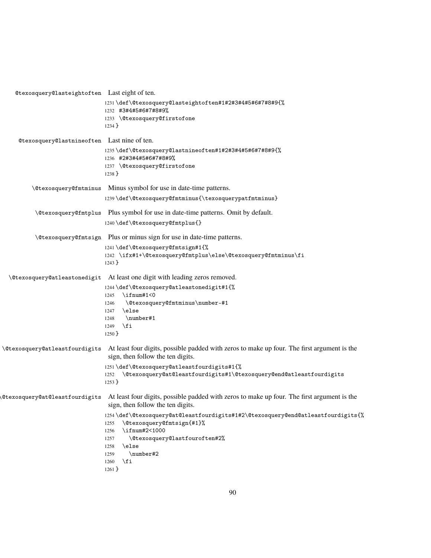| Otexosquery Clasteight often Last eight of ten. |                                                                                                                                  |
|-------------------------------------------------|----------------------------------------------------------------------------------------------------------------------------------|
|                                                 | 1231 \def\@texosquery@lasteightoften#1#2#3#4#5#6#7#8#9{%<br>1232 #3#4#5#6#7#8#9%<br>1233 \@texosquery@firstofone                 |
|                                                 | 1234 }                                                                                                                           |
| @texosquery@lastnineoften Lastnine of ten.      |                                                                                                                                  |
|                                                 | 1235\def\@texosquery@lastnineoften#1#2#3#4#5#6#7#8#9{%<br>1236 #2#3#4#5#6#7#8#9%                                                 |
|                                                 | 1237 \@texosquery@firstofone<br>$1238$ }                                                                                         |
|                                                 | \@texosquery@fmtminus Minus symbol for use in date-time patterns.                                                                |
|                                                 | 1239\def\@texosquery@fmtminus{\texosquerypatfmtminus}                                                                            |
| <i><b>\@texosquery@fmtplus</b></i>              | Plus symbol for use in date-time patterns. Omit by default.                                                                      |
|                                                 | 1240\def\@texosquery@fmtplus{}                                                                                                   |
|                                                 | \@texosquery@fmtsign Plus or minus sign for use in date-time patterns.                                                           |
|                                                 | 1241\def\@texosquery@fmtsign#1{%                                                                                                 |
|                                                 | 1242 \ifx#1+\@texosquery@fmtplus\else\@texosquery@fmtminus\fi<br>$1243$ }                                                        |
| <i><b>\@texosquery@atleastonedigit</b></i>      | At least one digit with leading zeros removed.                                                                                   |
|                                                 | 1244\def\@texosquery@atleastonedigit#1{%<br>$\iintnum#1<0$                                                                       |
|                                                 | 1245<br>\@texosquery@fmtminus\number-#1<br>1246                                                                                  |
|                                                 | \else<br>1247                                                                                                                    |
|                                                 | \number#1<br>1248<br>∖fi<br>1249                                                                                                 |
|                                                 | $1250$ }                                                                                                                         |
| \@texosquery@atleastfourdigits                  | At least four digits, possible padded with zeros to make up four. The first argument is the<br>sign, then follow the ten digits. |
|                                                 | 1251\def\@texosquery@atleastfourdigits#1{%                                                                                       |
|                                                 | 1252 \@dtexosquery@at@leastfourdigits#1\@texosquery@end@atleastfourdigits<br>$1253$ }                                            |
| <b>@texosquery@at@leastfourdigits</b>           | At least four digits, possible padded with zeros to make up four. The first argument is the<br>sign, then follow the ten digits. |
|                                                 | l254\def\@texosquery@at@leastfourdigits#1#2\@texosquery@end@atleastfourdigits{%<br>\@texosquery@fmtsign{#1}%<br>1255             |
|                                                 | \ifnum#2<1000<br>1256                                                                                                            |
|                                                 | \@texosquery@lastfouroften#2%<br>1257<br>\else<br>1258                                                                           |
|                                                 | \number#2<br>1259                                                                                                                |
|                                                 | \fi<br>1260                                                                                                                      |
|                                                 | $1261$ }                                                                                                                         |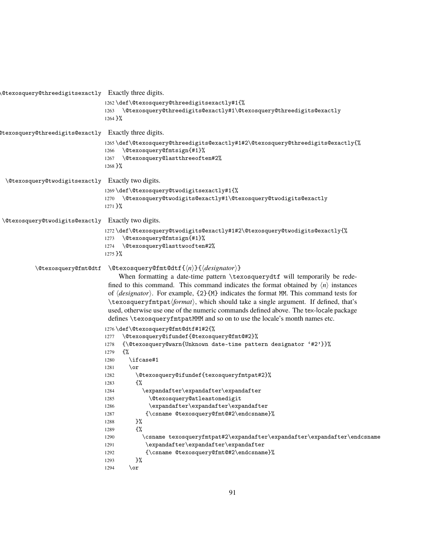| 1262\def\@texosquery@threedigitsexactly#1{%<br>\@texosquery@threedigits@exactly#1\@texosquery@threedigits@exactly<br>1263<br>1264 }%<br>Exactly three digits.<br>ltexosquery@threedigits@exactly<br>1265\def\@texosquery@threedigits@exactly#1#2\@texosquery@threedigits@exactly{%<br>\@texosquery@fmtsign{#1}%<br>1266<br>\@texosquery@lastthreeoften#2%<br>1267<br>$1268$ }%<br>\@texosquery@twodigitsexactly Exactly two digits.<br>1269\def\@texosquery@twodigitsexactly#1{%<br>1270 \@texosquery@twodigits@exactly#1\@texosquery@twodigits@exactly<br>$1271$ }%<br>\@texosquery@twodigits@exactly Exactly two digits.<br>$1272 \def\@texosquery@twodigits@exactly#1#2\@texosquery@twodigits@exactly{}\@texactly\\$<br>\@texosquery@fmtsign{#1}%<br>1273<br>\@texosquery@lasttwooften#2%<br>1274<br>$1275 \frac{1}{6}$ |
|----------------------------------------------------------------------------------------------------------------------------------------------------------------------------------------------------------------------------------------------------------------------------------------------------------------------------------------------------------------------------------------------------------------------------------------------------------------------------------------------------------------------------------------------------------------------------------------------------------------------------------------------------------------------------------------------------------------------------------------------------------------------------------------------------------------------------|
|                                                                                                                                                                                                                                                                                                                                                                                                                                                                                                                                                                                                                                                                                                                                                                                                                            |
|                                                                                                                                                                                                                                                                                                                                                                                                                                                                                                                                                                                                                                                                                                                                                                                                                            |
|                                                                                                                                                                                                                                                                                                                                                                                                                                                                                                                                                                                                                                                                                                                                                                                                                            |
|                                                                                                                                                                                                                                                                                                                                                                                                                                                                                                                                                                                                                                                                                                                                                                                                                            |
|                                                                                                                                                                                                                                                                                                                                                                                                                                                                                                                                                                                                                                                                                                                                                                                                                            |
|                                                                                                                                                                                                                                                                                                                                                                                                                                                                                                                                                                                                                                                                                                                                                                                                                            |
|                                                                                                                                                                                                                                                                                                                                                                                                                                                                                                                                                                                                                                                                                                                                                                                                                            |
| $\setminus$ ©texosquery©fmt©dtf{ $\langle n \rangle$ }{ $\langle designator \rangle$ }<br>When formatting a date-time pattern \texosquerydtf will temporarily be rede-<br>fined to this command. This command indicates the format obtained by $\langle n \rangle$ instances<br>of $\langle designator \rangle$ . For example, {2}{M} indicates the format MM. This command tests for<br>\texosqueryfmtpat/format), which should take a single argument. If defined, that's<br>used, otherwise use one of the numeric commands defined above. The tex-locale package<br>defines \texosqueryfmtpatMMM and so on to use the locale's month names etc.                                                                                                                                                                        |
| 1276 \def\@texosquery@fmt@dtf#1#2{%<br>\@texosquery@ifundef{@texosquery@fmt@#2}%<br>1277<br>{\@texosquery@warn{Unknown date-time pattern designator '#2'}}%<br>1278<br>{%<br>1279<br>\ifcase#1<br>1280<br>1281<br>\or<br>\@texosquery@ifundef{texosqueryfmtpat#2}%<br>1282<br>{%<br>1283                                                                                                                                                                                                                                                                                                                                                                                                                                                                                                                                   |
| \expandafter\expandafter\expandafter<br>1284<br>\@texosquery@atleastonedigit<br>1285<br>1286<br>\expandafter\expandafter\expandafter<br>{\csname @texosquery@fmt@#2\endcsname}%<br>1287<br>}%<br>1288<br>€%<br>1289<br>\csname texosqueryfmtpat#2\expandafter\expandafter\expandafter\endcsname<br>1290<br>\expandafter\expandafter\expandafter<br>1291<br>{\csname @texosquery@fmt@#2\endcsname}%<br>1292<br>}%<br>1293                                                                                                                                                                                                                                                                                                                                                                                                   |
| 1294                                                                                                                                                                                                                                                                                                                                                                                                                                                                                                                                                                                                                                                                                                                                                                                                                       |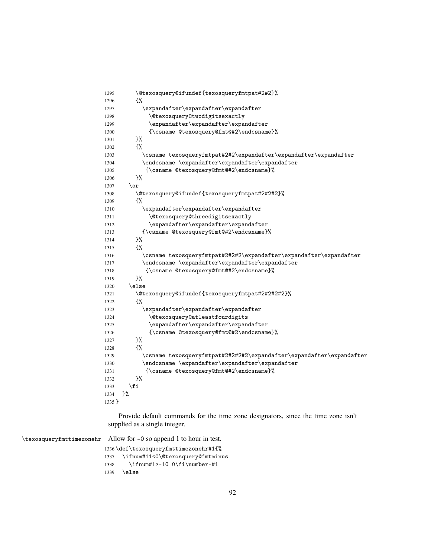| 1295     | \@texosquery@ifundef{texosqueryfmtpat#2#2}%                               |
|----------|---------------------------------------------------------------------------|
| 1296     | {%                                                                        |
| 1297     | $\verb \expandafter\expandafter\expandafter $                             |
| 1298     | <i><u><b>Netexosquery@twodigitsexactly</b></u></i>                        |
| 1299     | \expandafter\expandafter\expandafter                                      |
| 1300     | {\csname @texosquery@fmt@#2\endcsname}%                                   |
| 1301     | }%                                                                        |
| 1302     | {%                                                                        |
| 1303     | $\verb \csname texosqueryfmtpat#242\expandafter\expandafter\expandafter $ |
| 1304     | \endcsname \expandafter\expandafter\expandafter                           |
| 1305     | {\csname @texosquery@fmt@#2\endcsname}%                                   |
| 1306     | }‰                                                                        |
| 1307     | $\chi$                                                                    |
| 1308     | \@texosquery@ifundef{texosqueryfmtpat#2#2#2}%                             |
| 1309     | ₹%                                                                        |
| 1310     | \expandafter\expandafter\expandafter                                      |
| 1311     | \@texosquery@threedigitsexactly                                           |
| 1312     | \expandafter\expandafter\expandafter                                      |
| 1313     | {\csname @texosquery@fmt@#2\endcsname}%                                   |
| 1314     | }%                                                                        |
| 1315     | ₹%                                                                        |
| 1316     | \csname texosqueryfmtpat#2#2\expandafter\expandafter\expandafter\         |
| 1317     | \endcsname \expandafter\expandafter\expandafter                           |
| 1318     | {\csname @texosquery@fmt@#2\endcsname}%                                   |
| 1319     | }‰                                                                        |
| 1320     | \else                                                                     |
| 1321     | \@texosquery@ifundef{texosqueryfmtpat#2#2#2#2}%                           |
| 1322     | €%                                                                        |
| 1323     | \expandafter\expandafter\expandafter                                      |
| 1324     | <i><b>\@texosquery@atleastfourdigits</b></i>                              |
| 1325     | \expandafter\expandafter\expandafter                                      |
| 1326     | {\csname @texosquery@fmt@#2\endcsname}%                                   |
| 1327     | }%                                                                        |
| 1328     | €%                                                                        |
| 1329     | \csname texosqueryfmtpat#2#2#2#2\expandafter\expandafter\expandafter      |
| 1330     | \endcsname \expandafter\expandafter\expandafter                           |
| 1331     | {\csname @texosquery@fmt@#2\endcsname}%                                   |
| 1332     | }‰                                                                        |
| 1333     | \fi                                                                       |
| 1334     | }%                                                                        |
| $1335$ } |                                                                           |
|          |                                                                           |

Provide default commands for the time zone designators, since the time zone isn't supplied as a single integer.

|      | \texosqueryfmttimezonehr Allow for -0 so append 1 to hour in test. |
|------|--------------------------------------------------------------------|
|      | 1336 \def \texosqueryfmttimezonehr#1{%                             |
| 1337 | \ifnum#11<0\@texosquery@fmtminus                                   |
| 1338 | $\ifnum#1>-10 0\iflimberr-#1$                                      |
| 1339 | \else                                                              |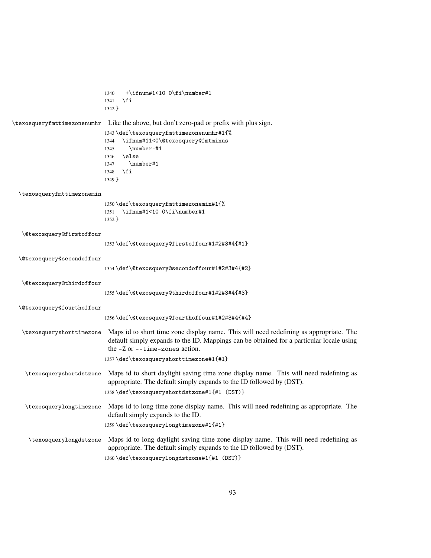|                             | $+\ifnum#1<10 0\fi\number#1$<br>1340                                                                          |
|-----------------------------|---------------------------------------------------------------------------------------------------------------|
|                             | \fi<br>1341<br>$1342$ }                                                                                       |
|                             |                                                                                                               |
| \texosqueryfmttimezonenumhr | Like the above, but don't zero-pad or prefix with plus sign.                                                  |
|                             | 1343 \def \texosqueryfmttimezonenumhr#1{%                                                                     |
|                             | \ifnum#11<0\@texosquery@fmtminus<br>1344                                                                      |
|                             | $\number-#1$<br>1345                                                                                          |
|                             | \else<br>1346                                                                                                 |
|                             | \number#1<br>1347                                                                                             |
|                             | \fi<br>1348                                                                                                   |
|                             | $1349$ }                                                                                                      |
| \texosqueryfmttimezonemin   |                                                                                                               |
|                             | 1350\def\texosqueryfmttimezonemin#1{%                                                                         |
|                             | \ifnum#1<10 0\fi\number#1<br>1351                                                                             |
|                             | $1352$ }                                                                                                      |
| \@texosquery@firstoffour    |                                                                                                               |
|                             | 1353\def\@texosquery@firstoffour#1#2#3#4{#1}                                                                  |
|                             |                                                                                                               |
| \@texosquery@secondoffour   |                                                                                                               |
|                             | 1354 \def \@texosquery@secondoffour#1#2#3#4{#2}                                                               |
| \@texosquery@thirdoffour    |                                                                                                               |
|                             | 1355\def\@texosquery@thirdoffour#1#2#3#4{#3}                                                                  |
|                             |                                                                                                               |
| \@texosquery@fourthoffour   |                                                                                                               |
|                             | 1356\def\@texosquery@fourthoffour#1#2#3#4{#4}                                                                 |
| \texosqueryshorttimezone    | Maps id to short time zone display name. This will need redefining as appropriate. The                        |
|                             | default simply expands to the ID. Mappings can be obtained for a particular locale using                      |
|                             | the $-Z$ or $-z$ ime-zones action.                                                                            |
|                             | 1357\def\texosqueryshorttimezone#1{#1}                                                                        |
| \texosqueryshortdstzone     | Maps id to short daylight saving time zone display name. This will need redefining as                         |
|                             | appropriate. The default simply expands to the ID followed by (DST).                                          |
|                             | 1358\def\texosqueryshortdstzone#1{#1 (DST)}                                                                   |
|                             |                                                                                                               |
|                             | \texosquerylongtimezone Maps id to long time zone display name. This will need redefining as appropriate. The |
|                             | default simply expands to the ID.                                                                             |
|                             | 1359\def\texosquerylongtimezone#1{#1}                                                                         |
| \texosquerylongdstzone      | Maps id to long daylight saving time zone display name. This will need redefining as                          |
|                             | appropriate. The default simply expands to the ID followed by (DST).                                          |
|                             | 1360\def\texosquerylongdstzone#1{#1 (DST)}                                                                    |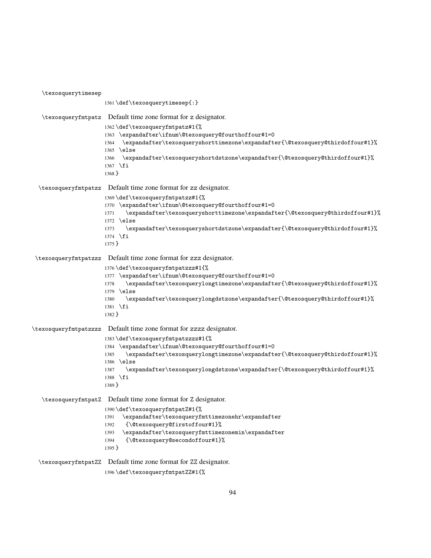\texosquerytimesep \def\texosquerytimesep{:} \texosqueryfmtpatz Default time zone format for z designator. \def\texosqueryfmtpatz#1{% \expandafter\ifnum\@texosquery@fourthoffour#1=0 \expandafter\texosqueryshorttimezone\expandafter{\@texosquery@thirdoffour#1}% \else \expandafter\texosqueryshortdstzone\expandafter{\@texosquery@thirdoffour#1}% \fi } \texosqueryfmtpatzz Default time zone format for zz designator. \def\texosqueryfmtpatzz#1{% \expandafter\ifnum\@texosquery@fourthoffour#1=0 \expandafter\texosqueryshorttimezone\expandafter{\@texosquery@thirdoffour#1}% \else \expandafter\texosqueryshortdstzone\expandafter{\@texosquery@thirdoffour#1}% \fi } \texosqueryfmtpatzzz Default time zone format for zzz designator. \def\texosqueryfmtpatzzz#1{% \expandafter\ifnum\@texosquery@fourthoffour#1=0 \expandafter\texosquerylongtimezone\expandafter{\@texosquery@thirdoffour#1}% \else \expandafter\texosquerylongdstzone\expandafter{\@texosquery@thirdoffour#1}% \fi } \texosqueryfmtpatzzzz Default time zone format for zzzz designator. \def\texosqueryfmtpatzzzz#1{% \expandafter\ifnum\@texosquery@fourthoffour#1=0 \expandafter\texosquerylongtimezone\expandafter{\@texosquery@thirdoffour#1}% \else \expandafter\texosquerylongdstzone\expandafter{\@texosquery@thirdoffour#1}% \fi } \texosqueryfmtpatZ Default time zone format for Z designator. \def\texosqueryfmtpatZ#1{% \expandafter\texosqueryfmttimezonehr\expandafter {\@texosquery@firstoffour#1}% \expandafter\texosqueryfmttimezonemin\expandafter {\@texosquery@secondoffour#1}% } \texosqueryfmtpatZZ Default time zone format for ZZ designator. \def\texosqueryfmtpatZZ#1{%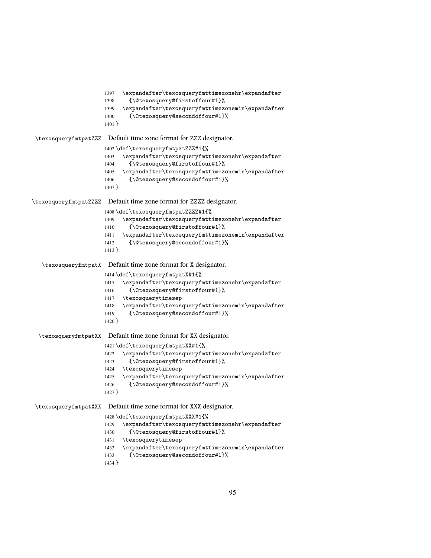```
1397 \expandafter\texosqueryfmttimezonehr\expandafter
                      1398 {\@texosquery@firstoffour#1}%
                      1399 \expandafter\texosqueryfmttimezonemin\expandafter
                      1400 {\@texosquery@secondoffour#1}%
                      1401 }
\texosqueryfmtpatZZZ Default time zone format for ZZZ designator.
                      1402 \def\texosqueryfmtpatZZZ#1{%
                      1403 \expandafter\texosqueryfmttimezonehr\expandafter
                      1404 {\@texosquery@firstoffour#1}%
                      1405 \expandafter\texosqueryfmttimezonemin\expandafter
                      1406 {\@texosquery@secondoffour#1}%
                      1407 }
\texosqueryfmtpatZZZZ Default time zone format for ZZZZ designator.
                      1408 \def\texosqueryfmtpatZZZZ#1{%
                      1409 \expandafter\texosqueryfmttimezonehr\expandafter
                      1410 {\@texosquery@firstoffour#1}%
                      1411 \expandafter\texosqueryfmttimezonemin\expandafter
                      1412 {\@texosquery@secondoffour#1}%
                      1413 }
   \texosqueryfmtpatX Default time zone format for X designator.
                      1414 \def\texosqueryfmtpatX#1{%
                      1415 \expandafter\texosqueryfmttimezonehr\expandafter
                      1416 {\@texosquery@firstoffour#1}%
                      1417 \texosquerytimesep
                      1418 \expandafter\texosqueryfmttimezonemin\expandafter
                      1419 {\@texosquery@secondoffour#1}%
                      1420 }
  \texosqueryfmtpatXX Default time zone format for XX designator.
                      1421 \def\texosqueryfmtpatXX#1{%
                      1422 \expandafter\texosqueryfmttimezonehr\expandafter
                      1423 {\@texosquery@firstoffour#1}%
                      1424 \texosquerytimesep
                      1425 \expandafter\texosqueryfmttimezonemin\expandafter
                      1426 {\@texosquery@secondoffour#1}%
                      1427 }
\texosqueryfmtpatXXX Default time zone format for XXX designator.
                      1428 \def\texosqueryfmtpatXXX#1{%
                      1429 \expandafter\texosqueryfmttimezonehr\expandafter
                      1430 {\@texosquery@firstoffour#1}%
                      1431 \texosquerytimesep
                      1432 \expandafter\texosqueryfmttimezonemin\expandafter
                      1433 {\@texosquery@secondoffour#1}%
                      1434 }
```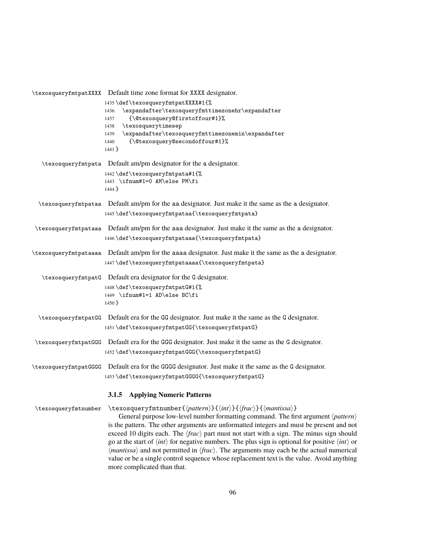|                      | \texosqueryfmtpatXXXX Default time zone format for XXXX designator.                                                                                                                                                                                                                                                                                                                                                                                                                                                                                                                                                                                                                                                                                                                   |  |
|----------------------|---------------------------------------------------------------------------------------------------------------------------------------------------------------------------------------------------------------------------------------------------------------------------------------------------------------------------------------------------------------------------------------------------------------------------------------------------------------------------------------------------------------------------------------------------------------------------------------------------------------------------------------------------------------------------------------------------------------------------------------------------------------------------------------|--|
|                      | 1435 \def \texosqueryfmtpatXXXX#1{%<br>\expandafter\texosqueryfmttimezonehr\expandafter<br>1436<br>{\@texosquery@firstoffour#1}%<br>1437<br>\texosquerytimesep<br>1438<br>\expandafter\texosqueryfmttimezonemin\expandafter<br>1439<br>{\@texosquery@secondoffour#1}%<br>1440<br>$1441$ }                                                                                                                                                                                                                                                                                                                                                                                                                                                                                             |  |
|                      | \texosqueryfmtpata Default am/pm designator for the a designator.                                                                                                                                                                                                                                                                                                                                                                                                                                                                                                                                                                                                                                                                                                                     |  |
|                      | 1442 \def \texosqueryfmtpata#1{%<br>1443 \ifnum#1=0 AM\else PM\fi<br>1444 }                                                                                                                                                                                                                                                                                                                                                                                                                                                                                                                                                                                                                                                                                                           |  |
|                      | \texosqueryfmtpataa Default am/pm for the aa designator. Just make it the same as the a designator.                                                                                                                                                                                                                                                                                                                                                                                                                                                                                                                                                                                                                                                                                   |  |
|                      | 1445\def\texosqueryfmtpataa{\texosqueryfmtpata}                                                                                                                                                                                                                                                                                                                                                                                                                                                                                                                                                                                                                                                                                                                                       |  |
|                      | \texosqueryfmtpataaa Default am/pm for the aaa designator. Just make it the same as the a designator.                                                                                                                                                                                                                                                                                                                                                                                                                                                                                                                                                                                                                                                                                 |  |
|                      | 1446\def\texosqueryfmtpataaa{\texosqueryfmtpata}                                                                                                                                                                                                                                                                                                                                                                                                                                                                                                                                                                                                                                                                                                                                      |  |
|                      | \texosqueryfmtpataaaa Default am/pm for the aaaa designator. Just make it the same as the a designator.<br>1447\def\texosqueryfmtpataaaa{\texosqueryfmtpata}                                                                                                                                                                                                                                                                                                                                                                                                                                                                                                                                                                                                                          |  |
|                      | \texosqueryfmtpatG Default era designator for the G designator.<br>1448 \def \texosqueryfmtpatG#1{%<br>1449 \ifnum#1=1 AD\else BC\fi<br>$1450$ }                                                                                                                                                                                                                                                                                                                                                                                                                                                                                                                                                                                                                                      |  |
|                      | \texosqueryfmtpatGG Default era for the GG designator. Just make it the same as the G designator.<br>1451\def\texosqueryfmtpatGG{\texosqueryfmtpatG}                                                                                                                                                                                                                                                                                                                                                                                                                                                                                                                                                                                                                                  |  |
|                      | \texosqueryfmtpatGGG Default era for the GGG designator. Just make it the same as the G designator.<br>1452\def\texosqueryfmtpatGGG{\texosqueryfmtpatG}                                                                                                                                                                                                                                                                                                                                                                                                                                                                                                                                                                                                                               |  |
|                      | \texosqueryfmtpatGGGG Default era for the GGGG designator. Just make it the same as the G designator.<br>1453\def\texosqueryfmtpatGGGG{\texosqueryfmtpatG}                                                                                                                                                                                                                                                                                                                                                                                                                                                                                                                                                                                                                            |  |
|                      | 3.1.5 Applying Numeric Patterns                                                                                                                                                                                                                                                                                                                                                                                                                                                                                                                                                                                                                                                                                                                                                       |  |
| \texosqueryfmtnumber | \texosqueryfmtnumber{\pattern\}{\\int\}}{\frac\}}{\mantissa\}<br>General purpose low-level number formatting command. The first argument $\langle pattern \rangle$<br>is the pattern. The other arguments are unformatted integers and must be present and not<br>exceed 10 digits each. The $\langle frac \rangle$ part must not start with a sign. The minus sign should<br>go at the start of $\langle int \rangle$ for negative numbers. The plus sign is optional for positive $\langle int \rangle$ or<br>$\langle$ <i>mantissa</i> $\rangle$ and not permitted in $\langle$ <i>frac</i> $\rangle$ . The arguments may each be the actual numerical<br>value or be a single control sequence whose replacement text is the value. Avoid anything<br>more complicated than that. |  |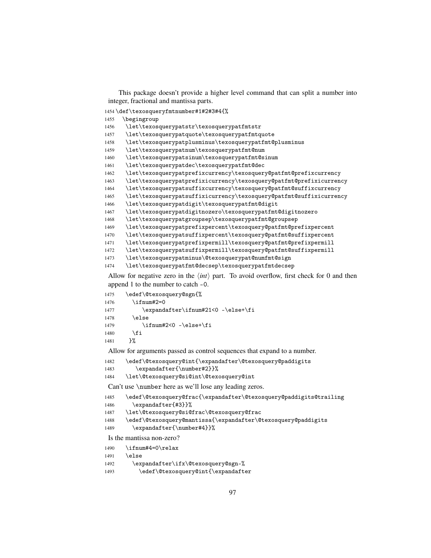This package doesn't provide a higher level command that can split a number into integer, fractional and mantissa parts.

\def\texosqueryfmtnumber#1#2#3#4{%

\begingroup

```
1456 \let\texosquerypatstr\texosquerypatfmtstr
```
\let\texosquerypatquote\texosquerypatfmtquote

- \let\texosquerypatplusminus\texosquerypatfmt@plusminus
- \let\texosquerypatnum\texosquerypatfmt@num

\let\texosquerypatsinum\texosquerypatfmt@sinum

\let\texosquerypatdec\texosquerypatfmt@dec

\let\texosquerypatprefixcurrency\texosquery@patfmt@prefixcurrency

```
1463 \let\texosquerypatprefixicurrency\texosquery@patfmt@prefixicurrency
```
- \let\texosquerypatsuffixcurrency\texosquery@patfmt@suffixcurrency
- \let\texosquerypatsuffixicurrency\texosquery@patfmt@suffixicurrency
- \let\texosquerypatdigit\texosquerypatfmt@digit

```
1467 \let\texosquerypatdigitnozero\texosquerypatfmt@digitnozero
```

```
1468 \let\texosquerypatgroupsep\texosquerypatfmt@groupsep
```
\let\texosquerypatprefixpercent\texosquery@patfmt@prefixpercent

\let\texosquerypatsuffixpercent\texosquery@patfmt@suffixpercent

\let\texosquerypatprefixpermill\texosquery@patfmt@prefixpermill

```
1472 \let\texosquerypatsuffixpermill\texosquery@patfmt@suffixpermill
```
\let\texosquerypatminus\@texosquerypat@numfmt@sign

```
1474 \let\texosquerypatfmt@decsep\texosquerypatfmtdecsep
```
Allow for negative zero in the  $\langle int \rangle$  part. To avoid overflow, first check for 0 and then append 1 to the number to catch -0.

| 1475 | \edef\@texosquery@sgn{%            |
|------|------------------------------------|
| 1476 | $\binom{1 + 2}{2}$                 |
| 1477 | \expandafter\ifnum#21<0 -\else+\fi |
| 1478 | \else                              |
| 1479 | \ifnum#2<0 -\else+\fi              |
| 1480 | \fi                                |
| 1481 | ን%                                 |

Allow for arguments passed as control sequences that expand to a number.

```
1482 \edef\@texosquery@int{\expandafter\@texosquery@paddigits
```

```
1483 \expandafter{\number#2}}%
```
\let\@texosquery@si@int\@texosquery@int

Can't use \number here as we'll lose any leading zeros.

| 1485 | \edef\@texosquery@frac{\expandafter\@texosquery@paddigits@trailing |
|------|--------------------------------------------------------------------|
| 1486 | \expandafter{#3}}%                                                 |
| 1487 | \let\@texosquery@si@frac\@texosquery@frac                          |
| 1488 | \edef\@texosquery@mantissa{\expandafter\@texosquery@paddigits      |
| 1489 | \expandafter{\number#4}}%                                          |
|      | Is the mantissa non-zero?                                          |
| 1490 | \ifnum#4=0\relax                                                   |

 $\lambda$ else

```
1492 \expandafter\ifx\@texosquery@sgn-%
```

```
1493 \edef\@texosquery@int{\expandafter
```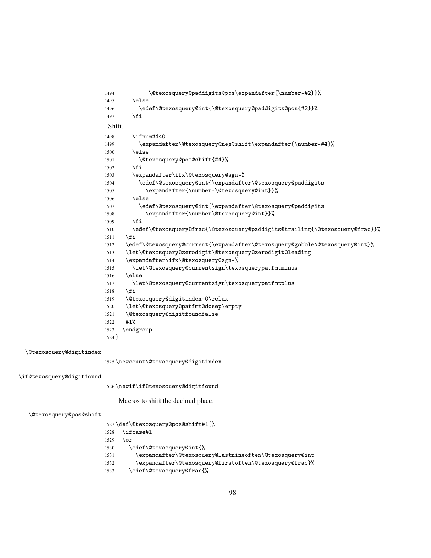\@texosquery@paddigits@pos\expandafter{\number-#2}}% 1495 \else \edef\@texosquery@int{\@texosquery@paddigits@pos{#2}}% 1497 \fi Shift. 1498 \ifnum#4<0 \expandafter\@texosquery@neg@shift\expandafter{\number-#4}% \else \@texosquery@pos@shift{#4}%  $1502 \qquad \text{if}$  \expandafter\ifx\@texosquery@sgn-% \edef\@texosquery@int{\expandafter\@texosquery@paddigits \expandafter{\number-\@texosquery@int}}% \else \edef\@texosquery@int{\expandafter\@texosquery@paddigits \expandafter{\number\@texosquery@int}}% \fi \edef\@texosquery@frac{\@texosquery@paddigits@trailing{\@texosquery@frac}}% \fi \edef\@texosquery@current{\expandafter\@texosquery@gobble\@texosquery@int}% \let\@texosquery@zerodigit\@texosquery@zerodigit@leading \expandafter\ifx\@texosquery@sgn-% \let\@texosquery@currentsign\texosquerypatfmtminus \else \let\@texosquery@currentsign\texosquerypatfmtplus \fi \@texosquery@digitindex=0\relax \let\@texosquery@patfmt@dosep\empty \@texosquery@digitfoundfalse #1% \endgroup }

\@texosquery@digitindex

\newcount\@texosquery@digitindex

## \if@texosquery@digitfound

\newif\if@texosquery@digitfound

Macros to shift the decimal place.

### \@texosquery@pos@shift

|      | 1527\def\@texosquery@pos@shift#1{%                      |
|------|---------------------------------------------------------|
| 1528 | $\backslash$ ifcase#1                                   |
| 1529 | \or                                                     |
| 1530 | \edef\@texosquery@int{%                                 |
| 1531 | \expandafter\@texosquery@lastnineoften\@texosquery@int\ |
| 1532 | \expandafter\@texosquery@firstoften\@texosquery@frac}%  |
| 1533 | \edef\@texosquery@frac{%                                |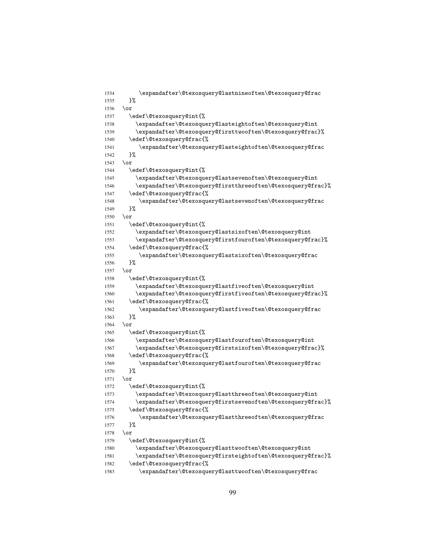```
1534 \expandafter\@texosquery@lastnineoften\@texosquery@frac
1535 }%
1536 \or
1537 \edef\@texosquery@int{%
1538 \expandafter\@texosquery@lasteightoften\@texosquery@int
1539 \expandafter\@texosquery@firsttwooften\@texosquery@frac}%
1540 \edef\@texosquery@frac{%
1541 \expandafter\@texosquery@lasteightoften\@texosquery@frac
1542 }%
1543 \or
1544 \edef\@texosquery@int{%
1545 \expandafter\@texosquery@lastsevenoften\@texosquery@int
1546 \expandafter\@texosquery@firstthreeoften\@texosquery@frac}%
1547 \edef\@texosquery@frac{%
1548 \expandafter\@texosquery@lastsevenoften\@texosquery@frac
1549 }%
1550 \text{ or}1551 \edef\@texosquery@int{%
1552 \expandafter\@texosquery@lastsixoften\@texosquery@int
1553 \expandafter\@texosquery@firstfouroften\@texosquery@frac}%
1554 \edef\@texosquery@frac{%
1555 \expandafter\@texosquery@lastsixoften\@texosquery@frac
1556 }%
1557 \or
1558 \edef\@texosquery@int{%
1559 \expandafter\@texosquery@lastfiveoften\@texosquery@int
1560 \expandafter\@texosquery@firstfiveoften\@texosquery@frac}%
1561 \edef\@texosquery@frac{%
1562 \expandafter\@texosquery@lastfiveoften\@texosquery@frac
1563 }%
1564 \or
1565 \edef\@texosquery@int{%
1566 \expandafter\@texosquery@lastfouroften\@texosquery@int
1567 \expandafter\@texosquery@firstsixoften\@texosquery@frac}%
1568 \edef\@texosquery@frac{%
1569 \expandafter\@texosquery@lastfouroften\@texosquery@frac
1570 }%
1571 \or1572 \edef\@texosquery@int{%
1573 \expandafter\@texosquery@lastthreeoften\@texosquery@int
1574 \expandafter\@texosquery@firstsevenoften\@texosquery@frac}%
1575 \edef\@texosquery@frac{%
1576 \expandafter\@texosquery@lastthreeoften\@texosquery@frac
1577 }%
1578 \or
1579 \edef\@texosquery@int{%
1580 \expandafter\@texosquery@lasttwooften\@texosquery@int
1581 \expandafter\@texosquery@firsteightoften\@texosquery@frac}%
1582 \edef\@texosquery@frac{%
```
\expandafter\@texosquery@lasttwooften\@texosquery@frac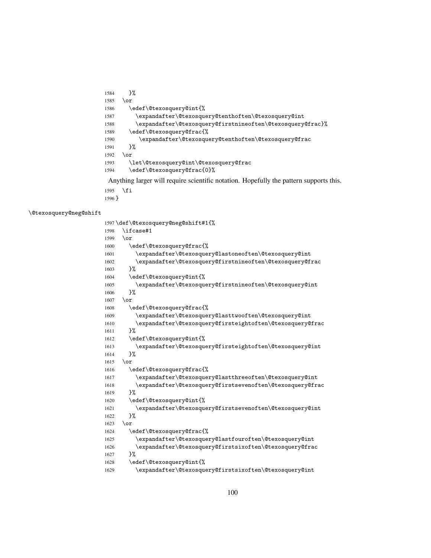```
1597 \def\@texosquery@neg@shift#1{%
1598 \ifcase#1
1599 \or
1600 \edef\@texosquery@frac{%
1601 \expandafter\@texosquery@lastoneoften\@texosquery@int
1602 \expandafter\@texosquery@firstnineoften\@texosquery@frac
1603 }%
1604 \edef\@texosquery@int{%
1605 \expandafter\@texosquery@firstnineoften\@texosquery@int
1606 }%
1607 \or
1608 \edef\@texosquery@frac{%
1609 \expandafter\@texosquery@lasttwooften\@texosquery@int
1610 \expandafter\@texosquery@firsteightoften\@texosquery@frac
1611 }%
1612 \edef\@texosquery@int{%
1613 \expandafter\@texosquery@firsteightoften\@texosquery@int
1614 }%
1615 \or
1616 \edef\@texosquery@frac{%
1617 \expandafter\@texosquery@lastthreeoften\@texosquery@int
1618 \expandafter\@texosquery@firstsevenoften\@texosquery@frac
1619 }%
1620 \edef\@texosquery@int{%
1621 \expandafter\@texosquery@firstsevenoften\@texosquery@int
1622 }%
1623 \or
1624 \edef\@texosquery@frac{%
1625 \expandafter\@texosquery@lastfouroften\@texosquery@int
1626 \expandafter\@texosquery@firstsixoften\@texosquery@frac
1627 }%
1628 \edef\@texosquery@int{%
1629 \expandafter\@texosquery@firstsixoften\@texosquery@int
```
\@texosquery@neg@shift

 \fi }

```
1584 }%
1585 \or
1586 \edef\@texosquery@int{%
1587 \expandafter\@texosquery@tenthoften\@texosquery@int
1588 \expandafter\@texosquery@firstnineoften\@texosquery@frac}%
1589 \edef\@texosquery@frac{%
1590 \expandafter\@texosquery@tenthoften\@texosquery@frac
1591 }%
1592 \or
1593 \let\@texosquery@int\@texosquery@frac
1594 \edef\@texosquery@frac{0}%
```
Anything larger will require scientific notation. Hopefully the pattern supports this.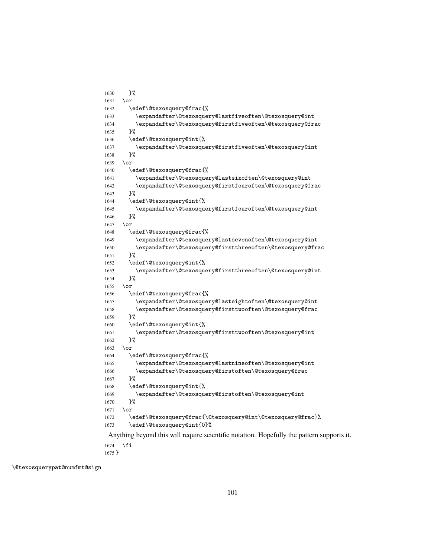```
1630 }%
1631 \or
1632 \edef\@texosquery@frac{%
1633 \expandafter\@texosquery@lastfiveoften\@texosquery@int
1634 \expandafter\@texosquery@firstfiveoften\@texosquery@frac
1635 }%
1636 \edef\@texosquery@int{%
1637 \expandafter\@texosquery@firstfiveoften\@texosquery@int
1638 }%
1639 \or
1640 \edef\@texosquery@frac{%
1641 \expandafter\@texosquery@lastsixoften\@texosquery@int
1642 \expandafter\@texosquery@firstfouroften\@texosquery@frac
1643 }%
1644 \edef\@texosquery@int{%
1645 \expandafter\@texosquery@firstfouroften\@texosquery@int
1646
1647 \or
1648 \edef\@texosquery@frac{%
1649 \expandafter\@texosquery@lastsevenoften\@texosquery@int
1650 \expandafter\@texosquery@firstthreeoften\@texosquery@frac
1651 }%
1652 \edef\@texosquery@int{%
1653 \expandafter\@texosquery@firstthreeoften\@texosquery@int
1654 }%
1655 \or
1656 \edef\@texosquery@frac{%
1657 \expandafter\@texosquery@lasteightoften\@texosquery@int
1658 \expandafter\@texosquery@firsttwooften\@texosquery@frac
1659 }%
1660 \edef\@texosquery@int{%
1661 \expandafter\@texosquery@firsttwooften\@texosquery@int
1662 }%
1663 \or
1664 \edef\@texosquery@frac{%
1665 \expandafter\@texosquery@lastnineoften\@texosquery@int
1666 \expandafter\@texosquery@firstoften\@texosquery@frac
1667 }%
1668 \edef\@texosquery@int{%
1669 \expandafter\@texosquery@firstoften\@texosquery@int
1670 }%
1671 \or
1672 \edef\@texosquery@frac{\@texosquery@int\@texosquery@frac}%
1673 \edef\@texosquery@int{0}%
Anything beyond this will require scientific notation. Hopefully the pattern supports it.
1674 \fi
```
}

\@texosquerypat@numfmt@sign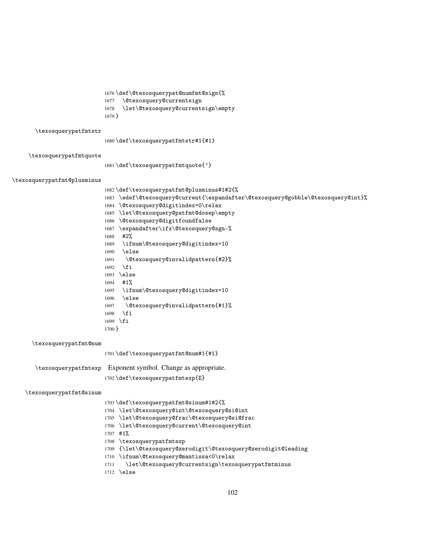\def\@texosquerypat@numfmt@sign{% \@texosquery@currentsign \let\@texosquery@currentsign\empty } \texosquerypatfmtstr \def\texosquerypatfmtstr#1{#1} \texosquerypatfmtquote \def\texosquerypatfmtquote{'} \texosquerypatfmt@plusminus \def\texosquerypatfmt@plusminus#1#2{% \edef\@texosquery@current{\expandafter\@texosquery@gobble\@texosquery@int}% \@texosquery@digitindex=0\relax \let\@texosquery@patfmt@dosep\empty \@texosquery@digitfoundfalse \expandafter\ifx\@texosquery@sgn-% #2% \ifnum\@texosquery@digitindex=10 \else \@texosquery@invalidpattern{#2}%  $1692 \quad \text{if}$  \else #1% \ifnum\@texosquery@digitindex=10 \else \@texosquery@invalidpattern{#1}% \fi \fi } \texosquerypatfmt@num \def\texosquerypatfmt@num#1{#1} \texosquerypatfmtexp Exponent symbol. Change as appropriate. \def\texosquerypatfmtexp{E} \texosquerypatfmt@sinum \def\texosquerypatfmt@sinum#1#2{% \let\@texosquery@int\@texosquery@si@int

> \let\@texosquery@frac\@texosquery@si@frac \let\@texosquery@current\@texosquery@int

\ifnum\@texosquery@mantissa<0\relax

{\let\@texosquery@zerodigit\@texosquery@zerodigit@leading

\let\@texosquery@currentsign\texosquerypatfmtminus

#1%

\else

\texosquerypatfmtexp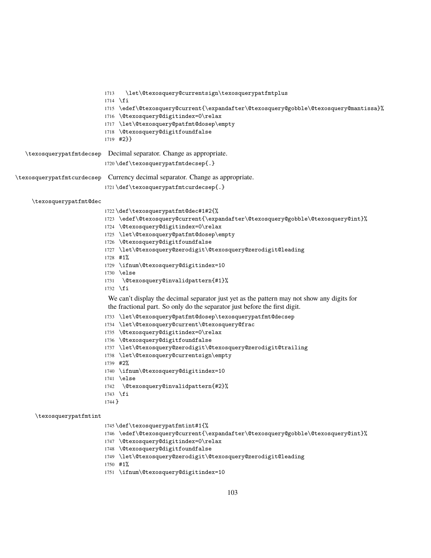|                         | \let\@texosquery@currentsign\texosquerypatfmtplus<br>1713                                  |
|-------------------------|--------------------------------------------------------------------------------------------|
|                         | $1714$ \fi                                                                                 |
|                         | 1715 \edef\@texosquery@current{\expandafter\@texosquery@gobble\@texosquery@mantissa}%      |
|                         | 1716 \@texosquery@digitindex=0\relax                                                       |
|                         | 1717 \let\@texosquery@patfmt@dosep\empty                                                   |
|                         | 1718 \@texosquery@digitfoundfalse                                                          |
|                         | $1719$ #2}}                                                                                |
| \texosquerypatfmtdecsep | Decimal separator. Change as appropriate.                                                  |
|                         | 1720\def\texosquerypatfmtdecsep{.}                                                         |
|                         | \texosquerypatfmtcurdecsep Currency decimal separator. Change as appropriate.              |
|                         |                                                                                            |
|                         | 1721\def\texosquerypatfmtcurdecsep{.}                                                      |
| \texosquerypatfmt@dec   |                                                                                            |
|                         | 1722 \def \texosquerypatfmt@dec#1#2{%                                                      |
|                         | 1723 \edef\@texosquery@current{\expandafter\@texosquery@gobble\@texosquery@int}%           |
|                         | 1724 \@texosquery@digitindex=0\relax                                                       |
|                         | 1725 \let\@texosquery@patfmt@dosep\empty                                                   |
|                         | 1726 \@texosquery@digitfoundfalse                                                          |
|                         | 1727 \let\@texosquery@zerodigit\@texosquery@zerodigit@leading                              |
|                         | $1728$ #1%                                                                                 |
|                         | 1729 \ifnum\@texosquery@digitindex=10                                                      |
|                         | $1730$ \else                                                                               |
|                         | \@texosquery@invalidpattern{#1}%<br>1731                                                   |
|                         | $1732$ \fi                                                                                 |
|                         | We can't display the decimal separator just yet as the pattern may not show any digits for |
|                         | the fractional part. So only do the separator just before the first digit.                 |
|                         | 1733 \let\@texosquery@patfmt@dosep\texosquerypatfmt@decsep                                 |
|                         | 1734 \let\@texosquery@current\@texosquery@frac                                             |
|                         | 1735 \@texosquery@digitindex=0\relax                                                       |
|                         | 1736 \@texosquery@digitfoundfalse                                                          |
|                         | 1737 \let\@texosquery@zerodigit\@texosquery@zerodigit@trailing                             |
|                         | 1738 \let\@texosquery@currentsign\empty                                                    |
|                         | 1739 #2%                                                                                   |
|                         | 1740 \ifnum\@texosquery@digitindex=10                                                      |
|                         | $1741$ \else                                                                               |
|                         |                                                                                            |
|                         | \@texosquery@invalidpattern{#2}%<br>1742                                                   |
|                         | $1743$ \fi<br>1744 }                                                                       |
|                         |                                                                                            |
| \texosquerypatfmtint    |                                                                                            |
|                         | 1745 \def \texosquerypatfmtint#1{%                                                         |
|                         | 1746 \edef\@texosquery@current{\expandafter\@texosquery@gobble\@texosquery@int}%           |
|                         | 1747 \@texosquery@digitindex=0\relax                                                       |
|                         | 1748 \@texosquery@digitfoundfalse                                                          |
|                         | 1749 \let\@texosquery@zerodigit\@texosquery@zerodigit@leading                              |
|                         | $1750$ #1%                                                                                 |

\ifnum\@texosquery@digitindex=10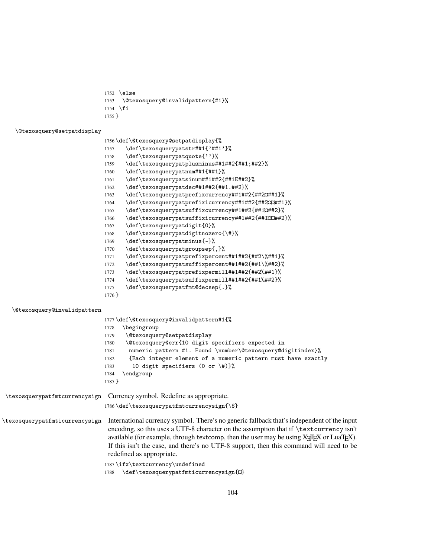- 1752 \else
- 1753 \@texosquery@invalidpattern{#1}%
- 1754  $\overline{f}$
- 1755 }

### \@texosquery@setpatdisplay

- 1756 \def\@texosquery@setpatdisplay{%
- 1757 \def\texosquerypatstr##1{'##1'}%
- 1758 \def\texosquerypatquote{''}%
- 1759 \def\texosquerypatplusminus##1##2{##1;##2}%
- 1760 \def\texosquerypatnum##1{##1}%
- 1761 \def\texosquerypatsinum##1##2{##1E##2}%
- 1762 \def\texosquerypatdec##1##2{##1.##2}%
- 1763 \def\texosquerypatprefixcurrency##1##2{##2 $x#1$ }%
- 1764 \def\texosquerypatprefixicurrency##1##2{##2000##1}%
- 1765 \def\texosquerypatsuffixcurrency##1##2{##1¤##2}%
- 1766 \def\texosquerypatsuffixicurrency##1##2{##1¤ $x$ ##2}% 1767 \def\texosquerypatdigit{0}%
- 1768 \def\texosquerypatdigitnozero{\#}%
- 1769 \def\texosquerypatminus{-}%
- 1770 \def\texosquerypatgroupsep{,}%
- 1771 \def\texosquerypatprefixpercent##1##2{##2\%##1}%
- 1772 \def\texosquerypatsuffixpercent##1##2{##1\%##2}%
- 1773 \def\texosquerypatprefixpermill##1##2{##2‰##1}%
- 1774 \def\texosquerypatsuffixpermill##1##2{##1‰##2}%
- 1775 \def\texosquerypatfmt@decsep{.}%
- 1776 }

#### \@texosquery@invalidpattern

|                                | 1777 \def \@texosquery@invalidpattern#1{%                                                                                                                                                                                                                                                                                                                                                                                                     |
|--------------------------------|-----------------------------------------------------------------------------------------------------------------------------------------------------------------------------------------------------------------------------------------------------------------------------------------------------------------------------------------------------------------------------------------------------------------------------------------------|
|                                | \begingroup<br>1778                                                                                                                                                                                                                                                                                                                                                                                                                           |
|                                | \@texosquery@setpatdisplay<br>1779                                                                                                                                                                                                                                                                                                                                                                                                            |
|                                | \@texosquery@err{10 digit specifiers expected in<br>1780                                                                                                                                                                                                                                                                                                                                                                                      |
|                                | numeric pattern #1. Found \number\@texosquery@digitindex}%<br>1781                                                                                                                                                                                                                                                                                                                                                                            |
|                                | {Each integer element of a numeric pattern must have exactly<br>1782                                                                                                                                                                                                                                                                                                                                                                          |
|                                | 10 digit specifiers (0 or $\{\#\}$ ) $\}$<br>1783                                                                                                                                                                                                                                                                                                                                                                                             |
|                                | \endgroup<br>1784                                                                                                                                                                                                                                                                                                                                                                                                                             |
|                                | $1785$ }                                                                                                                                                                                                                                                                                                                                                                                                                                      |
| \texosquerypatfmtcurrencysign  | Currency symbol. Redefine as appropriate.                                                                                                                                                                                                                                                                                                                                                                                                     |
|                                | 1786 \def \texosquerypatfmtcurrencysign{\\$}                                                                                                                                                                                                                                                                                                                                                                                                  |
| \texosquerypatfmticurrencysign | International currency symbol. There's no generic fallback that's independent of the input<br>encoding, so this uses a UTF-8 character on the assumption that if \textcurrency isn't<br>available (for example, through textcomp, then the user may be using X <sub>T</sub> T <sub>F</sub> X or LuaT <sub>F</sub> X).<br>If this isn't the case, and there's no UTF-8 support, then this command will need to be<br>redefined as appropriate. |

1787 \ifx\textcurrency\undefined

1788 \def\texosquerypatfmticurrencysign{ $\Omega$ }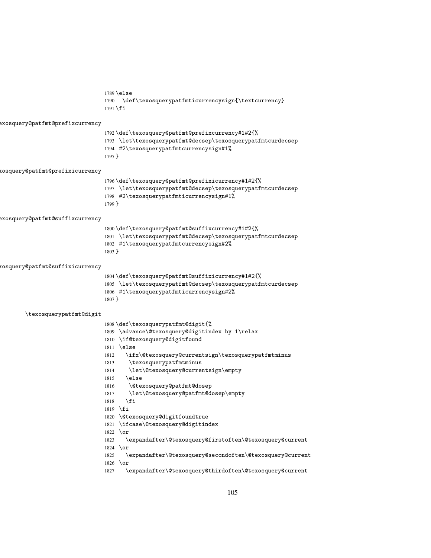\else \def\texosquerypatfmticurrencysign{\textcurrency}  $1791 \setminus fi$ exosquery@patfmt@prefixcurrency \def\texosquery@patfmt@prefixcurrency#1#2{% \let\texosquerypatfmt@decsep\texosquerypatfmtcurdecsep #2\texosquerypatfmtcurrencysign#1% } \texosquery@patfmt@prefixicurrency \def\texosquery@patfmt@prefixicurrency#1#2{% \let\texosquerypatfmt@decsep\texosquerypatfmtcurdecsep #2\texosquerypatfmticurrencysign#1% } exosquery@patfmt@suffixcurrency \def\texosquery@patfmt@suffixcurrency#1#2{% \let\texosquerypatfmt@decsep\texosquerypatfmtcurdecsep #1\texosquerypatfmtcurrencysign#2% } \texosquery@patfmt@suffixicurrency \def\texosquery@patfmt@suffixicurrency#1#2{% \let\texosquerypatfmt@decsep\texosquerypatfmtcurdecsep #1\texosquerypatfmticurrencysign#2% } \texosquerypatfmt@digit \def\texosquerypatfmt@digit{% \advance\@texosquery@digitindex by 1\relax \if@texosquery@digitfound \else \ifx\@texosquery@currentsign\texosquerypatfmtminus \texosquerypatfmtminus \let\@texosquery@currentsign\empty \else \@texosquery@patfmt@dosep \let\@texosquery@patfmt@dosep\empty \fi \fi \@texosquery@digitfoundtrue \ifcase\@texosquery@digitindex \or \expandafter\@texosquery@firstoften\@texosquery@current \or \expandafter\@texosquery@secondoften\@texosquery@current \or \expandafter\@texosquery@thirdoften\@texosquery@current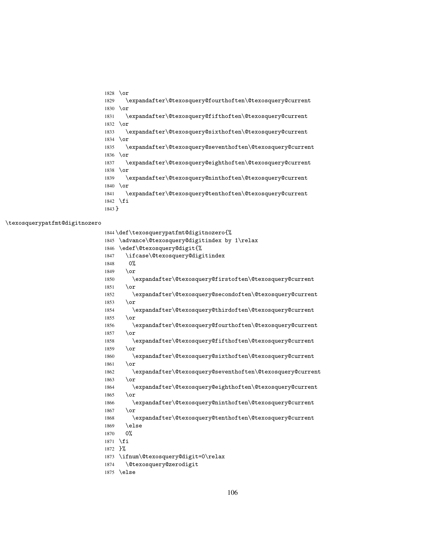```
1828 \or
1829 \expandafter\@texosquery@fourthoften\@texosquery@current
1830 \or
1831 \expandafter\@texosquery@fifthoften\@texosquery@current
1832 \or
1833 \expandafter\@texosquery@sixthoften\@texosquery@current
1834 \or
1835 \expandafter\@texosquery@seventhoften\@texosquery@current
1836 \or
1837 \expandafter\@texosquery@eighthoften\@texosquery@current
1838 \or
1839 \expandafter\@texosquery@ninthoften\@texosquery@current
1840 \or
1841 \expandafter\@texosquery@tenthoften\@texosquery@current
1842 \fi
1843 }
```
#### \texosquerypatfmt@digitnozero

 \def\texosquerypatfmt@digitnozero{% \advance\@texosquery@digitindex by 1\relax \edef\@texosquery@digit{% \ifcase\@texosquery@digitindex 0% 1849 \or \expandafter\@texosquery@firstoften\@texosquery@current \or \expandafter\@texosquery@secondoften\@texosquery@current \or \expandafter\@texosquery@thirdoften\@texosquery@current \or \expandafter\@texosquery@fourthoften\@texosquery@current \or \expandafter\@texosquery@fifthoften\@texosquery@current \or \expandafter\@texosquery@sixthoften\@texosquery@current \or \expandafter\@texosquery@seventhoften\@texosquery@current \or \expandafter\@texosquery@eighthoften\@texosquery@current \or \expandafter\@texosquery@ninthoften\@texosquery@current \or \expandafter\@texosquery@tenthoften\@texosquery@current \else 0% \fi }% \ifnum\@texosquery@digit=0\relax \@texosquery@zerodigit \else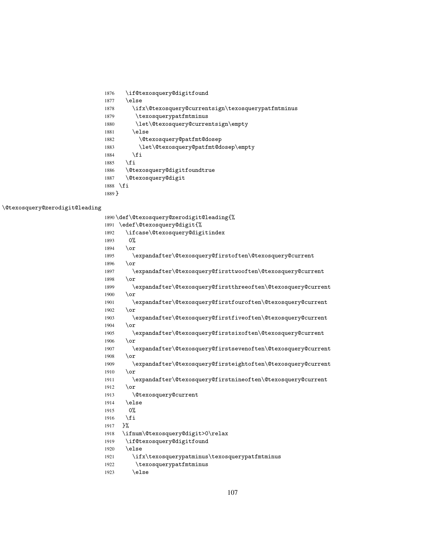|      | 1890\def\@texosquery@zerodigit@leading{%                     |
|------|--------------------------------------------------------------|
| 1891 | \edef\@texosquery@digit{%                                    |
| 1892 | \ifcase\@texosquery@digitindex                               |
| 1893 | 0%                                                           |
| 1894 | $\chi$                                                       |
| 1895 | \expandafter\@texosquery@firstoften\@texosquery@current      |
| 1896 | $\chi$                                                       |
| 1897 | \expandafter\@texosquery@firsttwooften\@texosquery@current   |
| 1898 | $\lor$                                                       |
| 1899 | \expandafter\@texosquery@firstthreeoften\@texosquery@current |
| 1900 | $\chi$                                                       |
| 1901 | \expandafter\@texosquery@firstfouroften\@texosquery@current  |
| 1902 | $\chi$                                                       |
| 1903 | \expandafter\@texosquery@firstfiveoften\@texosquery@current  |
| 1904 | $\chi$                                                       |
| 1905 | \expandafter\@texosquery@firstsixoften\@texosquery@current   |
| 1906 | $\lor$                                                       |
| 1907 | \expandafter\@texosquery@firstsevenoften\@texosquery@current |
| 1908 | $\lor$                                                       |
| 1909 | \expandafter\@texosquery@firsteightoften\@texosquery@current |
| 1910 | $\alpha$                                                     |
| 1911 | \expandafter\@texosquery@firstnineoften\@texosquery@current  |
| 1912 | $\sigma$                                                     |
| 1913 | <i><b>\@texosquery@current</b></i>                           |
| 1914 | \else                                                        |
| 1915 | $0\%$                                                        |
| 1916 | \fi                                                          |
| 1917 | ን%                                                           |
| 1918 | \ifnum\@texosquery@digit>0\relax                             |
| 1919 | \if@texosquery@digitfound                                    |
| 1920 | \else                                                        |
| 1921 | \ifx\texosquerypatminus\texosquerypatfmtminus                |
| 1922 | \texosquerypatfmtminus                                       |
| 1923 | \else                                                        |

\@texosquery@zerodigit@leading

| 1876     | \if@texosquery@digitfound                          |
|----------|----------------------------------------------------|
| 1877     | \else                                              |
| 1878     | \ifx\@texosquery@currentsign\texosquerypatfmtminus |
| 1879     | \texosquerypatfmtminus                             |
| 1880     | \let\@texosquery@currentsign\empty                 |
| 1881     | \else                                              |
| 1882     | \@texosquery@patfmt@dosep                          |
| 1883     | \let\@texosquery@patfmt@dosep\empty                |
| 1884     | \fi                                                |
| 1885     | \fi                                                |
| 1886     | \@texosquery@digitfoundtrue                        |
| 1887     | <i><b>\@texosquery@digit</b></i>                   |
| 1888     | \fi                                                |
| $1889$ } |                                                    |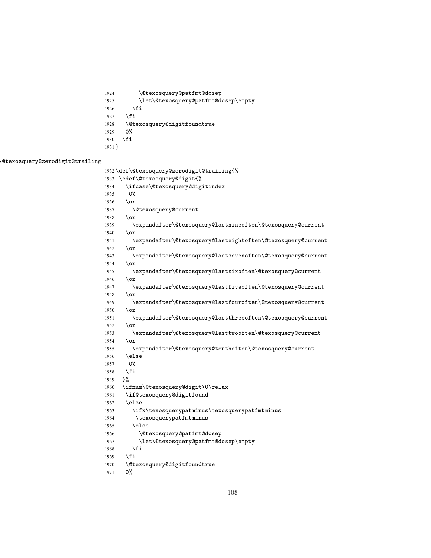```
1933 \edef\@texosquery@digit{%
1934 \ifcase\@texosquery@digitindex
1935 0%
1936 \or
1937 \@texosquery@current
1938 \or
1939 \expandafter\@texosquery@lastnineoften\@texosquery@current
1940 \qquad \text{or}1941 \expandafter\@texosquery@lasteightoften\@texosquery@current
1942 \overline{\ar}1943 \expandafter\@texosquery@lastsevenoften\@texosquery@current
1944 \or
1945 \expandafter\@texosquery@lastsixoften\@texosquery@current
1946 \or
1947 \expandafter\@texosquery@lastfiveoften\@texosquery@current
1948 \or
1949 \expandafter\@texosquery@lastfouroften\@texosquery@current
1950 \or
1951 \expandafter\@texosquery@lastthreeoften\@texosquery@current
1952 \or
1953 \expandafter\@texosquery@lasttwooften\@texosquery@current
1954 \or
1955 \expandafter\@texosquery@tenthoften\@texosquery@current
1956 \else
1957 0%
1958 \fi
1959 }%
1960 \ifnum\@texosquery@digit>0\relax
1961 \if@texosquery@digitfound
1962 \else
1963 \ifx\texosquerypatminus\texosquerypatfmtminus
1964 \texosquerypatfmtminus
1965 \else
1966 \@texosquery@patfmt@dosep
1967 \let\@texosquery@patfmt@dosep\empty
1968 \setminusfi
1969 \fi
1970 \@texosquery@digitfoundtrue
1971 0%
```
\@texosquery@zerodigit@trailing

| 1.721    | ៶⊥⊥                          |
|----------|------------------------------|
| 1928     | <i><u><b>Otexoso</b></u></i> |
| 1929     | 0%                           |
| 1930     | \fi                          |
| $1931$ } |                              |

query@digitfoundtrue

\fi

1926 \fi

\let\@texosquery@patfmt@dosep\empty

\def\@texosquery@zerodigit@trailing{%

\@texosquery@patfmt@dosep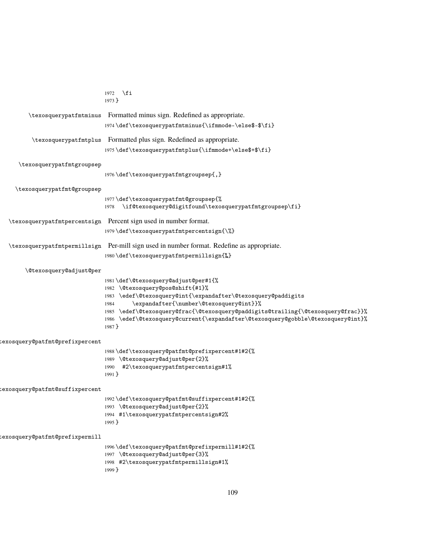<span id="page-108-0"></span>

|                                 | $1972$ \fi<br>$1973$ }                                                                                           |
|---------------------------------|------------------------------------------------------------------------------------------------------------------|
| \texosquerypatfmtminus          | Formatted minus sign. Redefined as appropriate.                                                                  |
|                                 | 1974 \def \texosquerypatfmtminus{\ifmmode-\else\$-\$\fi}                                                         |
|                                 |                                                                                                                  |
| \texosquerypatfmtplus           | Formatted plus sign. Redefined as appropriate.                                                                   |
|                                 | 1975 \def \texosquerypatfmtplus{\ifmmode+\else\$+\$\fi}                                                          |
| \texosquerypatfmtgroupsep       |                                                                                                                  |
|                                 | 1976 \def \texosquerypatfmtgroupsep{,}                                                                           |
| \texosquerypatfmt@groupsep      |                                                                                                                  |
|                                 | 1977 \def \texosquerypatfmt@groupsep{%<br>\if@texosquery@digitfound\texosquerypatfmtgroupsep\fi}<br>1978         |
|                                 | \texosquerypatfmtpercentsign Percent sign used in number format.                                                 |
|                                 | 1979 \def \texosquerypatfmtpercentsign{\%}                                                                       |
|                                 | \texosquerypatfmtpermillsign Per-mill sign used in number format. Redefine as appropriate.                       |
|                                 | 1980\def\texosquerypatfmtpermillsign{%}                                                                          |
| \@texosquery@adjust@per         |                                                                                                                  |
|                                 | 1981 \def\@texosquery@adjust@per#1{%                                                                             |
|                                 | 1982 \@texosquery@pos@shift{#1}%                                                                                 |
|                                 | 1983 \edef\@texosquery@int{\expandafter\@texosquery@paddigits<br>\expandafter{\number\@texosquery@int}}%<br>1984 |
|                                 | 1985 \edef\@texosquery@frac{\@texosquery@paddigits@trailing{\@texosquery@frac}}%                                 |
|                                 | 1986 \edef\@texosquery@current{\expandafter\@texosquery@gobble\@texosquery@int}%<br>1987 }                       |
|                                 |                                                                                                                  |
| texosquery@patfmt@prefixpercent | 1988\def\texosquery@patfmt@prefixpercent#1#2{%                                                                   |
|                                 | 1989 \@texosquery@adjust@per{2}%                                                                                 |
|                                 | #2\texosquerypatfmtpercentsign#1%<br>1990                                                                        |
|                                 | $1991$ }                                                                                                         |
| texosquery@patfmt@suffixpercent |                                                                                                                  |
|                                 | 1992\def\texosquery@patfmt@suffixpercent#1#2{%<br>1993 \@texosquery@adjust@per{2}%                               |
|                                 | 1994 #1\texosquerypatfmtpercentsign#2%                                                                           |
|                                 | $1995$ }                                                                                                         |
| cexosquery@patfmt@prefixpermill |                                                                                                                  |
|                                 | 1996\def\texosquery@patfmt@prefixpermill#1#2{%                                                                   |
|                                 | 1997 \@texosquery@adjust@per{3}%<br>1998 #2\texosquerypatfmtpermillsign#1%                                       |
|                                 | 1999 }                                                                                                           |
|                                 |                                                                                                                  |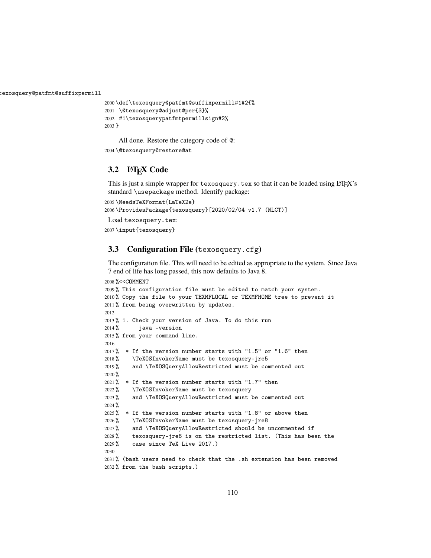:exosquery@patfmt@suffixpermill

```
2000 \def\texosquery@patfmt@suffixpermill#1#2{%
2001 \@texosquery@adjust@per{3}%
2002 #1\texosquerypatfmtpermillsign#2%
2003 }
```
All done. Restore the category code of @:

\@texosquery@restore@at

### **3.2** LAT<sub>E</sub>X Code

This is just a simple wrapper for texosquery.tex so that it can be loaded using  $\mathbb{E} T_F X$ 's standard \usepackage method. Identify package:

```
2005 \NeedsTeXFormat{LaTeX2e}
2006 \ProvidesPackage{texosquery}[2020/02/04 v1.7 (NLCT)]
Load texosquery.tex:
```
\input{texosquery}

### **3.3 Configuration File (**texosquery.cfg**)**

The configuration file. This will need to be edited as appropriate to the system. Since Java 7 end of life has long passed, this now defaults to Java 8.

```
2008 %<<COMMENT
2009 % This configuration file must be edited to match your system.
2010 % Copy the file to your TEXMFLOCAL or TEXMFHOME tree to prevent it
2011 % from being overwritten by updates.
2012
2013 % 1. Check your version of Java. To do this run
2014 % java -version
2015 % from your command line.
2016
2017\% * If the version number starts with "1.5" or "1.6" then
2018 % \TeXOSInvokerName must be texosquery-jre5
2019 % and \TeXOSQueryAllowRestricted must be commented out
2020 %
2021 % * If the version number starts with "1.7" then
2022 % \TeXOSInvokerName must be texosquery
2023 % and \TeXOSQueryAllowRestricted must be commented out
2024 %
2025\% * If the version number starts with "1.8" or above then
2026 % \TeXOSInvokerName must be texosquery-jre8
2027 % and \TeXOSQueryAllowRestricted should be uncommented if
2028 % texosquery-jre8 is on the restricted list. (This has been the
2029 % case since TeX Live 2017.)
2030
2031 % (bash users need to check that the .sh extension has been removed
2032 % from the bash scripts.)
```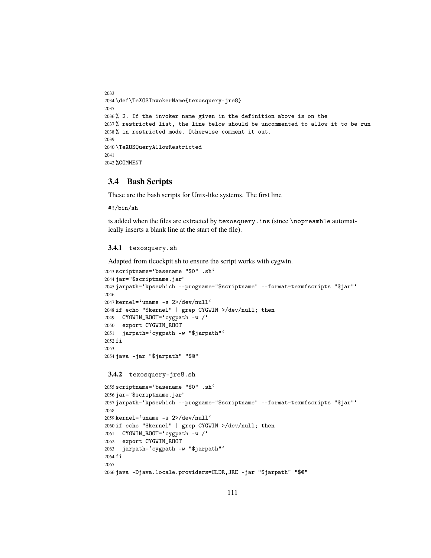```
2033
2034 \def\TeXOSInvokerName{texosquery-jre8}
2035
2036 % 2. If the invoker name given in the definition above is on the
2037 % restricted list, the line below should be uncommented to allow it to be run
2038 % in restricted mode. Otherwise comment it out.
2039
2040 \TeXOSQueryAllowRestricted
2041
2042 %COMMENT
```
#### **3.4 Bash Scripts**

These are the bash scripts for Unix-like systems. The first line

#!/bin/sh

is added when the files are extracted by texosquery.ins (since \nopreamble automatically inserts a blank line at the start of the file).

#### **3.4.1** texosquery.sh

Adapted from tlcockpit.sh to ensure the script works with cygwin.

```
2043 scriptname='basename "$0" .sh'
2044 jar="$scriptname.jar"
2045 jarpath='kpsewhich --progname="$scriptname" --format=texmfscripts "$jar"'
2046
2047 kernel='uname -s 2>/dev/null'
2048 if echo "$kernel" | grep CYGWIN >/dev/null; then
2049 CYGWIN_ROOT='cygpath -w /'
2050 export CYGWIN_ROOT
2051 jarpath='cygpath -w "$jarpath"'
2052 fi
2053
2054 java -jar "$jarpath" "$@"
```
**3.4.2** texosquery-jre8.sh

```
2055 scriptname='basename "$0" .sh'
2056 jar="$scriptname.jar"
2057 jarpath='kpsewhich --progname="$scriptname" --format=texmfscripts "$jar"'
2058
2059 kernel='uname -s 2>/dev/null'
2060 if echo "$kernel" | grep CYGWIN >/dev/null; then
2061 CYGWIN_ROOT='cygpath -w /'
2062 export CYGWIN_ROOT
2063 jarpath='cygpath -w "$jarpath"'
2064 fi
2065
2066 java -Djava.locale.providers=CLDR,JRE -jar "$jarpath" "$@"
```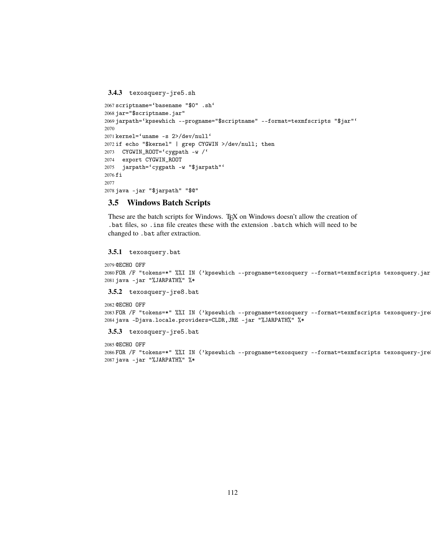**3.4.3** texosquery-jre5.sh

```
2067 scriptname='basename "$0" .sh'
2068 jar="$scriptname.jar"
2069 jarpath='kpsewhich --progname="$scriptname" --format=texmfscripts "$jar"'
2070
2071 kernel='uname -s 2>/dev/null'
2072 if echo "$kernel" | grep CYGWIN >/dev/null; then
2073 CYGWIN_ROOT='cygpath -w /'
2074 export CYGWIN_ROOT
2075 jarpath='cygpath -w "$jarpath"'
2076 fi
2077
2078 java -jar "$jarpath" "$@"
```
#### **3.5 Windows Batch Scripts**

These are the batch scripts for Windows. TEX on Windows doesn't allow the creation of .bat files, so .ins file creates these with the extension .batch which will need to be changed to .bat after extraction.

#### **3.5.1** texosquery.bat

```
2079 @ECHO OFF
2080 FOR /F "tokens=*" %%I IN ('kpsewhich --progname=texosquery --format=texmfscripts texosquery.jar
2081 java -jar "%JARPATH%" %*
```
**3.5.2** texosquery-jre8.bat

```
2082 @ECHO OFF
2083 FOR /F "tokens=*" %%I IN ('kpsewhich --progname=texosquery --format=texmfscripts texosquery-jre
2084 java -Djava.locale.providers=CLDR,JRE -jar "%JARPATH%" %*
```
**3.5.3** texosquery-jre5.bat

```
2085 @ECHO OFF
2086 FOR /F "tokens=*" %%I IN ('kpsewhich --progname=texosquery --format=texmfscripts texosquery-jre
2087 java -jar "%JARPATH%" %*
```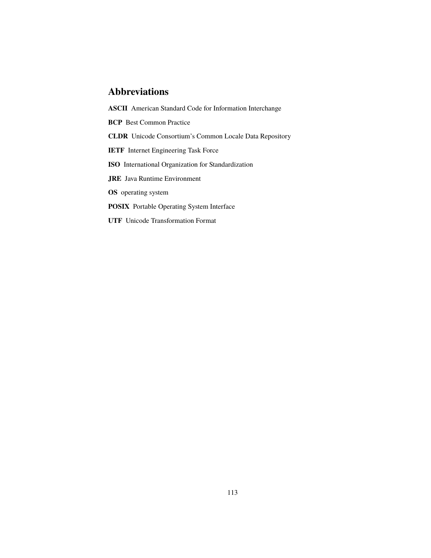## **Abbreviations**

**ASCII** American Standard Code for Information Interchange **BCP** Best Common Practice **CLDR** Unicode Consortium's Common Locale Data Repository **IETF** Internet Engineering Task Force **ISO** International Organization for Standardization **JRE** Java Runtime Environment **OS** operating system **POSIX** Portable Operating System Interface

**UTF** Unicode Transformation Format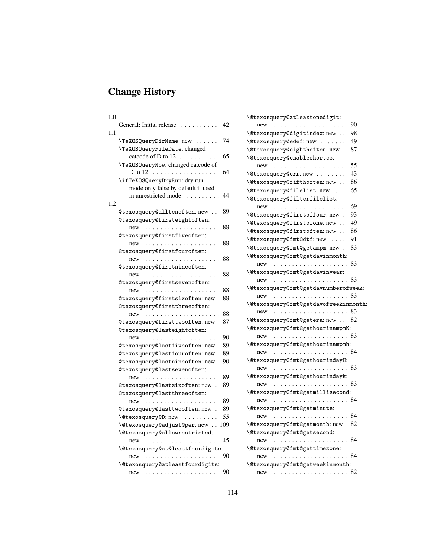# **Change History**

| 1.0 |                                                 |     |
|-----|-------------------------------------------------|-----|
|     | General: Initial release<br>$\sim$              | 42  |
| 1.1 | \TeXOSQueryDirName: new                         | 74  |
|     | \TeXOSQueryFileDate: changed                    |     |
|     | catcode of D to $12 \ldots \ldots \ldots$       | 65  |
|     | \TeXOSQueryNow: changed catcode of<br>D to 12   | 64  |
|     | \ifTeXOSQueryDryRun: dry run                    |     |
|     | mode only false by default if used              |     |
|     | in unrestricted mode                            | 44  |
| 1.2 |                                                 |     |
|     | @texosquery@alltenoften: new                    | 89  |
|     | @texosquery@firsteightoften:                    |     |
|     | new                                             | 88  |
|     | @texosquery@firstfiveoften:                     |     |
|     | $new \dots \dots \dots \dots \dots \dots \dots$ | 88  |
|     | @texosquery@firstfouroften:                     |     |
|     | new                                             | 88  |
|     | @texosquery@firstnineoften:                     |     |
|     | new                                             | 88  |
|     | @texosquery@firstsevenoften:                    |     |
|     | new<br>.                                        | 88  |
|     | @texosquery@firstsixoften: new                  | 88  |
|     | @texosquery@firstthreeoften:                    |     |
|     | new                                             | 88  |
|     | @texosquery@firsttwooften: new                  | 87  |
|     |                                                 |     |
|     | @texosquery@lasteightoften:                     |     |
|     | new                                             | 90  |
|     | @texosquery@lastfiveoften: new                  | 89  |
|     | @texosquery@lastfouroften: new                  | 89  |
|     | @texosquery@lastnineoften: new                  | 90  |
|     | @texosquery@lastsevenoften:                     |     |
|     | new                                             | 89  |
|     | @texosquery@lastsixoften: new.                  | 89  |
|     | @texosquery@lastthreeoften:                     |     |
|     | new<br>.                                        | 89  |
|     | @texosquery@lasttwooften: new.                  | 89  |
|     | \@texosquery@D:new                              | 55  |
|     | \@texosquery@adjust@per:new                     | 109 |
|     | \@texosquery@allowrestricted:                   |     |
|     | new                                             | 45  |
|     | \@texosquery@at@leastfourdigits:                |     |
|     | new                                             | 90  |
|     | \@texosquery@atleastfourdigits:                 |     |
|     | new<br>.                                        | 90  |
|     |                                                 |     |

| \@texosquery@atleastonedigit:                         |
|-------------------------------------------------------|
| 90<br>new                                             |
| \@texosquery@digitindex: new<br>98                    |
| \@texosquery@edef:new<br>49                           |
| \@texosquery@eighthoften: new.<br>87                  |
| \@texosquery@enableshortcs:                           |
| 55<br>new                                             |
| 43<br>\@texosquery@err:new                            |
| \@texosquery@fifthoften: new<br>86                    |
| \@texosquery@filelist:new<br>65                       |
| \@texosquery@filterfilelist:                          |
| 69<br>new                                             |
| 93<br>\@texosquery@firstoffour: new.                  |
| 49<br>\@texosquery@firstofone: new                    |
| \@texosquery@firstoften: new<br>86                    |
| \@texosquery@fmt@dtf:new<br>91                        |
| \@texosquery@fmt@getampm:new.<br>83                   |
| \@texosquery@fmt@getdayinmonth:                       |
| 83<br>new                                             |
| \@texosquery@fmt@getdayinyear:                        |
| 83<br>$new \dots \dots \dots \dots \dots \dots \dots$ |
| \@texosquery@fmt@getdaynumberofweek:                  |
| 83<br>new                                             |
| \@texosquery@fmt@getdayofweekinmonth:                 |
| 83<br>new                                             |
| \@texosquery@fmt@getera: new<br>82                    |
| \@texosquery@fmt@gethourinampmK:                      |
| 83<br>new                                             |
| \@texosquery@fmt@gethourinampmh:                      |
| 84<br>new                                             |
| \@texosquery@fmt@gethourindayH:                       |
| $new \dots \dots \dots \dots \dots \dots \dots$<br>83 |
| \@texosquery@fmt@gethourindayk:                       |
| 83<br>new                                             |
| \@texosquery@fmt@getmillisecond:                      |
| 84<br>new                                             |
| \@texosquery@fmt@getminute:                           |
| new                                                   |
| \@texosquery@fmt@getmonth: new<br>82                  |
| \@texosquery@fmt@getsecond:                           |
| 84<br>new                                             |
| \@texosquery@fmt@gettimezone:                         |
| 84<br>new                                             |
| \@texosquery@fmt@getweekinmonth:                      |
| 82<br>new                                             |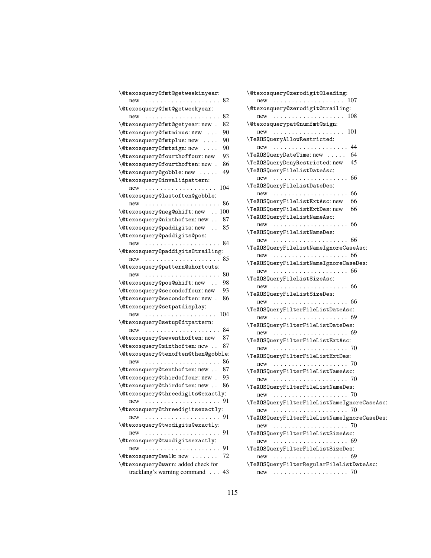| \@texosquery@fmt@getweekinyear:                                     |
|---------------------------------------------------------------------|
| 82<br>$new \dots \dots \dots \dots \dots \dots \dots$               |
| \@texosquery@fmt@getweekyear:                                       |
| 82<br>$new \dots \dots \dots \dots \dots \dots \dots$               |
| \@texosquery@fmt@getyear: new .<br>82                               |
| 90<br>\@texosquery@fmtminus: new                                    |
| \@texosquery@fmtplus:new<br>90                                      |
| \@texosquery@fmtsign:new<br>90                                      |
| \@texosquery@fourthoffour: new<br>93                                |
| \@texosquery@fourthoften: new.<br>86                                |
| 49<br>\@texosquery@gobble:new                                       |
| \@texosquery@invalidpattern:                                        |
| 104<br>$new \dots \dots \dots \dots \dots \dots \dots$              |
| \@texosquery@lastoften@gobble:                                      |
| 86<br>new<br>.                                                      |
| \@texosquery@neg@shift:new<br>100                                   |
| \@texosquery@ninthoften:new<br>87                                   |
| \@texosquery@paddigits: new<br>85<br>$\ldots$                       |
| \@texosquery@paddigits@pos:                                         |
| 84<br>$new \dots \dots \dots \dots \dots \dots$                     |
| \@texosquery@paddigits@trailing:                                    |
| 85<br>$new \dots \dots \dots \dots \dots \dots \dots$               |
| \@texosquery@pattern@shortcuts:                                     |
| 80<br>new                                                           |
| \@texosquery@pos@shift:new<br>98                                    |
| \@texosquery@secondoffour: new<br>93                                |
| \@texosquery@secondoften: new.<br>86                                |
| \@texosquery@setpatdisplay:                                         |
| 104<br>new<br>.                                                     |
| \@texosquery@setup@dtpattern:                                       |
| 84<br>new                                                           |
| 87<br><b>\@texosquery@seventhoften: new</b>                         |
| \@texosquery@sixthoften:new<br>87                                   |
| \@texosquery@tenoften@then@gobble:                                  |
| 86<br>new<br>.<br>$\sim$                                            |
| 87<br>\@texosquery@tenthoften:new                                   |
| \@texosquery@thirdoffour: new .<br>93                               |
| \@texosquery@thirdoften: new<br>86                                  |
| \@texosquery@threedigits@exactly:                                   |
| 91<br>new<br>. The second contract is a second contract of $\alpha$ |
| \@texosquery@threedigitsexactly:                                    |
| $new \dots \dots \dots \dots \dots \dots \dots$<br>91               |
| \@texosquery@twodigits@exactly:                                     |
| 91                                                                  |
| \@texosquery@twodigitsexactly:                                      |
| 91<br>$new \dots \dots \dots \dots \dots \dots \dots$               |
| \@texosquery@walk: new<br>72                                        |
| \@texosquery@warn: added check for                                  |
| tracklang's warning command<br>43                                   |

| \@texosquery@zerodigit@leading:                                                     |
|-------------------------------------------------------------------------------------|
|                                                                                     |
| \@texosquery@zerodigit@trailing:                                                    |
| 108<br>$new \dots \dots \dots \dots \dots \dots \dots$                              |
| \@texosquerypat@numfmt@sign:                                                        |
| 101<br>$new \dots \dots \dots \dots \dots \dots \dots$                              |
| \TeXOSQueryAllowRestricted:                                                         |
| 44<br>$new \dots \dots \dots \dots \dots \dots \dots$                               |
| 64<br>\TeXOSQueryDateTime: new                                                      |
| 45<br>\TeXOSQueryDenyRestricted: new                                                |
| \TeXOSQueryFileListDateAsc:                                                         |
| 66<br>$new$ ,                                                                       |
|                                                                                     |
| \TeXOSQueryFileListDateDes:                                                         |
| 66                                                                                  |
| \TeXOSQueryFileListExtAsc: new<br>66                                                |
| \TeXOSQueryFileListExtDes: new<br>66                                                |
| \TeXOSQueryFileListNameAsc:                                                         |
| $new \dots \dots \dots \dots \dots \dots \dots$<br>66                               |
| \TeXOSQueryFileListNameDes:                                                         |
| new                                                                                 |
| \TeXOSQueryFileListNameIgnoreCaseAsc:                                               |
|                                                                                     |
| \TeXOSQueryFileListNameIgnoreCaseDes:                                               |
|                                                                                     |
| \TeXOSQueryFileListSizeAsc:                                                         |
| $new \dots \dots \dots \dots \dots \dots \dots \dots \dots \dots \dots \dots \dots$ |
| \TeXOSQueryFileListSizeDes:                                                         |
| new                                                                                 |
| \TeXOSQueryFilterFileListDateAsc:                                                   |
| new                                                                                 |
| \TeXOSQueryFilterFileListDateDes:                                                   |
|                                                                                     |
| new<br>\TeXOSQueryFilterFileListExtAsc:                                             |
|                                                                                     |
| new                                                                                 |
| \TeXOSQueryFilterFileListExtDes:                                                    |
|                                                                                     |
| \TeXOSQueryFilterFileListNameAsc:                                                   |
|                                                                                     |
| \TeXOSQueryFilterFileListNameDes:                                                   |
| new                                                                                 |
| \TeXOSQueryFilterFileListNameIgnoreCaseAsc:                                         |
| new                                                                                 |
| \TeXOSQueryFilterFileListNameIgnoreCaseDes:                                         |
| new $\ldots \ldots \ldots \ldots \ldots \ldots \ldots$ 70                           |
| \TeXOSQueryFilterFileListSizeAsc:                                                   |
| new                                                                                 |
| \TeXOSQueryFilterFileListSizeDes:                                                   |
| new                                                                                 |
| \TeXOSQueryFilterRegularFileListDateAsc:                                            |
|                                                                                     |
|                                                                                     |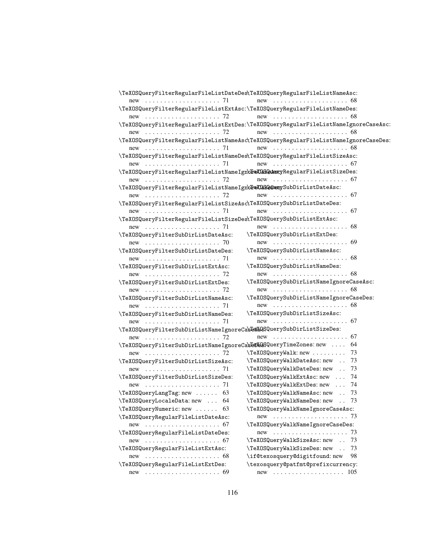| \TeXOSQueryFilterRegularFileListDateDes\TeXOSQueryRegularFileListNameAsc:   |                                                                                     |
|-----------------------------------------------------------------------------|-------------------------------------------------------------------------------------|
|                                                                             | new  68                                                                             |
| \TeXOSQueryFilterRegularFileListExtAsc:\TeXOSQueryRegularFileListNameDes:   |                                                                                     |
|                                                                             | $new$ ,  68                                                                         |
|                                                                             | \TeXOSQueryFilterRegularFileListExtDes:\TeXOSQueryRegularFileListNameIgnoreCaseAsc: |
|                                                                             | new  68                                                                             |
|                                                                             | \TeXOSQueryFilterRegularFileListNameAsc\TeXOSQueryRegularFileListNameIgnoreCaseDes: |
|                                                                             |                                                                                     |
| \TeXOSQueryFilterRegularFileListNameDes\TeXOSQueryRegularFileListSizeAsc:   |                                                                                     |
|                                                                             |                                                                                     |
| \TeXOSQueryFilterRegularFileListNameIgn\feXQSQuAsxcyRegularFileListSizeDes: |                                                                                     |
|                                                                             |                                                                                     |
| \TeXOSQueryFilterRegularFileListNameIgnbTeXLSQDexySubDirListDateAsc:        |                                                                                     |
|                                                                             |                                                                                     |
| \TeXOSQueryFilterRegularFileListSizeAsc\TeXOSQuerySubDirListDateDes:        |                                                                                     |
|                                                                             |                                                                                     |
| \TeXOSQueryFilterRegularFileListSizeDes\TeXOSQuerySubDirListExtAsc:         |                                                                                     |
|                                                                             |                                                                                     |
| \TeXOSQueryFilterSubDirListDateAsc:                                         | \TeXOSQuerySubDirListExtDes:                                                        |
| new  70                                                                     |                                                                                     |
| \TeXOSQueryFilterSubDirListDateDes:                                         | \TeXOSQuerySubDirListNameAsc:                                                       |
|                                                                             |                                                                                     |
| \TeXOSQueryFilterSubDirListExtAsc:                                          | \TeXOSQuerySubDirListNameDes:                                                       |
|                                                                             |                                                                                     |
| \TeXOSQueryFilterSubDirListExtDes:                                          | \TeXOSQuerySubDirListNameIgnoreCaseAsc:                                             |
|                                                                             |                                                                                     |
| \TeXOSQueryFilterSubDirListNameAsc:                                         | \TeXOSQuerySubDirListNameIgnoreCaseDes:                                             |
|                                                                             |                                                                                     |
| \TeXOSQueryFilterSubDirListNameDes:                                         | \TeXOSQuerySubDirListSizeAsc:                                                       |
|                                                                             |                                                                                     |
|                                                                             |                                                                                     |
| \TeXOSQueryFilterSubDirListNameIgnoreCa\S4X1&SQuerySubDirListSizeDes:       |                                                                                     |
|                                                                             | 64                                                                                  |
| \TeXOSQueryFilterSubDirListNameIgnoreCasEeXESQueryTimeZones: new            |                                                                                     |
|                                                                             | \TeXOSQueryWalk: new<br>73                                                          |
| \TeXOSQueryFilterSubDirListSizeAsc:                                         | \TeXOSQueryWalkDateAsc: new<br>73                                                   |
|                                                                             | 73<br>\TeXOSQueryWalkDateDes: new                                                   |
| \TeXOSQueryFilterSubDirListSizeDes:                                         | 74<br>\TeXOSQueryWalkExtAsc: new                                                    |
|                                                                             | 74<br>\TeXOSQueryWalkExtDes: new                                                    |
| \TeXOSQueryLangTag: new<br>63                                               | \TeXOSQueryWalkNameAsc: new<br>73                                                   |
| \TeXOSQueryLocaleData: new  64                                              | \TeXOSQueryWalkNameDes: new<br>73                                                   |
| $\text{TeXOSQueryNumberic: new} \dots 63$                                   | \TeXOSQueryWalkNameIgnoreCaseAsc:                                                   |
| \TeXOSQueryRegularFileListDateAsc:                                          |                                                                                     |
| new  67                                                                     | \TeXOSQueryWalkNameIgnoreCaseDes:                                                   |
| \TeXOSQueryRegularFileListDateDes:                                          |                                                                                     |
| new $\ldots \ldots \ldots \ldots \ldots \ldots \ldots 67$                   | \TeXOSQueryWalkSizeAsc: new<br>73                                                   |
| \TeXOSQueryRegularFileListExtAsc:                                           | \TeXOSQueryWalkSizeDes: new<br>73                                                   |
|                                                                             | \if@texosquery@digitfound: new<br>98                                                |
| \TeXOSQueryRegularFileListExtDes:                                           | \texosquery@patfmt@prefixcurrency:                                                  |
|                                                                             |                                                                                     |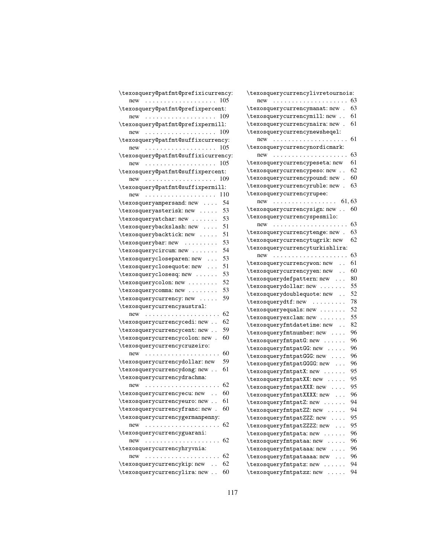| \texosquery@patfmt@prefixicurrency:                    | ١t            |
|--------------------------------------------------------|---------------|
| $new \dots \dots \dots \dots \dots \dots \dots$<br>105 |               |
| \texosquery@patfmt@prefixpercent:                      | \t            |
| 109<br>$new \dots \dots \dots \dots \dots \dots \dots$ | \t            |
| \texosquery@patfmt@prefixpermill:                      | \t            |
| $new \dots \dots \dots \dots \dots \dots \dots$<br>109 | \t            |
| \texosquery@patfmt@suffixcurrency:                     |               |
| $new \dots \dots \dots \dots \dots \dots \dots$<br>105 | ١t            |
| \texosquery@patfmt@suffixicurrency:                    |               |
| 105<br>$new \dots \dots \dots \dots \dots \dots \dots$ | \t            |
| \texosquery@patfmt@suffixpercent:                      | \t            |
| 109<br>$new \dots \dots \dots \dots \dots \dots \dots$ | \t            |
| \texosquery@patfmt@suffixpermill:                      | \t            |
| $new \dots \dots \dots \dots \dots \dots \dots$<br>110 | \t            |
| \texosqueryampersand: new<br>54                        |               |
| 53<br>\texosqueryasterisk: new                         | \t            |
| \texosqueryatchar: new<br>53                           | \t            |
| 51<br>\texosquerybackslash: new                        |               |
| 51<br>\texosquerybacktick: new                         | \t            |
| 53<br>\texosquerybar: new                              | \t            |
| 54<br>\texosquerycircum: new                           | \t            |
| 53<br>\texosquerycloseparen: new                       |               |
| 51<br>\texosqueryclosequote: new                       | \t            |
| 53<br>\texosqueryclosesq: new                          | \t            |
| 52<br>\texosquerycolon: new                            | \t            |
| 53<br>\texosquerycomma: new                            | \t            |
| 59<br>\texosquerycurrency: new                         | \t            |
| \texosquerycurrencyaustral:                            | \t            |
| 62<br>$new \dots \dots \dots \dots \dots \dots \dots$  | \t            |
| \texosquerycurrencycedi: new<br>62                     | \t            |
| 59<br>\texosquerycurrencycent: new                     | \t            |
| 60<br>\texosquerycurrencycolon: new.                   | \t            |
| \texosquerycurrencycruzeiro:                           | $\setminus t$ |
| 60<br>new                                              | ١t            |
| 59<br>\texosquerycurrencydollar: new                   | \t            |
| 61<br>\texosquerycurrencydong: new                     | ١t            |
| \texosquerycurrencydrachma:                            | \t            |
| 62<br>$new \dots \dots \dots \dots \dots \dots \dots$  | \t            |
| \texosquerycurrencyecu: new<br>60                      | $\setminus t$ |
| \texosquerycurrencyeuro: new<br>61                     | \t            |
| 60                                                     | \t            |
| \texosquerycurrencyfranc: new.                         | \t            |
| \texosquerycurrencygermanpenny:<br>62                  | \t            |
|                                                        | \t            |
| \texosquerycurrencyguarani:                            | \t            |
|                                                        | \t            |
| \texosquerycurrencyhryvnia:                            | \t            |
| 62<br>new<br>62                                        | \t            |
| \texosquerycurrencykip: new                            | \t            |
| \texosquerycurrencylira: new<br>60                     | \t            |

| \texosquerycurrencylivretournois:                   |    |
|-----------------------------------------------------|----|
| new<br>.                                            | 63 |
| \texosquerycurrencymanat: new.                      | 63 |
| \texosquerycurrencymill: new                        | 61 |
| \texosquerycurrencynaira: new.                      | 61 |
| \texosquerycurrencynewsheqel:                       |    |
| $new \dots \dots \dots \dots \dots \dots \dots$     | 61 |
| \texosquerycurrencynordicmark:                      |    |
| new                                                 | 63 |
| \texosquerycurrencypeseta: new                      | 61 |
| \texosquerycurrencypeso: new                        | 62 |
| \texosquerycurrencypound: new                       | 60 |
| \texosquerycurrencyruble: new                       | 63 |
| \texosquerycurrencyrupee:                           |    |
| $new$ 61, 63                                        |    |
| \texosquerycurrencysign: new                        | 60 |
| \texosquerycurrencyspesmilo:                        |    |
| $new \dots \dots \dots \dots \dots \dots$           | 63 |
| \texosquerycurrencytenge: new .                     | 63 |
| \texosquerycurrencytugrik: new                      | 62 |
| \texosquerycurrencyturkishlira:                     |    |
| new                                                 | 63 |
| \texosquerycurrencywon: new                         | 61 |
| \texosquerycurrencyyen: new                         | 60 |
| \texosquerydefpattern: new                          | 80 |
| \texosquerydollar: new                              | 55 |
| $\ddot{\phantom{0}}$<br>\texosquerydoublequote: new | 52 |
| \texosquerydtf: new                                 | 78 |
| \texosqueryequals: new                              | 52 |
| \texosqueryexclam: new                              | 55 |
| \texosqueryfmtdatetime: new                         | 82 |
| \texosqueryfmtnumber: new                           | 96 |
| \texosqueryfmtpatG: new                             | 96 |
| \texosqueryfmtpatGG: new                            | 96 |
| \texosqueryfmtpatGGG: new                           | 96 |
|                                                     | 96 |
| \texosqueryfmtpatGGGG:new                           | 95 |
| \texosqueryfmtpatX: new                             | 95 |
| \texosqueryfmtpatXX: new                            | 95 |
| \texosqueryfmtpatXXX: new                           | 96 |
| \texosqueryfmtpatXXXX:new                           | 94 |
| \texosqueryfmtpatZ: new                             |    |
| \texosqueryfmtpatZZ: new                            | 94 |
| \texosqueryfmtpatZZZ: new                           | 95 |
| \texosqueryfmtpatZZZZ: new                          | 95 |
| \texosqueryfmtpata: new .                           | 96 |
| \texosqueryfmtpataa: new                            | 96 |
| \texosqueryfmtpataaa: new                           | 96 |
| \texosqueryfmtpataaaa: new                          | 96 |
| \texosqueryfmtpatz: new                             | 94 |
| \texosqueryfmtpatzz: new<br>.                       | 94 |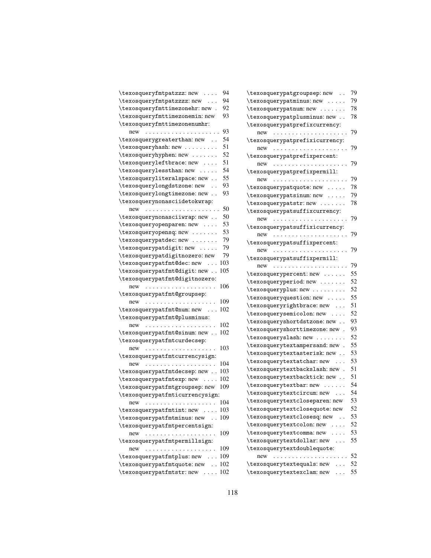| \texosqueryfmtpatzzz:new                                               | 94  |
|------------------------------------------------------------------------|-----|
| \texosqueryfmtpatzzzz: new                                             | 94  |
| \texosqueryfmttimezonehr: new.                                         | 92  |
| \texosqueryfmttimezonemin: new                                         | 93  |
| \texosqueryfmttimezonenumhr:                                           |     |
| new                                                                    | 93  |
| \texosquerygreaterthan: new                                            | 54  |
| \texosqueryhash: new                                                   | 51  |
| \texosqueryhyphen: new                                                 | 52  |
| \texosqueryleftbrace: new                                              | 51  |
| \texosquerylessthan: new                                               | 54  |
| \texosqueryliteralspace: new                                           | 55  |
| \texosquerylongdstzone: new                                            | 93  |
| \texosquerylongtimezone: new                                           | 93  |
| \texosquerynonasciidetokwrap:                                          |     |
| new                                                                    | 50  |
| \texosquerynonasciiwrap: new                                           | 50  |
|                                                                        | 53  |
| \texosqueryopenparen: new                                              | 53  |
| \texosqueryopensq: new                                                 | 79  |
| \texosquerypatdec: new                                                 |     |
| \texosquerypatdigit: new                                               | 79  |
| \texosquerypatdigitnozero: new                                         | 79  |
| 103<br>\texosquerypatfmt@dec: new                                      |     |
| 105<br>\texosquerypatfmt@digit:new                                     |     |
| \texosquerypatfmt@digitnozero:                                         |     |
|                                                                        |     |
| $new \dots \dots \dots \dots \dots \dots \dots$                        | 106 |
| \texosquerypatfmt@groupsep:                                            |     |
| 109<br>new                                                             |     |
| 102<br>\texosquerypatfmt@num:new                                       |     |
| \texosquerypatfmt@plusminus:                                           |     |
| 102<br>new                                                             |     |
| 102<br>\texosquerypatfmt@sinum: new                                    |     |
| \texosquerypatfmtcurdecsep:                                            |     |
| 103<br>new                                                             |     |
| \texosquerypatfmtcurrencysign:                                         |     |
| 104<br>new                                                             |     |
| 103<br>\texosquerypatfmtdecsep: new                                    |     |
| 102                                                                    |     |
| \texosquerypatfmtexp: new<br>109                                       |     |
| \texosquerypatfmtgroupsep: new                                         |     |
| \texosquerypatfmticurrencysign:<br>104                                 |     |
| $new \dots \dots \dots \dots \dots \dots \dots$<br>103                 |     |
| \texosquerypatfmtint: new<br>109                                       |     |
| \texosquerypatfmtminus: new                                            |     |
| \texosquerypatfmtpercentsign:                                          |     |
| 109<br>new                                                             |     |
| \texosquerypatfmtpermillsign:<br>109                                   |     |
| new<br>.                                                               |     |
| 109<br>\texosquerypatfmtplus: new                                      |     |
| 102<br>\texosquerypatfmtquote: new<br>\texosquerypatfmtstr: new<br>102 |     |

| $\verb \texeq $ texosquerypatgroupsep: new                             | 79 |
|------------------------------------------------------------------------|----|
| \texosquerypatminus: new                                               | 79 |
| \texosquerypatnum: new                                                 | 78 |
| \texosquerypatplusminus: new                                           | 78 |
| $\verb \texe{suppatpref}$ ixcurrency:                                  |    |
| new                                                                    | 79 |
| \texosquerypatprefixicurrency:                                         |    |
| new<br>$\alpha$ , $\alpha$ , $\alpha$ , $\alpha$                       | 79 |
| $\verb \texe{logup} $                                                  |    |
| new<br>$\sim$ $\sim$ $\sim$ $\sim$ $\sim$                              | 79 |
| $\verb \tex $                                                          |    |
| new                                                                    | 79 |
| \texosquerypatquote: new                                               | 78 |
| \texosquerypatsinum: new                                               | 79 |
| \texosquerypatstr: new                                                 | 78 |
| $\verb \texe{log:}$                                                    |    |
| new<br>$\cdots$<br>$\sim$ $\sim$ $\sim$ $\sim$<br>$\ddot{\phantom{0}}$ | 79 |
| $\verb \texe{logquery} \verb patsuffixicurrency   \$                   |    |
| new<br>$\sim$ $\sim$ $\sim$<br>$\cdots$                                | 79 |
| \texosquerypatsuffixpercent:                                           |    |
| new<br>$\sim$ $\sim$ $\sim$ $\sim$                                     | 79 |
| $\verb \tex $                                                          |    |
| new                                                                    | 79 |
| \texosquerypercent: new<br>$\sim$                                      | 55 |
| \texosqueryperiod: new .                                               | 52 |
| \texosqueryplus: new                                                   | 52 |
| \texosqueryquestion: new                                               | 55 |
| $\texttt{\texttt{texosqueryrightbrace}}$ new                           | 51 |
| \texosquerysemicolon: new                                              | 52 |
| \texosqueryshortdstzone: new                                           | 93 |
| \texosqueryshorttimezone: new                                          | 93 |
| \texosqueryslash: new                                                  | 52 |
| \texosquerytextampersand: new                                          | 55 |
| \texosquerytextasterisk: new.                                          | 53 |
| $\texttt{\texttt{text} \texttt{char}}$ : new                           | 53 |
| \texosquerytextbackslash: new                                          | 51 |
| /texosquerytextbacktick: new .                                         | 51 |
| \texosquerytextbar: new                                                | 54 |
| \texosquerytextcircum: new                                             | 54 |
| $\texttt{\texttt{text}}$ consquery text close paren: new               | 53 |
| \texosquerytextclosequote: new                                         | 52 |
| \texosquerytextclosesq: new                                            | 53 |
| \texosquerytextcolon: new                                              | 52 |
| \texosquerytextcomma: new                                              | 53 |
| \texosquerytextdollar: new                                             | 55 |
| \texosquerytextdoublequote:                                            |    |
| $new \dots \dots \dots$<br>$\cdots$                                    | 52 |
| \texosquerytextequals: new  52                                         |    |
| \texosquerytextexclam: new                                             | 55 |
|                                                                        |    |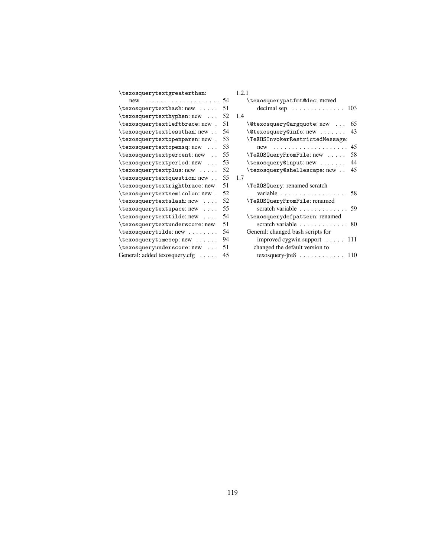| \texosquerypatfmt@dec: moved<br>54<br>$new \dots \dots \dots \dots \dots \dots \dots$<br>\texosquerytexthash: new<br>decimal sep $\dots \dots \dots$<br>51<br>103<br>\texosquerytexthyphen: new<br>52<br>1.4<br>\texosquerytextleftbrace: new.<br>51<br>\@texosquery@argquote:new<br>65<br>\texosquerytextlessthan: new<br>\@texosquery@info:new<br>54<br>43<br>\texosquerytextopenparen: new .<br>\TeXOSInvokerRestrictedMessage:<br>53<br>53<br>\texosquerytextopensq: new<br>$new \dots \dots \dots \dots \dots \dots \dots$<br>45<br>\texosquerytextpercent: new<br>\TeXOSQueryFromFile: new<br>58<br>55<br>\texosquerytextperiod: new<br>\texosquery@input: new<br>44<br>53<br>\texosquerytextplus: new<br>\texosquery@shellescape: new<br>52<br>45<br>\texosquerytextquestion: new<br>55<br>1.7<br>\TeX0SQuery: renamed scratch<br>\texosquerytextrightbrace: new<br>51<br>\texosquerytextsemicolon: new.<br>52<br>58<br>\TeXOSQueryFromFile: renamed<br>\texosquerytextslash: new<br>52<br>scratch variable 59<br>\texosquerytextspace: new<br>55<br>\texosquerytexttilde: new<br>\texosquerydefpattern: renamed<br>54<br>51<br>scratch variable<br>\texosquerytextunderscore: new<br>80<br>General: changed bash scripts for<br>54<br>\texosquerytimesep: new<br>improved cygwin support $\dots$ 111<br>94<br>changed the default version to<br>\texosqueryunderscore: new<br>51<br>General: added texosquery.cfg<br>45<br>texosquery-jre $8 \ldots \ldots \ldots \ldots 110$ | \texosquerytextgreaterthan: | 1.2.1 |
|---------------------------------------------------------------------------------------------------------------------------------------------------------------------------------------------------------------------------------------------------------------------------------------------------------------------------------------------------------------------------------------------------------------------------------------------------------------------------------------------------------------------------------------------------------------------------------------------------------------------------------------------------------------------------------------------------------------------------------------------------------------------------------------------------------------------------------------------------------------------------------------------------------------------------------------------------------------------------------------------------------------------------------------------------------------------------------------------------------------------------------------------------------------------------------------------------------------------------------------------------------------------------------------------------------------------------------------------------------------------------------------------------------------------------------------------------------------------------------------|-----------------------------|-------|
|                                                                                                                                                                                                                                                                                                                                                                                                                                                                                                                                                                                                                                                                                                                                                                                                                                                                                                                                                                                                                                                                                                                                                                                                                                                                                                                                                                                                                                                                                       |                             |       |
|                                                                                                                                                                                                                                                                                                                                                                                                                                                                                                                                                                                                                                                                                                                                                                                                                                                                                                                                                                                                                                                                                                                                                                                                                                                                                                                                                                                                                                                                                       |                             |       |
|                                                                                                                                                                                                                                                                                                                                                                                                                                                                                                                                                                                                                                                                                                                                                                                                                                                                                                                                                                                                                                                                                                                                                                                                                                                                                                                                                                                                                                                                                       |                             |       |
|                                                                                                                                                                                                                                                                                                                                                                                                                                                                                                                                                                                                                                                                                                                                                                                                                                                                                                                                                                                                                                                                                                                                                                                                                                                                                                                                                                                                                                                                                       |                             |       |
|                                                                                                                                                                                                                                                                                                                                                                                                                                                                                                                                                                                                                                                                                                                                                                                                                                                                                                                                                                                                                                                                                                                                                                                                                                                                                                                                                                                                                                                                                       |                             |       |
|                                                                                                                                                                                                                                                                                                                                                                                                                                                                                                                                                                                                                                                                                                                                                                                                                                                                                                                                                                                                                                                                                                                                                                                                                                                                                                                                                                                                                                                                                       |                             |       |
|                                                                                                                                                                                                                                                                                                                                                                                                                                                                                                                                                                                                                                                                                                                                                                                                                                                                                                                                                                                                                                                                                                                                                                                                                                                                                                                                                                                                                                                                                       |                             |       |
|                                                                                                                                                                                                                                                                                                                                                                                                                                                                                                                                                                                                                                                                                                                                                                                                                                                                                                                                                                                                                                                                                                                                                                                                                                                                                                                                                                                                                                                                                       |                             |       |
|                                                                                                                                                                                                                                                                                                                                                                                                                                                                                                                                                                                                                                                                                                                                                                                                                                                                                                                                                                                                                                                                                                                                                                                                                                                                                                                                                                                                                                                                                       |                             |       |
|                                                                                                                                                                                                                                                                                                                                                                                                                                                                                                                                                                                                                                                                                                                                                                                                                                                                                                                                                                                                                                                                                                                                                                                                                                                                                                                                                                                                                                                                                       |                             |       |
|                                                                                                                                                                                                                                                                                                                                                                                                                                                                                                                                                                                                                                                                                                                                                                                                                                                                                                                                                                                                                                                                                                                                                                                                                                                                                                                                                                                                                                                                                       |                             |       |
|                                                                                                                                                                                                                                                                                                                                                                                                                                                                                                                                                                                                                                                                                                                                                                                                                                                                                                                                                                                                                                                                                                                                                                                                                                                                                                                                                                                                                                                                                       |                             |       |
|                                                                                                                                                                                                                                                                                                                                                                                                                                                                                                                                                                                                                                                                                                                                                                                                                                                                                                                                                                                                                                                                                                                                                                                                                                                                                                                                                                                                                                                                                       |                             |       |
|                                                                                                                                                                                                                                                                                                                                                                                                                                                                                                                                                                                                                                                                                                                                                                                                                                                                                                                                                                                                                                                                                                                                                                                                                                                                                                                                                                                                                                                                                       |                             |       |
|                                                                                                                                                                                                                                                                                                                                                                                                                                                                                                                                                                                                                                                                                                                                                                                                                                                                                                                                                                                                                                                                                                                                                                                                                                                                                                                                                                                                                                                                                       |                             |       |
|                                                                                                                                                                                                                                                                                                                                                                                                                                                                                                                                                                                                                                                                                                                                                                                                                                                                                                                                                                                                                                                                                                                                                                                                                                                                                                                                                                                                                                                                                       |                             |       |
|                                                                                                                                                                                                                                                                                                                                                                                                                                                                                                                                                                                                                                                                                                                                                                                                                                                                                                                                                                                                                                                                                                                                                                                                                                                                                                                                                                                                                                                                                       |                             |       |
|                                                                                                                                                                                                                                                                                                                                                                                                                                                                                                                                                                                                                                                                                                                                                                                                                                                                                                                                                                                                                                                                                                                                                                                                                                                                                                                                                                                                                                                                                       |                             |       |
|                                                                                                                                                                                                                                                                                                                                                                                                                                                                                                                                                                                                                                                                                                                                                                                                                                                                                                                                                                                                                                                                                                                                                                                                                                                                                                                                                                                                                                                                                       |                             |       |
|                                                                                                                                                                                                                                                                                                                                                                                                                                                                                                                                                                                                                                                                                                                                                                                                                                                                                                                                                                                                                                                                                                                                                                                                                                                                                                                                                                                                                                                                                       |                             |       |
|                                                                                                                                                                                                                                                                                                                                                                                                                                                                                                                                                                                                                                                                                                                                                                                                                                                                                                                                                                                                                                                                                                                                                                                                                                                                                                                                                                                                                                                                                       |                             |       |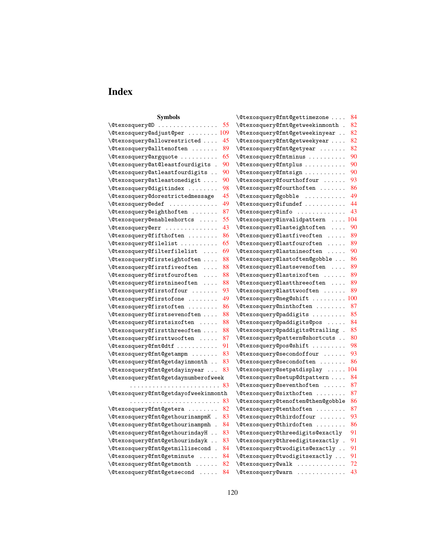# **Index**

| Symbols                                              | \@texosquery@fmt@gettimezone<br>84                                           |
|------------------------------------------------------|------------------------------------------------------------------------------|
| \@texosquery@D                                       | \@texosquery@fmt@getweekinmonth .                                            |
| 55                                                   | 82                                                                           |
| $\texttt{\textbackslash}$ @texosquery@adjust@per 109 | 82<br>\@texosquery@fmt@getweekinyear                                         |
| \@texosquery@allowrestricted                         | 82                                                                           |
| 45                                                   | \@texosquery@fmt@getweekyear                                                 |
| 89                                                   | 82                                                                           |
| $\setminus$ @texosquery@alltenoften                  | \@texosquery@fmt@getyear                                                     |
| 65                                                   | 90                                                                           |
| \@texosquery@argquote                                | \@texosquery@fmtminus                                                        |
| \@texosquery@at@leastfourdigits .                    | 90                                                                           |
| 90                                                   | \@texosquery@fmtplus                                                         |
| 90                                                   | 90                                                                           |
| \@texosquery@atleastfourdigits                       | \@texosquery@fmtsign                                                         |
| 90<br>\@texosquery@atleastonedigit                   | 93<br>\@texosquery@fourthoffour<br>$\sim$ $\sim$ $\sim$ $\sim$ $\sim$ $\sim$ |
| 98                                                   | \@texosquery@fourthoften                                                     |
| \@texosquery@digitindex                              | 86                                                                           |
| 45<br>\@texosquery@dorestrictedmessage               | 49<br>\@texosquery@gobble<br>. The second second second $\alpha$             |
| 49                                                   | 44                                                                           |
| $\texttt{\texttt{0}}$ texosquery@edef                | \@texosquery@ifundef                                                         |
| 87                                                   | 43                                                                           |
| \@texosquery@eighthoften                             | \@texosquery@info                                                            |
| 55                                                   | \@texosquery@invalidpattern                                                  |
| \@texosquery@enableshortcs                           | 104                                                                          |
| $\ldots$                                             | $\sim 100$ km $^{-1}$                                                        |
| 43<br>\@texosquery@err                               | <i><b>\@texosquery@lasteightoften</b></i><br>90<br>$\sim 100$ km s $^{-1}$   |
| \@texosquery@fifthoften<br>86                        | <b>\@texosquery@lastfiveoften</b><br>89<br>$\sim$                            |
| 65<br>\@texosquery@filelist                          | 89<br>\@texosquery@lastfouroften<br>.                                        |
| 69                                                   | \@texosquery@lastnineoften                                                   |
| \@texosquery@filterfilelist                          | 90                                                                           |
| \@texosquery@firsteightoften                         | \@texosquery@lastoften@gobble                                                |
| 88                                                   | 86                                                                           |
| \@texosquery@firstfiveoften                          | <i><b>\@texosquery@lastsevenoften</b></i>                                    |
| 88                                                   | 89                                                                           |
| $\cdots$ .                                           | $\ldots$ .                                                                   |
| 88<br>\@texosquery@firstfouroften<br>$\cdots$        | \@texosquery@lastsixoften<br>89                                              |
| 88                                                   | \@texosquery@lastthreeoften                                                  |
| \@texosquery@firstnineoften                          | 89                                                                           |
| $\cdots$                                             | $\cdots$                                                                     |
| \@texosquery@firstoffour                             | \@texosquery@lasttwooften                                                    |
| 93                                                   | 89                                                                           |
| 49                                                   | \@texosquery@neg@shift                                                       |
| $\setminus$ @texosquery@firstofone                   | 100                                                                          |
| 86                                                   | \@texosquery@ninthoften                                                      |
| \@texosquery@firstoften                              | 87                                                                           |
| 88                                                   | \@texosquery@paddigits                                                       |
| \@texosquery@firstsevenoften                         | 85                                                                           |
| 88                                                   | \@texosquery@paddigits@pos                                                   |
| \@texosquery@firstsixoften                           | 84                                                                           |
| $\ldots$                                             | $\sim$ $\sim$ $\sim$ $\sim$                                                  |
| \@texosquery@firstthreeoften                         | \@texosquery@paddigits@trailing .                                            |
| 88                                                   | 85                                                                           |
| 87                                                   | \@texosquery@pattern@shortcuts                                               |
| \@texosquery@firsttwooften                           | 80                                                                           |
| 91                                                   | 98                                                                           |
| \@texosquery@fmt@dtf                                 | \@texosquery@pos@shift                                                       |
| 83                                                   | 93                                                                           |
| \@texosquery@fmt@getampm                             | \@texosquery@secondoffour                                                    |
| 83                                                   | 86                                                                           |
| /@texosquery@fmt@getdayinmonth                       | \@texosquery@secondoften                                                     |
| 83<br>\@texosquery@fmt@getdayinyear                  | \@texosquery@setpatdisplay<br>104<br>$\sim$ $\sim$ $\sim$ $\sim$ $\sim$      |
| \@texosquery@fmt@getdaynumberofweek                  | \@texosquery@setup@dtpattern<br>84                                           |
| 83                                                   | <b>\@texosquery@seventhoften</b><br>87<br>$\sim$                             |
| \@texosquery@fmt@getdayofweekinmonth                 | 87<br>$\setminus$ @texosquery@sixthoften                                     |
| 83                                                   | 86                                                                           |
|                                                      | \@texosquery@tenoften@then@gobble                                            |
| \@texosquery@fmt@getera                              | 87                                                                           |
| 82                                                   | $\setminus$ @texosquery@tenthoften                                           |
| \@texosquery@fmt@gethourinampmK .                    | 93                                                                           |
| 83                                                   | $\text{Ctext}:$                                                              |
| \@texosquery@fmt@gethourinampmh .                    | 86                                                                           |
| 84                                                   | \@texosquery@thirdoften                                                      |
| 83                                                   | 91                                                                           |
| \@texosquery@fmt@gethourindayH                       | \@texosquery@threedigits@exactly                                             |
| \@texosquery@fmt@gethourindayk                       | /@texosquery@threedigitsexactly .                                            |
| 83                                                   | 91                                                                           |
| \@texosquery@fmt@getmillisecond .                    | 91                                                                           |
| 84                                                   | /@texosquery@twodigits@exactly                                               |
| \@texosquery@fmt@getminute<br>84<br>$\cdots$         | \@texosquery@twodigitsexactly<br>91                                          |
| 82                                                   | \@texosquery@walk                                                            |
| \@texosquery@fmt@getmonth                            | 72                                                                           |
| \@texosquery@fmt@getsecond                           | 43                                                                           |
| 84                                                   | \@texosquery@warn                                                            |
|                                                      |                                                                              |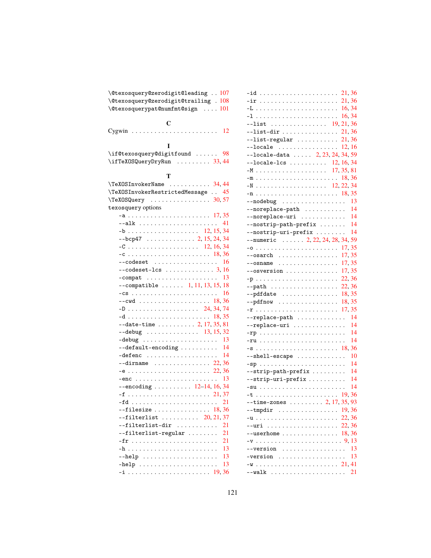|                    | \@texosquery@zerodigit@leading  107                      |
|--------------------|----------------------------------------------------------|
|                    | \@texosquery@zerodigit@trailing . 108                    |
|                    | \@texosquerypat@numfmt@sign  101                         |
|                    |                                                          |
|                    | $\mathbf C$                                              |
|                    |                                                          |
|                    |                                                          |
|                    | I                                                        |
|                    | \if@texosquery@digitfound  98                            |
|                    | \ifTeXOSQueryDryRun  33,44                               |
|                    |                                                          |
|                    | т                                                        |
|                    |                                                          |
|                    | \TeXOSInvokerRestrictedMessage  45                       |
|                    | $\Gamma$ . TeXOSQuery 30, 57                             |
| texosquery options |                                                          |
|                    |                                                          |
|                    |                                                          |
|                    | --alk<br>41                                              |
|                    |                                                          |
|                    | $-$ bcp47 2, 15, 24, 34                                  |
|                    |                                                          |
|                    |                                                          |
|                    | --codeset $\ldots\ldots\ldots\ldots\ldots\ 16$           |
|                    | $--$ codeset-lcs  3, 16                                  |
|                    | $-$ compat  13                                           |
|                    | $--$ compatible  1, 11, 13, 15, 18                       |
|                    |                                                          |
|                    |                                                          |
|                    | -D 24, 34, 74                                            |
|                    |                                                          |
|                    | $--date-time$ 2, 17, 35, 81                              |
|                    | $--$ debug 13, 15, 32                                    |
|                    | $-debug        $<br>-13                                  |
|                    | $--default-encoding \ldots \ldots$<br>14                 |
|                    | $-defenc$<br>14                                          |
|                    |                                                          |
|                    |                                                          |
|                    |                                                          |
|                    | $--encoding \ldots \ldots \ldots 12-14, 16, 34$          |
|                    |                                                          |
|                    | 21                                                       |
|                    | --filesize $\ldots \ldots \ldots \ldots \ldots \; 18,36$ |
|                    | $--filterlist$ 20, 21, 37                                |
|                    | --filterlist-dir<br>21                                   |
|                    | 21<br>--filterlist-regular                               |
|                    | 21                                                       |
|                    | 13                                                       |
|                    | 13                                                       |
|                    | 13<br>$-\text{help}$                                     |
|                    |                                                          |
|                    |                                                          |

| $-$ id  21,36                                                        |  |
|----------------------------------------------------------------------|--|
|                                                                      |  |
|                                                                      |  |
|                                                                      |  |
|                                                                      |  |
| $--list-dir    21, 36$                                               |  |
| $--list-regular$ 21,36                                               |  |
| $--$ locale  12,16                                                   |  |
| $--locale-data$ 2, 23, 24, 34, 59                                    |  |
| $-1$ ocale $-1$ cs  12, 16, 34                                       |  |
|                                                                      |  |
|                                                                      |  |
| $-N$ 12, 22, 34                                                      |  |
|                                                                      |  |
| $--nodebug$ 13                                                       |  |
|                                                                      |  |
|                                                                      |  |
| --noreplace-path<br>--noreplace-uri  14<br>--nostrip-path-prefix  14 |  |
| $--nostrip-uri-prefix \ldots \ldots 14$                              |  |
| $-$ -numeric  2, 22, 24, 28, 34, 59                                  |  |
|                                                                      |  |
|                                                                      |  |
| --osarch  17,35<br>--osname  17,35<br>--osversion  17,35             |  |
|                                                                      |  |
|                                                                      |  |
| $--path$ 22,36                                                       |  |
| $--pdfdate \dots \dots \dots \dots \dots \dots \ 18,35$              |  |
|                                                                      |  |
|                                                                      |  |
| $--replace-path$ 14                                                  |  |
| $--\nreplace-uri$ 14                                                 |  |
|                                                                      |  |
|                                                                      |  |
|                                                                      |  |
| $--shell-\texttt{escape}$ 10                                         |  |
|                                                                      |  |
| $--strip-path-prefix    14$                                          |  |
| $--strip-uri-prefix \ldots \ldots 14$                                |  |
|                                                                      |  |
|                                                                      |  |
| $-$ time-zones  2, 17, 35, 93                                        |  |
| $--tmpdir$ 19,36                                                     |  |
|                                                                      |  |
|                                                                      |  |
|                                                                      |  |
| $--userhome 18,36$                                                   |  |
| $-v \ldots \ldots \ldots \ldots \ldots \ldots \ldots \ldots 9, 13$   |  |
| $--version$ 13                                                       |  |
| $-version$ 13                                                        |  |
|                                                                      |  |
|                                                                      |  |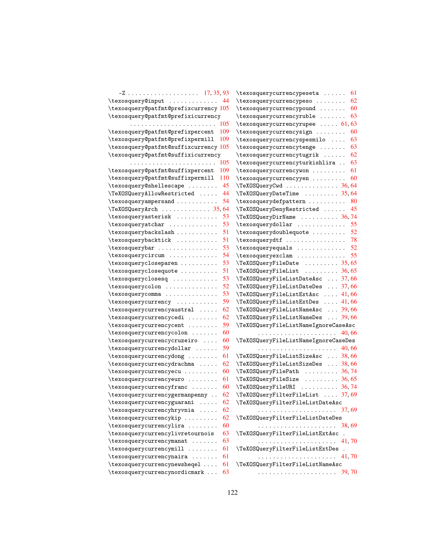|                                         | $\text{texosquery current}$ 61                       |
|-----------------------------------------|------------------------------------------------------|
| \texosquery@input<br>44                 | 62<br>\texosquerycurrencypeso                        |
| \texosquery@patfmt@prefixcurrency 105   | 60<br>\texosquerycurrencypound                       |
| \texosquery@patfmt@prefixicurrency      | \texosquerycurrencyruble<br>63                       |
| 105                                     | $\text{texosquerycurrencyrupee} \dots 61, 63$        |
| \texosquery@patfmt@prefixpercent<br>109 | \texosquerycurrencysign<br>60                        |
| \texosquery@patfmt@prefixpermill<br>109 | \texosquerycurrencyspesmilo<br>63                    |
| \texosquery@patfmt@suffixcurrency 105   | 63<br>\texosquerycurrencytenge                       |
| \texosquery@patfmt@suffixicurrency      | 62<br>\texosquerycurrencytugrik                      |
| . 105                                   | \texosquerycurrencyturkishlira<br>63                 |
| \texosquery@patfmt@suffixpercent<br>109 | 61<br>\texosquerycurrencywon                         |
| \texosquery@patfmt@suffixpermill<br>110 | 60<br>\texosquerycurrencyyen                         |
| 45<br>\texosquery@shellescape           | \TeXOSQueryCwd  36,64                                |
| 44<br>\TeXOSQueryAllowRestricted        | \TeXOSQueryDateTime  35,64                           |
| 54<br>\texosqueryampersand              | \texosquerydefpattern<br>80                          |
| \TeXOSQueryArch  35,64                  | 45<br>\TeXOSQueryDenyRestricted                      |
| \texosqueryasterisk<br>53               |                                                      |
| 53<br>\texosqueryatchar                 | $\text{texosquerydollar} \dots \dots \dots \dots 55$ |
| 51<br>\texosquerybackslash              | \texosquerydoublequote<br>52                         |
| 51<br>\texosquerybacktick               | \texosquerydtf<br>78                                 |
| \texosquerybar<br>53                    | 52<br>\texosqueryequals                              |
| 54<br>\texosquerycircum                 | 55<br>\texosqueryexclam                              |
| 53<br>\texosquerycloseparen             | \TeXOSQueryFileDate  35,65                           |
| 51<br>\texosqueryclosequote             | \TeXOSQueryFileList  36,65                           |
| 53<br>\texosqueryclosesq                | \TeXOSQueryFileListDateAsc  37,66                    |
| 52<br>\texosquerycolon                  | \TeXOSQueryFileListDateDes  37,66                    |
| 53<br>\texosquerycomma                  | \TeXOSQueryFileListExtAsc  41,66                     |
| 59<br>\texosquerycurrency               | TeXOSQueryFileListExtDes  41,66                      |
| 62<br>\texosquerycurrencyaustral        | \TeXOSQueryFileListNameAsc  39,66                    |
| 62<br>\texosquerycurrencycedi           | \TeXOSQueryFileListNameDes  39,66                    |
| 59<br>\texosquerycurrencycent           | \TeXOSQueryFileListNameIgnoreCaseAsc                 |
| \texosquerycurrencycolon<br>60          |                                                      |
| \texosquerycurrencycruzeiro<br>60       | \TeXOSQueryFileListNameIgnoreCaseDes                 |
| 59<br>\texosquerycurrencydollar         |                                                      |
| 61<br>\texosquerycurrencydong           | \TeXOSQueryFileListSizeAsc  38,66                    |
| 62<br>\texosquerycurrencydrachma        | \TeXOSQueryFileListSizeDes  38,66                    |
| 60<br>\texosquerycurrencyecu            | \TeXOSQueryFilePath  36,74                           |
| \texosquerycurrencyeuro<br>61           |                                                      |
| \texosquerycurrencyfranc<br>60          | \TeXOSQueryFileURI  36,74                            |
| 62<br>\texosquerycurrencygermanpenny    | \TeXOSQueryFilterFileList  37,69                     |
| 62<br>\texosquerycurrencyguarani        | \TeXOSQueryFilterFileListDateAsc                     |
| \texosquerycurrencyhryvnia<br>62        |                                                      |
| \texosquerycurrencykip<br>62            | \TeXOSQueryFilterFileListDateDes                     |
| \texosquerycurrencylira<br>60           |                                                      |
| \texosquerycurrencylivretournois<br>63  | \TeXOSQueryFilterFileListExtAsc                      |
| \texosquerycurrencymanat<br>63          |                                                      |
| \texosquerycurrencymill<br>61           | \TeXOSQueryFilterFileListExtDes                      |
| $\text{texosquery current}$<br>61       |                                                      |
| \texosquerycurrencynewsheqel<br>61      | \TeXOSQueryFilterFileListNameAsc                     |
| \texosquerycurrencynordicmark<br>63     |                                                      |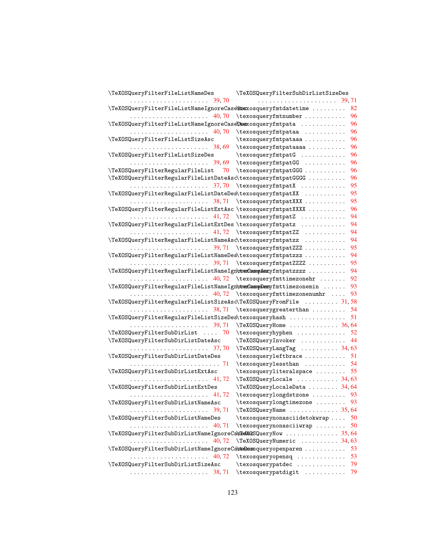| \TeXOSQueryFilterFileListNameDes                                    | \TeXOSQueryFilterSubDirListSizeDes                                           |
|---------------------------------------------------------------------|------------------------------------------------------------------------------|
|                                                                     |                                                                              |
| \TeXOSQueryFilterFileListNameIgnoreCase\tsexosqueryfmtdatetime      | 82                                                                           |
|                                                                     | 96<br>\texosqueryfmtnumber                                                   |
| \TeXOSQueryFilterFileListNameIgnoreCaseDexxosqueryfmtpata           | 96                                                                           |
|                                                                     | 96<br>\texosqueryfmtpataa                                                    |
| \TeXOSQueryFilterFileListSizeAsc                                    | 96<br>\texosqueryfmtpataaa                                                   |
|                                                                     | 96<br>\texosqueryfmtpataaaa                                                  |
| \TeXOSQueryFilterFileListSizeDes                                    | 96<br>\texosqueryfmtpatG                                                     |
|                                                                     | \texosqueryfmtpatGG<br>96                                                    |
| \TeXOSQueryFilterRegularFileList<br>70                              | \texosqueryfmtpatGGG<br>96                                                   |
| \TeXOSQueryFilterRegularFileListDateAsc\texosqueryfmtpatGGGG        | 96                                                                           |
|                                                                     | 95<br>\texosqueryfmtpatX                                                     |
| \TeXOSQueryFilterRegularFileListDateDes\texosqueryfmtpatXX          | 95                                                                           |
|                                                                     | 95<br>\texosqueryfmtpatXXX                                                   |
| \TeXOSQueryFilterRegularFileListExtAsc \texosqueryfmtpatXXXX        | 96                                                                           |
|                                                                     | 94<br>\texosqueryfmtpatZ                                                     |
| \TeXOSQueryFilterRegularFileListExtDes \texosqueryfmtpatz           | 94                                                                           |
|                                                                     | 94<br>41,72 \texosqueryfmtpatZZ                                              |
| \TeXOSQueryFilterRegularFileListNameAsc\texosqueryfmtpatzz          | 94                                                                           |
|                                                                     | 95<br>$\ldots \ldots \ldots \ldots \ldots$ 39,71 \texosqueryfmtpatZZZ        |
| \TeXOSQueryFilterRegularFileListNameDes\texosqueryfmtpatzzz         | 94                                                                           |
| . 39, 71                                                            | \texosqueryfmtpatZZZZ<br>95                                                  |
| \TeXOSQueryFilterRegularFileListNameIgn\trexCassopAsscyfmtpatzzzz   | 94                                                                           |
|                                                                     | 92<br>$\ldots \ldots \ldots \ldots \ldots$ 40,72 \texosqueryfmttimezonehr    |
| \TeXOSQueryFilterRegularFileListNameIgn\texCasseDescyfmttimezonemin | 93                                                                           |
|                                                                     | 93<br>$\ldots \ldots \ldots \ldots \ldots$ 40,72 \texosqueryfmttimezonenumhr |
| \TeXOSQueryFilterRegularFileListSizeAsc\TeXOSQueryFromFile  31,58   |                                                                              |
| 38, 71                                                              | 54<br>\texosquerygreaterthan                                                 |
| \TeXOSQueryFilterRegularFileListSizeDes\texosqueryhash              | 51                                                                           |
|                                                                     | \TeXOSQueryHome  36,64                                                       |
| \TeXOSQueryFilterSubDirList  70                                     | 52<br>\texosqueryhyphen                                                      |
| \TeXOSQueryFilterSubDirListDateAsc                                  | \TeXOSQueryInvoker<br>44                                                     |
|                                                                     | \TeXOSQueryLangTag  34,63                                                    |
| \TeXOSQueryFilterSubDirListDateDes                                  | \texosqueryleftbrace<br>51                                                   |
|                                                                     | \texosquerylessthan  54                                                      |
| \TeXOSQueryFilterSubDirListExtAsc                                   | 55<br>\texosqueryliteralspace                                                |
|                                                                     | \TeXOSQueryLocale  34,63                                                     |
| \TeXOSQueryFilterSubDirListExtDes                                   | \TeXOSQueryLocaleData  34, 64                                                |
| 41, 72                                                              | \texosquerylongdstzone  93                                                   |
| \TeXOSQueryFilterSubDirListNameAsc                                  | $\text{texosquerylongtimezone} \dots \dots \ 93$                             |
|                                                                     | \TeXOSQueryName  35,64                                                       |
| \TeXOSQueryFilterSubDirListNameDes                                  | \texosquerynonasciidetokwrap<br>50                                           |
| 40, 71                                                              | \texosquerynonasciiwrap<br>50                                                |
| \TeXOSQueryFilterSubDirListNameIgnoreCa\E4X46SQueryNow  35,64       |                                                                              |
| 40, 72                                                              | \TeXOSQueryNumeric  34,63                                                    |
| \TeXOSQueryFilterSubDirListNameIgnoreCa\telexsqueryopenparen        | 53                                                                           |
|                                                                     | \texosqueryopensq<br>53                                                      |
| \TeXOSQueryFilterSubDirListSizeAsc                                  | \texosquerypatdec<br>79                                                      |
|                                                                     | \texosquerypatdigit<br>79                                                    |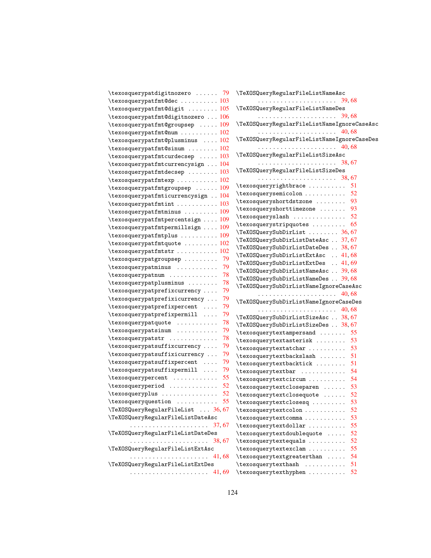| \texosquerypatdigitnozero  79                                    | \TeXOSQueryRegularFileListNameAsc                                                                                                                                                                                                                                                                                                                                                                             |
|------------------------------------------------------------------|---------------------------------------------------------------------------------------------------------------------------------------------------------------------------------------------------------------------------------------------------------------------------------------------------------------------------------------------------------------------------------------------------------------|
| $\texttt{texosquerypath@dec} \dots \dots \dots \ 103$            |                                                                                                                                                                                                                                                                                                                                                                                                               |
| \texosquerypatfmt@digit  105                                     | \TeXOSQueryRegularFileListNameDes                                                                                                                                                                                                                                                                                                                                                                             |
| $\texttt{\textbackslash}$ texosquerypatfmt@digitnozero  106      |                                                                                                                                                                                                                                                                                                                                                                                                               |
| \texosquerypatfmt@groupsep  109                                  | \TeXOSQueryRegularFileListNameIgnoreCaseAsc                                                                                                                                                                                                                                                                                                                                                                   |
| $\texttt{textequ}$                                               |                                                                                                                                                                                                                                                                                                                                                                                                               |
| \texosquerypatfmt@plusminus  102                                 | \TeXOSQueryRegularFileListNameIgnoreCaseDes                                                                                                                                                                                                                                                                                                                                                                   |
| $\texttt{\texttt{text}}$ 102                                     |                                                                                                                                                                                                                                                                                                                                                                                                               |
| $\text{texosquerypatfmtcurdecessep}$ 103                         | \TeXOSQueryRegularFileListSizeAsc                                                                                                                                                                                                                                                                                                                                                                             |
|                                                                  |                                                                                                                                                                                                                                                                                                                                                                                                               |
| \texosquerypatfmtcurrencysign  104                               | \TeXOSQueryRegularFileListSizeDes                                                                                                                                                                                                                                                                                                                                                                             |
| $\texttt{\texttt{lexosquerypatfmtdecsep}} \dots \dots \dots 103$ |                                                                                                                                                                                                                                                                                                                                                                                                               |
|                                                                  | \texosqueryrightbrace  51                                                                                                                                                                                                                                                                                                                                                                                     |
| $\text{texosquerypatfmtgroupsep}$ 109                            | $\texttt{texosquerysemicolon} \dots \dots \dots 52$                                                                                                                                                                                                                                                                                                                                                           |
| \texosquerypatfmticurrencysign  104                              | \texosqueryshortdstzone<br>93                                                                                                                                                                                                                                                                                                                                                                                 |
|                                                                  | \texosqueryshorttimezone<br>93                                                                                                                                                                                                                                                                                                                                                                                |
| $\texttt{\textbackslash}$ texosquerypatfmtminus  109             | $\verb+\textrm{3}+ \verb+\textrm{3}+ \verb+\textrm{4}+ \verb+\textrm{4}+ \verb+\textrm{5}+ \verb+\textrm{5}+ \verb+\textrm{6}+ \verb+\textrm{6}+ \verb+\textrm{7}+ \verb+\textrm{8}+ \verb+\textrm{8}+ \verb+\textrm{9}+ \verb+\textrm{9}+ \verb+\textrm{9}+ \verb+\textrm{1}+ \verb+\textrm{9}+ \verb+\textrm{1}+ \verb+\textrm{1}+ \verb+\textrm{1}+ \verb+\textrm{1}+ \verb+\textrm{1}+ \verb+\textrm{1}+$ |
| $\texttt{\texttt{text} \texttt{c}}$ 109                          | $\texttt{text}$ ; $\ldots$ . $\texttt{65}$                                                                                                                                                                                                                                                                                                                                                                    |
| \texosquerypatfmtpermillsign  109                                | \TeXOSQuerySubDirList  36,67                                                                                                                                                                                                                                                                                                                                                                                  |
| $\texttt{textpoints} \dots \dots \dots 109$                      | \TeXOSQuerySubDirListDateAsc . 37, 67                                                                                                                                                                                                                                                                                                                                                                         |
| $\texttt{text}$ 102                                              | \TeXOSQuerySubDirListDateDes  38, 67                                                                                                                                                                                                                                                                                                                                                                          |
| $\texttt{text} \dots \dots \dots 102$                            | TeXOSQuerySubDirListExtAsc  41,68                                                                                                                                                                                                                                                                                                                                                                             |
| \texosquerypatgroupsep<br>-79                                    | \TeXOSQuerySubDirListExtDes  41,69                                                                                                                                                                                                                                                                                                                                                                            |
| \texosquerypatminus<br>79                                        | \TeXOSQuerySubDirListNameAsc  39,68                                                                                                                                                                                                                                                                                                                                                                           |
| \texosquerypatnum<br>78                                          | \TeXOSQuerySubDirListNameDes  39,68                                                                                                                                                                                                                                                                                                                                                                           |
| \texosquerypatplusminus<br>78                                    | \TeXOSQuerySubDirListNameIgnoreCaseAsc                                                                                                                                                                                                                                                                                                                                                                        |
| 79<br>\texosquerypatprefixcurrency                               |                                                                                                                                                                                                                                                                                                                                                                                                               |
| \texosquerypatprefixicurrency<br>79                              | \TeXOSQuerySubDirListNameIgnoreCaseDes                                                                                                                                                                                                                                                                                                                                                                        |
| \texosquerypatprefixpercent<br>79                                |                                                                                                                                                                                                                                                                                                                                                                                                               |
| \texosquerypatprefixpermill<br>79                                | \TeXOSQuerySubDirListSizeAsc  38, 67                                                                                                                                                                                                                                                                                                                                                                          |
| \texosquerypatquote<br>78                                        | \TeXOSQuerySubDirListSizeDes . 38,67                                                                                                                                                                                                                                                                                                                                                                          |
| \texosquerypatsinum<br>79                                        | $\text{texosquerytextampersand} \dots \dots \quad 55$                                                                                                                                                                                                                                                                                                                                                         |
| \texosquerypatstr<br>78                                          | \texosquerytextasterisk  53                                                                                                                                                                                                                                                                                                                                                                                   |
| 79<br>\texosquerypatsuffixcurrency                               | $\texttt{text} \dots \dots \dots 53$                                                                                                                                                                                                                                                                                                                                                                          |
| \texosquerypatsuffixicurrency<br>79                              | $\verb+\textrm+ backslash- \dots 51$                                                                                                                                                                                                                                                                                                                                                                          |
| \texosquerypatsuffixpercent<br>79                                | \texosquerytextbacktick<br>51                                                                                                                                                                                                                                                                                                                                                                                 |
| \texosquerypatsuffixpermill<br>79                                | \texosquerytextbar<br>54                                                                                                                                                                                                                                                                                                                                                                                      |
| \texosquerypercent<br>55                                         | \texosquerytextcircum<br>54                                                                                                                                                                                                                                                                                                                                                                                   |
| \texosqueryperiod<br>52                                          | \texosquerytextcloseparen<br>53                                                                                                                                                                                                                                                                                                                                                                               |
| \texosqueryplus<br>52                                            | \texosquerytextclosequote<br>52                                                                                                                                                                                                                                                                                                                                                                               |
| \texosqueryquestion<br>55                                        | \texosquerytextclosesq<br>53                                                                                                                                                                                                                                                                                                                                                                                  |
| \TeXOSQueryRegularFileList  36,67                                | \texosquerytextcolon<br>52                                                                                                                                                                                                                                                                                                                                                                                    |
| \TeXOSQueryRegularFileListDateAsc                                | \texosquerytextcomma<br>53                                                                                                                                                                                                                                                                                                                                                                                    |
|                                                                  | \texosquerytextdollar<br>55                                                                                                                                                                                                                                                                                                                                                                                   |
| \TeXOSQueryRegularFileListDateDes                                | \texosquerytextdoublequote<br>52                                                                                                                                                                                                                                                                                                                                                                              |
|                                                                  | \texosquerytextequals<br>52                                                                                                                                                                                                                                                                                                                                                                                   |
| \TeXOSQueryRegularFileListExtAsc                                 | \texosquerytextexclam<br>55                                                                                                                                                                                                                                                                                                                                                                                   |
|                                                                  | \texosquerytextgreaterthan<br>54                                                                                                                                                                                                                                                                                                                                                                              |
| \TeXOSQueryRegularFileListExtDes                                 | \texosquerytexthash<br>51                                                                                                                                                                                                                                                                                                                                                                                     |
|                                                                  | $\verb \texssquerytexthyphen     $<br>52                                                                                                                                                                                                                                                                                                                                                                      |
|                                                                  |                                                                                                                                                                                                                                                                                                                                                                                                               |